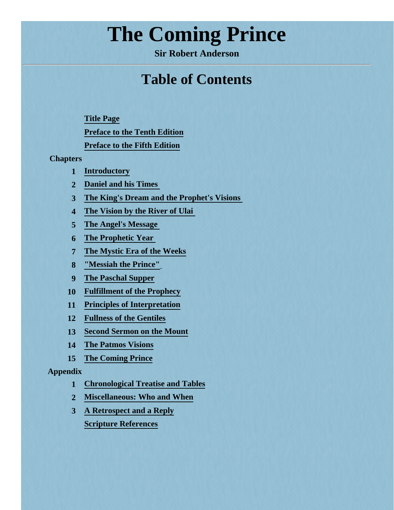**Sir Robert Anderson**

### **Table of Contents**

**[Title Page](#page-1-0) [Preface to the Tenth Edition](#page-2-0)**

**[Preface to the Fifth Edition](#page-6-0)**

#### **Chapters**

- **[Introductory](#page-24-0)**
- **[Daniel and his Times](#page-32-0)**
- **[The King's Dream and the Prophet's Visions](#page-36-0)**
- **[The Vision by the River of Ulai](#page-42-0)**
- **[The Angel's Message](#page-47-0)**
- **[The Prophetic Year](#page-55-0)**
- **[The Mystic Era of the Weeks](#page-59-0)**
- **["Messiah the Prince"](#page-64-0)**
- **[The Paschal Supper](#page-72-0)**
- **[Fulfillment of the Prophecy](#page-78-0)**
- **[Principles of Interpretation](#page-83-0)**
- **[Fullness of the Gentiles](#page-91-0)**
- **[Second Sermon on the Mount](#page-95-0)**
- **[The Patmos Visions](#page-101-0)**
- **[The Coming Prince](#page-110-0)**

#### **Appendix**

- **[Chronological Treatise and Tables](#page-123-0)**
- **[Miscellaneous: Who and When](#page-139-0)**
- **[A Retrospect and a Reply](#page-153-0) [Scripture References](#page-165-0)**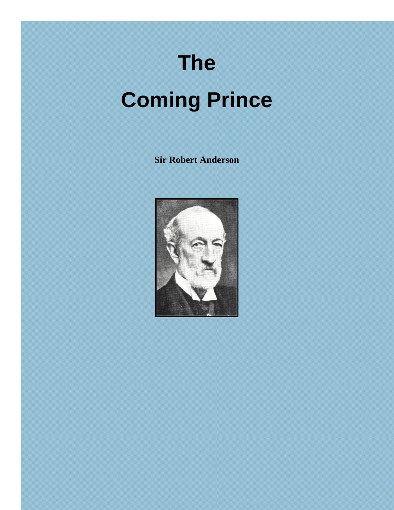<span id="page-1-0"></span>**Sir Robert Anderson**

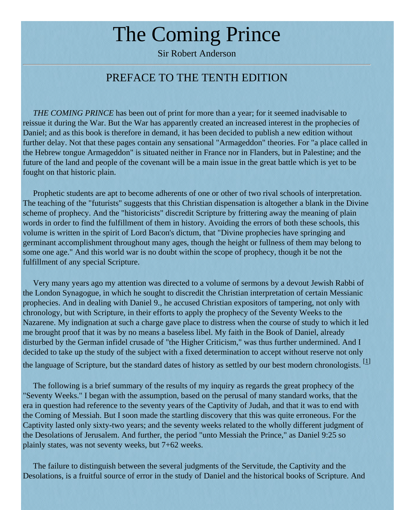Sir Robert Anderson

### PREFACE TO THE TENTH EDITION

<span id="page-2-0"></span> *THE COMING PRINCE* has been out of print for more than a year; for it seemed inadvisable to reissue it during the War. But the War has apparently created an increased interest in the prophecies of Daniel; and as this book is therefore in demand, it has been decided to publish a new edition without further delay. Not that these pages contain any sensational "Armageddon" theories. For "a place called in the Hebrew tongue Armageddon" is situated neither in France nor in Flanders, but in Palestine; and the future of the land and people of the covenant will be a main issue in the great battle which is yet to be fought on that historic plain.

 Prophetic students are apt to become adherents of one or other of two rival schools of interpretation. The teaching of the "futurists" suggests that this Christian dispensation is altogether a blank in the Divine scheme of prophecy. And the "historicists" discredit Scripture by frittering away the meaning of plain words in order to find the fulfillment of them in history. Avoiding the errors of both these schools, this volume is written in the spirit of Lord Bacon's dictum, that "Divine prophecies have springing and germinant accomplishment throughout many ages, though the height or fullness of them may belong to some one age." And this world war is no doubt within the scope of prophecy, though it be not the fulfillment of any special Scripture.

 Very many years ago my attention was directed to a volume of sermons by a devout Jewish Rabbi of the London Synagogue, in which he sought to discredit the Christian interpretation of certain Messianic prophecies. And in dealing with Daniel 9., he accused Christian expositors of tampering, not only with chronology, but with Scripture, in their efforts to apply the prophecy of the Seventy Weeks to the Nazarene. My indignation at such a charge gave place to distress when the course of study to which it led me brought proof that it was by no means a baseless libel. My faith in the Book of Daniel, already disturbed by the German infidel crusade of "the Higher Criticism," was thus further undermined. And I decided to take up the study of the subject with a fixed determination to accept without reserve not only the language of Scripture, but the standard dates of history as settled by our best modern chronologists. <sup>[[1\]](#page-5-0)</sup>

<span id="page-2-1"></span> The following is a brief summary of the results of my inquiry as regards the great prophecy of the "Seventy Weeks." I began with the assumption, based on the perusal of many standard works, that the era in question had reference to the seventy years of the Captivity of Judah, and that it was to end with the Coming of Messiah. But I soon made the startling discovery that this was quite erroneous. For the Captivity lasted only sixty-two years; and the seventy weeks related to the wholly different judgment of the Desolations of Jerusalem. And further, the period "unto Messiah the Prince," as Daniel 9:25 so plainly states, was not seventy weeks, but 7+62 weeks.

 The failure to distinguish between the several judgments of the Servitude, the Captivity and the Desolations, is a fruitful source of error in the study of Daniel and the historical books of Scripture. And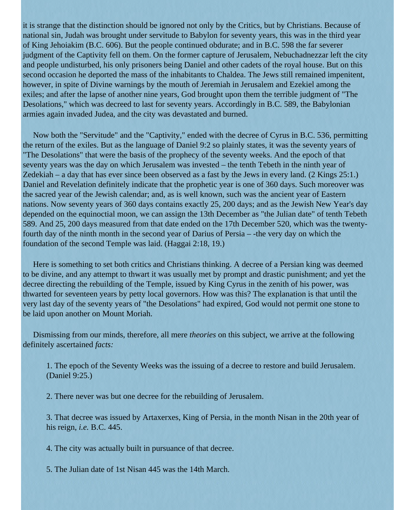it is strange that the distinction should be ignored not only by the Critics, but by Christians. Because of national sin, Judah was brought under servitude to Babylon for seventy years, this was in the third year of King Jehoiakim (B.C. 606). But the people continued obdurate; and in B.C. 598 the far severer judgment of the Captivity fell on them. On the former capture of Jerusalem, Nebuchadnezzar left the city and people undisturbed, his only prisoners being Daniel and other cadets of the royal house. But on this second occasion he deported the mass of the inhabitants to Chaldea. The Jews still remained impenitent, however, in spite of Divine warnings by the mouth of Jeremiah in Jerusalem and Ezekiel among the exiles; and after the lapse of another nine years, God brought upon them the terrible judgment of "The Desolations," which was decreed to last for seventy years. Accordingly in B.C. 589, the Babylonian armies again invaded Judea, and the city was devastated and burned.

 Now both the "Servitude" and the "Captivity," ended with the decree of Cyrus in B.C. 536, permitting the return of the exiles. But as the language of Daniel 9:2 so plainly states, it was the seventy years of "The Desolations" that were the basis of the prophecy of the seventy weeks. And the epoch of that seventy years was the day on which Jerusalem was invested – the tenth Tebeth in the ninth year of Zedekiah – a day that has ever since been observed as a fast by the Jews in every land. (2 Kings 25:1.) Daniel and Revelation definitely indicate that the prophetic year is one of 360 days. Such moreover was the sacred year of the Jewish calendar; and, as is well known, such was the ancient year of Eastern nations. Now seventy years of 360 days contains exactly 25, 200 days; and as the Jewish New Year's day depended on the equinoctial moon, we can assign the 13th December as "the Julian date" of tenth Tebeth 589. And 25, 200 days measured from that date ended on the 17th December 520, which was the twentyfourth day of the ninth month in the second year of Darius of Persia – -the very day on which the foundation of the second Temple was laid. (Haggai 2:18, 19.)

 Here is something to set both critics and Christians thinking. A decree of a Persian king was deemed to be divine, and any attempt to thwart it was usually met by prompt and drastic punishment; and yet the decree directing the rebuilding of the Temple, issued by King Cyrus in the zenith of his power, was thwarted for seventeen years by petty local governors. How was this? The explanation is that until the very last day of the seventy years of "the Desolations" had expired, God would not permit one stone to be laid upon another on Mount Moriah.

 Dismissing from our minds, therefore, all mere *theories* on this subject, we arrive at the following definitely ascertained *facts:*

1. The epoch of the Seventy Weeks was the issuing of a decree to restore and build Jerusalem. (Daniel 9:25.)

2. There never was but one decree for the rebuilding of Jerusalem.

3. That decree was issued by Artaxerxes, King of Persia, in the month Nisan in the 20th year of his reign, *i.e.* B.C. 445.

4. The city was actually built in pursuance of that decree.

5. The Julian date of 1st Nisan 445 was the 14th March.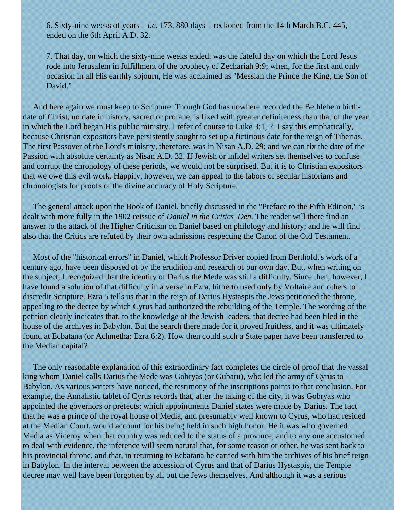6. Sixty-nine weeks of years – *i.e.* 173, 880 days – reckoned from the 14th March B.C. 445, ended on the 6th April A.D. 32.

7. That day, on which the sixty-nine weeks ended, was the fateful day on which the Lord Jesus rode into Jerusalem in fulfillment of the prophecy of Zechariah 9:9; when, for the first and only occasion in all His earthly sojourn, He was acclaimed as "Messiah the Prince the King, the Son of David."

 And here again we must keep to Scripture. Though God has nowhere recorded the Bethlehem birthdate of Christ, no date in history, sacred or profane, is fixed with greater definiteness than that of the year in which the Lord began His public ministry. I refer of course to Luke 3:1, 2. I say this emphatically, because Christian expositors have persistently sought to set up a fictitious date for the reign of Tiberias. The first Passover of the Lord's ministry, therefore, was in Nisan A.D. 29; and we can fix the date of the Passion with absolute certainty as Nisan A.D. 32. If Jewish or infidel writers set themselves to confuse and corrupt the chronology of these periods, we would not be surprised. But it is to Christian expositors that we owe this evil work. Happily, however, we can appeal to the labors of secular historians and chronologists for proofs of the divine accuracy of Holy Scripture.

 The general attack upon the Book of Daniel, briefly discussed in the "Preface to the Fifth Edition," is dealt with more fully in the 1902 reissue of *Daniel in the Critics' Den.* The reader will there find an answer to the attack of the Higher Criticism on Daniel based on philology and history; and he will find also that the Critics are refuted by their own admissions respecting the Canon of the Old Testament.

 Most of the "historical errors" in Daniel, which Professor Driver copied from Bertholdt's work of a century ago, have been disposed of by the erudition and research of our own day. But, when writing on the subject, I recognized that the identity of Darius the Mede was still a difficulty. Since then, however, I have found a solution of that difficulty in a verse in Ezra, hitherto used only by Voltaire and others to discredit Scripture. Ezra 5 tells us that in the reign of Darius Hystaspis the Jews petitioned the throne, appealing to the decree by which Cyrus had authorized the rebuilding of the Temple. The wording of the petition clearly indicates that, to the knowledge of the Jewish leaders, that decree had been filed in the house of the archives in Babylon. But the search there made for it proved fruitless, and it was ultimately found at Ecbatana (or Achmetha: Ezra 6:2). How then could such a State paper have been transferred to the Median capital?

 The only reasonable explanation of this extraordinary fact completes the circle of proof that the vassal king whom Daniel calls Darius the Mede was Gobryas (or Gubaru), who led the army of Cyrus to Babylon. As various writers have noticed, the testimony of the inscriptions points to that conclusion. For example, the Annalistic tablet of Cyrus records that, after the taking of the city, it was Gobryas who appointed the governors or prefects; which appointments Daniel states were made by Darius. The fact that he was a prince of the royal house of Media, and presumably well known to Cyrus, who had resided at the Median Court, would account for his being held in such high honor. He it was who governed Media as Viceroy when that country was reduced to the status of a province; and to any one accustomed to deal with evidence, the inference will seem natural that, for some reason or other, he was sent back to his provincial throne, and that, in returning to Ecbatana he carried with him the archives of his brief reign in Babylon. In the interval between the accession of Cyrus and that of Darius Hystaspis, the Temple decree may well have been forgotten by all but the Jews themselves. And although it was a serious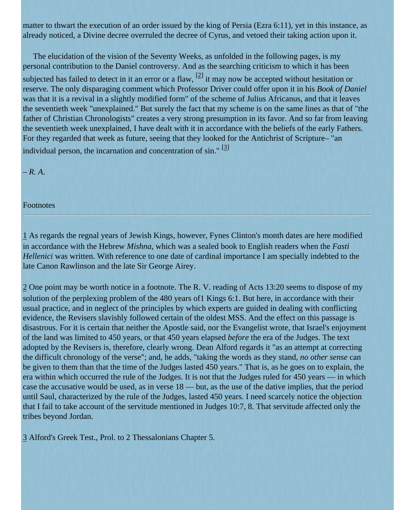matter to thwart the execution of an order issued by the king of Persia (Ezra 6:11), yet in this instance, as already noticed, a Divine decree overruled the decree of Cyrus, and vetoed their taking action upon it.

<span id="page-5-3"></span> The elucidation of the vision of the Seventy Weeks, as unfolded in the following pages, is my personal contribution to the Daniel controversy. And as the searching criticism to which it has been subjected has failed to detect in it an error or a flaw,  $\left[2\right]$  it may now be accepted without hesitation or reserve. The only disparaging comment which Professor Driver could offer upon it in his *Book of Daniel*  was that it is a revival in a slightly modified form" of the scheme of Julius Africanus, and that it leaves the seventieth week "unexplained." But surely the fact that my scheme is on the same lines as that of "the father of Christian Chronologists" creates a very strong presumption in its favor. And so far from leaving the seventieth week unexplained, I have dealt with it in accordance with the beliefs of the early Fathers. For they regarded that week as future, seeing that they looked for the Antichrist of Scripture– "an individual person, the incarnation and concentration of sin."<sup>[[3](#page-5-2)]</sup>

<span id="page-5-4"></span>*– R. A.*

Footnotes

<span id="page-5-0"></span>[1](#page-2-1) As regards the regnal years of Jewish Kings, however, Fynes Clinton's month dates are here modified in accordance with the Hebrew *Mishna*, which was a sealed book to English readers when the *Fasti Hellenici* was written. With reference to one date of cardinal importance I am specially indebted to the late Canon Rawlinson and the late Sir George Airey.

<span id="page-5-1"></span>[2](#page-5-3) One point may be worth notice in a footnote. The R. V. reading of Acts 13:20 seems to dispose of my solution of the perplexing problem of the 480 years of1 Kings 6:1. But here, in accordance with their usual practice, and in neglect of the principles by which experts are guided in dealing with conflicting evidence, the Revisers slavishly followed certain of the oldest MSS. And the effect on this passage is disastrous. For it is certain that neither the Apostle said, nor the Evangelist wrote, that Israel's enjoyment of the land was limited to 450 years, or that 450 years elapsed *before* the era of the Judges. The text adopted by the Revisers is, therefore, clearly wrong. Dean Alford regards it "as an attempt at correcting the difficult chronology of the verse"; and, he adds, "taking the words as they stand, *no other sense* can be given to them than that the time of the Judges lasted 450 years." That is, as he goes on to explain, the era within which occurred the rule of the Judges. It is not that the Judges ruled for 450 years — in which case the accusative would be used, as in verse 18 — but, as the use of the dative implies, that the period until Saul, characterized by the rule of the Judges, lasted 450 years. I need scarcely notice the objection that I fail to take account of the servitude mentioned in Judges 10:7, 8. That servitude affected only the tribes beyond Jordan.

<span id="page-5-2"></span>[3](#page-5-4) Alford's Greek Test., Prol. to 2 Thessalonians Chapter 5.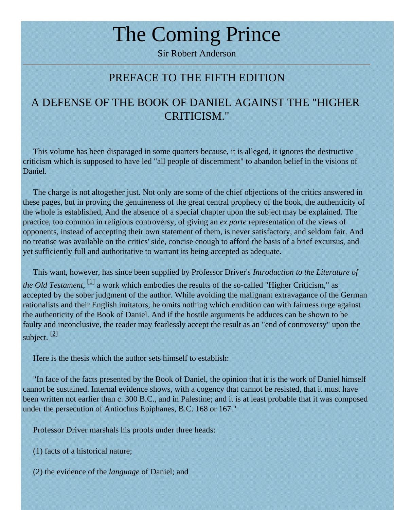Sir Robert Anderson

### PREFACE TO THE FIFTH EDITION

### <span id="page-6-0"></span>A DEFENSE OF THE BOOK OF DANIEL AGAINST THE "HIGHER CRITICISM."

 This volume has been disparaged in some quarters because, it is alleged, it ignores the destructive criticism which is supposed to have led "all people of discernment" to abandon belief in the visions of Daniel.

 The charge is not altogether just. Not only are some of the chief objections of the critics answered in these pages, but in proving the genuineness of the great central prophecy of the book, the authenticity of the whole is established, And the absence of a special chapter upon the subject may be explained. The practice, too common in religious controversy, of giving an *ex parte* representation of the views of opponents, instead of accepting their own statement of them, is never satisfactory, and seldom fair. And no treatise was available on the critics' side, concise enough to afford the basis of a brief excursus, and yet sufficiently full and authoritative to warrant its being accepted as adequate.

<span id="page-6-1"></span> This want, however, has since been supplied by Professor Driver's *Introduction to the Literature of the Old Testament*,  $\left[ \frac{1}{1} \right]$  a work which embodies the results of the so-called "Higher Criticism," as accepted by the sober judgment of the author. While avoiding the malignant extravagance of the German rationalists and their English imitators, he omits nothing which erudition can with fairness urge against the authenticity of the Book of Daniel. And if the hostile arguments he adduces can be shown to be faulty and inconclusive, the reader may fearlessly accept the result as an "end of controversy" upon the subject.  $[2]$ 

<span id="page-6-2"></span>Here is the thesis which the author sets himself to establish:

 "In face of the facts presented by the Book of Daniel, the opinion that it is the work of Daniel himself cannot be sustained. Internal evidence shows, with a cogency that cannot be resisted, that it must have been written not earlier than c. 300 B.C., and in Palestine; and it is at least probable that it was composed under the persecution of Antiochus Epiphanes, B.C. 168 or 167."

Professor Driver marshals his proofs under three heads:

- (1) facts of a historical nature;
- (2) the evidence of the *language* of Daniel; and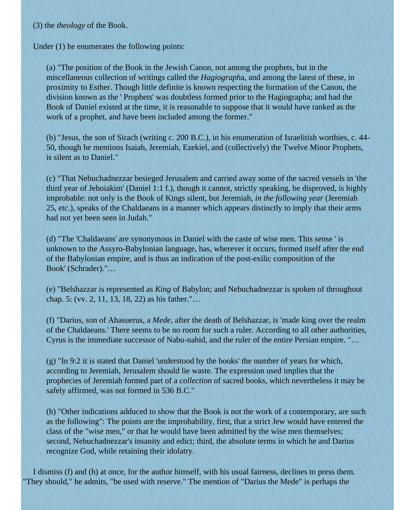(3) the *theology* of the Book.

Under (1) he enumerates the following points:

(a) "The position of the Book in the Jewish Canon, not among the prophets, but in the miscellaneous collection of writings called the *Hagiograph*a, and among the latest of these, in proximity to Esther. Though little definite is known respecting the formation of the Canon, the division known as the ' Prophets' was doubtless formed prior to the Hagiographa; and had the Book of Daniel existed at the time, it is reasonable to suppose that it would have ranked as the work of a prophet, and have been included among the former."

(b) "Jesus, the son of Sirach (writing c. 200 B.C.), in his enumeration of Israelitish worthies, c. 44- 50, though he mentions Isaiah, Jeremiah, Ezekiel, and (collectively) the Twelve Minor Prophets, is silent as to Daniel."

(c) "That Nebuchadnezzar besieged Jerusalem and carried away some of the sacred vessels in 'the third year of Jehoiakim' (Daniel 1:1 f.), though it cannot, strictly speaking, be disproved, is highly improbable: not only is the Book of Kings silent, but Jeremiah, *in the following year* (Jeremiah 25, etc.), speaks of the Chaldaeans in a manner which appears distinctly to imply that their arms had not yet been seen in Judah."

(d) "The 'Chaldaeans' are synonymous in Daniel with the caste of wise men. This sense ' is unknown to the Assyro-Babylonian language, has, wherever it occurs, formed itself after the end of the Babylonian empire, and is thus an indication of the post-exilic composition of the Book' (Schrader)."…

(e) "Belshazzar is represented as *King* of Babylon; and Nebuchadnezzar is spoken of throughout chap. 5: (vv. 2, 11, 13, 18, 22) as his father."…

(f) "Darius, son of Ahasuerus, a *Mede*, after the death of Belshazzar, is 'made king over the realm of the Chaldaeans.' There seems to be no room for such a ruler. According to all other authorities, Cyrus is the immediate successor of Nabu-nahid, and the ruler of the entire Persian empire. "…

(g) "In 9:2 it is stated that Daniel 'understood by the books' the number of years for which, according to Jeremiah, Jerusalem should lie waste. The expression used implies that the prophecies of Jeremiah formed part of a *collection* of sacred books, which nevertheless it may be safely affirmed, was not formed in 536 B.C."

(h) "Other indications adduced to show that the Book is not the work of a contemporary, are such as the following": The points are the improbability, first, that a strict Jew would have entered the class of the "wise men," or that he would have been admitted by the wise men themselves; second, Nebuchadnezzar's insanity and edict; third, the absolute terms in which he and Darius recognize God, while retaining their idolatry.

 I dismiss (f) and (h) at once, for the author himself, with his usual fairness, declines to press them. "They should," he admits, "be used with reserve." The mention of "Darius the Mede" is perhaps the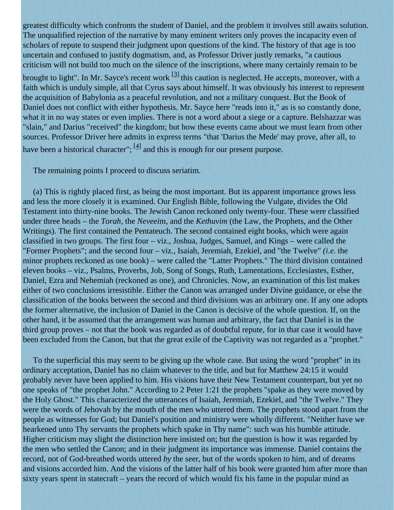<span id="page-8-0"></span>greatest difficulty which confronts the student of Daniel, and the problem it involves still awaits solution. The unqualified rejection of the narrative by many eminent writers only proves the incapacity even of scholars of repute to suspend their judgment upon questions of the kind. The history of that age is too uncertain and confused to justify dogmatism, and, as Professor Driver justly remarks, "a cautious criticism will not build too much on the silence of the inscriptions, where many certainly remain to be brought to light". In Mr. Sayce's recent work  $\left[3\right]$  $\left[3\right]$  $\left[3\right]$  this caution is neglected. He accepts, moreover, with a faith which is unduly simple, all that Cyrus says about himself. It was obviously his interest to represent the acquisition of Babylonia as a peaceful revolution, and not a military conquest. But the Book of Daniel does not conflict with either hypothesis. Mr. Sayce here "reads into it," as is so constantly done, what it in no way states or even implies. There is not a word about a siege or a capture. Belshazzar was "slain," and Darius "received" the kingdom; but how these events came about we must learn from other sources. Professor Driver here admits in express terms "that 'Darius the Mede' may prove, after all, to have been a historical character";  $\frac{4}{1}$  $\frac{4}{1}$  $\frac{4}{1}$  and this is enough for our present purpose.

<span id="page-8-1"></span>The remaining points I proceed to discuss seriatim.

 (a) This is rightly placed first, as being the most important. But its apparent importance grows less and less the more closely it is examined. Our English Bible, following the Vulgate, divides the Old Testament into thirty-nine books. The Jewish Canon reckoned only twenty-four. These were classified under three heads – the *Torah*, the *Neveei*m, and the *Kethuvim* (the Law, the Prophets, and the Other Writings). The first contained the Pentateuch. The second contained eight books, which were again classified in two groups. The first four – viz., Joshua, Judges, Samuel, and Kings – were called the "Former Prophets"; and the second four – viz., Isaiah, Jeremiah, Ezekiel, and "the Twelve" *(i.e.* the minor prophets reckoned as one book) – were called the "Latter Prophets." The third division contained eleven books – viz., Psalms, Proverbs, Job, Song of Songs, Ruth, Lamentations, Ecclesiastes, Esther, Daniel, Ezra and Nehemiah (reckoned as one), and Chronicles. Now, an examination of this list makes either of two conclusions irresistible. Either the Canon was arranged under Divine guidance, or else the classification of the books between the second and third divisions was an arbitrary one. If any one adopts the former alternative, the inclusion of Daniel in the Canon is decisive of the whole question. If, on the other hand, it be assumed that the arrangement was human and arbitrary, the fact that Daniel is in the third group proves – not that the book was regarded as of doubtful repute, for in that case it would have been excluded from the Canon, but that the great exile of the Captivity was not regarded as a "prophet."

 To the superficial this may seem to be giving up the whole case. But using the word "prophet" in its ordinary acceptation, Daniel has no claim whatever to the title, and but for Matthew 24:15 it would probably never have been applied to him. His visions have their New Testament counterpart, but yet no one speaks of "the prophet John." According to 2 Peter 1:21 the prophets "spake as they were moved by the Holy Ghost." This characterized the utterances of Isaiah, Jeremiah, Ezekiel, and "the Twelve." They were the words of Jehovah by the mouth of the men who uttered them. The prophets stood apart from the people as witnesses for God; but Daniel's position and ministry were wholly different. "Neither have we hearkened unto Thy servants the prophets which spake in Thy name": such was his humble attitude. Higher criticism may slight the distinction here insisted on; but the question is how it was regarded by the men who settled the Canon; and in their judgment its importance was immense. Daniel contains the record, not of God-breathed words uttered *by* the seer, but of the words spoken *to* him, and of dreams and visions accorded him. And the visions of the latter half of his book were granted him after more than sixty years spent in statecraft – years the record of which would fix his fame in the popular mind as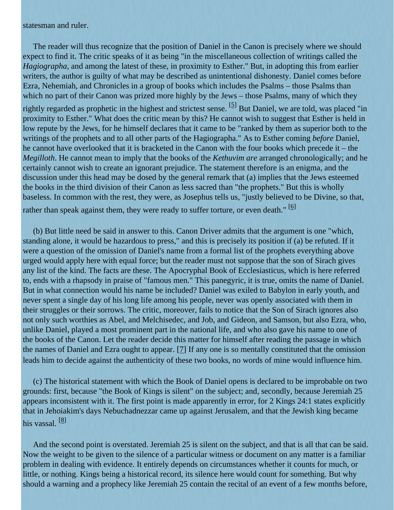statesman and ruler.

<span id="page-9-0"></span> The reader will thus recognize that the position of Daniel in the Canon is precisely where we should expect to find it. The critic speaks of it as being "in the miscellaneous collection of writings called the *Hagiographa*, and among the latest of these, in proximity to Esther." But, in adopting this from earlier writers, the author is guilty of what may be described as unintentional dishonesty. Daniel comes before Ezra, Nehemiah, and Chronicles in a group of books which includes the Psalms – those Psalms than which no part of their Canon was prized more highly by the Jews – those Psalms, many of which they rightly regarded as prophetic in the highest and strictest sense.  $\left[5\right]$  $\left[5\right]$  $\left[5\right]$  But Daniel, we are told, was placed "in proximity to Esther." What does the critic mean by this? He cannot wish to suggest that Esther is held in low repute by the Jews, for he himself declares that it came to be "ranked by them as superior both to the writings of the prophets and to all other parts of the Hagiographa." As to Esther coming *before* Daniel, he cannot have overlooked that it is bracketed in the Canon with the four books which precede it – the *Megilloth*. He cannot mean to imply that the books of the *Kethuvim are* arranged chronologically; and he certainly cannot wish to create an ignorant prejudice. The statement therefore is an enigma, and the discussion under this head may be dosed by the general remark that (a) implies that the Jews esteemed the books in the third division of their Canon as less sacred than "the prophets." But this is wholly baseless. In common with the rest, they were, as Josephus tells us, "justly believed to be Divine, so that, rather than speak against them, they were ready to suffer torture, or even death." <sup>[[6\]](#page-21-1)</sup>

<span id="page-9-1"></span> (b) But little need be said in answer to this. Canon Driver admits that the argument is one "which, standing alone, it would be hazardous to press," and this is precisely its position if (a) be refuted. If it were a question of the omission of Daniel's name from a formal list of the prophets everything above urged would apply here with equal force; but the reader must not suppose that the son of Sirach gives any list of the kind. The facts are these. The Apocryphal Book of Ecclesiasticus, which is here referred to, ends with a rhapsody in praise of "famous men." This panegyric, it is true, omits the name of Daniel. But in what connection would his name be included? Daniel was exiled to Babylon in early youth, and never spent a single day of his long life among his people, never was openly associated with them in their struggles or their sorrows. The critic, moreover, fails to notice that the Son of Sirach ignores also not only such worthies as Abel, and Melchisedec, and Job, and Gideon, and Samson, but also Ezra, who, unlike Daniel, played a most prominent part in the national life, and who also gave his name to one of the books of the Canon. Let the reader decide this matter for himself after reading the passage in which the names of Daniel and Ezra ought to appear. [\[7](#page-21-2)] If any one is so mentally constituted that the omission leads him to decide against the authenticity of these two books, no words of mine would influence him.

<span id="page-9-2"></span> (c) The historical statement with which the Book of Daniel opens is declared to be improbable on two grounds: first, because "the Book of Kings is silent" on the subject; and, secondly, because Jeremiah 25 appears inconsistent with it. The first point is made apparently in error, for 2 Kings 24:1 states explicitly that in Jehoiakim's days Nebuchadnezzar came up against Jerusalem, and that the Jewish king became his vassal. [[8\]](#page-21-3)

<span id="page-9-3"></span> And the second point is overstated. Jeremiah 25 is silent on the subject, and that is all that can be said. Now the weight to be given to the silence of a particular witness or document on any matter is a familiar problem in dealing with evidence. It entirely depends on circumstances whether it counts for much, or little, or nothing. Kings being a historical record, its silence here would count for something. But why should a warning and a prophecy like Jeremiah 25 contain the recital of an event of a few months before,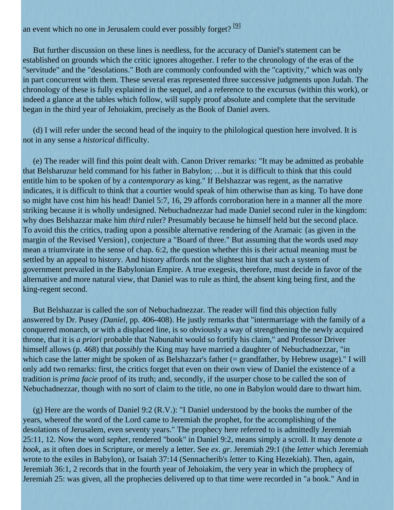<span id="page-10-0"></span>an event which no one in Jerusalem could ever possibly forget?<sup>[[9\]](#page-21-4)</sup>

 But further discussion on these lines is needless, for the accuracy of Daniel's statement can be established on grounds which the critic ignores altogether. I refer to the chronology of the eras of the "servitude" and the "desolations." Both are commonly confounded with the "captivity," which was only in part concurrent with them. These several eras represented three successive judgments upon Judah. The chronology of these is fully explained in the sequel, and a reference to the excursus (within this work), or indeed a glance at the tables which follow, will supply proof absolute and complete that the servitude began in the third year of Jehoiakim, precisely as the Book of Daniel avers.

 (d) I will refer under the second head of the inquiry to the philological question here involved. It is not in any sense a *historical* difficulty.

 (e) The reader will find this point dealt with. Canon Driver remarks: "It may be admitted as probable that Belsharuzur held command for his father in Babylon; …but it is difficult to think that this could entitle him to be spoken of by a *contemporary* as king." If Belshazzar was regent, as the narrative indicates, it is difficult to think that a courtier would speak of him otherwise than as king. To have done so might have cost him his head! Daniel 5:7, 16, 29 affords corroboration here in a manner all the more striking because it is wholly undesigned. Nebuchadnezzar had made Daniel second ruler in the kingdom: why does Belshazzar make him *third* ruler? Presumably because he himself held but the second place. To avoid this the critics, trading upon a possible alternative rendering of the Aramaic {as given in the margin of the Revised Version}, conjecture a "Board of three." But assuming that the words used *may*  mean a triumvirate in the sense of chap. 6:2, the question whether this is their actual meaning must be settled by an appeal to history. And history affords not the slightest hint that such a system of government prevailed in the Babylonian Empire. A true exegesis, therefore, must decide in favor of the alternative and more natural view, that Daniel was to rule as third, the absent king being first, and the king-regent second.

 But Belshazzar is called the *son* of Nebuchadnezzar. The reader will find this objection fully answered by Dr. Pusey *(Daniel*, pp. 406-408). He justly remarks that "intermarriage with the family of a conquered monarch, or with a displaced line, is so obviously a way of strengthening the newly acquired throne, that it is *a priori* probable that Nabunahit would so fortify his claim," and Professor Driver himself allows (p. 468) that *possibly* the King may have married a daughter of Nebuchadnezzar, "in which case the latter might be spoken of as Belshazzar's father (= grandfather, by Hebrew usage)." I will only add two remarks: first, the critics forget that even on their own view of Daniel the existence of a tradition is *prima facie* proof of its truth; and, secondly, if the usurper chose to be called the son of Nebuchadnezzar, though with no sort of claim to the title, no one in Babylon would dare to thwart him.

 (g) Here are the words of Daniel 9:2 (R.V.): "I Daniel understood by the books the number of the years, whereof the word of the Lord came to Jeremiah the prophet, for the accomplishing of the desolations of Jerusalem, even seventy years." The prophecy here referred to is admittedly Jeremiah 25:11, 12. Now the word *sephe*r, rendered "book" in Daniel 9:2, means simply a scroll. It may denote *a book*, as it often does in Scripture, or merely a letter. See *ex*. *gr*. Jeremiah 29:1 (the *letter* which Jeremiah wrote to the exiles in Babylon), or Isaiah 37:14 (Sennacherib's *letter* to King Hezekiah). Then, again, Jeremiah 36:1, 2 records that in the fourth year of Jehoiakim, the very year in which the prophecy of Jeremiah 25: was given, all the prophecies delivered up to that time were recorded in "a book." And in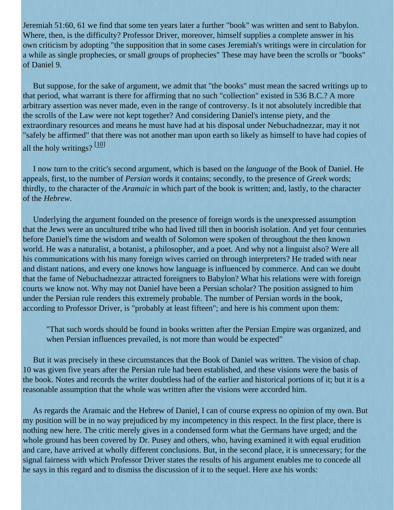Jeremiah 51:60, 61 we find that some ten years later a further "book" was written and sent to Babylon. Where, then, is the difficulty? Professor Driver, moreover, himself supplies a complete answer in his own criticism by adopting "the supposition that in some cases Jeremiah's writings were in circulation for a while as single prophecies, or small groups of prophecies" These may have been the scrolls or "books" of Daniel 9.

 But suppose, for the sake of argument, we admit that "the books" must mean the sacred writings up to that period, what warrant is there for affirming that no such "collection" existed in 536 B.C.? A more arbitrary assertion was never made, even in the range of controversy. Is it not absolutely incredible that the scrolls of the Law were not kept together? And considering Daniel's intense piety, and the extraordinary resources and means he must have had at his disposal under Nebuchadnezzar, may it not "safely be affirmed" that there was not another man upon earth so likely as himself to have had copies of all the holy writings? [\[10](#page-21-5)]

<span id="page-11-0"></span> I now turn to the critic's second argument, which is based on the *language* of the Book of Daniel. He appeals, first, to the number of *Persian* words it contains; secondly, to the presence of *Greek* words; thirdly, to the character of the *Aramaic* in which part of the book is written; and, lastly, to the character of the *Hebrew*.

 Underlying the argument founded on the presence of foreign words is the unexpressed assumption that the Jews were an uncultured tribe who had lived till then in boorish isolation. And yet four centuries before Daniel's time the wisdom and wealth of Solomon were spoken of throughout the then known world. He was a naturalist, a botanist, a philosopher, and a poet. And why not a linguist also? Were all his communications with his many foreign wives carried on through interpreters? He traded with near and distant nations, and every one knows how language is influenced by commerce. And can we doubt that the fame of Nebuchadnezzar attracted foreigners to Babylon? What his relations were with foreign courts we know not. Why may not Daniel have been a Persian scholar? The position assigned to him under the Persian rule renders this extremely probable. The number of Persian words in the book, according to Professor Driver, is "probably at least fifteen"; and here is his comment upon them:

"That such words should be found in books written after the Persian Empire was organized, and when Persian influences prevailed, is not more than would be expected"

 But it was precisely in these circumstances that the Book of Daniel was written. The vision of chap. 10 was given five years after the Persian rule had been established, and these visions were the basis of the book. Notes and records the writer doubtless had of the earlier and historical portions of it; but it is a reasonable assumption that the whole was written after the visions were accorded him.

 As regards the Aramaic and the Hebrew of Daniel, I can of course express no opinion of my own. But my position will be in no way prejudiced by my incompetency in this respect. In the first place, there is nothing new here. The critic merely gives in a condensed form what the Germans have urged; and the whole ground has been covered by Dr. Pusey and others, who, having examined it with equal erudition and care, have arrived at wholly different conclusions. But, in the second place, it is unnecessary; for the signal fairness with which Professor Driver states the results of his argument enables me to concede all he says in this regard and to dismiss the discussion of it to the sequel. Here axe his words: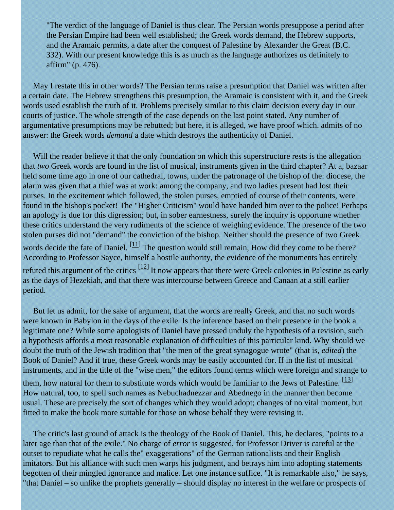"The verdict of the language of Daniel is thus clear. The Persian words presuppose a period after the Persian Empire had been well established; the Greek words demand, the Hebrew supports, and the Aramaic permits, a date after the conquest of Palestine by Alexander the Great (B.C. 332). With our present knowledge this is as much as the language authorizes us definitely to affirm" (p. 476).

 May I restate this in other words? The Persian terms raise a presumption that Daniel was written after a certain date. The Hebrew strengthens this presumption, the Aramaic is consistent with it, and the Greek words used establish the truth of it. Problems precisely similar to this claim decision every day in our courts of justice. The whole strength of the case depends on the last point stated. Any number of argumentative presumptions may be rebutted; but here, it is alleged, we have proof which. admits of no answer: the Greek words *demand* a date which destroys the authenticity of Daniel.

Will the reader believe it that the only foundation on which this superstructure rests is the allegation that *two* Greek words are found in the list of musical, instruments given in the third chapter? At a, bazaar held some time ago in one of our cathedral, towns, under the patronage of the bishop of the: diocese, the alarm was given that a thief was at work: among the company, and two ladies present had lost their purses. In the excitement which followed, the stolen purses, emptied of course of their contents, were found in the bishop's pocket! The "Higher Criticism" would have handed him over to the police! Perhaps an apology is due for this digression; but, in sober earnestness, surely the inquiry is opportune whether these critics understand the very rudiments of the science of weighing evidence. The presence of the two stolen purses did not "demand" the conviction of the bishop. Neither should the presence of two Greek words decide the fate of Daniel.  $\left[\frac{11}{11}\right]$  $\left[\frac{11}{11}\right]$  $\left[\frac{11}{11}\right]$  The question would still remain, How did they come to be there? According to Professor Sayce, himself a hostile authority, the evidence of the monuments has entirely refuted this argument of the critics <sup>[\[12](#page-21-7)]</sup> It now appears that there were Greek colonies in Palestine as early as the days of Hezekiah, and that there was intercourse between Greece and Canaan at a still earlier period.

<span id="page-12-1"></span><span id="page-12-0"></span> But let us admit, for the sake of argument, that the words are really Greek, and that no such words were known in Babylon in the days of the exile. Is the inference based on their presence in the book a legitimate one? While some apologists of Daniel have pressed unduly the hypothesis of a revision, such a hypothesis affords a most reasonable explanation of difficulties of this particular kind. Why should we doubt the truth of the Jewish tradition that "the men of the great synagogue wrote" (that is, *edited*) the Book of Daniel? And if true, these Greek words may be easily accounted for. If in the list of musical instruments, and in the title of the "wise men," the editors found terms which were foreign and strange to

<span id="page-12-2"></span>them, how natural for them to substitute words which would be familiar to the Jews of Palestine. <sup>[\[13](#page-21-8)]</sup> How natural, too, to spell such names as Nebuchadnezzar and Abednego in the manner then become usual. These are precisely the sort of changes which they would adopt; changes of no vital moment, but fitted to make the book more suitable for those on whose behalf they were revising it.

 The critic's last ground of attack is the theology of the Book of Daniel. This, he declares, "points to a later age than that of the exile." No charge of *error* is suggested, for Professor Driver is careful at the outset to repudiate what he calls the" exaggerations" of the German rationalists and their English imitators. But his alliance with such men warps his judgment, and betrays him into adopting statements begotten of their mingled ignorance and malice. Let one instance suffice. "It is remarkable also," he says, "that Daniel – so unlike the prophets generally – should display no interest in the welfare or prospects of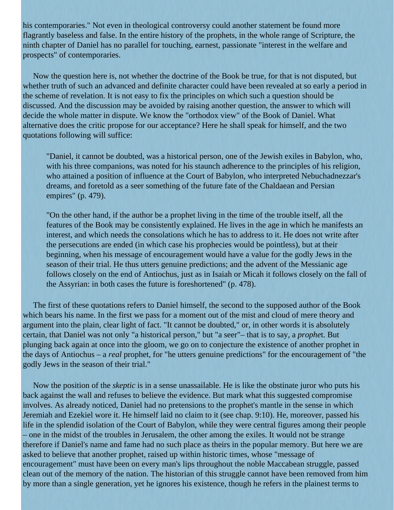his contemporaries." Not even in theological controversy could another statement be found more flagrantly baseless and false. In the entire history of the prophets, in the whole range of Scripture, the ninth chapter of Daniel has no parallel for touching, earnest, passionate "interest in the welfare and prospects" of contemporaries.

 Now the question here is, not whether the doctrine of the Book be true, for that is not disputed, but whether truth of such an advanced and definite character could have been revealed at so early a period in the scheme of revelation. It is not easy to fix the principles on which such a question should be discussed. And the discussion may be avoided by raising another question, the answer to which will decide the whole matter in dispute. We know the "orthodox view" of the Book of Daniel. What alternative does the critic propose for our acceptance? Here he shall speak for himself, and the two quotations following will suffice:

"Daniel, it cannot be doubted, was a historical person, one of the Jewish exiles in Babylon, who, with his three companions, was noted for his staunch adherence to the principles of his religion, who attained a position of influence at the Court of Babylon, who interpreted Nebuchadnezzar's dreams, and foretold as a seer something of the future fate of the Chaldaean and Persian empires" (p. 479).

"On the other hand, if the author be a prophet living in the time of the trouble itself, all the features of the Book may be consistently explained. He lives in the age in which he manifests an interest, and which needs the consolations which he has to address to it. He does not write after the persecutions are ended (in which case his prophecies would be pointless), but at their beginning, when his message of encouragement would have a value for the godly Jews in the season of their trial. He thus utters genuine predictions; and the advent of the Messianic age follows closely on the end of Antiochus, just as in Isaiah or Micah it follows closely on the fall of the Assyrian: in both cases the future is foreshortened" (p. 478).

 The first of these quotations refers to Daniel himself, the second to the supposed author of the Book which bears his name. In the first we pass for a moment out of the mist and cloud of mere theory and argument into the plain, clear light of fact. "It cannot be doubted," or, in other words it is absolutely certain, that Daniel was not only "a historical person," but "a seer"– that is to say, a *prophe*t. But plunging back again at once into the gloom, we go on to conjecture the existence of another prophet in the days of Antiochus – a *real* prophet, for "he utters genuine predictions" for the encouragement of "the godly Jews in the season of their trial."

 Now the position of the *skeptic* is in a sense unassailable. He is like the obstinate juror who puts his back against the wall and refuses to believe the evidence. But mark what this suggested compromise involves. As already noticed, Daniel had no pretensions to the prophet's mantle in the sense in which Jeremiah and Ezekiel wore it. He himself laid no claim to it (see chap. 9:10). He, moreover, passed his life in the splendid isolation of the Court of Babylon, while they were central figures among their people – one in the midst of the troubles in Jerusalem, the other among the exiles. It would not be strange therefore if Daniel's name and fame had no such place as theirs in the popular memory. But here we are asked to believe that another prophet, raised up within historic times, whose "message of encouragement" must have been on every man's lips throughout the noble Maccabean struggle, passed clean out of the memory of the nation. The historian of this struggle cannot have been removed from him by more than a single generation, yet he ignores his existence, though he refers in the plainest terms to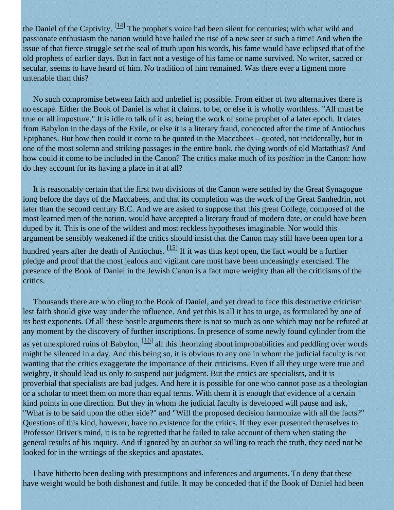<span id="page-14-0"></span>the Daniel of the Captivity. <sup>[\[14](#page-21-9)]</sup> The prophet's voice had been silent for centuries; with what wild and passionate enthusiasm the nation would have hailed the rise of a new seer at such a time! And when the issue of that fierce struggle set the seal of truth upon his words, his fame would have eclipsed that of the old prophets of earlier days. But in fact not a vestige of his fame or name survived. No writer, sacred or secular, seems to have heard of him. No tradition of him remained. Was there ever a figment more untenable than this?

 No such compromise between faith and unbelief is; possible. From either of two alternatives there is no escape. Either the Book of Daniel is what it claims. to be, or else it is wholly worthless. "All must be true or all imposture." It is idle to talk of it as; being the work of some prophet of a later epoch. It dates from Babylon in the days of the Exile, or else it is a literary fraud, concocted after the time of Antiochus Epiphanes. But how then could it come to be quoted in the Maccabees – quoted, not incidentally, but in one of the most solemn and striking passages in the entire book, the dying words of old Mattathias? And how could it come to be included in the Canon? The critics make much of its *position* in the Canon: how do they account for its having a place in it at all?

 It is reasonably certain that the first two divisions of the Canon were settled by the Great Synagogue long before the days of the Maccabees, and that its completion was the work of the Great Sanhedrin, not later than the second century B.C. And we are asked to suppose that this great College, composed of the most learned men of the nation, would have accepted a literary fraud of modern date, or could have been duped by it. This is one of the wildest and most reckless hypotheses imaginable. Nor would this argument be sensibly weakened if the critics should insist that the Canon may still have been open for a hundred years after the death of Antiochus.  $\left[15\right]$  If it was thus kept open, the fact would be a further pledge and proof that the most jealous and vigilant care must have been unceasingly exercised. The presence of the Book of Daniel in the Jewish Canon is a fact more weighty than all the criticisms of the critics.

<span id="page-14-2"></span><span id="page-14-1"></span> Thousands there are who cling to the Book of Daniel, and yet dread to face this destructive criticism lest faith should give way under the influence. And yet this is all it has to urge, as formulated by one of its best exponents. Of all these hostile arguments there is not so much as one which may not be refuted at any moment by the discovery of further inscriptions. In presence of some newly found cylinder from the as yet unexplored ruins of Babylon,  $\frac{16}{16}$  all this theorizing about improbabilities and peddling over words might be silenced in a day. And this being so, it is obvious to any one in whom the judicial faculty is not wanting that the critics exaggerate the importance of their criticisms. Even if all they urge were true and weighty, it should lead us only to suspend our judgment. But the critics are specialists, and it is proverbial that specialists are bad judges. And here it is possible for one who cannot pose as a theologian or a scholar to meet them on more than equal terms. With them it is enough that evidence of a certain kind points in one direction. But they in whom the judicial faculty is developed will pause and ask, "What is to be said upon the other side?" and "Will the proposed decision harmonize with all the facts?" Questions of this kind, however, have no existence for the critics. If they ever presented themselves to Professor Driver's mind, it is to be regretted that he failed to take account of them when stating the general results of his inquiry. And if ignored by an author so willing to reach the truth, they need not be looked for in the writings of the skeptics and apostates.

 I have hitherto been dealing with presumptions and inferences and arguments. To deny that these have weight would be both dishonest and futile. It may be conceded that if the Book of Daniel had been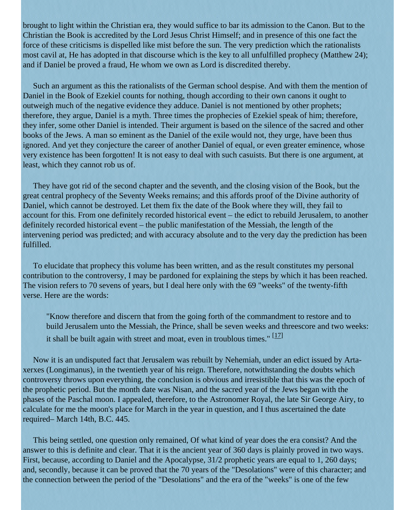brought to light within the Christian era, they would suffice to bar its admission to the Canon. But to the Christian the Book is accredited by the Lord Jesus Christ Himself; and in presence of this one fact the force of these criticisms is dispelled like mist before the sun. The very prediction which the rationalists most cavil at, He has adopted in that discourse which is the key to all unfulfilled prophecy (Matthew 24); and if Daniel be proved a fraud, He whom we own as Lord is discredited thereby.

 Such an argument as this the rationalists of the German school despise. And with them the mention of Daniel in the Book of Ezekiel counts for nothing, though according to their own canons it ought to outweigh much of the negative evidence they adduce. Daniel is not mentioned by other prophets; therefore, they argue, Daniel is a myth. Three times the prophecies of Ezekiel speak of him; therefore, they infer, some other Daniel is intended. Their argument is based on the silence of the sacred and other books of the Jews. A man so eminent as the Daniel of the exile would not, they urge, have been thus ignored. And yet they conjecture the career of another Daniel of equal, or even greater eminence, whose very existence has been forgotten! It is not easy to deal with such casuists. But there is one argument, at least, which they cannot rob us of.

 They have got rid of the second chapter and the seventh, and the closing vision of the Book, but the great central prophecy of the Seventy Weeks remains; and this affords proof of the Divine authority of Daniel, which cannot be destroyed. Let them fix the date of the Book where they will, they fail to account for this. From one definitely recorded historical event – the edict to rebuild Jerusalem, to another definitely recorded historical event – the public manifestation of the Messiah, the length of the intervening period was predicted; and with accuracy absolute and to the very day the prediction has been fulfilled.

 To elucidate that prophecy this volume has been written, and as the result constitutes my personal contribution to the controversy, I may be pardoned for explaining the steps by which it has been reached. The vision refers to 70 sevens of years, but I deal here only with the 69 "weeks" of the twenty-fifth verse. Here are the words:

"Know therefore and discern that from the going forth of the commandment to restore and to build Jerusalem unto the Messiah, the Prince, shall be seven weeks and threescore and two weeks: it shall be built again with street and moat, even in troublous times."  $\frac{[17]}{[17]}$  $\frac{[17]}{[17]}$  $\frac{[17]}{[17]}$ 

<span id="page-15-0"></span> Now it is an undisputed fact that Jerusalem was rebuilt by Nehemiah, under an edict issued by Artaxerxes (Longimanus), in the twentieth year of his reign. Therefore, notwithstanding the doubts which controversy throws upon everything, the conclusion is obvious and irresistible that this was the epoch of the prophetic period. But the month date was Nisan, and the sacred year of the Jews began with the phases of the Paschal moon. I appealed, therefore, to the Astronomer Royal, the late Sir George Airy, to calculate for me the moon's place for March in the year in question, and I thus ascertained the date required– March 14th, B.C. 445.

 This being settled, one question only remained, Of what kind of year does the era consist? And the answer to this is definite and clear. That it is the ancient year of 360 days is plainly proved in two ways. First, because, according to Daniel and the Apocalypse, 31/2 prophetic years are equal to 1, 260 days; and, secondly, because it can be proved that the 70 years of the "Desolations" were of this character; and the connection between the period of the "Desolations" and the era of the "weeks" is one of the few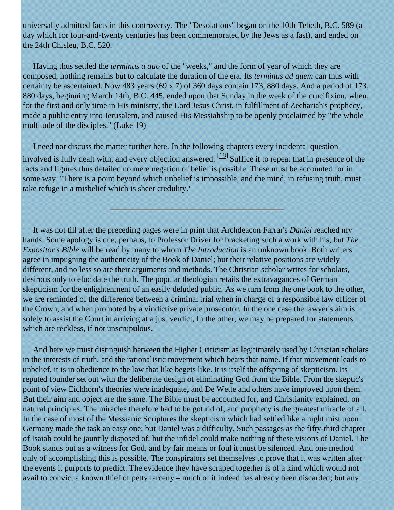universally admitted facts in this controversy. The "Desolations" began on the 10th Tebeth, B.C. 589 (a day which for four-and-twenty centuries has been commemorated by the Jews as a fast), and ended on the 24th Chisleu, B.C. 520.

 Having thus settled the *terminus a quo* of the "weeks," and the form of year of which they are composed, nothing remains but to calculate the duration of the era. Its *terminus ad quem* can thus with certainty be ascertained. Now 483 years (69 x 7) of 360 days contain 173, 880 days. And a period of 173, 880 days, beginning March 14th, B.C. 445, ended upon that Sunday in the week of the crucifixion, when, for the first and only time in His ministry, the Lord Jesus Christ, in fulfillment of Zechariah's prophecy, made a public entry into Jerusalem, and caused His Messiahship to be openly proclaimed by "the whole multitude of the disciples." (Luke 19)

<span id="page-16-0"></span> I need not discuss the matter further here. In the following chapters every incidental question involved is fully dealt with, and every objection answered.  $\frac{18}{8}$  $\frac{18}{8}$  $\frac{18}{8}$  Suffice it to repeat that in presence of the facts and figures thus detailed no mere negation of belief is possible. These must be accounted for in some way. "There is a point beyond which unbelief is impossible, and the mind, in refusing truth, must take refuge in a misbelief which is sheer credulity."

 It was not till after the preceding pages were in print that Archdeacon Farrar's *Daniel* reached my hands. Some apology is due, perhaps, to Professor Driver for bracketing such a work with his, but *The Expositor's Bible* will be read by many to whom *The Introduction* is an unknown book. Both writers agree in impugning the authenticity of the Book of Daniel; but their relative positions are widely different, and no less so are their arguments and methods. The Christian scholar writes for scholars, desirous only to elucidate the truth. The popular theologian retails the extravagances of German skepticism for the enlightenment of an easily deluded public. As we turn from the one book to the other, we are reminded of the difference between a criminal trial when in charge of a responsible law officer of the Crown, and when promoted by a vindictive private prosecutor. In the one case the lawyer's aim is solely to assist the Court in arriving at a just verdict, In the other, we may be prepared for statements which are reckless, if not unscrupulous.

 And here we must distinguish between the Higher Criticism as legitimately used by Christian scholars in the interests of truth, and the rationalistic movement which bears that name. If that movement leads to unbelief, it is in obedience to the law that like begets like. It is itself the offspring of skepticism. Its reputed founder set out with the deliberate design of eliminating God from the Bible. From the skeptic's point of view Eichhorn's theories were inadequate, and De Wette and others have improved upon them. But their aim and object are the same. The Bible must be accounted for, and Christianity explained, on natural principles. The miracles therefore had to be got rid of, and prophecy is the greatest miracle of all. In the case of most of the Messianic Scriptures the skepticism which had settled like a night mist upon Germany made the task an easy one; but Daniel was a difficulty. Such passages as the fifty-third chapter of Isaiah could be jauntily disposed of, but the infidel could make nothing of these visions of Daniel. The Book stands out as a witness for God, and by fair means or foul it must be silenced. And one method only of accomplishing this is possible. The conspirators set themselves to prove that it was written after the events it purports to predict. The evidence they have scraped together is of a kind which would not avail to convict a known thief of petty larceny – much of it indeed has already been discarded; but any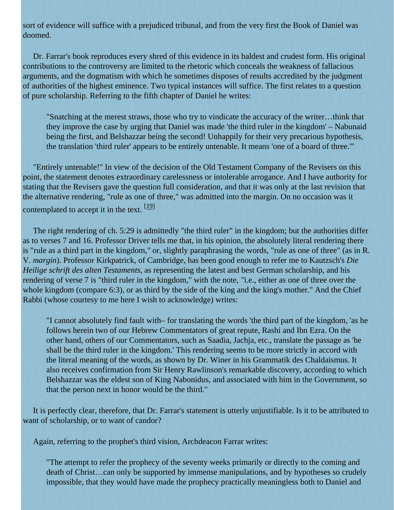sort of evidence will suffice with a prejudiced tribunal, and from the very first the Book of Daniel was doomed.

 Dr. Farrar's book reproduces every shred of this evidence in its baldest and crudest form. His original contributions to the controversy are limited to the rhetoric which conceals the weakness of fallacious arguments, and the dogmatism with which he sometimes disposes of results accredited by the judgment of authorities of the highest eminence. Two typical instances will suffice. The first relates to a question of pure scholarship. Referring to the fifth chapter of Daniel he writes:

"Snatching at the merest straws, those who try to vindicate the accuracy of the writer…think that they improve the case by urging that Daniel was made 'the third ruler in the kingdom' – Nabunaid being the first, and Belshazzar being the second! Unhappily for their very precarious hypothesis, the translation 'third ruler' appears to be entirely untenable. It means 'one of a board of three.'"

 "Entirely untenable!" In view of the decision of the Old Testament Company of the Revisers on this point, the statement denotes extraordinary carelessness or intolerable arrogance. And I have authority for stating that the Revisers gave the question full consideration, and that it was only at the last revision that the alternative rendering, "rule as one of three," was admitted into the margin. On no occasion was it contemplated to accept it in the text.  $\frac{19}{2}$ 

<span id="page-17-0"></span> The right rendering of ch. 5:29 is admittedly "the third ruler" in the kingdom; but the authorities differ as to verses 7 and 16. Professor Driver tells me that, in his opinion, the absolutely literal rendering there is "rule as a third part in the kingdom," or, slightly paraphrasing the words, "rule as one of three" (as in R. V. *margin*). Professor Kirkpatrick, of Cambridge, has been good enough to refer me to Kautzsch's *Die Heilige schrift des alten Testaments*, as representing the latest and best German scholarship, and his rendering of verse 7 is "third ruler in the kingdom," with the note, *"*i.e., either as one of three over the whole kingdom (compare 6:3), or as third by the side of the king and the king's mother." And the Chief Rabbi (whose courtesy to me here I wish to acknowledge) writes:

"I cannot absolutely find fault with– for translating the words 'the third part of the kingdom, 'as he follows herein two of our Hebrew Commentators of great repute, Rashi and Ibn Ezra. On the other hand, others of our Commentators, such as Saadia, Jachja, etc., translate the passage as 'he shall be the third ruler in the kingdom.' This rendering seems to be more strictly in accord with the literal meaning of the words, as shown by Dr. Winer in his Grammatik des Chaldaismus. It also receives confirmation from Sir Henry Rawlinson's remarkable discovery, according to which Belshazzar was the eldest son of King Nabonidus, and associated with him in the Government, so that the person next in honor would be the third."

 It is perfectly clear, therefore, that Dr. Farrar's statement is utterly unjustifiable. Is it to be attributed to want of scholarship, or to want of candor?

Again, referring to the prophet's third vision, Archdeacon Farrar writes:

"The attempt to refer the prophecy of the seventy weeks primarily or directly to the coming and death of Christ…can only be supported by immense manipulations, and by hypotheses so crudely impossible, that they would have made the prophecy practically meaningless both to Daniel and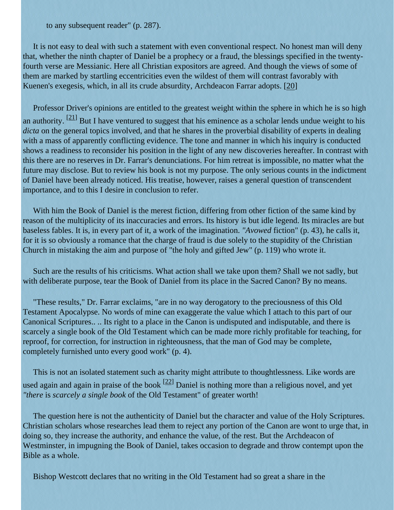to any subsequent reader" (p. 287).

 It is not easy to deal with such a statement with even conventional respect. No honest man will deny that, whether the ninth chapter of Daniel be a prophecy or a fraud, the blessings specified in the twentyfourth verse are Messianic. Here all Christian expositors are agreed. And though the views of some of them are marked by startling eccentricities even the wildest of them will contrast favorably with Kuenen's exegesis, which, in all its crude absurdity, Archdeacon Farrar adopts. [\[20](#page-22-4)]

<span id="page-18-1"></span><span id="page-18-0"></span> Professor Driver's opinions are entitled to the greatest weight within the sphere in which he is so high an authority.  $[21]$  $[21]$  But I have ventured to suggest that his eminence as a scholar lends undue weight to his *dicta* on the general topics involved, and that he shares in the proverbial disability of experts in dealing with a mass of apparently conflicting evidence. The tone and manner in which his inquiry is conducted shows a readiness to reconsider his position in the light of any new discoveries hereafter. In contrast with this there are no reserves in Dr. Farrar's denunciations. For him retreat is impossible, no matter what the future may disclose. But to review his book is not my purpose. The only serious counts in the indictment of Daniel have been already noticed. His treatise, however, raises a general question of transcendent importance, and to this I desire in conclusion to refer.

 With him the Book of Daniel is the merest fiction, differing from other fiction of the same kind by reason of the multiplicity of its inaccuracies and errors. Its history is but idle legend. Its miracles are but baseless fables. It is, in every part of it, a work of the imagination. *"Avowed* fiction" (p. 43), he calls it, for it is so obviously a romance that the charge of fraud is due solely to the stupidity of the Christian Church in mistaking the aim and purpose of "the holy and gifted Jew" (p. 119) who wrote it.

 Such are the results of his criticisms. What action shall we take upon them? Shall we not sadly, but with deliberate purpose, tear the Book of Daniel from its place in the Sacred Canon? By no means.

 "These results," Dr. Farrar exclaims, "are in no way derogatory to the preciousness of this Old Testament Apocalypse. No words of mine can exaggerate the value which I attach to this part of our Canonical Scriptures.. .. Its right to a place in the Canon is undisputed and indisputable, and there is scarcely a single book of the Old Testament which can be made more richly profitable for teaching, for reproof, for correction, for instruction in righteousness, that the man of God may be complete, completely furnished unto every good work" (p. 4).

<span id="page-18-2"></span> This is not an isolated statement such as charity might attribute to thoughtlessness. Like words are used again and again in praise of the book  $\frac{[22]}{[22]}$  $\frac{[22]}{[22]}$  $\frac{[22]}{[22]}$  Daniel is nothing more than a religious novel, and yet *"there* is *scarcely a single book* of the Old Testament" of greater worth!

 The question here is not the authenticity of Daniel but the character and value of the Holy Scriptures. Christian scholars whose researches lead them to reject any portion of the Canon are wont to urge that, in doing so, they increase the authority, and enhance the value, of the rest. But the Archdeacon of Westminster, in impugning the Book of Daniel, takes occasion to degrade and throw contempt upon the Bible as a whole.

Bishop Westcott declares that no writing in the Old Testament had so great a share in the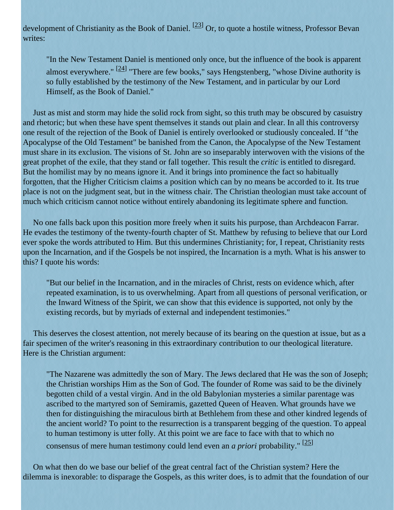<span id="page-19-0"></span>development of Christianity as the Book of Daniel. <sup>[[23\]](#page-22-7)</sup> Or, to quote a hostile witness, Professor Bevan writes:

"In the New Testament Daniel is mentioned only once, but the influence of the book is apparent almost everywhere."  $\left[\frac{24}{1}\right]$  "There are few books," says Hengstenberg, "whose Divine authority is so fully established by the testimony of the New Testament, and in particular by our Lord Himself, as the Book of Daniel."

<span id="page-19-1"></span> Just as mist and storm may hide the solid rock from sight, so this truth may be obscured by casuistry and rhetoric; but when these have spent themselves it stands out plain and clear. In all this controversy one result of the rejection of the Book of Daniel is entirely overlooked or studiously concealed. If "the Apocalypse of the Old Testament" be banished from the Canon, the Apocalypse of the New Testament must share in its exclusion. The visions of St. John are so inseparably interwoven with the visions of the great prophet of the exile, that they stand or fall together. This result the *critic* is entitled to disregard. But the homilist may by no means ignore it. And it brings into prominence the fact so habitually forgotten, that the Higher Criticism claims a position which can by no means be accorded to it. Its true place is not on the judgment seat, but in the witness chair. The Christian theologian must take account of much which criticism cannot notice without entirely abandoning its legitimate sphere and function.

 No one falls back upon this position more freely when it suits his purpose, than Archdeacon Farrar. He evades the testimony of the twenty-fourth chapter of St. Matthew by refusing to believe that our Lord ever spoke the words attributed to Him. But this undermines Christianity; for, I repeat, Christianity rests upon the Incarnation, and if the Gospels be not inspired, the Incarnation is a myth. What is his answer to this? I quote his words:

"But our belief in the Incarnation, and in the miracles of Christ, rests on evidence which, after repeated examination, is to us overwhelming. Apart from all questions of personal verification, or the Inward Witness of the Spirit, we can show that this evidence is supported, not only by the existing records, but by myriads of external and independent testimonies."

 This deserves the closest attention, not merely because of its bearing on the question at issue, but as a fair specimen of the writer's reasoning in this extraordinary contribution to our theological literature. Here is the Christian argument:

"The Nazarene was admittedly the son of Mary. The Jews declared that He was the son of Joseph; the Christian worships Him as the Son of God. The founder of Rome was said to be the divinely begotten child of a vestal virgin. And in the old Babylonian mysteries a similar parentage was ascribed to the martyred son of Semiramis, gazetted Queen of Heaven. What grounds have we then for distinguishing the miraculous birth at Bethlehem from these and other kindred legends of the ancient world? To point to the resurrection is a transparent begging of the question. To appeal to human testimony is utter folly. At this point we are face to face with that to which no consensus of mere human testimony could lend even an *a priori* probability." [\[25](#page-22-9)]

<span id="page-19-2"></span> On what then do we base our belief of the great central fact of the Christian system? Here the dilemma is inexorable: to disparage the Gospels, as this writer does, is to admit that the foundation of our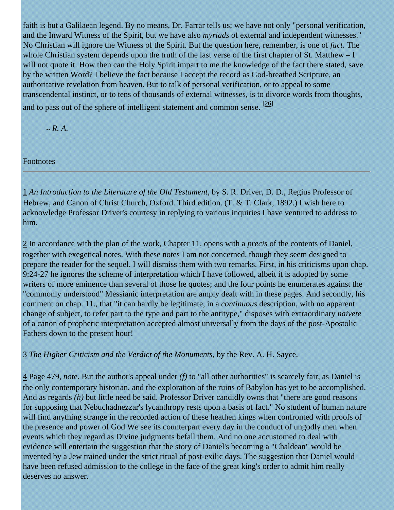faith is but a Galilaean legend. By no means, Dr. Farrar tells us; we have not only "personal verification, and the Inward Witness of the Spirit, but we have also *myriads* of external and independent witnesses." No Christian will ignore the Witness of the Spirit. But the question here, remember, is one of *fact*. The whole Christian system depends upon the truth of the last verse of the first chapter of St. Matthew – I will not quote it. How then can the Holy Spirit impart to me the knowledge of the fact there stated, save by the written Word? I believe the fact because I accept the record as God-breathed Scripture, an authoritative revelation from heaven. But to talk of personal verification, or to appeal to some transcendental instinct, or to tens of thousands of external witnesses, is to divorce words from thoughts,

<span id="page-20-4"></span>and to pass out of the sphere of intelligent statement and common sense. <sup>[\[26\]](#page-22-10)</sup>

*-- R. A.*

Footnotes

<span id="page-20-0"></span>[1](#page-6-1) *An Introduction to the Literature of the Old Testament*, by S. R. Driver, D. D., Regius Professor of Hebrew, and Canon of Christ Church, Oxford. Third edition. (T. & T. Clark, 1892.) I wish here to acknowledge Professor Driver's courtesy in replying to various inquiries I have ventured to address to him.

<span id="page-20-1"></span>[2](#page-6-2) In accordance with the plan of the work, Chapter 11. opens with a *precis* of the contents of Daniel, together with exegetical notes. With these notes I am not concerned, though they seem designed to prepare the reader for the sequel. I will dismiss them with two remarks. First, in his criticisms upon chap. 9:24-27 he ignores the scheme of interpretation which I have followed, albeit it is adopted by some writers of more eminence than several of those he quotes; and the four points he enumerates against the "commonly understood" Messianic interpretation are amply dealt with in these pages. And secondly, his comment on chap. 11., that "it can hardly be legitimate, in a *continuous* description, with no apparent change of subject, to refer part to the type and part to the antitype," disposes with extraordinary *naivete*  of a canon of prophetic interpretation accepted almost universally from the days of the post-Apostolic Fathers down to the present hour!

<span id="page-20-2"></span>[3](#page-8-0) *The Higher Criticism and the Verdict of the Monuments*, by the Rev. A. H. Sayce.

<span id="page-20-3"></span>[4](#page-8-1) Page 479, *not*e. But the author's appeal under *(f)* to "all other authorities" is scarcely fair, as Daniel is the only contemporary historian, and the exploration of the ruins of Babylon has yet to be accomplished. And as regards *(h)* but little need be said. Professor Driver candidly owns that "there are good reasons for supposing that Nebuchadnezzar's lycanthropy rests upon a basis of fact." No student of human nature will find anything strange in the recorded action of these heathen kings when confronted with proofs of the presence and power of God We see its counterpart every day in the conduct of ungodly men when events which they regard as Divine judgments befall them. And no one accustomed to deal with evidence will entertain the suggestion that the story of Daniel's becoming a "Chaldean" would be invented by a Jew trained under the strict ritual of post-exilic days. The suggestion that Daniel would have been refused admission to the college in the face of the great king's order to admit him really deserves no answer.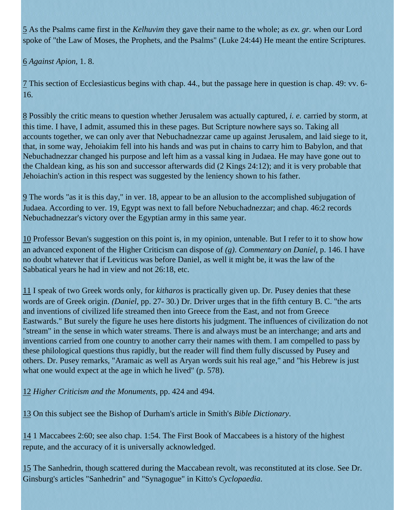<span id="page-21-0"></span>[5](#page-9-0) As the Psalms came first in the *Kelhuvim* they gave their name to the whole; as *ex. gr.* when our Lord spoke of "the Law of Moses, the Prophets, and the Psalms" (Luke 24:44) He meant the entire Scriptures.

<span id="page-21-1"></span>[6](#page-9-1) *Against Apion*, 1. 8.

<span id="page-21-2"></span>[7](#page-9-2) This section of Ecclesiasticus begins with chap. 44., but the passage here in question is chap. 49: vv. 6- 16.

<span id="page-21-3"></span>[8](#page-9-3) Possibly the critic means to question whether Jerusalem was actually captured, *i. e.* carried by storm, at this time. I have, I admit, assumed this in these pages. But Scripture nowhere says so. Taking all accounts together, we can only aver that Nebuchadnezzar came up against Jerusalem, and laid siege to it, that, in some way, Jehoiakim fell into his hands and was put in chains to carry him to Babylon, and that Nebuchadnezzar changed his purpose and left him as a vassal king in Judaea. He may have gone out to the Chaldean king, as his son and successor afterwards did (2 Kings 24:12); and it is very probable that Jehoiachin's action in this respect was suggested by the leniency shown to his father.

<span id="page-21-4"></span>[9](#page-10-0) The words "as it is this day," in ver. 18, appear to be an allusion to the accomplished subjugation of Judaea. According to ver. 19, Egypt was next to fall before Nebuchadnezzar; and chap. 46:2 records Nebuchadnezzar's victory over the Egyptian army in this same year.

<span id="page-21-5"></span>[10](#page-11-0) Professor Bevan's suggestion on this point is, in my opinion, untenable. But I refer to it to show how an advanced exponent of the Higher Criticism can dispose of *(g)*. *Commentary on Daniel*, p. 146. I have no doubt whatever that if Leviticus was before Daniel, as well it might be, it was the law of the Sabbatical years he had in view and not 26:18, etc.

<span id="page-21-6"></span>[11](#page-12-0) I speak of two Greek words only, for *kitharos* is practically given up. Dr. Pusey denies that these words are of Greek origin. *(Daniel*, pp. 27- 30.) Dr. Driver urges that in the fifth century B. C. "the arts and inventions of civilized life streamed then into Greece from the East, and not from Greece Eastwards." But surely the figure he uses here distorts his judgment. The influences of civilization do not "stream" in the sense in which water streams. There is and always must be an interchange; and arts and inventions carried from one country to another carry their names with them. I am compelled to pass by these philological questions thus rapidly, but the reader will find them fully discussed by Pusey and others. Dr. Pusey remarks, "Aramaic as well as Aryan words suit his real age," and "his Hebrew is just what one would expect at the age in which he lived" (p. 578).

<span id="page-21-7"></span>[12](#page-12-1) *Higher Criticism and the Monuments*, pp. 424 and 494.

<span id="page-21-8"></span>[13](#page-12-2) On this subject see the Bishop of Durham's article in Smith's *Bible Dictionary*.

<span id="page-21-9"></span>[14](#page-14-0) 1 Maccabees 2:60; see also chap. 1:54. The First Book of Maccabees is a history of the highest repute, and the accuracy of it is universally acknowledged.

<span id="page-21-10"></span>[15](#page-14-1) The Sanhedrin, though scattered during the Maccabean revolt, was reconstituted at its close. See Dr. Ginsburg's articles "Sanhedrin" and "Synagogue" in Kitto's *Cyclopaedia*.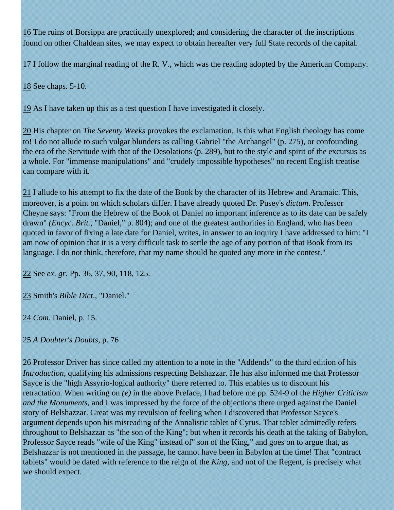<span id="page-22-0"></span>[16](#page-14-2) The ruins of Borsippa are practically unexplored; and considering the character of the inscriptions found on other Chaldean sites, we may expect to obtain hereafter very full State records of the capital.

<span id="page-22-1"></span>[17](#page-15-0) I follow the marginal reading of the R. V., which was the reading adopted by the American Company.

<span id="page-22-2"></span>[18](#page-16-0) See chaps. 5-10.

<span id="page-22-3"></span>[19](#page-17-0) As I have taken up this as a test question I have investigated it closely.

<span id="page-22-4"></span>[20](#page-18-0) His chapter on *The Seventy Weeks* provokes the exclamation, Is this what English theology has come to! I do not allude to such vulgar blunders as calling Gabriel "the Archangel" (p. 275), or confounding the era of the Servitude with that of the Desolations (p. 289), but to the style and spirit of the excursus as a whole. For "immense manipulations" and "crudely impossible hypotheses" no recent English treatise can compare with it.

<span id="page-22-5"></span>[21](#page-18-1) I allude to his attempt to fix the date of the Book by the character of its Hebrew and Aramaic. This, moreover, is a point on which scholars differ. I have already quoted Dr. Pusey's *dictum*. Professor Cheyne says: "From the Hebrew of the Book of Daniel no important inference as to its date can be safely drawn" *(Encyc. Brit.,* "Daniel," p. 804); and one of the greatest authorities in England, who has been quoted in favor of fixing a late date for Daniel, writes, in answer to an inquiry I have addressed to him: "I am now of opinion that it is a very difficult task to settle the age of any portion of that Book from its language. I do not think, therefore, that my name should be quoted any more in the contest."

<span id="page-22-6"></span>[22](#page-18-2) See *ex. gr.* Pp. 36, 37, 90, 118, 125.

<span id="page-22-7"></span>[23](#page-19-0) Smith's *Bible Dict*., "Daniel."

<span id="page-22-8"></span>[24](#page-19-1) *Com.* Daniel, p. 15.

<span id="page-22-9"></span>[25](#page-19-2) *A Doubter's Doubts*, p. 76

<span id="page-22-10"></span>[26](#page-20-4) Professor Driver has since called my attention to a note in the "Addends" to the third edition of his *Introduction*, qualifying his admissions respecting Belshazzar. He has also informed me that Professor Sayce is the "high Assyrio-logical authority" there referred to. This enables us to discount his retractation. When writing on *(e)* in the above Preface, I had before me pp. 524-9 of the *Higher Criticism and the Monuments*, and I was impressed by the force of the objections there urged against the Daniel story of Belshazzar. Great was my revulsion of feeling when I discovered that Professor Sayce's argument depends upon his misreading of the Annalistic tablet of Cyrus. That tablet admittedly refers throughout to Belshazzar as "the son of the King"; but when it records his death at the taking of Babylon, Professor Sayce reads "wife of the King" instead of" son of the King," and goes on to argue that, as Belshazzar is not mentioned in the passage, he cannot have been in Babylon at the time! That "contract tablets" would be dated with reference to the reign of the *King*, and not of the Regent, is precisely what we should expect.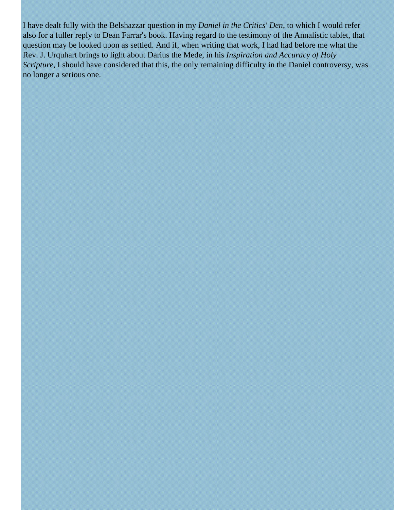I have dealt fully with the Belshazzar question in my *Daniel in the Critics' Den*, to which I would refer also for a fuller reply to Dean Farrar's book. Having regard to the testimony of the Annalistic tablet, that question may be looked upon as settled. And if, when writing that work, I had had before me what the Rev. J. Urquhart brings to light about Darius the Mede, in his *Inspiration and Accuracy of Holy Scripture*, I should have considered that this, the only remaining difficulty in the Daniel controversy, was no longer a serious one.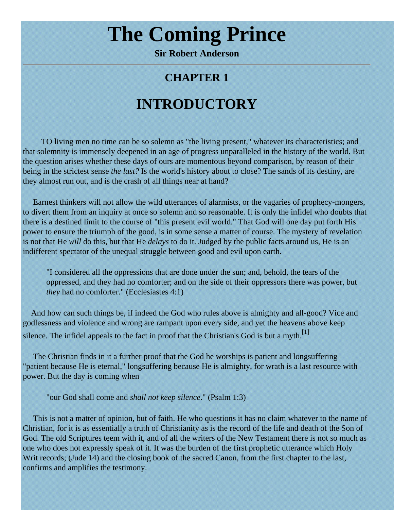**Sir Robert Anderson**

### **CHAPTER 1**

### **INTRODUCTORY**

<span id="page-24-0"></span> TO living men no time can be so solemn as "the living present," whatever its characteristics; and that solemnity is immensely deepened in an age of progress unparalleled in the history of the world. But the question arises whether these days of ours are momentous beyond comparison, by reason of their being in the strictest sense *the last?* Is the world's history about to close? The sands of its destiny, are they almost run out, and is the crash of all things near at hand?

 Earnest thinkers will not allow the wild utterances of alarmists, or the vagaries of prophecy-mongers, to divert them from an inquiry at once so solemn and so reasonable. It is only the infidel who doubts that there is a destined limit to the course of "this present evil world." That God will one day put forth His power to ensure the triumph of the good, is in some sense a matter of course. The mystery of revelation is not that He *will* do this, but that He *delays* to do it. Judged by the public facts around us, He is an indifferent spectator of the unequal struggle between good and evil upon earth.

"I considered all the oppressions that are done under the sun; and, behold, the tears of the oppressed, and they had no comforter; and on the side of their oppressors there was power, but *they* had no comforter." (Ecclesiastes 4:1)

 And how can such things be, if indeed the God who rules above is almighty and all-good? Vice and godlessness and violence and wrong are rampant upon every side, and yet the heavens above keep silence. The infidel appeals to the fact in proof that the Christian's God is but a myth.<sup>[1]</sup>

<span id="page-24-1"></span> The Christian finds in it a further proof that the God he worships is patient and longsuffering– "patient because He is eternal," longsuffering because He is almighty, for wrath is a last resource with power. But the day is coming when

"our God shall come and *shall not keep silence*." (Psalm 1:3)

 This is not a matter of opinion, but of faith. He who questions it has no claim whatever to the name of Christian, for it is as essentially a truth of Christianity as is the record of the life and death of the Son of God. The old Scriptures teem with it, and of all the writers of the New Testament there is not so much as one who does not expressly speak of it. It was the burden of the first prophetic utterance which Holy Writ records; (Jude 14) and the closing book of the sacred Canon, from the first chapter to the last, confirms and amplifies the testimony.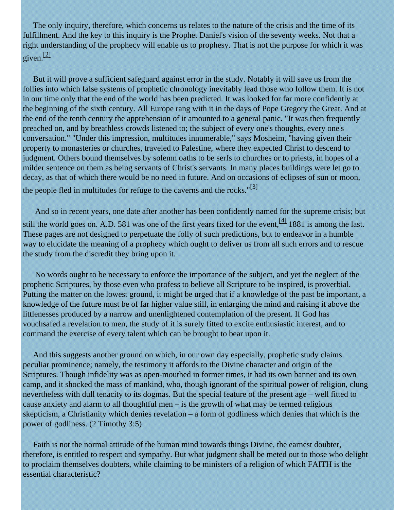The only inquiry, therefore, which concerns us relates to the nature of the crisis and the time of its fulfillment. And the key to this inquiry is the Prophet Daniel's vision of the seventy weeks. Not that a right understanding of the prophecy will enable us to prophesy. That is not the purpose for which it was given.<sup>[2]</sup>

<span id="page-25-0"></span> But it will prove a sufficient safeguard against error in the study. Notably it will save us from the follies into which false systems of prophetic chronology inevitably lead those who follow them. It is not in our time only that the end of the world has been predicted. It was looked for far more confidently at the beginning of the sixth century. All Europe rang with it in the days of Pope Gregory the Great. And at the end of the tenth century the apprehension of it amounted to a general panic. "It was then frequently preached on, and by breathless crowds listened to; the subject of every one's thoughts, every one's conversation." "Under this impression, multitudes innumerable," says Mosheim, "having given their property to monasteries or churches, traveled to Palestine, where they expected Christ to descend to judgment. Others bound themselves by solemn oaths to be serfs to churches or to priests, in hopes of a milder sentence on them as being servants of Christ's servants. In many places buildings were let go to decay, as that of which there would be no need in future. And on occasions of eclipses of sun or moon, the people fled in multitudes for refuge to the caverns and the rocks." $[3]$ 

<span id="page-25-2"></span><span id="page-25-1"></span> And so in recent years, one date after another has been confidently named for the supreme crisis; but still the world goes on. A.D. 581 was one of the first years fixed for the event,  $[4]$  1881 is among the last. These pages are not designed to perpetuate the folly of such predictions, but to endeavor in a humble way to elucidate the meaning of a prophecy which ought to deliver us from all such errors and to rescue the study from the discredit they bring upon it.

 No words ought to be necessary to enforce the importance of the subject, and yet the neglect of the prophetic Scriptures, by those even who profess to believe all Scripture to be inspired, is proverbial. Putting the matter on the lowest ground, it might be urged that if a knowledge of the past be important, a knowledge of the future must be of far higher value still, in enlarging the mind and raising it above the littlenesses produced by a narrow and unenlightened contemplation of the present. If God has vouchsafed a revelation to men, the study of it is surely fitted to excite enthusiastic interest, and to command the exercise of every talent which can be brought to bear upon it.

 And this suggests another ground on which, in our own day especially, prophetic study claims peculiar prominence; namely, the testimony it affords to the Divine character and origin of the Scriptures. Though infidelity was as open-mouthed in former times, it had its own banner and its own camp, and it shocked the mass of mankind, who, though ignorant of the spiritual power of religion, clung nevertheless with dull tenacity to its dogmas. But the special feature of the present age – well fitted to cause anxiety and alarm to all thoughtful men – is the growth of what may be termed religious skepticism, a Christianity which denies revelation – a form of godliness which denies that which is the power of godliness. (2 Timothy 3:5)

 Faith is not the normal attitude of the human mind towards things Divine, the earnest doubter, therefore, is entitled to respect and sympathy. But what judgment shall be meted out to those who delight to proclaim themselves doubters, while claiming to be ministers of a religion of which FAITH is the essential characteristic?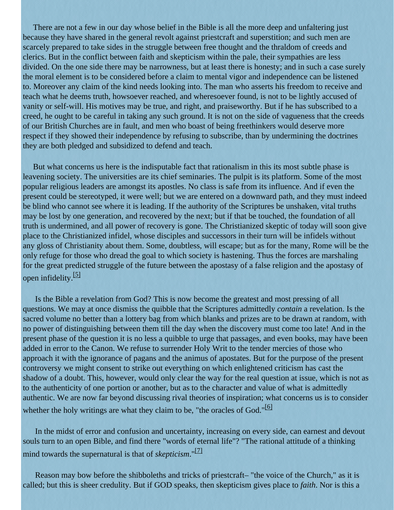There are not a few in our day whose belief in the Bible is all the more deep and unfaltering just because they have shared in the general revolt against priestcraft and superstition; and such men are scarcely prepared to take sides in the struggle between free thought and the thraldom of creeds and clerics. But in the conflict between faith and skepticism within the pale, their sympathies are less divided. On the one side there may be narrowness, but at least there is honesty; and in such a case surely the moral element is to be considered before a claim to mental vigor and independence can be listened to. Moreover any claim of the kind needs looking into. The man who asserts his freedom to receive and teach what he deems truth, howsoever reached, and wheresoever found, is not to be lightly accused of vanity or self-will. His motives may be true, and right, and praiseworthy. But if he has subscribed to a creed, he ought to be careful in taking any such ground. It is not on the side of vagueness that the creeds of our British Churches are in fault, and men who boast of being freethinkers would deserve more respect if they showed their independence by refusing to subscribe, than by undermining the doctrines they are both pledged and subsidized to defend and teach.

 But what concerns us here is the indisputable fact that rationalism in this its most subtle phase is leavening society. The universities are its chief seminaries. The pulpit is its platform. Some of the most popular religious leaders are amongst its apostles. No class is safe from its influence. And if even the present could be stereotyped, it were well; but we are entered on a downward path, and they must indeed be blind who cannot see where it is leading. If the authority of the Scriptures be unshaken, vital truths may be lost by one generation, and recovered by the next; but if that be touched, the foundation of all truth is undermined, and all power of recovery is gone. The Christianized skeptic of today will soon give place to the Christianized infidel, whose disciples and successors in their turn will be infidels without any gloss of Christianity about them. Some, doubtless, will escape; but as for the many, Rome will be the only refuge for those who dread the goal to which society is hastening. Thus the forces are marshaling for the great predicted struggle of the future between the apostasy of a false religion and the apostasy of open infidelity[.\[5\]](#page-30-4)

<span id="page-26-0"></span> Is the Bible a revelation from God? This is now become the greatest and most pressing of all questions. We may at once dismiss the quibble that the Scriptures admittedly *contain* a revelation. Is the sacred volume no better than a lottery bag from which blanks and prizes are to be drawn at random, with no power of distinguishing between them till the day when the discovery must come too late! And in the present phase of the question it is no less a quibble to urge that passages, and even books, may have been added in error to the Canon. We refuse to surrender Holy Writ to the tender mercies of those who approach it with the ignorance of pagans and the animus of apostates. But for the purpose of the present controversy we might consent to strike out everything on which enlightened criticism has cast the shadow of a doubt. This, however, would only clear the way for the real question at issue, which is not as to the authenticity of one portion or another, but as to the character and value of what is admittedly authentic. We are now far beyond discussing rival theories of inspiration; what concerns us is to consider whether the holy writings are what they claim to be, "the oracles of God."<sup>[\[6\]](#page-31-0)</sup>

<span id="page-26-1"></span> In the midst of error and confusion and uncertainty, increasing on every side, can earnest and devout souls turn to an open Bible, and find there "words of eternal life"? "The rational attitude of a thinking mind towards the supernatural is that of *skepticism*."<sup>[\[7\]](#page-31-1)</sup>

<span id="page-26-2"></span> Reason may bow before the shibboleths and tricks of priestcraft– "the voice of the Church," as it is called; but this is sheer credulity. But if GOD speaks, then skepticism gives place to *faith*. Nor is this a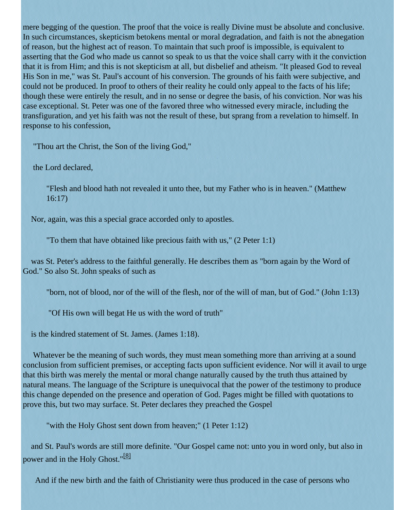mere begging of the question. The proof that the voice is really Divine must be absolute and conclusive. In such circumstances, skepticism betokens mental or moral degradation, and faith is not the abnegation of reason, but the highest act of reason. To maintain that such proof is impossible, is equivalent to asserting that the God who made us cannot so speak to us that the voice shall carry with it the conviction that it is from Him; and this is not skepticism at all, but disbelief and atheism. "It pleased God to reveal His Son in me," was St. Paul's account of his conversion. The grounds of his faith were subjective, and could not be produced. In proof to others of their reality he could only appeal to the facts of his life; though these were entirely the result, and in no sense or degree the basis, of his conviction. Nor was his case exceptional. St. Peter was one of the favored three who witnessed every miracle, including the transfiguration, and yet his faith was not the result of these, but sprang from a revelation to himself. In response to his confession,

"Thou art the Christ, the Son of the living God,"

the Lord declared,

"Flesh and blood hath not revealed it unto thee, but my Father who is in heaven." (Matthew 16:17)

Nor, again, was this a special grace accorded only to apostles.

"To them that have obtained like precious faith with us," (2 Peter 1:1)

 was St. Peter's address to the faithful generally. He describes them as "born again by the Word of God." So also St. John speaks of such as

"born, not of blood, nor of the will of the flesh, nor of the will of man, but of God." (John 1:13)

"Of His own will begat He us with the word of truth"

is the kindred statement of St. James. (James 1:18).

Whatever be the meaning of such words, they must mean something more than arriving at a sound conclusion from sufficient premises, or accepting facts upon sufficient evidence. Nor will it avail to urge that this birth was merely the mental or moral change naturally caused by the truth thus attained by natural means. The language of the Scripture is unequivocal that the power of the testimony to produce this change depended on the presence and operation of God. Pages might be filled with quotations to prove this, but two may surface. St. Peter declares they preached the Gospel

"with the Holy Ghost sent down from heaven;" (1 Peter 1:12)

<span id="page-27-0"></span> and St. Paul's words are still more definite. "Our Gospel came not: unto you in word only, but also in power and in the Holy Ghost."<sup>[\[8\]](#page-31-2)</sup>

And if the new birth and the faith of Christianity were thus produced in the case of persons who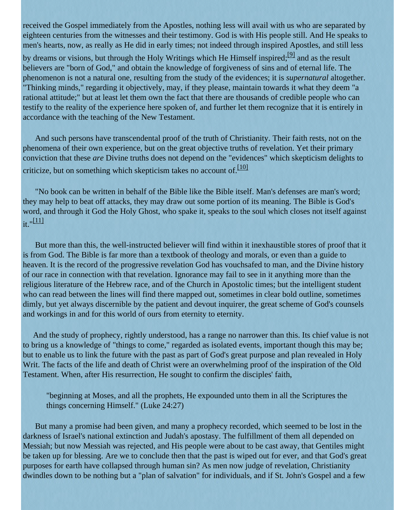received the Gospel immediately from the Apostles, nothing less will avail with us who are separated by eighteen centuries from the witnesses and their testimony. God is with His people still. And He speaks to men's hearts, now, as really as He did in early times; not indeed through inspired Apostles, and still less

<span id="page-28-0"></span>by dreams or visions, but through the Holy Writings which He Himself inspired;  $\frac{9}{2}$  and as the result believers are "born of God," and obtain the knowledge of forgiveness of sins and of eternal life. The phenomenon is not a natural one, resulting from the study of the evidences; it is *supernatural* altogether. "Thinking minds," regarding it objectively, may, if they please, maintain towards it what they deem "a rational attitude;" but at least let them own the fact that there are thousands of credible people who can testify to the reality of the experience here spoken of, and further let them recognize that it is entirely in accordance with the teaching of the New Testament.

 And such persons have transcendental proof of the truth of Christianity. Their faith rests, not on the phenomena of their own experience, but on the great objective truths of revelation. Yet their primary conviction that these *are* Divine truths does not depend on the "evidences" which skepticism delights to criticize, but on something which skepticism takes no account of. $\frac{100}{100}$ 

<span id="page-28-1"></span> "No book can be written in behalf of the Bible like the Bible itself. Man's defenses are man's word; they may help to beat off attacks, they may draw out some portion of its meaning. The Bible is God's word, and through it God the Holy Ghost, who spake it, speaks to the soul which closes not itself against  $it.$ "[\[11\]](#page-31-5)

<span id="page-28-2"></span> But more than this, the well-instructed believer will find within it inexhaustible stores of proof that it is from God. The Bible is far more than a textbook of theology and morals, or even than a guide to heaven. It is the record of the progressive revelation God has vouchsafed to man, and the Divine history of our race in connection with that revelation. Ignorance may fail to see in it anything more than the religious literature of the Hebrew race, and of the Church in Apostolic times; but the intelligent student who can read between the lines will find there mapped out, sometimes in clear bold outline, sometimes dimly, but yet always discernible by the patient and devout inquirer, the great scheme of God's counsels and workings in and for this world of ours from eternity to eternity.

 And the study of prophecy, rightly understood, has a range no narrower than this. Its chief value is not to bring us a knowledge of "things to come," regarded as isolated events, important though this may be; but to enable us to link the future with the past as part of God's great purpose and plan revealed in Holy Writ. The facts of the life and death of Christ were an overwhelming proof of the inspiration of the Old Testament. When, after His resurrection, He sought to confirm the disciples' faith,

"beginning at Moses, and all the prophets, He expounded unto them in all the Scriptures the things concerning Himself." (Luke 24:27)

 But many a promise had been given, and many a prophecy recorded, which seemed to be lost in the darkness of Israel's national extinction and Judah's apostasy. The fulfillment of them all depended on Messiah; but now Messiah was rejected, and His people were about to be cast away, that Gentiles might be taken up for blessing. Are we to conclude then that the past is wiped out for ever, and that God's great purposes for earth have collapsed through human sin? As men now judge of revelation, Christianity dwindles down to be nothing but a "plan of salvation" for individuals, and if St. John's Gospel and a few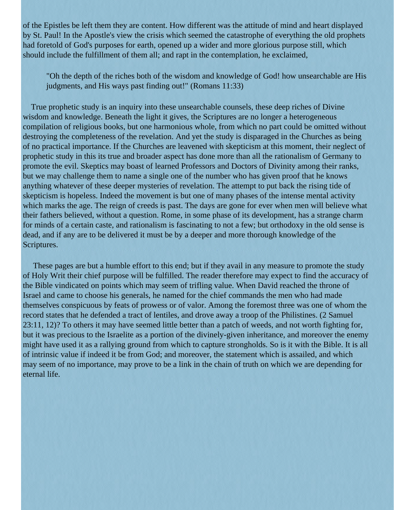of the Epistles be left them they are content. How different was the attitude of mind and heart displayed by St. Paul! In the Apostle's view the crisis which seemed the catastrophe of everything the old prophets had foretold of God's purposes for earth, opened up a wider and more glorious purpose still, which should include the fulfillment of them all; and rapt in the contemplation, he exclaimed,

"Oh the depth of the riches both of the wisdom and knowledge of God! how unsearchable are His judgments, and His ways past finding out!" (Romans 11:33)

 True prophetic study is an inquiry into these unsearchable counsels, these deep riches of Divine wisdom and knowledge. Beneath the light it gives, the Scriptures are no longer a heterogeneous compilation of religious books, but one harmonious whole, from which no part could be omitted without destroying the completeness of the revelation. And yet the study is disparaged in the Churches as being of no practical importance. If the Churches are leavened with skepticism at this moment, their neglect of prophetic study in this its true and broader aspect has done more than all the rationalism of Germany to promote the evil. Skeptics may boast of learned Professors and Doctors of Divinity among their ranks, but we may challenge them to name a single one of the number who has given proof that he knows anything whatever of these deeper mysteries of revelation. The attempt to put back the rising tide of skepticism is hopeless. Indeed the movement is but one of many phases of the intense mental activity which marks the age. The reign of creeds is past. The days are gone for ever when men will believe what their fathers believed, without a question. Rome, in some phase of its development, has a strange charm for minds of a certain caste, and rationalism is fascinating to not a few; but orthodoxy in the old sense is dead, and if any are to be delivered it must be by a deeper and more thorough knowledge of the Scriptures.

 These pages are but a humble effort to this end; but if they avail in any measure to promote the study of Holy Writ their chief purpose will be fulfilled. The reader therefore may expect to find the accuracy of the Bible vindicated on points which may seem of trifling value. When David reached the throne of Israel and came to choose his generals, he named for the chief commands the men who had made themselves conspicuous by feats of prowess or of valor. Among the foremost three was one of whom the record states that he defended a tract of lentiles, and drove away a troop of the Philistines. (2 Samuel 23:11, 12)? To others it may have seemed little better than a patch of weeds, and not worth fighting for, but it was precious to the Israelite as a portion of the divinely-given inheritance, and moreover the enemy might have used it as a rallying ground from which to capture strongholds. So is it with the Bible. It is all of intrinsic value if indeed it be from God; and moreover, the statement which is assailed, and which may seem of no importance, may prove to be a link in the chain of truth on which we are depending for eternal life.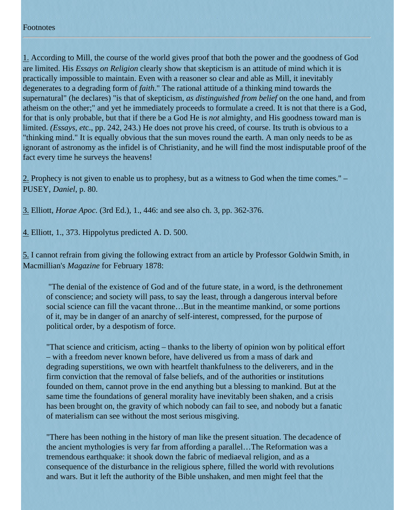#### Footnotes

<span id="page-30-0"></span>[1.](#page-24-1) According to Mill, the course of the world gives proof that both the power and the goodness of God are limited. His *Essays on Religion* clearly show that skepticism is an attitude of mind which it is practically impossible to maintain. Even with a reasoner so clear and able as Mill, it inevitably degenerates to a degrading form of *faith*." The rational attitude of a thinking mind towards the supernatural" (he declares) "is that of skepticism, *as distinguished from belief* on the one hand, and from atheism on the other;" and yet he immediately proceeds to formulate a creed. It is not that there is a God, for that is only probable, but that if there be a God He is *not* almighty, and His goodness toward man is limited. *(Essays*, *et*c., pp. 242, 243.) He does not prove his creed, of course. Its truth is obvious to a "thinking mind." It is equally obvious that the sun moves round the earth. A man only needs to be as ignorant of astronomy as the infidel is of Christianity, and he will find the most indisputable proof of the fact every time he surveys the heavens!

<span id="page-30-1"></span>[2.](#page-25-0) Prophecy is not given to enable us to prophesy, but as a witness to God when the time comes." – PUSEY, *Daniel*, p. 80.

<span id="page-30-2"></span>[3.](#page-25-1) Elliott, *Horae Apoc*. (3rd Ed.), 1., 446: and see also ch. 3, pp. 362-376.

<span id="page-30-3"></span>[4.](#page-25-2) Elliott, 1., 373. Hippolytus predicted A. D. 500.

<span id="page-30-4"></span>[5.](#page-26-0) I cannot refrain from giving the following extract from an article by Professor Goldwin Smith, in Macmillian's *Magazine* for February 1878:

 "The denial of the existence of God and of the future state, in a word, is the dethronement of conscience; and society will pass, to say the least, through a dangerous interval before social science can fill the vacant throne…But in the meantime mankind, or some portions of it, may be in danger of an anarchy of self-interest, compressed, for the purpose of political order, by a despotism of force.

"That science and criticism, acting – thanks to the liberty of opinion won by political effort – with a freedom never known before, have delivered us from a mass of dark and degrading superstitions, we own with heartfelt thankfulness to the deliverers, and in the firm conviction that the removal of false beliefs, and of the authorities or institutions founded on them, cannot prove in the end anything but a blessing to mankind. But at the same time the foundations of general morality have inevitably been shaken, and a crisis has been brought on, the gravity of which nobody can fail to see, and nobody but a fanatic of materialism can see without the most serious misgiving.

"There has been nothing in the history of man like the present situation. The decadence of the ancient mythologies is very far from affording a parallel…The Reformation was a tremendous earthquake: it shook down the fabric of mediaeval religion, and as a consequence of the disturbance in the religious sphere, filled the world with revolutions and wars. But it left the authority of the Bible unshaken, and men might feel that the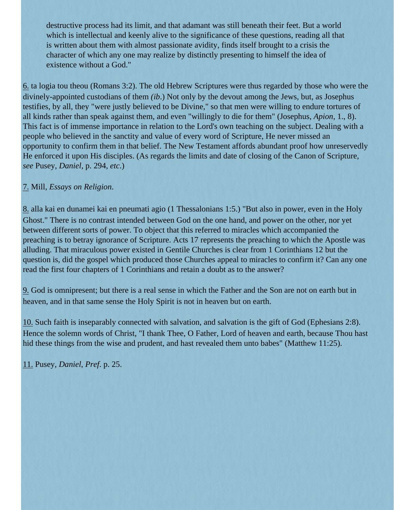destructive process had its limit, and that adamant was still beneath their feet. But a world which is intellectual and keenly alive to the significance of these questions, reading all that is written about them with almost passionate avidity, finds itself brought to a crisis the character of which any one may realize by distinctly presenting to himself the idea of existence without a God."

<span id="page-31-0"></span>[6.](#page-26-1) ta logia tou theou (Romans 3:2). The old Hebrew Scriptures were thus regarded by those who were the divinely-appointed custodians of them *(ib*.) Not only by the devout among the Jews, but, as Josephus testifies, by all, they "were justly believed to be Divine," so that men were willing to endure tortures of all kinds rather than speak against them, and even "willingly to die for them" (Josephus, *Apion*, 1., 8). This fact is of immense importance in relation to the Lord's own teaching on the subject. Dealing with a people who believed in the sanctity and value of every word of Scripture, He never missed an opportunity to confirm them in that belief. The New Testament affords abundant proof how unreservedly He enforced it upon His disciples. (As regards the limits and date of closing of the Canon of Scripture, *see* Pusey, *Daniel*, p. 294, *etc*.)

### <span id="page-31-1"></span>[7.](#page-26-2) Mill, *Essays on Religion*.

<span id="page-31-2"></span>[8.](#page-27-0) alla kai en dunamei kai en pneumati agio (1 Thessalonians 1:5.) "But also in power, even in the Holy Ghost." There is no contrast intended between God on the one hand, and power on the other, nor yet between different sorts of power. To object that this referred to miracles which accompanied the preaching is to betray ignorance of Scripture. Acts 17 represents the preaching to which the Apostle was alluding. That miraculous power existed in Gentile Churches is clear from 1 Corinthians 12 but the question is, did the gospel which produced those Churches appeal to miracles to confirm it? Can any one read the first four chapters of 1 Corinthians and retain a doubt as to the answer?

<span id="page-31-3"></span>[9.](#page-28-0) God is omnipresent; but there is a real sense in which the Father and the Son are not on earth but in heaven, and in that same sense the Holy Spirit is not in heaven but on earth.

<span id="page-31-4"></span>[10.](#page-28-1) Such faith is inseparably connected with salvation, and salvation is the gift of God (Ephesians 2:8). Hence the solemn words of Christ, "I thank Thee, O Father, Lord of heaven and earth, because Thou hast hid these things from the wise and prudent, and hast revealed them unto babes" (Matthew 11:25).

<span id="page-31-5"></span>[11.](#page-28-2) Pusey, *Daniel*, *Pref*. p. 25.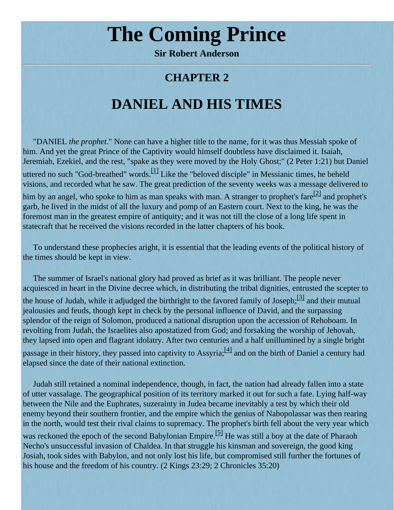**Sir Robert Anderson**

### **CHAPTER 2**

### **DANIEL AND HIS TIMES**

<span id="page-32-1"></span><span id="page-32-0"></span> "DANIEL *the prophet*." None can have a higher title to the name, for it was thus Messiah spoke of him. And yet the great Prince of the Captivity would himself doubtless have disclaimed it. Isaiah, Jeremiah, Ezekiel, and the rest, "spake as they were moved by the Holy Ghost;" (2 Peter 1:21) but Daniel uttered no such "God-breathed" words.<sup>[1]</sup> Like the "beloved disciple" in Messianic times, he beheld visions, and recorded what he saw. The great prediction of the seventy weeks was a message delivered to him by an angel, who spoke to him as man speaks with man. A stranger to prophet's fare<sup>[\[2\]](#page-34-1)</sup> and prophet's garb, he lived in the midst of all the luxury and pomp of an Eastern court. Next to the king, he was the foremost man in the greatest empire of antiquity; and it was not till the close of a long life spent in statecraft that he received the visions recorded in the latter chapters of his book.

<span id="page-32-2"></span> To understand these prophecies aright, it is essential that the leading events of the political history of the times should be kept in view.

<span id="page-32-3"></span> The summer of Israel's national glory had proved as brief as it was brilliant. The people never acquiesced in heart in the Divine decree which, in distributing the tribal dignities, entrusted the scepter to the house of Judah, while it adjudged the birthright to the favored family of Joseph;<sup>[\[3\]](#page-34-2)</sup> and their mutual jealousies and feuds, though kept in check by the personal influence of David, and the surpassing splendor of the reign of Solomon, produced a national disruption upon the accession of Rehoboam. In revolting from Judah, the Israelites also apostatized from God; and forsaking the worship of Jehovah,

<span id="page-32-4"></span>passage in their history, they passed into captivity to Assyria;  $\frac{[4]}{[4]}$  $\frac{[4]}{[4]}$  $\frac{[4]}{[4]}$  and on the birth of Daniel a century had elapsed since the date of their national extinction.

they lapsed into open and flagrant idolatry. After two centuries and a half unillumined by a single bright

<span id="page-32-5"></span> Judah still retained a nominal independence, though, in fact, the nation had already fallen into a state of utter vassalage. The geographical position of its territory marked it out for such a fate. Lying half-way between the Nile and the Euphrates, suzerainty in Judea became inevitably a test by which their old enemy beyond their southern frontier, and the empire which the genius of Nabopolassar was then rearing in the north, would test their rival claims to supremacy. The prophet's birth fell about the very year which was reckoned the epoch of the second Babylonian Empire.<sup>[5]</sup> He was still a boy at the date of Pharaoh Necho's unsuccessful invasion of Chaldea. In that struggle his kinsman and sovereign, the good king Josiah, took sides with Babylon, and not only lost his life, but compromised still further the fortunes of his house and the freedom of his country. (2 Kings 23:29; 2 Chronicles 35:20)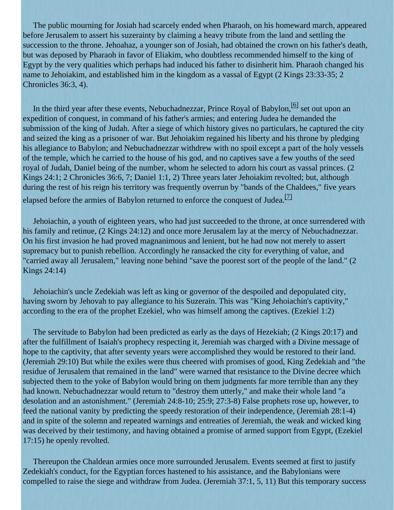The public mourning for Josiah had scarcely ended when Pharaoh, on his homeward march, appeared before Jerusalem to assert his suzerainty by claiming a heavy tribute from the land and settling the succession to the throne. Jehoahaz, a younger son of Josiah, had obtained the crown on his father's death, but was deposed by Pharaoh in favor of Eliakim, who doubtless recommended himself to the king of Egypt by the very qualities which perhaps had induced his father to disinherit him. Pharaoh changed his name to Jehoiakim, and established him in the kingdom as a vassal of Egypt (2 Kings 23:33-35; 2 Chronicles 36:3, 4).

<span id="page-33-0"></span>In the third year after these events, Nebuchadnezzar, Prince Royal of Babylon, <sup>[6]</sup> set out upon an expedition of conquest, in command of his father's armies; and entering Judea he demanded the submission of the king of Judah. After a siege of which history gives no particulars, he captured the city and seized the king as a prisoner of war. But Jehoiakim regained his liberty and his throne by pledging his allegiance to Babylon; and Nebuchadnezzar withdrew with no spoil except a part of the holy vessels of the temple, which he carried to the house of his god, and no captives save a few youths of the seed royal of Judah, Daniel being of the number, whom he selected to adorn his court as vassal princes. (2 Kings 24:1; 2 Chronicles 36:6, 7; Daniel 1:1, 2) Three years later Jehoiakim revolted; but, although during the rest of his reign his territory was frequently overrun by "bands of the Chaldees," five years elapsed before the armies of Babylon returned to enforce the conquest of Judea.<sup>[\[7\]](#page-35-2)</sup>

<span id="page-33-1"></span> Jehoiachin, a youth of eighteen years, who had just succeeded to the throne, at once surrendered with his family and retinue, (2 Kings 24:12) and once more Jerusalem lay at the mercy of Nebuchadnezzar. On his first invasion he had proved magnanimous and lenient, but he had now not merely to assert supremacy but to punish rebellion. Accordingly he ransacked the city for everything of value, and "carried away all Jerusalem," leaving none behind "save the poorest sort of the people of the land." (2 Kings 24:14)

 Jehoiachin's uncle Zedekiah was left as king or governor of the despoiled and depopulated city, having sworn by Jehovah to pay allegiance to his Suzerain. This was "King Jehoiachin's captivity," according to the era of the prophet Ezekiel, who was himself among the captives. (Ezekiel 1:2)

 The servitude to Babylon had been predicted as early as the days of Hezekiah; (2 Kings 20:17) and after the fulfillment of Isaiah's prophecy respecting it, Jeremiah was charged with a Divine message of hope to the captivity, that after seventy years were accomplished they would be restored to their land. (Jeremiah 29:10) But while the exiles were thus cheered with promises of good, King Zedekiah and "the residue of Jerusalem that remained in the land" were warned that resistance to the Divine decree which subjected them to the yoke of Babylon would bring on them judgments far more terrible than any they had known. Nebuchadnezzar would return to "destroy them utterly," and make their whole land "a desolation and an astonishment." (Jeremiah 24:8-10; 25:9; 27:3-8) False prophets rose up, however, to feed the national vanity by predicting the speedy restoration of their independence, (Jeremiah 28:1-4) and in spite of the solemn and repeated warnings and entreaties of Jeremiah, the weak and wicked king was deceived by their testimony, and having obtained a promise of armed support from Egypt, (Ezekiel 17:15) he openly revolted.

 Thereupon the Chaldean armies once more surrounded Jerusalem. Events seemed at first to justify Zedekiah's conduct, for the Egyptian forces hastened to his assistance, and the Babylonians were compelled to raise the siege and withdraw from Judea. (Jeremiah 37:1, 5, 11) But this temporary success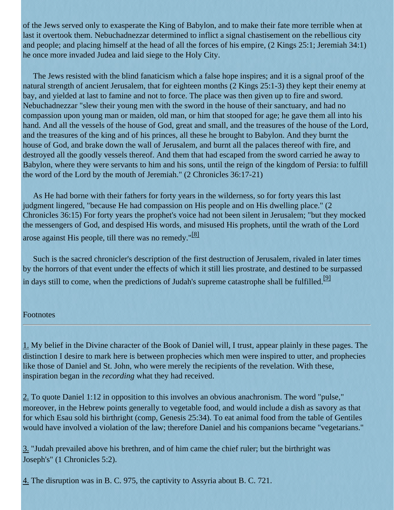of the Jews served only to exasperate the King of Babylon, and to make their fate more terrible when at last it overtook them. Nebuchadnezzar determined to inflict a signal chastisement on the rebellious city and people; and placing himself at the head of all the forces of his empire, (2 Kings 25:1; Jeremiah 34:1) he once more invaded Judea and laid siege to the Holy City.

 The Jews resisted with the blind fanaticism which a false hope inspires; and it is a signal proof of the natural strength of ancient Jerusalem, that for eighteen months (2 Kings 25:1-3) they kept their enemy at bay, and yielded at last to famine and not to force. The place was then given up to fire and sword. Nebuchadnezzar "slew their young men with the sword in the house of their sanctuary, and had no compassion upon young man or maiden, old man, or him that stooped for age; he gave them all into his hand. And all the vessels of the house of God, great and small, and the treasures of the house of the Lord, and the treasures of the king and of his princes, all these he brought to Babylon. And they burnt the house of God, and brake down the wall of Jerusalem, and burnt all the palaces thereof with fire, and destroyed all the goodly vessels thereof. And them that had escaped from the sword carried he away to Babylon, where they were servants to him and his sons, until the reign of the kingdom of Persia: to fulfill the word of the Lord by the mouth of Jeremiah." (2 Chronicles 36:17-21)

 As He had borne with their fathers for forty years in the wilderness, so for forty years this last judgment lingered, "because He had compassion on His people and on His dwelling place." (2 Chronicles 36:15) For forty years the prophet's voice had not been silent in Jerusalem; "but they mocked the messengers of God, and despised His words, and misused His prophets, until the wrath of the Lord arose against His people, till there was no remedy."<sup>[\[8\]](#page-35-3)</sup>

<span id="page-34-4"></span> Such is the sacred chronicler's description of the first destruction of Jerusalem, rivaled in later times by the horrors of that event under the effects of which it still lies prostrate, and destined to be surpassed in days still to come, when the predictions of Judah's supreme catastrophe shall be fulfilled.<sup>[\[9\]](#page-35-4)</sup>

#### <span id="page-34-5"></span>Footnotes

<span id="page-34-0"></span>[1.](#page-32-1) My belief in the Divine character of the Book of Daniel will, I trust, appear plainly in these pages. The distinction I desire to mark here is between prophecies which men were inspired to utter, and prophecies like those of Daniel and St. John, who were merely the recipients of the revelation. With these, inspiration began in the *recording* what they had received.

<span id="page-34-1"></span>[2.](#page-32-2) To quote Daniel 1:12 in opposition to this involves an obvious anachronism. The word "pulse," moreover, in the Hebrew points generally to vegetable food, and would include a dish as savory as that for which Esau sold his birthright (comp, Genesis 25:34). To eat animal food from the table of Gentiles would have involved a violation of the law; therefore Daniel and his companions became "vegetarians."

<span id="page-34-2"></span>[3.](#page-32-3) "Judah prevailed above his brethren, and of him came the chief ruler; but the birthright was Joseph's" (1 Chronicles 5:2).

<span id="page-34-3"></span>[4.](#page-32-4) The disruption was in B. C. 975, the captivity to Assyria about B. C. 721.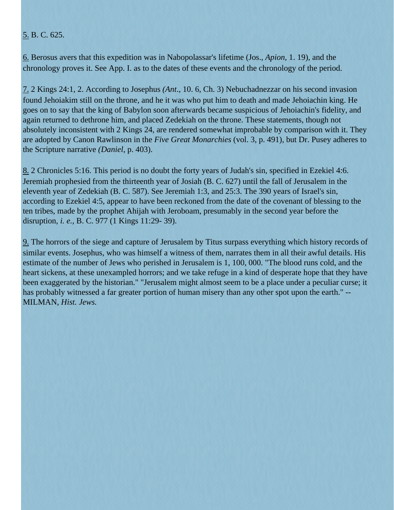#### <span id="page-35-0"></span>[5.](#page-32-5) B. C. 625.

<span id="page-35-1"></span>[6.](#page-33-0) Berosus avers that this expedition was in Nabopolassar's lifetime (Jos., *Apion*, 1. 19), and the chronology proves it. See App. I. as to the dates of these events and the chronology of the period.

<span id="page-35-2"></span>[7.](#page-33-1) 2 Kings 24:1, 2. According to Josephus *(Ant*., 10. 6, Ch. 3) Nebuchadnezzar on his second invasion found Jehoiakim still on the throne, and he it was who put him to death and made Jehoiachin king. He goes on to say that the king of Babylon soon afterwards became suspicious of Jehoiachin's fidelity, and again returned to dethrone him, and placed Zedekiah on the throne. These statements, though not absolutely inconsistent with 2 Kings 24, are rendered somewhat improbable by comparison with it. They are adopted by Canon Rawlinson in the *Five Great Monarchies* (vol. 3, p. 491), but Dr. Pusey adheres to the Scripture narrative *(Daniel*, p. 403).

<span id="page-35-3"></span>[8.](#page-34-4) 2 Chronicles 5:16. This period is no doubt the forty years of Judah's sin, specified in Ezekiel 4:6. Jeremiah prophesied from the thirteenth year of Josiah (B. C. 627) until the fall of Jerusalem in the eleventh year of Zedekiah (B. C. 587). See Jeremiah 1:3, and 25:3. The 390 years of Israel's sin, according to Ezekiel 4:5, appear to have been reckoned from the date of the covenant of blessing to the ten tribes, made by the prophet Ahijah with Jeroboam, presumably in the second year before the disruption, *i. e.,* B. C. 977 (1 Kings 11:29- 39).

<span id="page-35-4"></span>[9.](#page-34-5) The horrors of the siege and capture of Jerusalem by Titus surpass everything which history records of similar events. Josephus, who was himself a witness of them, narrates them in all their awful details. His estimate of the number of Jews who perished in Jerusalem is 1, 100, 000. "The blood runs cold, and the heart sickens, at these unexampled horrors; and we take refuge in a kind of desperate hope that they have been exaggerated by the historian." "Jerusalem might almost seem to be a place under a peculiar curse; it has probably witnessed a far greater portion of human misery than any other spot upon the earth." -- MILMAN, *Hist. Jews.*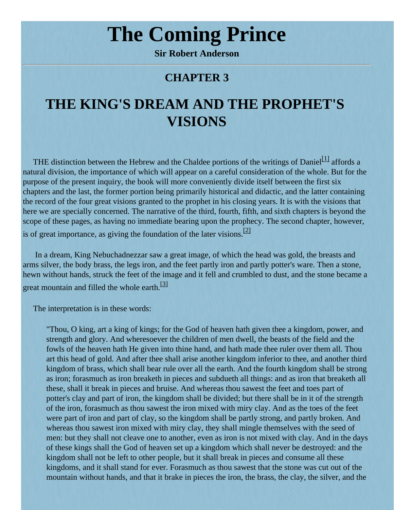## **The Coming Prince**

**Sir Robert Anderson**

#### **CHAPTER 3**

## **THE KING'S DREAM AND THE PROPHET'S VISIONS**

<span id="page-36-0"></span>THE distinction between the Hebrew and the Chaldee portions of the writings of Daniel<sup>[1]</sup> affords a natural division, the importance of which will appear on a careful consideration of the whole. But for the purpose of the present inquiry, the book will more conveniently divide itself between the first six chapters and the last, the former portion being primarily historical and didactic, and the latter containing the record of the four great visions granted to the prophet in his closing years. It is with the visions that here we are specially concerned. The narrative of the third, fourth, fifth, and sixth chapters is beyond the scope of these pages, as having no immediate bearing upon the prophecy. The second chapter, however, is of great importance, as giving the foundation of the later visions.[\[2\]](#page-39-1)

<span id="page-36-1"></span> In a dream, King Nebuchadnezzar saw a great image, of which the head was gold, the breasts and arms silver, the body brass, the legs iron, and the feet partly iron and partly potter's ware. Then a stone, hewn without hands, struck the feet of the image and it fell and crumbled to dust, and the stone became a great mountain and filled the whole earth.<sup>[\[3\]](#page-39-2)</sup>

<span id="page-36-2"></span>The interpretation is in these words:

"Thou, O king, art a king of kings; for the God of heaven hath given thee a kingdom, power, and strength and glory. And wheresoever the children of men dwell, the beasts of the field and the fowls of the heaven hath He given into thine hand, and hath made thee ruler over them all. Thou art this head of gold. And after thee shall arise another kingdom inferior to thee, and another third kingdom of brass, which shall bear rule over all the earth. And the fourth kingdom shall be strong as iron; forasmuch as iron breaketh in pieces and subdueth all things: and as iron that breaketh all these, shall it break in pieces and bruise. And whereas thou sawest the feet and toes part of potter's clay and part of iron, the kingdom shall be divided; but there shall be in it of the strength of the iron, forasmuch as thou sawest the iron mixed with miry clay. And as the toes of the feet were part of iron and part of clay, so the kingdom shall be partly strong, and partly broken. And whereas thou sawest iron mixed with miry clay, they shall mingle themselves with the seed of men: but they shall not cleave one to another, even as iron is not mixed with clay. And in the days of these kings shall the God of heaven set up a kingdom which shall never be destroyed: and the kingdom shall not be left to other people, but it shall break in pieces and consume all these kingdoms, and it shall stand for ever. Forasmuch as thou sawest that the stone was cut out of the mountain without hands, and that it brake in pieces the iron, the brass, the clay, the silver, and the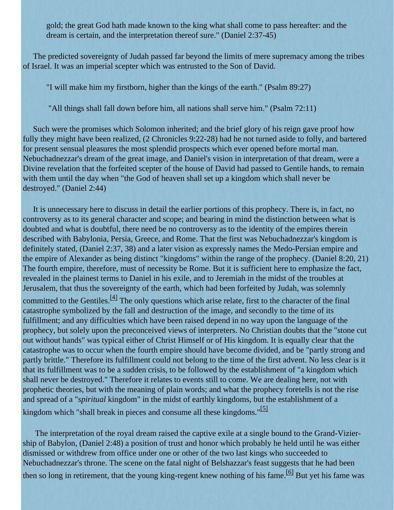gold; the great God hath made known to the king what shall come to pass hereafter: and the dream is certain, and the interpretation thereof sure." (Daniel 2:37-45)

 The predicted sovereignty of Judah passed far beyond the limits of mere supremacy among the tribes of Israel. It was an imperial scepter which was entrusted to the Son of David.

"I will make him my firstborn, higher than the kings of the earth." (Psalm 89:27)

"All things shall fall down before him, all nations shall serve him." (Psalm 72:11)

 Such were the promises which Solomon inherited; and the brief glory of his reign gave proof how fully they might have been realized, (2 Chronicles 9:22-28) had he not turned aside to folly, and bartered for present sensual pleasures the most splendid prospects which ever opened before mortal man. Nebuchadnezzar's dream of the great image, and Daniel's vision in interpretation of that dream, were a Divine revelation that the forfeited scepter of the house of David had passed to Gentile hands, to remain with them until the day when "the God of heaven shall set up a kingdom which shall never be destroyed." (Daniel 2:44)

<span id="page-37-0"></span> It is unnecessary here to discuss in detail the earlier portions of this prophecy. There is, in fact, no controversy as to its general character and scope; and bearing in mind the distinction between what is doubted and what is doubtful, there need be no controversy as to the identity of the empires therein described with Babylonia, Persia, Greece, and Rome. That the first was Nebuchadnezzar's kingdom is definitely stated, (Daniel 2:37, 38) and a later vision as expressly names the Medo-Persian empire and the empire of Alexander as being distinct "kingdoms" within the range of the prophecy. (Daniel 8:20, 21) The fourth empire, therefore, must of necessity be Rome. But it is sufficient here to emphasize the fact, revealed in the plainest terms to Daniel in his exile, and to Jeremiah in the midst of the troubles at Jerusalem, that thus the sovereignty of the earth, which had been forfeited by Judah, was solemnly committed to the Gentiles.<sup>[4]</sup> The only questions which arise relate, first to the character of the final catastrophe symbolized by the fall and destruction of the image, and secondly to the time of its fulfillment; and any difficulties which have been raised depend in no way upon the language of the prophecy, but solely upon the preconceived views of interpreters. No Christian doubts that the "stone cut out without hands" was typical either of Christ Himself or of His kingdom. It is equally clear that the catastrophe was to occur when the fourth empire should have become divided, and be "partly strong and partly brittle." Therefore its fulfillment could not belong to the time of the first advent. No less clear is it that its fulfillment was to be a sudden crisis, to be followed by the establishment of "a kingdom which shall never be destroyed." Therefore it relates to events still to come. We are dealing here, not with prophetic theories, but with the meaning of plain words; and what the prophecy foretells is not the rise and spread of a "*spiritual* kingdom" in the midst of earthly kingdoms, but the establishment of a kingdom which "shall break in pieces and consume all these kingdoms."<sup>[\[5\]](#page-40-0)</sup>

<span id="page-37-2"></span><span id="page-37-1"></span> The interpretation of the royal dream raised the captive exile at a single bound to the Grand-Viziership of Babylon, (Daniel 2:48) a position of trust and honor which probably he held until he was either dismissed or withdrew from office under one or other of the two last kings who succeeded to Nebuchadnezzar's throne. The scene on the fatal night of Belshazzar's feast suggests that he had been then so long in retirement, that the young king-regent knew nothing of his fame.<sup>[\[6\]](#page-40-1)</sup> But yet his fame was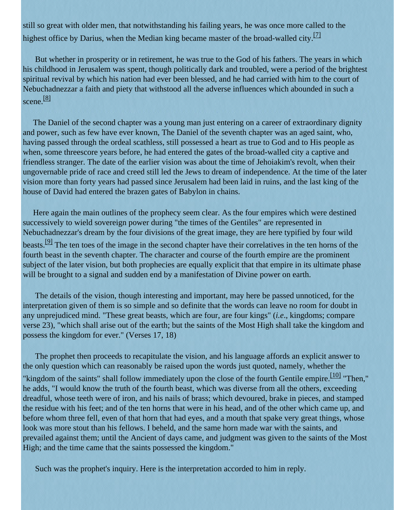still so great with older men, that notwithstanding his failing years, he was once more called to the highest office by Darius, when the Median king became master of the broad-walled city.<sup>[\[7\]](#page-40-2)</sup>

<span id="page-38-0"></span> But whether in prosperity or in retirement, he was true to the God of his fathers. The years in which his childhood in Jerusalem was spent, though politically dark and troubled, were a period of the brightest spiritual revival by which his nation had ever been blessed, and he had carried with him to the court of Nebuchadnezzar a faith and piety that withstood all the adverse influences which abounded in such a scene.<sup>[\[8\]](#page-40-3)</sup>

<span id="page-38-1"></span> The Daniel of the second chapter was a young man just entering on a career of extraordinary dignity and power, such as few have ever known, The Daniel of the seventh chapter was an aged saint, who, having passed through the ordeal scathless, still possessed a heart as true to God and to His people as when, some threescore years before, he had entered the gates of the broad-walled city a captive and friendless stranger. The date of the earlier vision was about the time of Jehoiakim's revolt, when their ungovernable pride of race and creed still led the Jews to dream of independence. At the time of the later vision more than forty years had passed since Jerusalem had been laid in ruins, and the last king of the house of David had entered the brazen gates of Babylon in chains.

<span id="page-38-2"></span> Here again the main outlines of the prophecy seem clear. As the four empires which were destined successively to wield sovereign power during "the times of the Gentiles" are represented in Nebuchadnezzar's dream by the four divisions of the great image, they are here typified by four wild beasts.<sup>[9]</sup> The ten toes of the image in the second chapter have their correlatives in the ten horns of the fourth beast in the seventh chapter. The character and course of the fourth empire are the prominent subject of the later vision, but both prophecies are equally explicit that that empire in its ultimate phase will be brought to a signal and sudden end by a manifestation of Divine power on earth.

 The details of the vision, though interesting and important, may here be passed unnoticed, for the interpretation given of them is so simple and so definite that the words can leave no room for doubt in any unprejudiced mind. "These great beasts, which are four, are four kings" (*i.e*., kingdoms; compare verse 23), "which shall arise out of the earth; but the saints of the Most High shall take the kingdom and possess the kingdom for ever." (Verses 17, 18)

 The prophet then proceeds to recapitulate the vision, and his language affords an explicit answer to the only question which can reasonably be raised upon the words just quoted, namely, whether the

<span id="page-38-3"></span>"kingdom of the saints" shall follow immediately upon the close of the fourth Gentile empire.<sup>[\[10\]](#page-41-0)</sup> "Then," he adds, "I would know the truth of the fourth beast, which was diverse from all the others, exceeding dreadful, whose teeth were of iron, and his nails of brass; which devoured, brake in pieces, and stamped the residue with his feet; and of the ten horns that were in his head, and of the other which came up, and before whom three fell, even of that horn that had eyes, and a mouth that spake very great things, whose look was more stout than his fellows. I beheld, and the same horn made war with the saints, and prevailed against them; until the Ancient of days came, and judgment was given to the saints of the Most High; and the time came that the saints possessed the kingdom."

Such was the prophet's inquiry. Here is the interpretation accorded to him in reply.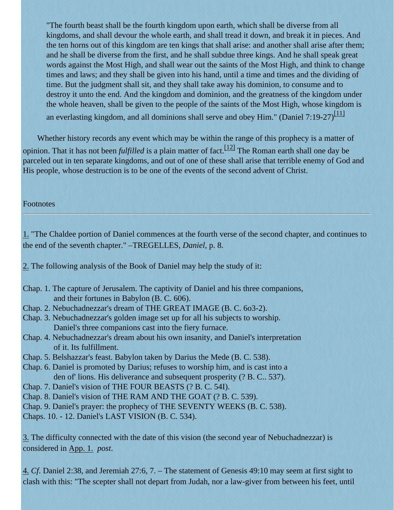"The fourth beast shall be the fourth kingdom upon earth, which shall be diverse from all kingdoms, and shall devour the whole earth, and shall tread it down, and break it in pieces. And the ten horns out of this kingdom are ten kings that shall arise: and another shall arise after them; and he shall be diverse from the first, and he shall subdue three kings. And he shall speak great words against the Most High, and shall wear out the saints of the Most High, and think to change times and laws; and they shall be given into his hand, until a time and times and the dividing of time. But the judgment shall sit, and they shall take away his dominion, to consume and to destroy it unto the end. And the kingdom and dominion, and the greatness of the kingdom under the whole heaven, shall be given to the people of the saints of the Most High, whose kingdom is an everlasting kingdom, and all dominions shall serve and obey Him." (Daniel 7:19-27)<sup>[11]</sup>

<span id="page-39-5"></span><span id="page-39-4"></span> Whether history records any event which may be within the range of this prophecy is a matter of opinion. That it has not been *fulfilled* is a plain matter of fact.<sup>[12]</sup> The Roman earth shall one day be parceled out in ten separate kingdoms, and out of one of these shall arise that terrible enemy of God and His people, whose destruction is to be one of the events of the second advent of Christ.

Footnotes

<span id="page-39-0"></span>[1.](#page-36-0) "The Chaldee portion of Daniel commences at the fourth verse of the second chapter, and continues to the end of the seventh chapter." –TREGELLES, *Daniel*, p. 8.

<span id="page-39-1"></span>[2.](#page-36-1) The following analysis of the Book of Daniel may help the study of it:

- Chap. 1. The capture of Jerusalem. The captivity of Daniel and his three companions, and their fortunes in Babylon (B. C. 606).
- Chap. 2. Nebuchadnezzar's dream of THE GREAT IMAGE (B. C. 6o3-2).
- Chap. 3. Nebuchadnezzar's golden image set up for all his subjects to worship. Daniel's three companions cast into the fiery furnace.
- Chap. 4. Nebuchadnezzar's dream about his own insanity, and Daniel's interpretation of it. Its fulfillment.
- Chap. 5. Belshazzar's feast. Babylon taken by Darius the Mede (B. C. 538).
- Chap. 6. Daniel is promoted by Darius; refuses to worship him, and is cast into a den of' lions. His deliverance and subsequent prosperity (? B. C.. 537).
- Chap. 7. Daniel's vision of THE FOUR BEASTS (? B. C. 54I).
- Chap. 8. Daniel's vision of THE RAM AND THE GOAT (? B. C. 539).
- Chap. 9. Daniel's prayer: the prophecy of THE SEVENTY WEEKS (B. C. 538).
- Chaps. 10. 12. Daniel's LAST VISION (B. C. 534).

<span id="page-39-2"></span>[3.](#page-36-2) The difficulty connected with the date of this vision (the second year of Nebuchadnezzar) is considered in [App. 1.](file:///H|/MyStuff/Ebooks%20to%20do/Sir%20Robert%20Anderson/The%20Coming%20Prince/appen01.htm) *post*.

<span id="page-39-3"></span>[4.](#page-37-0) *Cf*. Daniel 2:38, and Jeremiah 27:6, 7. – The statement of Genesis 49:10 may seem at first sight to clash with this: "The scepter shall not depart from Judah, nor a law-giver from between his feet, until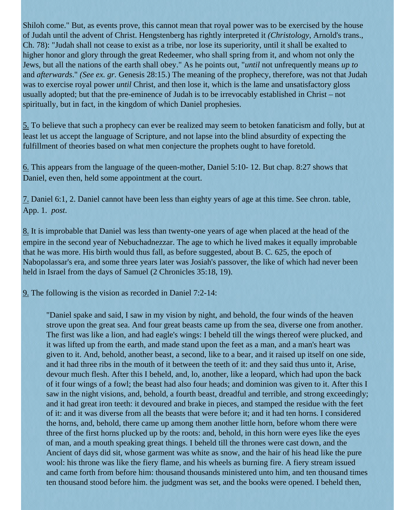Shiloh come." But, as events prove, this cannot mean that royal power was to be exercised by the house of Judah until the advent of Christ. Hengstenberg has rightly interpreted it *(Christology*, Arnold's trans., Ch. 78): "Judah shall not cease to exist as a tribe, nor lose its superiority, until it shall be exalted to higher honor and glory through the great Redeemer, who shall spring from it, and whom not only the Jews, but all the nations of the earth shall obey." As he points out, "*until* not unfrequently means *up to*  and *afterwards*." *(See ex. gr.* Genesis 28:15.) The meaning of the prophecy, therefore, was not that Judah was to exercise royal power *until* Christ, and then lose it, which is the lame and unsatisfactory gloss usually adopted; but that the pre-eminence of Judah is to be irrevocably established in Christ – not spiritually, but in fact, in the kingdom of which Daniel prophesies.

<span id="page-40-0"></span>[5.](#page-37-1) To believe that such a prophecy can ever be realized may seem to betoken fanaticism and folly, but at least let us accept the language of Scripture, and not lapse into the blind absurdity of expecting the fulfillment of theories based on what men conjecture the prophets ought to have foretold.

<span id="page-40-1"></span>[6.](#page-37-2) This appears from the language of the queen-mother, Daniel 5:10- 12. But chap. 8:27 shows that Daniel, even then, held some appointment at the court.

<span id="page-40-2"></span>[7.](#page-38-0) Daniel 6:1, 2. Daniel cannot have been less than eighty years of age at this time. See chron. table, App. 1. *post*.

<span id="page-40-3"></span>[8.](#page-38-1) It is improbable that Daniel was less than twenty-one years of age when placed at the head of the empire in the second year of Nebuchadnezzar. The age to which he lived makes it equally improbable that he was more. His birth would thus fall, as before suggested, about B. C. 625, the epoch of Nabopolassar's era, and some three years later was Josiah's passover, the like of which had never been held in Israel from the days of Samuel (2 Chronicles 35:18, 19).

<span id="page-40-4"></span>[9.](#page-38-2) The following is the vision as recorded in Daniel 7:2-14:

"Daniel spake and said, I saw in my vision by night, and behold, the four winds of the heaven strove upon the great sea. And four great beasts came up from the sea, diverse one from another. The first was like a lion, and had eagle's wings: I beheld till the wings thereof were plucked, and it was lifted up from the earth, and made stand upon the feet as a man, and a man's heart was given to it. And, behold, another beast, a second, like to a bear, and it raised up itself on one side, and it had three ribs in the mouth of it between the teeth of it: and they said thus unto it, Arise, devour much flesh. After this I beheld, and, lo, another, like a leopard, which had upon the back of it four wings of a fowl; the beast had also four heads; and dominion was given to it. After this I saw in the night visions, and, behold, a fourth beast, dreadful and terrible, and strong exceedingly; and it had great iron teeth: it devoured and brake in pieces, and stamped the residue with the feet of it: and it was diverse from all the beasts that were before it; and it had ten horns. I considered the horns, and, behold, there came up among them another little horn, before whom there were three of the first horns plucked up by the roots: and, behold, in this horn were eyes like the eyes of man, and a mouth speaking great things. I beheld till the thrones were cast down, and the Ancient of days did sit, whose garment was white as snow, and the hair of his head like the pure wool: his throne was like the fiery flame, and his wheels as burning fire. A fiery stream issued and came forth from before him: thousand thousands ministered unto him, and ten thousand times ten thousand stood before him. the judgment was set, and the books were opened. I beheld then,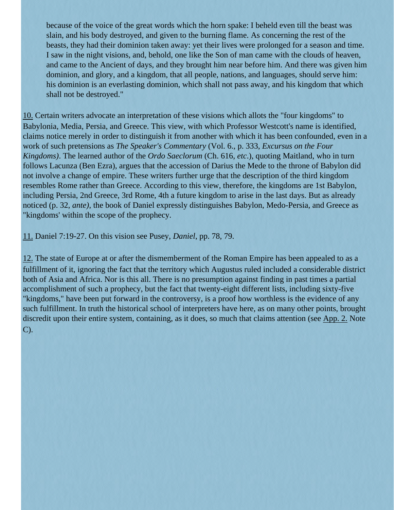because of the voice of the great words which the horn spake: I beheld even till the beast was slain, and his body destroyed, and given to the burning flame. As concerning the rest of the beasts, they had their dominion taken away: yet their lives were prolonged for a season and time. I saw in the night visions, and, behold, one like the Son of man came with the clouds of heaven, and came to the Ancient of days, and they brought him near before him. And there was given him dominion, and glory, and a kingdom, that all people, nations, and languages, should serve him: his dominion is an everlasting dominion, which shall not pass away, and his kingdom that which shall not be destroyed."

<span id="page-41-0"></span>[10.](#page-38-3) Certain writers advocate an interpretation of these visions which allots the "four kingdoms" to Babylonia, Media, Persia, and Greece. This view, with which Professor Westcott's name is identified, claims notice merely in order to distinguish it from another with which it has been confounded, even in a work of such pretensions as *The Speaker's Commentary* (Vol. 6., p. 333, *Excursus on the Four Kingdoms)*. The learned author of the *Ordo Saeclorum* (Ch. 616, *etc*.), quoting Maitland, who in turn follows Lacunza (Ben Ezra), argues that the accession of Darius the Mede to the throne of Babylon did not involve a change of empire. These writers further urge that the description of the third kingdom resembles Rome rather than Greece. According to this view, therefore, the kingdoms are 1st Babylon, including Persia, 2nd Greece, 3rd Rome, 4th a future kingdom to arise in the last days. But as already noticed (p. 32, *ante)*, the book of Daniel expressly distinguishes Babylon, Medo-Persia, and Greece as "kingdoms' within the scope of the prophecy.

<span id="page-41-1"></span>[11.](#page-39-4) Daniel 7:19-27. On this vision see Pusey, *Daniel*, pp. 78, 79.

<span id="page-41-2"></span>[12.](#page-39-5) The state of Europe at or after the dismemberment of the Roman Empire has been appealed to as a fulfillment of it, ignoring the fact that the territory which Augustus ruled included a considerable district both of Asia and Africa. Nor is this all. There is no presumption against finding in past times a partial accomplishment of such a prophecy, but the fact that twenty-eight different lists, including sixty-five "kingdoms," have been put forward in the controversy, is a proof how worthless is the evidence of any such fulfillment. In truth the historical school of interpreters have here, as on many other points, brought discredit upon their entire system, containing, as it does, so much that claims attention (see [App. 2.](file:///H|/MyStuff/Ebooks%20to%20do/Sir%20Robert%20Anderson/The%20Coming%20Prince/appen02.htm) Note C).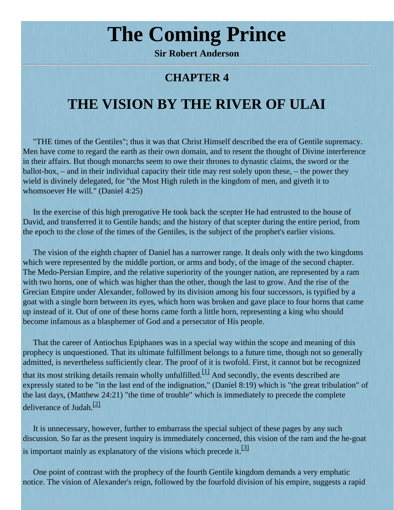# **The Coming Prince**

**Sir Robert Anderson**

### **CHAPTER 4**

## **THE VISION BY THE RIVER OF ULAI**

 "THE times of the Gentiles"; thus it was that Christ Himself described the era of Gentile supremacy. Men have come to regard the earth as their own domain, and to resent the thought of Divine interference in their affairs. But though monarchs seem to owe their thrones to dynastic claims, the sword or the ballot-box, – and in their individual capacity their title may rest solely upon these, – the power they wield is divinely delegated, for "the Most High ruleth in the kingdom of men, and giveth it to whomsoever He will." (Daniel 4:25)

 In the exercise of this high prerogative He took back the scepter He had entrusted to the house of David, and transferred it to Gentile hands; and the history of that scepter during the entire period, from the epoch to the close of the times of the Gentiles, is the subject of the prophet's earlier visions.

 The vision of the eighth chapter of Daniel has a narrower range. It deals only with the two kingdoms which were represented by the middle portion, or arms and body, of the image of the second chapter. The Medo-Persian Empire, and the relative superiority of the younger nation, are represented by a ram with two horns, one of which was higher than the other, though the last to grow. And the rise of the Grecian Empire under Alexander, followed by its division among his four successors, is typified by a goat with a single horn between its eyes, which horn was broken and gave place to four horns that came up instead of it. Out of one of these horns came forth a little horn, representing a king who should become infamous as a blasphemer of God and a persecutor of His people.

<span id="page-42-0"></span> That the career of Antiochus Epiphanes was in a special way within the scope and meaning of this prophecy is unquestioned. That its ultimate fulfillment belongs to a future time, though not so generally admitted, is nevertheless sufficiently clear. The proof of it is twofold. First, it cannot but be recognized that its most striking details remain wholly unfulfilled.<sup>[1]</sup> And secondly, the events described are expressly stated to be "in the last end of the indignation," (Daniel 8:19) which is "the great tribulation" of the last days, (Matthew 24:21) "the time of trouble" which is immediately to precede the complete deliverance of Judah. $^{[2]}$  $^{[2]}$  $^{[2]}$ 

<span id="page-42-1"></span> It is unnecessary, however, further to embarrass the special subject of these pages by any such discussion. So far as the present inquiry is immediately concerned, this vision of the ram and the he-goat is important mainly as explanatory of the visions which precede it.  $\left[3\right]$ 

<span id="page-42-2"></span> One point of contrast with the prophecy of the fourth Gentile kingdom demands a very emphatic notice. The vision of Alexander's reign, followed by the fourfold division of his empire, suggests a rapid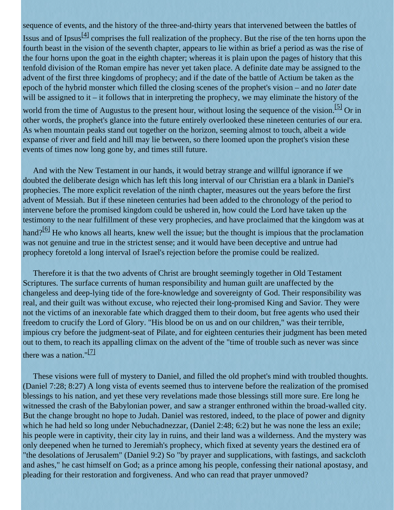sequence of events, and the history of the three-and-thirty years that intervened between the battles of

<span id="page-43-0"></span>Issus and of Ipsus<sup>[\[4\]](#page-45-0)</sup> comprises the full realization of the prophecy. But the rise of the ten horns upon the fourth beast in the vision of the seventh chapter, appears to lie within as brief a period as was the rise of the four horns upon the goat in the eighth chapter; whereas it is plain upon the pages of history that this tenfold division of the Roman empire has never yet taken place. A definite date may be assigned to the advent of the first three kingdoms of prophecy; and if the date of the battle of Actium be taken as the epoch of the hybrid monster which filled the closing scenes of the prophet's vision – and no *later* date will be assigned to it – it follows that in interpreting the prophecy, we may eliminate the history of the world from the time of Augustus to the present hour, without losing the sequence of the vision.<sup>[5]</sup> Or in other words, the prophet's glance into the future entirely overlooked these nineteen centuries of our era. As when mountain peaks stand out together on the horizon, seeming almost to touch, albeit a wide expanse of river and field and hill may lie between, so there loomed upon the prophet's vision these events of times now long gone by, and times still future.

<span id="page-43-1"></span> And with the New Testament in our hands, it would betray strange and willful ignorance if we doubted the deliberate design which has left this long interval of our Christian era a blank in Daniel's prophecies. The more explicit revelation of the ninth chapter, measures out the years before the first advent of Messiah. But if these nineteen centuries had been added to the chronology of the period to intervene before the promised kingdom could be ushered in, how could the Lord have taken up the testimony to the near fulfillment of these very prophecies, and have proclaimed that the kingdom was at hand?<sup>[6]</sup> He who knows all hearts, knew well the issue; but the thought is impious that the proclamation was not genuine and true in the strictest sense; and it would have been deceptive and untrue had prophecy foretold a long interval of Israel's rejection before the promise could be realized.

<span id="page-43-2"></span> Therefore it is that the two advents of Christ are brought seemingly together in Old Testament Scriptures. The surface currents of human responsibility and human guilt are unaffected by the changeless and deep-lying tide of the fore-knowledge and sovereignty of God. Their responsibility was real, and their guilt was without excuse, who rejected their long-promised King and Savior. They were not the victims of an inexorable fate which dragged them to their doom, but free agents who used their freedom to crucify the Lord of Glory. "His blood be on us and on our children," was their terrible, impious cry before the judgment-seat of Pilate, and for eighteen centuries their judgment has been meted out to them, to reach its appalling climax on the advent of the "time of trouble such as never was since there was a nation."<sup>[\[7\]](#page-45-3)</sup>

<span id="page-43-3"></span> These visions were full of mystery to Daniel, and filled the old prophet's mind with troubled thoughts. (Daniel 7:28; 8:27) A long vista of events seemed thus to intervene before the realization of the promised blessings to his nation, and yet these very revelations made those blessings still more sure. Ere long he witnessed the crash of the Babylonian power, and saw a stranger enthroned within the broad-walled city. But the change brought no hope to Judah. Daniel was restored, indeed, to the place of power and dignity which he had held so long under Nebuchadnezzar, (Daniel 2:48; 6:2) but he was none the less an exile; his people were in captivity, their city lay in ruins, and their land was a wilderness. And the mystery was only deepened when he turned to Jeremiah's prophecy, which fixed at seventy years the destined era of "the desolations of Jerusalem" (Daniel 9:2) So "by prayer and supplications, with fastings, and sackcloth and ashes," he cast himself on God; as a prince among his people, confessing their national apostasy, and pleading for their restoration and forgiveness. And who can read that prayer unmoved?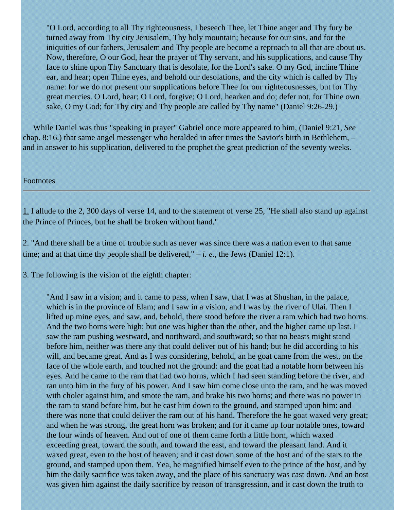"O Lord, according to all Thy righteousness, I beseech Thee, let Thine anger and Thy fury be turned away from Thy city Jerusalem, Thy holy mountain; because for our sins, and for the iniquities of our fathers, Jerusalem and Thy people are become a reproach to all that are about us. Now, therefore, O our God, hear the prayer of Thy servant, and his supplications, and cause Thy face to shine upon Thy Sanctuary that is desolate, for the Lord's sake. O my God, incline Thine ear, and hear; open Thine eyes, and behold our desolations, and the city which is called by Thy name: for we do not present our supplications before Thee for our righteousnesses, but for Thy great mercies. O Lord, hear; O Lord, forgive; O Lord, hearken and do; defer not, for Thine own sake, O my God; for Thy city and Thy people are called by Thy name" (Daniel 9:26-29.)

 While Daniel was thus "speaking in prayer" Gabriel once more appeared to him, (Daniel 9:21, *See*  chap. 8:16.) that same angel messenger who heralded in after times the Savior's birth in Bethlehem, – and in answer to his supplication, delivered to the prophet the great prediction of the seventy weeks.

Footnotes

<span id="page-44-0"></span>[1.](#page-42-0) I allude to the 2, 300 days of verse 14, and to the statement of verse 25, "He shall also stand up against the Prince of Princes, but he shall be broken without hand."

<span id="page-44-1"></span>[2.](#page-42-1) "And there shall be a time of trouble such as never was since there was a nation even to that same time; and at that time thy people shall be delivered,"  $-i$ .  $e$ ., the Jews (Daniel 12:1).

<span id="page-44-2"></span>[3.](#page-42-2) The following is the vision of the eighth chapter:

"And I saw in a vision; and it came to pass, when I saw, that I was at Shushan, in the palace, which is in the province of Elam; and I saw in a vision, and I was by the river of Ulai. Then I lifted up mine eyes, and saw, and, behold, there stood before the river a ram which had two horns. And the two horns were high; but one was higher than the other, and the higher came up last. I saw the ram pushing westward, and northward, and southward; so that no beasts might stand before him, neither was there any that could deliver out of his hand; but he did according to his will, and became great. And as I was considering, behold, an he goat came from the west, on the face of the whole earth, and touched not the ground: and the goat had a notable horn between his eyes. And he came to the ram that had two horns, which I had seen standing before the river, and ran unto him in the fury of his power. And I saw him come close unto the ram, and he was moved with choler against him, and smote the ram, and brake his two horns; and there was no power in the ram to stand before him, but he cast him down to the ground, and stamped upon him: and there was none that could deliver the ram out of his hand. Therefore the he goat waxed very great; and when he was strong, the great horn was broken; and for it came up four notable ones, toward the four winds of heaven. And out of one of them came forth a little horn, which waxed exceeding great, toward the south, and toward the east, and toward the pleasant land. And it waxed great, even to the host of heaven; and it cast down some of the host and of the stars to the ground, and stamped upon them. Yea, he magnified himself even to the prince of the host, and by him the daily sacrifice was taken away, and the place of his sanctuary was cast down. And an host was given him against the daily sacrifice by reason of transgression, and it cast down the truth to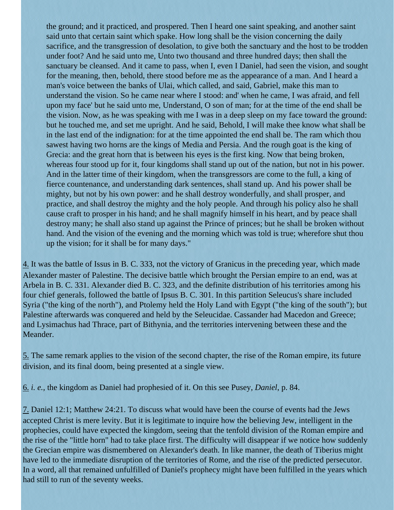the ground; and it practiced, and prospered. Then I heard one saint speaking, and another saint said unto that certain saint which spake. How long shall be the vision concerning the daily sacrifice, and the transgression of desolation, to give both the sanctuary and the host to be trodden under foot? And he said unto me, Unto two thousand and three hundred days; then shall the sanctuary be cleansed. And it came to pass, when I, even I Daniel, had seen the vision, and sought for the meaning, then, behold, there stood before me as the appearance of a man. And I heard a man's voice between the banks of Ulai, which called, and said, Gabriel, make this man to understand the vision. So he came near where I stood: and' when he came, I was afraid, and fell upon my face' but he said unto me, Understand, O son of man; for at the time of the end shall be the vision. Now, as he was speaking with me I was in a deep sleep on my face toward the ground: but he touched me, and set me upright. And he said, Behold, I will make thee know what shall be in the last end of the indignation: for at the time appointed the end shall be. The ram which thou sawest having two horns are the kings of Media and Persia. And the rough goat is the king of Grecia: and the great horn that is between his eyes is the first king. Now that being broken, whereas four stood up for it, four kingdoms shall stand up out of the nation, but not in his power. And in the latter time of their kingdom, when the transgressors are come to the full, a king of fierce countenance, and understanding dark sentences, shall stand up. And his power shall be mighty, but not by his own power: and he shall destroy wonderfully, and shall prosper, and practice, and shall destroy the mighty and the holy people. And through his policy also he shall cause craft to prosper in his hand; and he shall magnify himself in his heart, and by peace shall destroy many; he shall also stand up against the Prince of princes; but he shall be broken without hand. And the vision of the evening and the morning which was told is true; wherefore shut thou up the vision; for it shall be for many days."

<span id="page-45-0"></span>[4.](#page-43-0) It was the battle of Issus in B. C. 333, not the victory of Granicus in the preceding year, which made Alexander master of Palestine. The decisive battle which brought the Persian empire to an end, was at Arbela in B. C. 331. Alexander died B. C. 323, and the definite distribution of his territories among his four chief generals, followed the battle of Ipsus B. C. 301. In this partition Seleucus's share included Syria ("the king of the north"), and Ptolemy held the Holy Land with Egypt ("the king of the south"); but Palestine afterwards was conquered and held by the Seleucidae. Cassander had Macedon and Greece; and Lysimachus had Thrace, part of Bithynia, and the territories intervening between these and the Meander.

<span id="page-45-1"></span>[5.](#page-43-1) The same remark applies to the vision of the second chapter, the rise of the Roman empire, its future division, and its final doom, being presented at a single view.

<span id="page-45-2"></span>[6.](#page-43-2) *i. e.,* the kingdom as Daniel had prophesied of it. On this see Pusey, *Daniel*, p. 84.

<span id="page-45-3"></span>[7.](#page-43-3) Daniel 12:1; Matthew 24:21. To discuss what would have been the course of events had the Jews accepted Christ is mere levity. But it is legitimate to inquire how the believing Jew, intelligent in the prophecies, could have expected the kingdom, seeing that the tenfold division of the Roman empire and the rise of the "little horn" had to take place first. The difficulty will disappear if we notice how suddenly the Grecian empire was dismembered on Alexander's death. In like manner, the death of Tiberius might have led to the immediate disruption of the territories of Rome, and the rise of the predicted persecutor. In a word, all that remained unfulfilled of Daniel's prophecy might have been fulfilled in the years which had still to run of the seventy weeks.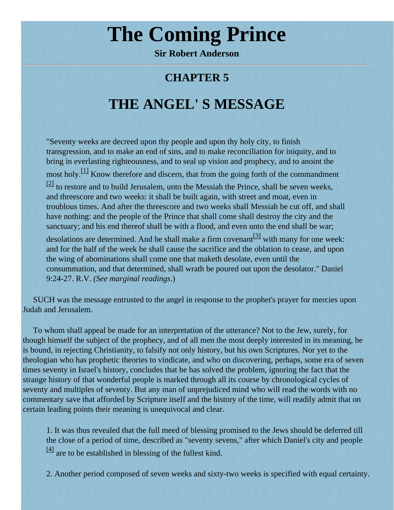# **The Coming Prince**

**Sir Robert Anderson**

### **CHAPTER 5**

### **THE ANGEL' S MESSAGE**

"Seventy weeks are decreed upon thy people and upon thy holy city, to finish transgression, and to make an end of sins, and to make reconciliation for iniquity, and to bring in everlasting righteousness, and to seal up vision and prophecy, and to anoint the most holy.[\[1\]](#page-51-0) Know therefore and discern, that from the going forth of the commandment  $^{[2]}$  to restore and to build Jerusalem, unto the Messiah the Prince, shall be seven weeks, and threescore and two weeks: it shall be built again, with street and moat, even in troublous times. And after the threescore and two weeks shall Messiah be cut off, and shall have nothing: and the people of the Prince that shall come shall destroy the city and the sanctuary; and his end thereof shall be with a flood, and even unto the end shall be war; desolations are determined. And he shall make a firm covenant<sup>[\[3\]](#page-51-2)</sup> with many for one week:

and for the half of the week he shall cause the sacrifice and the oblation to cease, and upon the wing of abominations shall come one that maketh desolate, even until the consummation, and that determined, shall wrath be poured out upon the desolator." Daniel 9:24-27. R.V. *(See marginal readings*.)

 SUCH was the message entrusted to the angel in response to the prophet's prayer for mercies upon Judah and Jerusalem.

 To whom shall appeal be made for an interpretation of the utterance? Not to the Jew, surely, for though himself the subject of the prophecy, and of all men the most deeply interested in its meaning, he is bound, in rejecting Christianity, to falsify not only history, but his own Scriptures. Nor yet to the theologian who has prophetic theories to vindicate, and who on discovering, perhaps, some era of seven times seventy in Israel's history, concludes that he has solved the problem, ignoring the fact that the strange history of that wonderful people is marked through all its course by chronological cycles of seventy and multiples of seventy. But any man of unprejudiced mind who will read the words with no commentary save that afforded by Scripture itself and the history of the time, will readily admit that on certain leading points their meaning is unequivocal and clear.

1. It was thus revealed that the full meed of blessing promised to the Jews should be deferred till the close of a period of time, described as "seventy sevens," after which Daniel's city and people  $[4]$  are to be established in blessing of the fullest kind.

2. Another period composed of seven weeks and sixty-two weeks is specified with equal certainty.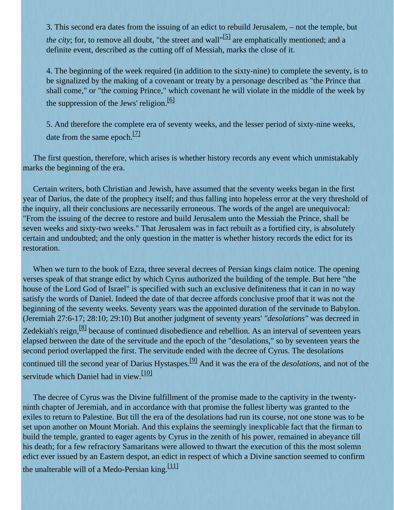3. This second era dates from the issuing of an edict to rebuild Jerusalem, – not the temple, but *the city*; for, to remove all doubt, "the street and wall"<sup>[\[5\]](#page-51-4)</sup> are emphatically mentioned; and a definite event, described as the cutting off of Messiah, marks the close of it.

4. The beginning of the week required (in addition to the sixty-nine) to complete the seventy, is to be signalized by the making of a covenant or treaty by a personage described as "the Prince that shall come," or "the coming Prince," which covenant he will violate in the middle of the week by the suppression of the Jews' religion.<sup>[\[6\]](#page-51-5)</sup>

5. And therefore the complete era of seventy weeks, and the lesser period of sixty-nine weeks, date from the same epoch. $^{[7]}$  $^{[7]}$  $^{[7]}$ 

 The first question, therefore, which arises is whether history records any event which unmistakably marks the beginning of the era.

 Certain writers, both Christian and Jewish, have assumed that the seventy weeks began in the first year of Darius, the date of the prophecy itself; and thus falling into hopeless error at the very threshold of the inquiry, all their conclusions are necessarily erroneous. The words of the angel are unequivocal: "From the issuing of the decree to restore and build Jerusalem unto the Messiah the Prince, shall be seven weeks and sixty-two weeks." That Jerusalem was in fact rebuilt as a fortified city, is absolutely certain and undoubted; and the only question in the matter is whether history records the edict for its restoration.

 When we turn to the book of Ezra, three several decrees of Persian kings claim notice. The opening verses speak of that strange edict by which Cyrus authorized the building of the temple. But here "the house of the Lord God of Israel" is specified with such an exclusive definiteness that it can in no way satisfy the words of Daniel. Indeed the date of that decree affords conclusive proof that it was not the beginning of the seventy weeks. Seventy years was the appointed duration of the servitude to Babylon. (Jeremiah 27:6-17; 28:10; 29:10) But another judgment of seventy years' *"desolations"* was decreed in Zedekiah's reign,<sup>[8]</sup> because of continued disobedience and rebellion. As an interval of seventeen years elapsed between the date of the servitude and the epoch of the "desolations," so by seventeen years the second period overlapped the first. The servitude ended with the decree of Cyrus. The desolations continued till the second year of Darius Hystaspes.[\[9\]](#page-51-8) And it was the era of the *desolations*, and not of the servitude which Daniel had in view.<sup>[\[10\]](#page-52-0)</sup>

<span id="page-48-0"></span> The decree of Cyrus was the Divine fulfillment of the promise made to the captivity in the twentyninth chapter of Jeremiah, and in accordance with that promise the fullest liberty was granted to the exiles to return to Palestine. But till the era of the desolations had run its course, not one stone was to be set upon another on Mount Moriah. And this explains the seemingly inexplicable fact that the firman to build the temple, granted to eager agents by Cyrus in the zenith of his power, remained in abeyance till his death; for a few refractory Samaritans were allowed to thwart the execution of this the most solemn edict ever issued by an Eastern despot, an edict in respect of which a Divine sanction seemed to confirm the unalterable will of a Medo-Persian king.<sup>[\[11\]](#page-52-1)</sup>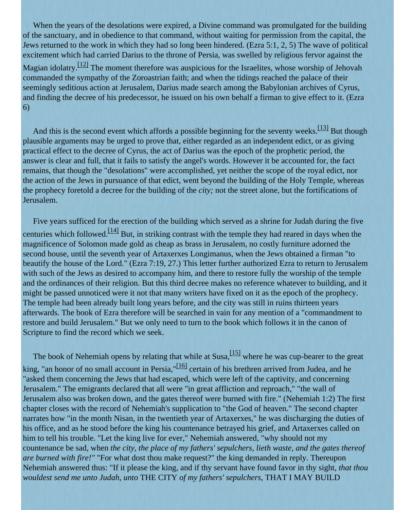When the years of the desolations were expired, a Divine command was promulgated for the building of the sanctuary, and in obedience to that command, without waiting for permission from the capital, the Jews returned to the work in which they had so long been hindered. (Ezra 5:1, 2, 5) The wave of political excitement which had carried Darius to the throne of Persia, was swelled by religious fervor against the Magian idolatry.<sup>[12]</sup> The moment therefore was auspicious for the Israelites, whose worship of Jehovah commanded the sympathy of the Zoroastrian faith; and when the tidings reached the palace of their seemingly seditious action at Jerusalem, Darius made search among the Babylonian archives of Cyrus, and finding the decree of his predecessor, he issued on his own behalf a firman to give effect to it. (Ezra 6)

And this is the second event which affords a possible beginning for the seventy weeks.<sup>[13]</sup> But though plausible arguments may be urged to prove that, either regarded as an independent edict, or as giving practical effect to the decree of Cyrus, the act of Darius was the epoch of the prophetic period, the answer is clear and full, that it fails to satisfy the angel's words. However it be accounted for, the fact remains, that though the "desolations" were accomplished, yet neither the scope of the royal edict, nor the action of the Jews in pursuance of that edict, went beyond the building of the Holy Temple, whereas the prophecy foretold a decree for the building of the *city;* not the street alone, but the fortifications of Jerusalem.

 Five years sufficed for the erection of the building which served as a shrine for Judah during the five centuries which followed.<sup>[14]</sup> But, in striking contrast with the temple they had reared in days when the magnificence of Solomon made gold as cheap as brass in Jerusalem, no costly furniture adorned the second house, until the seventh year of Artaxerxes Longimanus, when the Jews obtained a firman "to beautify the house of the Lord." (Ezra 7:19, 27.) This letter further authorized Ezra to return to Jerusalem with such of the Jews as desired to accompany him, and there to restore fully the worship of the temple and the ordinances of their religion. But this third decree makes no reference whatever to building, and it might be passed unnoticed were it not that many writers have fixed on it as the epoch of the prophecy. The temple had been already built long years before, and the city was still in ruins thirteen years afterwards. The book of Ezra therefore will be searched in vain for any mention of a "commandment to restore and build Jerusalem." But we only need to turn to the book which follows it in the canon of Scripture to find the record which we seek.

The book of Nehemiah opens by relating that while at  $Susa$ ,  $[15]$  where he was cup-bearer to the great king, "an honor of no small account in Persia,"<sup>[16]</sup> certain of his brethren arrived from Judea, and he "asked them concerning the Jews that had escaped, which were left of the captivity, and concerning Jerusalem." The emigrants declared that all were "in great affliction and reproach," "the wall of Jerusalem also was broken down, and the gates thereof were burned with fire." (Nehemiah 1:2) The first chapter closes with the record of Nehemiah's supplication to "the God of heaven." The second chapter narrates how "in the month Nisan, in the twentieth year of Artaxerxes," he was discharging the duties of his office, and as he stood before the king his countenance betrayed his grief, and Artaxerxes called on him to tell his trouble. "Let the king live for ever," Nehemiah answered, "why should not my countenance be sad, when *the city, the place of my fathers' sepulchers, lieth waste, and the gates thereof are burned with fire!"* "For what dost thou make request?" the king demanded in reply. Thereupon Nehemiah answered thus: "If it please the king, and if thy servant have found favor in thy sight, *that thou wouldest send me unto Judah*, *unto* THE CITY *of my fathers' sepulchers*, THAT I MAY BUILD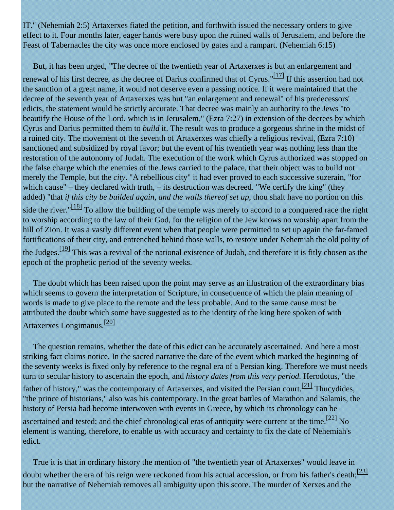IT." (Nehemiah 2:5) Artaxerxes fiated the petition, and forthwith issued the necessary orders to give effect to it. Four months later, eager hands were busy upon the ruined walls of Jerusalem, and before the Feast of Tabernacles the city was once more enclosed by gates and a rampart. (Nehemiah 6:15)

 But, it has been urged, "The decree of the twentieth year of Artaxerxes is but an enlargement and renewal of his first decree, as the decree of Darius confirmed that of Cyrus."<sup>[17]</sup> If this assertion had not the sanction of a great name, it would not deserve even a passing notice. If it were maintained that the decree of the seventh year of Artaxerxes was but "an enlargement and renewal" of his predecessors' edicts, the statement would be strictly accurate. That decree was mainly an authority to the Jews "to beautify the House of the Lord. which is in Jerusalem," (Ezra 7:27) in extension of the decrees by which Cyrus and Darius permitted them to *build* it. The result was to produce a gorgeous shrine in the midst of a ruined city. The movement of the seventh of Artaxerxes was chiefly a religious revival, (Ezra 7:10) sanctioned and subsidized by royal favor; but the event of his twentieth year was nothing less than the restoration of the autonomy of Judah. The execution of the work which Cyrus authorized was stopped on the false charge which the enemies of the Jews carried to the palace, that their object was to build not merely the Temple, but the *city*. "A rebellious city" it had ever proved to each successive suzerain, "for which cause" – they declared with truth, – its destruction was decreed. "We certify the king" (they added) "that *if this city be builded again*, *and the walls thereof set up*, thou shalt have no portion on this side the river."<sup>[\[18\]](#page-53-0)</sup> To allow the building of the temple was merely to accord to a conquered race the right to worship according to the law of their God, for the religion of the Jew knows no worship apart from the hill of Zion. It was a vastly different event when that people were permitted to set up again the far-famed fortifications of their city, and entrenched behind those walls, to restore under Nehemiah the old polity of the Judges.[\[19\]](#page-53-1) This was a revival of the national existence of Judah, and therefore it is fitly chosen as the epoch of the prophetic period of the seventy weeks.

 The doubt which has been raised upon the point may serve as an illustration of the extraordinary bias which seems to govern the interpretation of Scripture, in consequence of which the plain meaning of words is made to give place to the remote and the less probable. And to the same cause must be attributed the doubt which some have suggested as to the identity of the king here spoken of with Artaxerxes Longimanus.<sup>[\[20\]](#page-53-2)</sup>

 The question remains, whether the date of this edict can be accurately ascertained. And here a most striking fact claims notice. In the sacred narrative the date of the event which marked the beginning of the seventy weeks is fixed only by reference to the regnal era of a Persian king. Therefore we must needs turn to secular history to ascertain the epoch, and *history dates from this very period.* Herodotus, "the father of history," was the contemporary of Artaxerxes, and visited the Persian court.  $\frac{[21]}{]}$  Thucydides, "the prince of historians," also was his contemporary. In the great battles of Marathon and Salamis, the history of Persia had become interwoven with events in Greece, by which its chronology can be ascertained and tested; and the chief chronological eras of antiquity were current at the time.<sup>[22]</sup> No element is wanting, therefore, to enable us with accuracy and certainty to fix the date of Nehemiah's edict.

 True it is that in ordinary history the mention of "the twentieth year of Artaxerxes" would leave in doubt whether the era of his reign were reckoned from his actual accession, or from his father's death;<sup>[\[23\]](#page-53-5)</sup> but the narrative of Nehemiah removes all ambiguity upon this score. The murder of Xerxes and the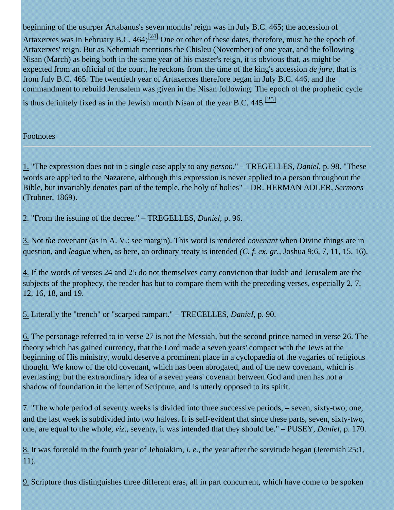beginning of the usurper Artabanus's seven months' reign was in July B.C. 465; the accession of Artaxerxes was in February B.C. 464: $\frac{[24]}{[24]}$  One or other of these dates, therefore, must be the epoch of Artaxerxes' reign. But as Nehemiah mentions the Chisleu (November) of one year, and the following Nisan (March) as being both in the same year of his master's reign, it is obvious that, as might be expected from an official of the court, he reckons from the time of the king's accession *de jure,* that is from July B.C. 465. The twentieth year of Artaxerxes therefore began in July B.C. 446, and the commandment to [rebuild Jerusalem](file:///H|/MyStuff/Ebooks%20to%20do/Sir%20Robert%20Anderson/The%20Coming%20Prince/appen01.htm#Temple Dedication) was given in the Nisan following. The epoch of the prophetic cycle

is thus definitely fixed as in the Jewish month Nisan of the year B.C. 445.<sup>[\[25\]](#page-53-7)</sup>

#### Footnotes

<span id="page-51-0"></span>1. "The expression does not in a single case apply to any *person*." *–* TREGELLES, *Daniel*, p. 98. "These words are applied to the Nazarene, although this expression is never applied to a person throughout the Bible, but invariably denotes part of the temple, the holy of holies" *–* DR. HERMAN ADLER, *Sermons*  (Trubner, 1869).

<span id="page-51-1"></span>2. "From the issuing of the decree." – TREGELLES, *Daniel*, p. 96.

<span id="page-51-2"></span>3. Not *the* covenant (as in A. V.: see margin). This word is rendered *covenant* when Divine things are in question, and *league* when, as here, an ordinary treaty is intended *(C. f. ex. gr.,* Joshua 9:6, 7, 11, 15, 16).

<span id="page-51-3"></span>4. If the words of verses 24 and 25 do not themselves carry conviction that Judah and Jerusalem are the subjects of the prophecy, the reader has but to compare them with the preceding verses, especially 2, 7, 12, 16, 18, and 19.

<span id="page-51-4"></span>5. Literally the "trench" or "scarped rampart." – TRECELLES, *DanieI*, p. 90.

<span id="page-51-5"></span>6. The personage referred to in verse 27 is not the Messiah, but the second prince named in verse 26. The theory which has gained currency, that the Lord made a seven years' compact with the Jews at the beginning of His ministry, would deserve a prominent place in a cyclopaedia of the vagaries of religious thought. We know of the old covenant, which has been abrogated, and of the new covenant, which is everlasting; but the extraordinary idea of a seven years' covenant between God and men has not a shadow of foundation in the letter of Scripture, and is utterly opposed to its spirit.

<span id="page-51-6"></span>7. "The whole period of seventy weeks is divided into three successive periods, – seven, sixty-two, one, and the last week is subdivided into two halves. It is self-evident that since these parts, seven, sixty-two, one, are equal to the whole, *viz*., seventy, it was intended that they should be." – PUSEY, *Daniel*, p. 170.

<span id="page-51-7"></span>8. It was foretold in the fourth year of Jehoiakim, *i. e.,* the year after the servitude began (Jeremiah 25:1, 11).

<span id="page-51-8"></span>9. Scripture thus distinguishes three different eras, all in part concurrent, which have come to be spoken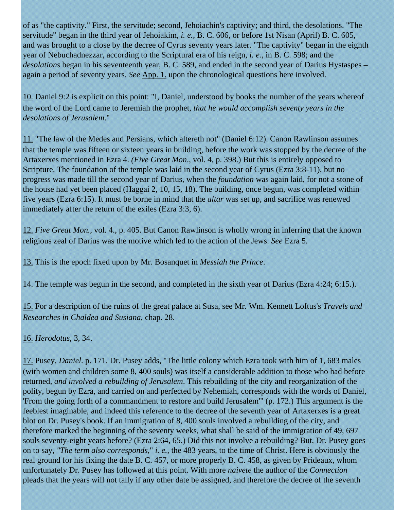of as "the captivity." First, the servitude; second, Jehoiachin's captivity; and third, the desolations. "The servitude" began in the third year of Jehoiakim, *i. e.,* B. C. 606, or before 1st Nisan (April) B. C. 605, and was brought to a close by the decree of Cyrus seventy years later. "The captivity" began in the eighth year of Nebuchadnezzar, according to the Scriptural era of his reign, *i. e.,* in B. C. 598; and the *desolations* began in his seventeenth year, B. C. 589, and ended in the second year of Darius Hystaspes – again a period of seventy years. *See* [App. 1.](file:///H|/MyStuff/Ebooks%20to%20do/Sir%20Robert%20Anderson/The%20Coming%20Prince/appen01.htm) upon the chronological questions here involved.

<span id="page-52-0"></span>[10.](#page-48-0) Daniel 9:2 is explicit on this point: "I, Daniel, understood by books the number of the years whereof the word of the Lord came to Jeremiah the prophet, *that he would accomplish seventy years in the desolations of Jerusalem*."

<span id="page-52-1"></span>11. "The law of the Medes and Persians, which altereth not" (Daniel 6:12). Canon Rawlinson assumes that the temple was fifteen or sixteen years in building, before the work was stopped by the decree of the Artaxerxes mentioned in Ezra 4. *(Five Great Mon*., vol. 4, p. 398.) But this is entirely opposed to Scripture. The foundation of the temple was laid in the second year of Cyrus (Ezra 3:8-11), but no progress was made till the second year of Darius, when the *foundation* was again laid, for not a stone of the house had yet been placed (Haggai 2, 10, 15, 18). The building, once begun, was completed within five years (Ezra 6:15). It must be borne in mind that the *altar* was set up, and sacrifice was renewed immediately after the return of the exiles (Ezra 3:3, 6).

<span id="page-52-2"></span>12. *Five Great Mon.,* vol. 4., p. 405. But Canon Rawlinson is wholly wrong in inferring that the known religious zeal of Darius was the motive which led to the action of the Jews. *See* Ezra 5.

<span id="page-52-3"></span>13. This is the epoch fixed upon by Mr. Bosanquet in *Messiah the Prince*.

<span id="page-52-4"></span>14. The temple was begun in the second, and completed in the sixth year of Darius (Ezra 4:24; 6:15.).

<span id="page-52-5"></span>15. For a description of the ruins of the great palace at Susa, see Mr. Wm. Kennett Loftus's *Travels and Researches in Chaldea and Susiana*, chap. 28.

<span id="page-52-6"></span>16. *Herodotus*, 3, 34.

<span id="page-52-7"></span>17. Pusey, *Daniel*. p. 171. Dr. Pusey adds, "The little colony which Ezra took with him of 1, 683 males (with women and children some 8, 400 souls) was itself a considerable addition to those who had before returned, *and involved a rebuilding of Jerusalem*. This rebuilding of the city and reorganization of the polity, begun by Ezra, and carried on and perfected by Nehemiah, corresponds with the words of Daniel, 'From the going forth of a commandment to restore and build Jerusalem'" (p. 172.) This argument is the feeblest imaginable, and indeed this reference to the decree of the seventh year of Artaxerxes is a great blot on Dr. Pusey's book. If an immigration of 8, 400 souls involved a rebuilding of the city, and therefore marked the beginning of the seventy weeks, what shall be said of the immigration of 49, 697 souls seventy-eight years before? (Ezra 2:64, 65.) Did this not involve a rebuilding? But, Dr. Pusey goes on to say, *"The term also corresponds*," *i. e.,* the 483 years, to the time of Christ. Here is obviously the real ground for his fixing the date B. C. 457, or more properly B. C. 458, as given by Prideaux, whom unfortunately Dr. Pusey has followed at this point. With more *naivete* the author of the *Connection*  pleads that the years will not tally if any other date be assigned, and therefore the decree of the seventh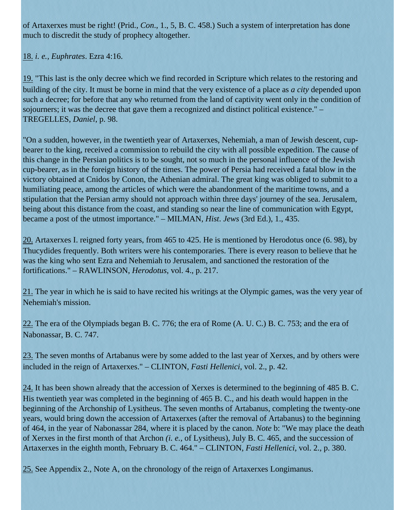of Artaxerxes must be right! (Prid., *Con*., 1., 5, B. C. 458.) Such a system of interpretation has done much to discredit the study of prophecy altogether.

<span id="page-53-0"></span>18. *i. e., Euphrates*. Ezra 4:16.

<span id="page-53-1"></span>19. "This last is the only decree which we find recorded in Scripture which relates to the restoring and building of the city. It must be borne in mind that the very existence of a place as *a city* depended upon such a decree; for before that any who returned from the land of captivity went only in the condition of sojourners; it was the decree that gave them a recognized and distinct political existence." – TREGELLES, *Daniel*, p. 98.

"On a sudden, however, in the twentieth year of Artaxerxes, Nehemiah, a man of Jewish descent, cupbearer to the king, received a commission to rebuild the city with all possible expedition. The cause of this change in the Persian politics is to be sought, not so much in the personal influence of the Jewish cup-bearer, as in the foreign history of the times. The power of Persia had received a fatal blow in the victory obtained at Cnidos by Conon, the Athenian admiral. The great king was obliged to submit to a humiliating peace, among the articles of which were the abandonment of the maritime towns, and a stipulation that the Persian army should not approach within three days' journey of the sea. Jerusalem, being about this distance from the coast, and standing so near the line of communication with Egypt, became a post of the utmost importance." – MILMAN, *Hist*. *Jews* (3rd Ed.), 1., 435.

<span id="page-53-2"></span>20. Artaxerxes I. reigned forty years, from 465 to 425. He is mentioned by Herodotus once (6. 98), by Thucydides frequently. Both writers were his contemporaries. There is every reason to believe that he was the king who sent Ezra and Nehemiah to Jerusalem, and sanctioned the restoration of the fortifications." – RAWLINSON, *Herodotus*, vol. 4., p. 217.

<span id="page-53-3"></span>21. The year in which he is said to have recited his writings at the Olympic games, was the very year of Nehemiah's mission.

<span id="page-53-4"></span>22. The era of the Olympiads began B. C. 776; the era of Rome (A. U. C.) B. C. 753; and the era of Nabonassar, B. C. 747.

<span id="page-53-5"></span>23. The seven months of Artabanus were by some added to the last year of Xerxes, and by others were included in the reign of Artaxerxes." – CLINTON, *Fasti Hellenici*, vol. 2., p. 42.

<span id="page-53-6"></span>24. It has been shown already that the accession of Xerxes is determined to the beginning of 485 B. C. His twentieth year was completed in the beginning of 465 B. C., and his death would happen in the beginning of the Archonship of Lysitheus. The seven months of Artabanus, completing the twenty-one years, would bring down the accession of Artaxerxes (after the removal of Artabanus) to the beginning of 464, in the year of Nabonassar 284, where it is placed by the canon. *Note* b: "We may place the death of Xerxes in the first month of that Archon *(i. e.,* of Lysitheus), July B. C. 465, and the succession of Artaxerxes in the eighth month, February B. C. 464." – CLINTON, *Fasti Hellenici*, vol. 2., p. 380.

<span id="page-53-7"></span>25. See Appendix 2., Note A, on the chronology of the reign of Artaxerxes Longimanus.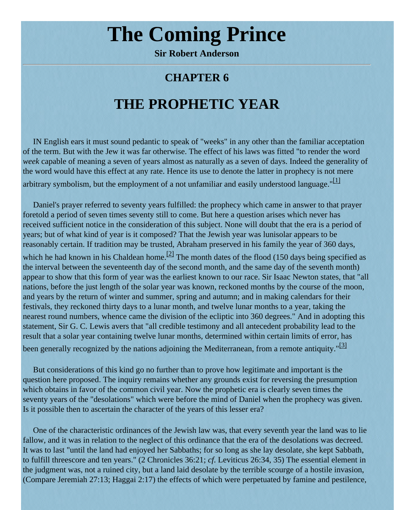# **The Coming Prince**

**Sir Robert Anderson**

### **CHAPTER 6**

## **THE PROPHETIC YEAR**

 IN English ears it must sound pedantic to speak of "weeks" in any other than the familiar acceptation of the term. But with the Jew it was far otherwise. The effect of his laws was fitted "to render the word *week* capable of meaning a seven of years almost as naturally as a seven of days. Indeed the generality of the word would have this effect at any rate. Hence its use to denote the latter in prophecy is not mere arbitrary symbolism, but the employment of a not unfamiliar and easily understood language." $\frac{111}{11}$ 

<span id="page-55-1"></span><span id="page-55-0"></span> Daniel's prayer referred to seventy years fulfilled: the prophecy which came in answer to that prayer foretold a period of seven times seventy still to come. But here a question arises which never has received sufficient notice in the consideration of this subject. None will doubt that the era is a period of years; but of what kind of year is it composed? That the Jewish year was lunisolar appears to be reasonably certain. If tradition may be trusted, Abraham preserved in his family the year of 360 days, which he had known in his Chaldean home.<sup>[2]</sup> The month dates of the flood (150 days being specified as the interval between the seventeenth day of the second month, and the same day of the seventh month) appear to show that this form of year was the earliest known to our race. Sir Isaac Newton states, that "all nations, before the just length of the solar year was known, reckoned months by the course of the moon, and years by the return of winter and summer, spring and autumn; and in making calendars for their festivals, they reckoned thirty days to a lunar month, and twelve lunar months to a year, taking the nearest round numbers, whence came the division of the ecliptic into 360 degrees." And in adopting this statement, Sir G. C. Lewis avers that "all credible testimony and all antecedent probability lead to the result that a solar year containing twelve lunar months, determined within certain limits of error, has been generally recognized by the nations adjoining the Mediterranean, from a remote antiquity."<sup>[\[3\]](#page-57-2)</sup>

<span id="page-55-2"></span> But considerations of this kind go no further than to prove how legitimate and important is the question here proposed. The inquiry remains whether any grounds exist for reversing the presumption which obtains in favor of the common civil year. Now the prophetic era is clearly seven times the seventy years of the "desolations" which were before the mind of Daniel when the prophecy was given. Is it possible then to ascertain the character of the years of this lesser era?

 One of the characteristic ordinances of the Jewish law was, that every seventh year the land was to lie fallow, and it was in relation to the neglect of this ordinance that the era of the desolations was decreed. It was to last "until the land had enjoyed her Sabbaths; for so long as she lay desolate, she kept Sabbath, to fulfill threescore and ten years." (2 Chronicles 36:21; *cf*. Leviticus 26:34, 35) The essential element in the judgment was, not a ruined city, but a land laid desolate by the terrible scourge of a hostile invasion, (Compare Jeremiah 27:13; Haggai 2:17) the effects of which were perpetuated by famine and pestilence,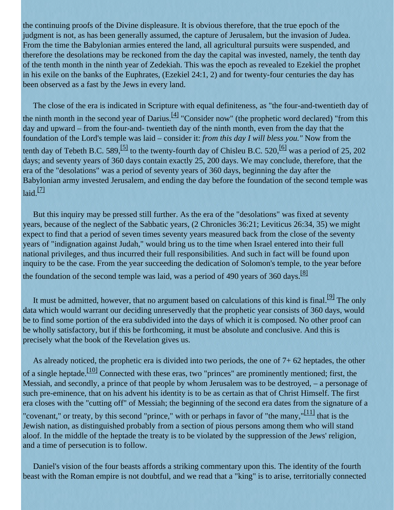the continuing proofs of the Divine displeasure. It is obvious therefore, that the true epoch of the judgment is not, as has been generally assumed, the capture of Jerusalem, but the invasion of Judea. From the time the Babylonian armies entered the land, all agricultural pursuits were suspended, and therefore the desolations may be reckoned from the day the capital was invested, namely, the tenth day of the tenth month in the ninth year of Zedekiah. This was the epoch as revealed to Ezekiel the prophet in his exile on the banks of the Euphrates, (Ezekiel 24:1, 2) and for twenty-four centuries the day has been observed as a fast by the Jews in every land.

<span id="page-56-1"></span><span id="page-56-0"></span> The close of the era is indicated in Scripture with equal definiteness, as "the four-and-twentieth day of the ninth month in the second year of Darius.<sup>[4]</sup> "Consider now" (the prophetic word declared) "from this day and upward – from the four-and- twentieth day of the ninth month, even from the day that the foundation of the Lord's temple was laid – consider it: *from this day I will bless you."* Now from the tenth day of Tebeth B.C. 589,<sup>[5]</sup> to the twenty-fourth day of Chisleu B.C. 520,<sup>[6]</sup> was a period of 25, 202 days; and seventy years of 360 days contain exactly 25, 200 days. We may conclude, therefore, that the era of the "desolations" was a period of seventy years of 360 days, beginning the day after the Babylonian army invested Jerusalem, and ending the day before the foundation of the second temple was  $l$ aid.<sup>[\[7\]](#page-58-1)</sup>

<span id="page-56-2"></span> But this inquiry may be pressed still further. As the era of the "desolations" was fixed at seventy years, because of the neglect of the Sabbatic years, (2 Chronicles 36:21; Leviticus 26:34, 35) we might expect to find that a period of seven times seventy years measured back from the close of the seventy years of "indignation against Judah," would bring us to the time when Israel entered into their full national privileges, and thus incurred their full responsibilities. And such in fact will be found upon inquiry to be the case. From the year succeeding the dedication of Solomon's temple, to the year before the foundation of the second temple was laid, was a period of 490 years of 360 days.<sup>[\[8\]](#page-58-2)</sup>

<span id="page-56-4"></span><span id="page-56-3"></span>It must be admitted, however, that no argument based on calculations of this kind is final.<sup>[\[9\]](#page-58-3)</sup> The only data which would warrant our deciding unreservedly that the prophetic year consists of 360 days, would be to find some portion of the era subdivided into the days of which it is composed. No other proof can be wholly satisfactory, but if this be forthcoming, it must be absolute and conclusive. And this is precisely what the book of the Revelation gives us.

<span id="page-56-5"></span> As already noticed, the prophetic era is divided into two periods, the one of 7+ 62 heptades, the other of a single heptade.  $\frac{[10]}{[10]}$  Connected with these eras, two "princes" are prominently mentioned; first, the Messiah, and secondly, a prince of that people by whom Jerusalem was to be destroyed, – a personage of such pre-eminence, that on his advent his identity is to be as certain as that of Christ Himself. The first era closes with the "cutting off" of Messiah; the beginning of the second era dates from the signature of a "covenant," or treaty, by this second "prince," with or perhaps in favor of "the many," $\frac{[11]}{[11]}$  that is the Jewish nation, as distinguished probably from a section of pious persons among them who will stand aloof. In the middle of the heptade the treaty is to be violated by the suppression of the Jews' religion, and a time of persecution is to follow.

<span id="page-56-6"></span> Daniel's vision of the four beasts affords a striking commentary upon this. The identity of the fourth beast with the Roman empire is not doubtful, and we read that a "king" is to arise, territorially connected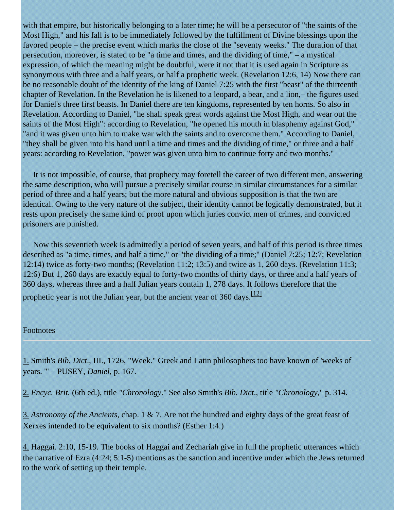with that empire, but historically belonging to a later time; he will be a persecutor of "the saints of the Most High," and his fall is to be immediately followed by the fulfillment of Divine blessings upon the favored people – the precise event which marks the close of the "seventy weeks." The duration of that persecution, moreover, is stated to be "a time and times, and the dividing of time," – a mystical expression, of which the meaning might be doubtful, were it not that it is used again in Scripture as synonymous with three and a half years, or half a prophetic week. (Revelation 12:6, 14) Now there can be no reasonable doubt of the identity of the king of Daniel 7:25 with the first "beast" of the thirteenth chapter of Revelation. In the Revelation he is likened to a leopard, a bear, and a lion,– the figures used for Daniel's three first beasts. In Daniel there are ten kingdoms, represented by ten horns. So also in Revelation. According to Daniel, "he shall speak great words against the Most High, and wear out the saints of the Most High": according to Revelation, "he opened his mouth in blasphemy against God," "and it was given unto him to make war with the saints and to overcome them." According to Daniel, "they shall be given into his hand until a time and times and the dividing of time," or three and a half years: according to Revelation, "power was given unto him to continue forty and two months."

 It is not impossible, of course, that prophecy may foretell the career of two different men, answering the same description, who will pursue a precisely similar course in similar circumstances for a similar period of three and a half years; but the more natural and obvious supposition is that the two are identical. Owing to the very nature of the subject, their identity cannot be logically demonstrated, but it rests upon precisely the same kind of proof upon which juries convict men of crimes, and convicted prisoners are punished.

 Now this seventieth week is admittedly a period of seven years, and half of this period is three times described as "a time, times, and half a time," or "the dividing of a time;" (Daniel 7:25; 12:7; Revelation 12:14) twice as forty-two months; (Revelation 11:2; 13:5) and twice as 1, 260 days. (Revelation 11:3; 12:6) But 1, 260 days are exactly equal to forty-two months of thirty days, or three and a half years of 360 days, whereas three and a half Julian years contain 1, 278 days. It follows therefore that the

<span id="page-57-5"></span>prophetic year is not the Julian year, but the ancient year of 360 days.<sup>[\[12\]](#page-58-6)</sup>

#### Footnotes

<span id="page-57-0"></span>[1.](#page-55-0) Smith's *Bib. Dict*., III., 1726, "Week." Greek and Latin philosophers too have known of 'weeks of years. '" – PUSEY, *Daniel*, p. 167.

<span id="page-57-1"></span>[2.](#page-55-1) *Encyc. Brit.* (6th ed.), title *"Chronology*." See also Smith's *Bib. Dict*., title *"Chronology*," p. 314.

<span id="page-57-2"></span>[3.](#page-55-2) *Astronomy of the Ancients*, chap. 1 & 7. Are not the hundred and eighty days of the great feast of Xerxes intended to be equivalent to six months? (Esther 1:4.)

<span id="page-57-4"></span><span id="page-57-3"></span>[4.](#page-56-0) Haggai. 2:10, 15-19. The books of Haggai and Zechariah give in full the prophetic utterances which the narrative of Ezra (4:24; 5:1-5) mentions as the sanction and incentive under which the Jews returned to the work of setting up their temple.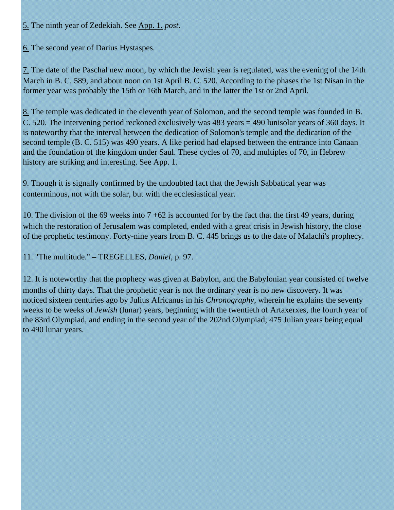[5.](#page-56-1) The ninth year of Zedekiah. See [App. 1.](file:///H|/MyStuff/Ebooks%20to%20do/Sir%20Robert%20Anderson/The%20Coming%20Prince/appen01.htm) *post*.

<span id="page-58-0"></span>[6.](#page-56-1) The second year of Darius Hystaspes.

<span id="page-58-1"></span>[7.](#page-56-2) The date of the Paschal new moon, by which the Jewish year is regulated, was the evening of the 14th March in B. C. 589, and about noon on 1st April B. C. 520. According to the phases the 1st Nisan in the former year was probably the 15th or 16th March, and in the latter the 1st or 2nd April.

<span id="page-58-2"></span>[8.](#page-56-3) The temple was dedicated in the eleventh year of Solomon, and the second temple was founded in B. C. 520. The intervening period reckoned exclusively was 483 years = 490 lunisolar years of 360 days. It is noteworthy that the interval between the dedication of Solomon's temple and the dedication of the second temple (B. C. 515) was 490 years. A like period had elapsed between the entrance into Canaan and the foundation of the kingdom under Saul. These cycles of 70, and multiples of 70, in Hebrew history are striking and interesting. See App. 1.

<span id="page-58-3"></span>[9.](#page-56-4) Though it is signally confirmed by the undoubted fact that the Jewish Sabbatical year was conterminous, not with the solar, but with the ecclesiastical year.

<span id="page-58-4"></span>[10.](#page-56-5) The division of the 69 weeks into 7 +62 is accounted for by the fact that the first 49 years, during which the restoration of Jerusalem was completed, ended with a great crisis in Jewish history, the close of the prophetic testimony. Forty-nine years from B. C. 445 brings us to the date of Malachi's prophecy.

<span id="page-58-5"></span>[11.](#page-56-6) "The multitude." – TREGELLES, *Daniel*, p. 97.

<span id="page-58-6"></span>[12.](#page-57-5) It is noteworthy that the prophecy was given at Babylon, and the Babylonian year consisted of twelve months of thirty days. That the prophetic year is not the ordinary year is no new discovery. It was noticed sixteen centuries ago by Julius Africanus in his *Chronography*, wherein he explains the seventy weeks to be weeks of *Jewish* (lunar) years, beginning with the twentieth of Artaxerxes, the fourth year of the 83rd Olympiad, and ending in the second year of the 202nd Olympiad; 475 Julian years being equal to 490 lunar years.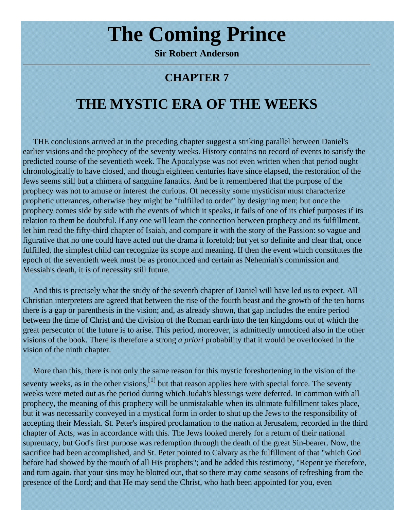## **The Coming Prince**

**Sir Robert Anderson**

#### **CHAPTER 7**

### **THE MYSTIC ERA OF THE WEEKS**

 THE conclusions arrived at in the preceding chapter suggest a striking parallel between Daniel's earlier visions and the prophecy of the seventy weeks. History contains no record of events to satisfy the predicted course of the seventieth week. The Apocalypse was not even written when that period ought chronologically to have closed, and though eighteen centuries have since elapsed, the restoration of the Jews seems still but a chimera of sanguine fanatics. And be it remembered that the purpose of the prophecy was not to amuse or interest the curious. Of necessity some mysticism must characterize prophetic utterances, otherwise they might be "fulfilled to order" by designing men; but once the prophecy comes side by side with the events of which it speaks, it fails of one of its chief purposes if its relation to them be doubtful. If any one will learn the connection between prophecy and its fulfillment, let him read the fifty-third chapter of Isaiah, and compare it with the story of the Passion: so vague and figurative that no one could have acted out the drama it foretold; but yet so definite and clear that, once fulfilled, the simplest child can recognize its scope and meaning. If then the event which constitutes the epoch of the seventieth week must be as pronounced and certain as Nehemiah's commission and Messiah's death, it is of necessity still future.

 And this is precisely what the study of the seventh chapter of Daniel will have led us to expect. All Christian interpreters are agreed that between the rise of the fourth beast and the growth of the ten horns there is a gap or parenthesis in the vision; and, as already shown, that gap includes the entire period between the time of Christ and the division of the Roman earth into the ten kingdoms out of which the great persecutor of the future is to arise. This period, moreover, is admittedly unnoticed also in the other visions of the book. There is therefore a strong *a priori* probability that it would be overlooked in the vision of the ninth chapter.

<span id="page-59-0"></span> More than this, there is not only the same reason for this mystic foreshortening in the vision of the seventy weeks, as in the other visions,  $\left[\frac{11}{11}\right]$  but that reason applies here with special force. The seventy weeks were meted out as the period during which Judah's blessings were deferred. In common with all prophecy, the meaning of this prophecy will be unmistakable when its ultimate fulfillment takes place, but it was necessarily conveyed in a mystical form in order to shut up the Jews to the responsibility of accepting their Messiah. St. Peter's inspired proclamation to the nation at Jerusalem, recorded in the third chapter of Acts, was in accordance with this. The Jews looked merely for a return of their national supremacy, but God's first purpose was redemption through the death of the great Sin-bearer. Now, the sacrifice had been accomplished, and St. Peter pointed to Calvary as the fulfillment of that "which God before had showed by the mouth of all His prophets"; and he added this testimony, "Repent ye therefore, and turn again, that your sins may be blotted out, that so there may come seasons of refreshing from the presence of the Lord; and that He may send the Christ, who hath been appointed for you, even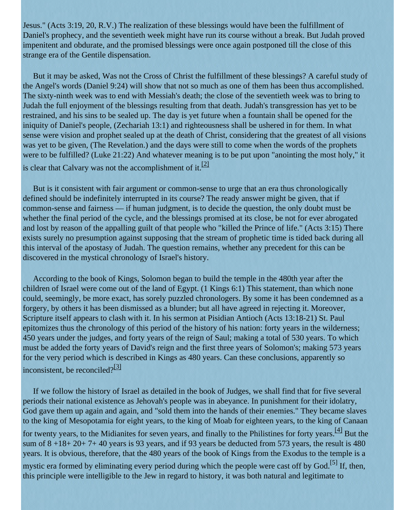Jesus." (Acts 3:19, 20, R.V.) The realization of these blessings would have been the fulfillment of Daniel's prophecy, and the seventieth week might have run its course without a break. But Judah proved impenitent and obdurate, and the promised blessings were once again postponed till the close of this strange era of the Gentile dispensation.

 But it may be asked, Was not the Cross of Christ the fulfillment of these blessings? A careful study of the Angel's words (Daniel 9:24) will show that not so much as one of them has been thus accomplished. The sixty-ninth week was to end with Messiah's death; the close of the seventieth week was to bring to Judah the full enjoyment of the blessings resulting from that death. Judah's transgression has yet to be restrained, and his sins to be sealed up. The day is yet future when a fountain shall be opened for the iniquity of Daniel's people, (Zechariah 13:1) and righteousness shall be ushered in for them. In what sense were vision and prophet sealed up at the death of Christ, considering that the greatest of all visions was yet to be given, (The Revelation.) and the days were still to come when the words of the prophets were to be fulfilled? (Luke 21:22) And whatever meaning is to be put upon "anointing the most holy," it is clear that Calvary was not the accomplishment of it.<sup>[2]</sup>

<span id="page-60-0"></span> But is it consistent with fair argument or common-sense to urge that an era thus chronologically defined should be indefinitely interrupted in its course? The ready answer might be given, that if common-sense and fairness — if human judgment, is to decide the question, the only doubt must be whether the final period of the cycle, and the blessings promised at its close, be not for ever abrogated and lost by reason of the appalling guilt of that people who "killed the Prince of life." (Acts 3:15) There exists surely no presumption against supposing that the stream of prophetic time is tided back during all this interval of the apostasy of Judah. The question remains, whether any precedent for this can be discovered in the mystical chronology of Israel's history.

 According to the book of Kings, Solomon began to build the temple in the 480th year after the children of Israel were come out of the land of Egypt. (1 Kings 6:1) This statement, than which none could, seemingly, be more exact, has sorely puzzled chronologers. By some it has been condemned as a forgery, by others it has been dismissed as a blunder; but all have agreed in rejecting it. Moreover, Scripture itself appears to clash with it. In his sermon at Pisidian Antioch (Acts 13:18-21) St. Paul epitomizes thus the chronology of this period of the history of his nation: forty years in the wilderness; 450 years under the judges, and forty years of the reign of Saul; making a total of 530 years. To which must be added the forty years of David's reign and the first three years of Solomon's; making 573 years for the very period which is described in Kings as 480 years. Can these conclusions, apparently so inconsistent, be reconciled? $\frac{31}{2}$ 

<span id="page-60-3"></span><span id="page-60-2"></span><span id="page-60-1"></span> If we follow the history of Israel as detailed in the book of Judges, we shall find that for five several periods their national existence as Jehovah's people was in abeyance. In punishment for their idolatry, God gave them up again and again, and "sold them into the hands of their enemies." They became slaves to the king of Mesopotamia for eight years, to the king of Moab for eighteen years, to the king of Canaan for twenty years, to the Midianites for seven years, and finally to the Philistines for forty years.<sup>[\[4\]](#page-62-1)</sup> But the sum of  $8 + 18 + 20 + 7 + 40$  years is 93 years, and if 93 years be deducted from 573 years, the result is 480 years. It is obvious, therefore, that the 480 years of the book of Kings from the Exodus to the temple is a mystic era formed by eliminating every period during which the people were cast off by God.<sup>[5]</sup> If, then, this principle were intelligible to the Jew in regard to history, it was both natural and legitimate to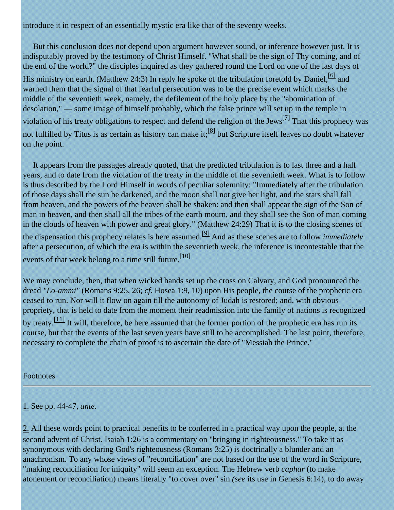introduce it in respect of an essentially mystic era like that of the seventy weeks.

<span id="page-61-2"></span> But this conclusion does not depend upon argument however sound, or inference however just. It is indisputably proved by the testimony of Christ Himself. "What shall be the sign of Thy coming, and of the end of the world?" the disciples inquired as they gathered round the Lord on one of the last days of His ministry on earth. (Matthew 24:3) In reply he spoke of the tribulation foretold by Daniel, <sup>[6]</sup> and warned them that the signal of that fearful persecution was to be the precise event which marks the middle of the seventieth week, namely, the defilement of the holy place by the "abomination of desolation," — some image of himself probably, which the false prince will set up in the temple in violation of his treaty obligations to respect and defend the religion of the Jews<sup>[7]</sup> That this prophecy was not fulfilled by Titus is as certain as history can make it;<sup>[8]</sup> but Scripture itself leaves no doubt whatever on the point.

<span id="page-61-4"></span><span id="page-61-3"></span> It appears from the passages already quoted, that the predicted tribulation is to last three and a half years, and to date from the violation of the treaty in the middle of the seventieth week. What is to follow is thus described by the Lord Himself in words of peculiar solemnity: "Immediately after the tribulation of those days shall the sun be darkened, and the moon shall not give her light, and the stars shall fall from heaven, and the powers of the heaven shall be shaken: and then shall appear the sign of the Son of man in heaven, and then shall all the tribes of the earth mourn, and they shall see the Son of man coming in the clouds of heaven with power and great glory." (Matthew 24:29) That it is to the closing scenes of the dispensation this prophecy relates is here assumed.[\[9\]](#page-63-2) And as these scenes are to follow *immediately*  after a persecution, of which the era is within the seventieth week, the inference is incontestable that the events of that week belong to a time still future.<sup>[\[10\]](#page-63-3)</sup>

<span id="page-61-6"></span><span id="page-61-5"></span>We may conclude, then, that when wicked hands set up the cross on Calvary, and God pronounced the dread *"Lo-ammi"* (Romans 9:25, 26; *cf*. Hosea 1:9, 10) upon His people, the course of the prophetic era ceased to run. Nor will it flow on again till the autonomy of Judah is restored; and, with obvious propriety, that is held to date from the moment their readmission into the family of nations is recognized by treaty.<sup>[11]</sup> It will, therefore, be here assumed that the former portion of the prophetic era has run its course, but that the events of the last seven years have still to be accomplished. The last point, therefore, necessary to complete the chain of proof is to ascertain the date of "Messiah the Prince."

<span id="page-61-7"></span>Footnotes

<span id="page-61-0"></span>[1.](#page-59-0) See pp. 44-47, *ante*.

<span id="page-61-1"></span>[2.](#page-60-0) All these words point to practical benefits to be conferred in a practical way upon the people, at the second advent of Christ. Isaiah 1:26 is a commentary on "bringing in righteousness." To take it as synonymous with declaring God's righteousness (Romans 3:25) is doctrinally a blunder and an anachronism. To any whose views of "reconciliation" are not based on the use of the word in Scripture, "making reconciliation for iniquity" will seem an exception. The Hebrew verb *caphar* (to make atonement or reconciliation) means literally "to cover over" sin *(see* its use in Genesis 6:14), to do away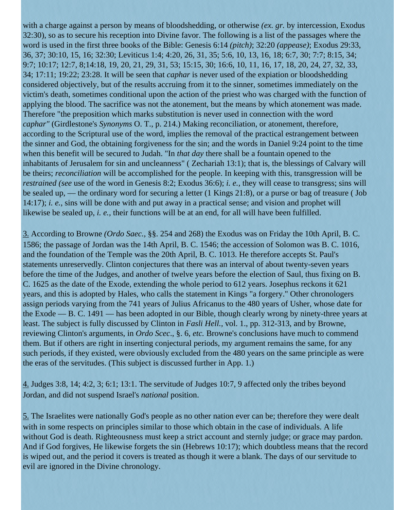with a charge against a person by means of bloodshedding, or otherwise *(ex. gr.* by intercession, Exodus 32:30), so as to secure his reception into Divine favor. The following is a list of the passages where the word is used in the first three books of the Bible: Genesis 6:14 *(pitch)*; 32:20 *(appease)*; Exodus 29:33, 36, 37; 30:10, 15, 16; 32:30; Leviticus 1:4; 4:20, 26, 31, 35; 5:6, 10, 13, 16, 18; 6:7, 30; 7:7; 8:15, 34; 9:7; 10:17; 12:7, 8;14:18, 19, 20, 21, 29, 31, 53; 15:15, 30; 16:6, 10, 11, 16, 17, 18, 20, 24, 27, 32, 33, 34; 17:11; 19:22; 23:28. It will be seen that *caphar* is never used of the expiation or bloodshedding considered objectively, but of the results accruing from it to the sinner, sometimes immediately on the victim's death, sometimes conditional upon the action of the priest who was charged with the function of applying the blood. The sacrifice was not the atonement, but the means by which atonement was made. Therefore "the preposition which marks substitution is never used in connection with the word *caphar"* (Girdlestone's *Synonyms* O. T., p. 214.) Making reconciliation, or atonement, therefore, according to the Scriptural use of the word, implies the removal of the practical estrangement between the sinner and God, the obtaining forgiveness for the sin; and the words in Daniel 9:24 point to the time when this benefit will be secured to Judah. "In *that day* there shall be a fountain opened to the inhabitants of Jerusalem for sin and uncleanness" ( Zechariah 13:1); that is, the blessings of Calvary will be theirs; *reconciliation* will be accomplished for the people. In keeping with this, transgression will be *restrained (see* use of the word in Genesis 8:2; Exodus 36:6); *i. e.,* they will cease to transgress; sins will be sealed up, — the ordinary word for securing a letter (1 Kings 21:8), or a purse or bag of treasure ( Job 14:17); *i. e.,* sins will be done with and put away in a practical sense; and vision and prophet will likewise be sealed up, *i. e.*, their functions will be at an end, for all will have been fulfilled.

<span id="page-62-0"></span>[3.](#page-60-1) According to Browne *(Ordo Saec.,* §§. 254 and 268) the Exodus was on Friday the 10th April, B. C. 1586; the passage of Jordan was the 14th April, B. C. 1546; the accession of Solomon was B. C. 1016, and the foundation of the Temple was the 20th April, B. C. 1013. He therefore accepts St. Paul's statements unreservedly. Clinton conjectures that there was an interval of about twenty-seven years before the time of the Judges, and another of twelve years before the election of Saul, thus fixing on B. C. 1625 as the date of the Exode, extending the whole period to 612 years. Josephus reckons it 621 years, and this is adopted by Hales, who calls the statement in Kings "a forgery." Other chronologers assign periods varying from the 741 years of Julius Africanus to the 480 years of Usher, whose date for the Exode — B. C. 1491 — has been adopted in our Bible, though clearly wrong by ninety-three years at least. The subject is fully discussed by Clinton in *Fasli Hell.,* vol. 1., pp. 312-313, and by Browne, reviewing Clinton's arguments, in *Ordo Scec*., §. 6, *etc.* Browne's conclusions have much to commend them. But if others are right in inserting conjectural periods, my argument remains the same, for any such periods, if they existed, were obviously excluded from the 480 years on the same principle as were the eras of the servitudes. (This subject is discussed further in App. 1.)

<span id="page-62-1"></span>[4.](#page-60-2) Judges 3:8, 14; 4:2, 3; 6:1; 13:1. The servitude of Judges 10:7, 9 affected only the tribes beyond Jordan, and did not suspend Israel's *national* position.

<span id="page-62-2"></span>[5.](#page-60-3) The Israelites were nationally God's people as no other nation ever can be; therefore they were dealt with in some respects on principles similar to those which obtain in the case of individuals. A life without God is death. Righteousness must keep a strict account and sternly judge; or grace may pardon. And if God forgives, He likewise forgets the sin (Hebrews 10:17); which doubtless means that the record is wiped out, and the period it covers is treated as though it were a blank. The days of our servitude to evil are ignored in the Divine chronology.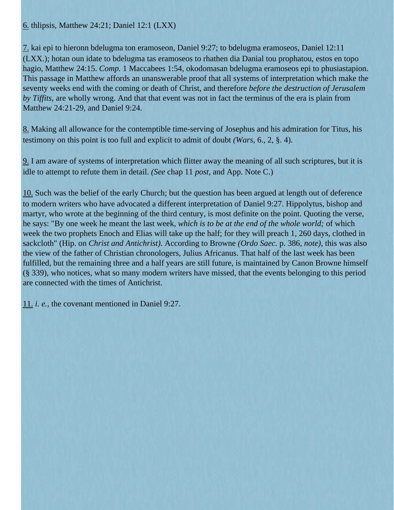[6.](#page-61-2) thlipsis, Matthew 24:21; Daniel 12:1 (LXX)

<span id="page-63-0"></span>[7.](#page-61-3) kai epi to hieronn bdelugma ton eramoseon, Daniel 9:27; to bdelugma eramoseos, Daniel 12:11 (LXX.); hotan oun idate to bdelugma tas eramoseos to rhathen dia Danial tou prophatou, estos en topo hagio, Matthew 24:15. *Comp.* 1 Maccabees 1:54, okodomasan bdelugma eramoseos epi to phusiastapion. This passage in Matthew affords an unanswerable proof that all systems of interpretation which make the seventy weeks end with the coming or death of Christ, and therefore *before the destruction of Jerusalem by Tiffits,* are wholly wrong. And that that event was not in fact the terminus of the era is plain from Matthew 24:21-29, and Daniel 9:24.

<span id="page-63-1"></span>[8.](#page-61-4) Making all allowance for the contemptible time-serving of Josephus and his admiration for Titus, his testimony on this point is too full and explicit to admit of doubt *(Wars*, 6., 2, §. 4).

<span id="page-63-2"></span>[9.](#page-61-5) I am aware of systems of interpretation which flitter away the meaning of all such scriptures, but it is idle to attempt to refute them in detail. *(See* chap 11 *post*, and App. Note C.)

<span id="page-63-3"></span>[10.](#page-61-6) Such was the belief of the early Church; but the question has been argued at length out of deference to modern writers who have advocated a different interpretation of Daniel 9:27. Hippolytus, bishop and martyr, who wrote at the beginning of the third century, is most definite on the point. Quoting the verse, he says: "By one week he meant the last week, *which is to be at the end of the whole world;* of which week the two prophets Enoch and Elias will take up the half; for they will preach 1, 260 days, clothed in sackcloth" (Hip. on *Christ and Antichrist)*. According to Browne *(Ordo Saec.* p. 386, *note)*, this was also the view of the father of Christian chronologers, Julius Africanus. That half of the last week has been fulfilled, but the remaining three and a half years are still future, is maintained by Canon Browne himself (§ 339), who notices, what so many modern writers have missed, that the events belonging to this period are connected with the times of Antichrist.

<span id="page-63-4"></span>[11.](#page-61-7) *i. e.,* the covenant mentioned in Daniel 9:27.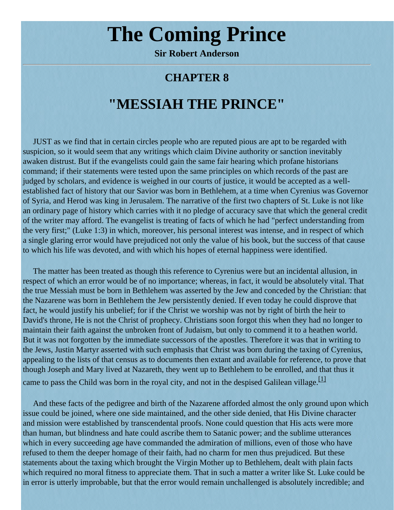## **The Coming Prince**

**Sir Robert Anderson**

#### **CHAPTER 8**

### **"MESSIAH THE PRINCE"**

 JUST as we find that in certain circles people who are reputed pious are apt to be regarded with suspicion, so it would seem that any writings which claim Divine authority or sanction inevitably awaken distrust. But if the evangelists could gain the same fair hearing which profane historians command; if their statements were tested upon the same principles on which records of the past are judged by scholars, and evidence is weighed in our courts of justice, it would be accepted as a wellestablished fact of history that our Savior was born in Bethlehem, at a time when Cyrenius was Governor of Syria, and Herod was king in Jerusalem. The narrative of the first two chapters of St. Luke is not like an ordinary page of history which carries with it no pledge of accuracy save that which the general credit of the writer may afford. The evangelist is treating of facts of which he had "perfect understanding from the very first;" (Luke 1:3) in which, moreover, his personal interest was intense, and in respect of which a single glaring error would have prejudiced not only the value of his book, but the success of that cause to which his life was devoted, and with which his hopes of eternal happiness were identified.

 The matter has been treated as though this reference to Cyrenius were but an incidental allusion, in respect of which an error would be of no importance; whereas, in fact, it would be absolutely vital. That the true Messiah must be born in Bethlehem was asserted by the Jew and conceded by the Christian: that the Nazarene was born in Bethlehem the Jew persistently denied. If even today he could disprove that fact, he would justify his unbelief; for if the Christ we worship was not by right of birth the heir to David's throne, He is not the Christ of prophecy. Christians soon forgot this when they had no longer to maintain their faith against the unbroken front of Judaism, but only to commend it to a heathen world. But it was not forgotten by the immediate successors of the apostles. Therefore it was that in writing to the Jews, Justin Martyr asserted with such emphasis that Christ was born during the taxing of Cyrenius, appealing to the lists of that census as to documents then extant and available for reference, to prove that though Joseph and Mary lived at Nazareth, they went up to Bethlehem to be enrolled, and that thus it came to pass the Child was born in the royal city, and not in the despised Galilean village.<sup>[\[1\]](#page-68-0)</sup>

<span id="page-64-0"></span> And these facts of the pedigree and birth of the Nazarene afforded almost the only ground upon which issue could be joined, where one side maintained, and the other side denied, that His Divine character and mission were established by transcendental proofs. None could question that His acts were more than human, but blindness and hate could ascribe them to Satanic power; and the sublime utterances which in every succeeding age have commanded the admiration of millions, even of those who have refused to them the deeper homage of their faith, had no charm for men thus prejudiced. But these statements about the taxing which brought the Virgin Mother up to Bethlehem, dealt with plain facts which required no moral fitness to appreciate them. That in such a matter a writer like St. Luke could be in error is utterly improbable, but that the error would remain unchallenged is absolutely incredible; and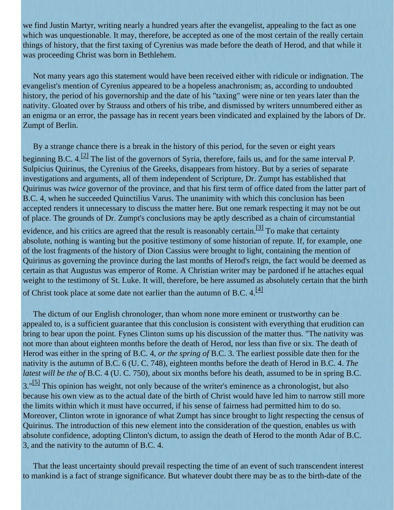we find Justin Martyr, writing nearly a hundred years after the evangelist, appealing to the fact as one which was unquestionable. It may, therefore, be accepted as one of the most certain of the really certain things of history, that the first taxing of Cyrenius was made before the death of Herod, and that while it was proceeding Christ was born in Bethlehem.

 Not many years ago this statement would have been received either with ridicule or indignation. The evangelist's mention of Cyrenius appeared to be a hopeless anachronism; as, according to undoubted history, the period of his governorship and the date of his "taxing" were nine or ten years later than the nativity. Gloated over by Strauss and others of his tribe, and dismissed by writers unnumbered either as an enigma or an error, the passage has in recent years been vindicated and explained by the labors of Dr. Zumpt of Berlin.

<span id="page-65-0"></span> By a strange chance there is a break in the history of this period, for the seven or eight years beginning B.C.  $4.\dot{ }^{[2]}$  The list of the governors of Syria, therefore, fails us, and for the same interval P. Sulpicius Quirinus, the Cyrenius of the Greeks, disappears from history. But by a series of separate investigations and arguments, all of them independent of Scripture, Dr. Zumpt has established that Quirinus was *twice* governor of the province, and that his first term of office dated from the latter part of B.C. 4, when he succeeded Quinctilius Varus. The unanimity with which this conclusion has been accepted renders it unnecessary to discuss the matter here. But one remark respecting it may not be out of place. The grounds of Dr. Zumpt's conclusions may be aptly described as a chain of circumstantial evidence, and his critics are agreed that the result is reasonably certain.<sup>[3]</sup> To make that certainty absolute, nothing is wanting but the positive testimony of some historian of repute. If, for example, one of the lost fragments of the history of Dion Cassius were brought to light, containing the mention of Quirinus as governing the province during the last months of Herod's reign, the fact would be deemed as certain as that Augustus was emperor of Rome. A Christian writer may be pardoned if he attaches equal weight to the testimony of St. Luke. It will, therefore, be here assumed as absolutely certain that the birth of Christ took place at some date not earlier than the autumn of B.C.  $4.\overline{^{[4]}}$  $4.\overline{^{[4]}}$  $4.\overline{^{[4]}}$ 

<span id="page-65-2"></span><span id="page-65-1"></span> The dictum of our English chronologer, than whom none more eminent or trustworthy can be appealed to, is a sufficient guarantee that this conclusion is consistent with everything that erudition can bring to bear upon the point. Fynes Clinton sums up his discussion of the matter thus. "The nativity was not more than about eighteen months before the death of Herod, nor less than five or six. The death of Herod was either in the spring of B.C. 4, *or the spring of* B.C. 3. The earliest possible date then for the nativity is the autumn of B.C. 6 (U. C. 748), eighteen months before the death of Herod in B.C. 4. *The latest will be the of B.C.* 4 (U. C. 750), about six months before his death, assumed to be in spring B.C. 3."<sup>[\[5\]](#page-69-0)</sup> This opinion has weight, not only because of the writer's eminence as a chronologist, but also because his own view as to the actual date of the birth of Christ would have led him to narrow still more the limits within which it must have occurred, if his sense of fairness had permitted him to do so. Moreover, Clinton wrote in ignorance of what Zumpt has since brought to light respecting the census of Quirinus. The introduction of this new element into the consideration of the question, enables us with absolute confidence, adopting Clinton's dictum, to assign the death of Herod to the month Adar of B.C. 3, and the nativity to the autumn of B.C. 4.

<span id="page-65-3"></span> That the least uncertainty should prevail respecting the time of an event of such transcendent interest to mankind is a fact of strange significance. But whatever doubt there may be as to the birth-date of the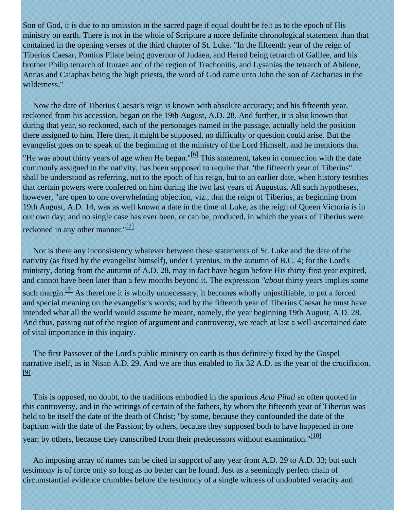Son of God, it is due to no omission in the sacred page if equal doubt be felt as to the epoch of His ministry on earth. There is not in the whole of Scripture a more definite chronological statement than that contained in the opening verses of the third chapter of St. Luke. "In the fifteenth year of the reign of Tiberius Caesar, Pontius Pilate being governor of Judaea, and Herod being tetrarch of Galilee, and his brother Philip tetrarch of Ituraea and of the region of Trachonitis, and Lysanias the tetrarch of Abilene, Annas and Caiaphas being the high priests, the word of God came unto John the son of Zacharias in the wilderness."

<span id="page-66-0"></span> Now the date of Tiberius Caesar's reign is known with absolute accuracy; and his fifteenth year, reckoned from his accession, began on the 19th August, A.D. 28. And further, it is also known that during that year, so reckoned, each of the personages named in the passage, actually held the position there assigned to him. Here then, it might be supposed, no difficulty or question could arise. But the evangelist goes on to speak of the beginning of the ministry of the Lord Himself, and he mentions that "He was about thirty years of age when He began."<sup>[\[6\]](#page-69-1)</sup> This statement, taken in connection with the date commonly assigned to the nativity, has been supposed to require that "the fifteenth year of Tiberius" shall be understood as referring, not to the epoch of his reign, but to an earlier date, when history testifies that certain powers were conferred on him during the two last years of Augustus. All such hypotheses, however, "are open to one overwhelming objection, viz., that the reign of Tiberius, as beginning from 19th August, A.D. 14, was as well known a date in the time of Luke, as the reign of Queen Victoria is in our own day; and no single case has ever been, or can be, produced, in which the years of Tiberius were reckoned in any other manner."<sup>[\[7\]](#page-69-2)</sup>

<span id="page-66-2"></span><span id="page-66-1"></span> Nor is there any inconsistency whatever between these statements of St. Luke and the date of the nativity (as fixed by the evangelist himself), under Cyrenius, in the autumn of B.C. 4; for the Lord's ministry, dating from the autumn of A.D. 28, may in fact have begun before His thirty-first year expired, and cannot have been later than a few months beyond it. The expression *"about* thirty years implies some such margin.<sup>[\[8\]](#page-69-3)</sup> As therefore it is wholly unnecessary, it becomes wholly unjustifiable, to put a forced and special meaning on the evangelist's words; and by the fifteenth year of Tiberius Caesar he must have intended what all the world would assume he meant, namely, the year beginning 19th August, A.D. 28. And thus, passing out of the region of argument and controversy, we reach at last a well-ascertained date of vital importance in this inquiry.

<span id="page-66-3"></span> The first Passover of the Lord's public ministry on earth is thus definitely fixed by the Gospel narrative itself, as in Nisan A.D. 29. And we are thus enabled to fix 32 A.D. as the year of the crucifixion. [\[9\]](#page-69-4)

 This is opposed, no doubt, to the traditions embodied in the spurious *Acta Pilati* so often quoted in this controversy, and in the writings of certain of the fathers, by whom the fifteenth year of Tiberius was held to be itself the date of the death of Christ; "by some, because they confounded the date of the baptism with the date of the Passion; by others, because they supposed both to have happened in one year; by others, because they transcribed from their predecessors without examination."<sup>[\[10\]](#page-69-5)</sup>

<span id="page-66-4"></span> An imposing array of names can be cited in support of any year from A.D. 29 to A.D. 33; but such testimony is of force only so long as no better can be found. Just as a seemingly perfect chain of circumstantial evidence crumbles before the testimony of a single witness of undoubted veracity and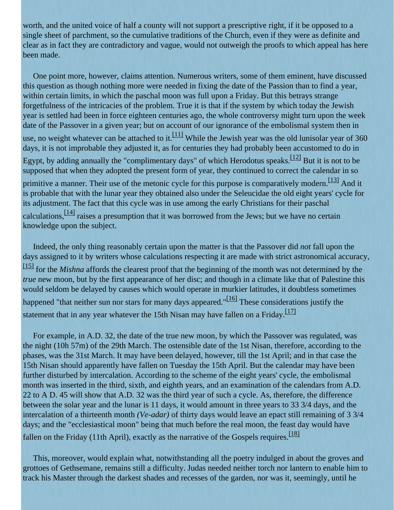worth, and the united voice of half a county will not support a prescriptive right, if it be opposed to a single sheet of parchment, so the cumulative traditions of the Church, even if they were as definite and clear as in fact they are contradictory and vague, would not outweigh the proofs to which appeal has here been made.

<span id="page-67-0"></span> One point more, however, claims attention. Numerous writers, some of them eminent, have discussed this question as though nothing more were needed in fixing the date of the Passion than to find a year, within certain limits, in which the paschal moon was full upon a Friday. But this betrays strange forgetfulness of the intricacies of the problem. True it is that if the system by which today the Jewish year is settled had been in force eighteen centuries ago, the whole controversy might turn upon the week date of the Passover in a given year; but on account of our ignorance of the embolismal system then in use, no weight whatever can be attached to it.  $\frac{[11]}{[11]}$  While the Jewish year was the old lunisolar year of 360 days, it is not improbable they adjusted it, as for centuries they had probably been accustomed to do in Egypt, by adding annually the "complimentary days" of which Herodotus speaks.<sup>[\[12\]](#page-70-0)</sup> But it is not to be supposed that when they adopted the present form of year, they continued to correct the calendar in so primitive a manner. Their use of the metonic cycle for this purpose is comparatively modern.<sup>[\[13\]](#page-70-1)</sup> And it is probable that with the lunar year they obtained also under the Seleucidae the old eight years' cycle for its adjustment. The fact that this cycle was in use among the early Christians for their paschal calculations,  $\frac{1141}{11}$  raises a presumption that it was borrowed from the Jews; but we have no certain knowledge upon the subject.

<span id="page-67-4"></span><span id="page-67-3"></span><span id="page-67-2"></span><span id="page-67-1"></span> Indeed, the only thing reasonably certain upon the matter is that the Passover did *not* fall upon the days assigned to it by writers whose calculations respecting it are made with strict astronomical accuracy, [\[15\]](#page-70-3) for the *Mishna* affords the clearest proof that the beginning of the month was not determined by the *true* new moon, but by the first appearance of her disc; and though in a climate like that of Palestine this would seldom be delayed by causes which would operate in murkier latitudes, it doubtless sometimes happened "that neither sun nor stars for many days appeared."<sup>[16]</sup> These considerations justify the statement that in any year whatever the 15th Nisan may have fallen on a Friday.<sup>[\[17\]](#page-70-5)</sup>

<span id="page-67-6"></span><span id="page-67-5"></span> For example, in A.D. 32, the date of the true new moon, by which the Passover was regulated, was the night (10h 57m) of the 29th March. The ostensible date of the 1st Nisan, therefore, according to the phases, was the 31st March. It may have been delayed, however, till the 1st April; and in that case the 15th Nisan should apparently have fallen on Tuesday the 15th April. But the calendar may have been further disturbed by intercalation. According to the scheme of the eight years' cycle, the embolismal month was inserted in the third, sixth, and eighth years, and an examination of the calendars from A.D. 22 to A D. 45 will show that A.D. 32 was the third year of such a cycle. As, therefore, the difference between the solar year and the lunar is 11 days, it would amount in three years to 33 3/4 days, and the intercalation of a thirteenth month *(Ve-adar)* of thirty days would leave an epact still remaining of 3 3/4 days; and the "ecclesiastical moon" being that much before the real moon, the feast day would have fallen on the Friday (11th April), exactly as the narrative of the Gospels requires.<sup>[\[18\]](#page-70-6)</sup>

<span id="page-67-7"></span> This, moreover, would explain what, notwithstanding all the poetry indulged in about the groves and grottoes of Gethsemane, remains still a difficulty. Judas needed neither torch nor lantern to enable him to track his Master through the darkest shades and recesses of the garden, nor was it, seemingly, until he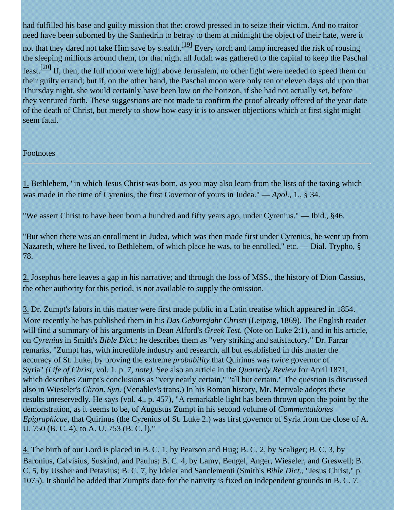<span id="page-68-5"></span><span id="page-68-4"></span>had fulfilled his base and guilty mission that the: crowd pressed in to seize their victim. And no traitor need have been suborned by the Sanhedrin to betray to them at midnight the object of their hate, were it not that they dared not take Him save by stealth.<sup>[19]</sup> Every torch and lamp increased the risk of rousing the sleeping millions around them, for that night all Judah was gathered to the capital to keep the Paschal feast.<sup>[20]</sup> If, then, the full moon were high above Jerusalem, no other light were needed to speed them on their guilty errand; but if, on the other hand, the Paschal moon were only ten or eleven days old upon that Thursday night, she would certainly have been low on the horizon, if she had not actually set, before they ventured forth. These suggestions are not made to confirm the proof already offered of the year date of the death of Christ, but merely to show how easy it is to answer objections which at first sight might seem fatal.

#### Footnotes

<span id="page-68-0"></span>[1.](#page-64-0) Bethlehem, "in which Jesus Christ was born, as you may also learn from the lists of the taxing which was made in the time of Cyrenius, the first Governor of yours in Judea." — *Apol.,* 1., § 34.

"We assert Christ to have been born a hundred and fifty years ago, under Cyrenius." — Ibid., §46.

"But when there was an enrollment in Judea, which was then made first under Cyrenius, he went up from Nazareth, where he lived, to Bethlehem, of which place he was, to be enrolled," etc. — Dial. Trypho, § 78.

<span id="page-68-1"></span>[2.](#page-65-0) Josephus here leaves a gap in his narrative; and through the loss of MSS., the history of Dion Cassius, the other authority for this period, is not available to supply the omission.

<span id="page-68-2"></span>[3.](#page-65-1) Dr. Zumpt's labors in this matter were first made public in a Latin treatise which appeared in 1854. More recently he has published them in his *Das Geburtsjahr Christi* (Leipzig, 1869). The English reader will find a summary of his arguments in Dean Alford's *Greek Test.* (Note on Luke 2:1), and in his article, on *Cyrenius* in Smith's *Bible Dic*t.; he describes them as "very striking and satisfactory." Dr. Farrar remarks, "Zumpt has, with incredible industry and research, all but established in this matter the accuracy of St. Luke, by proving the extreme *probability* that Quirinus was *twice* governor of Syria" *(Life of Christ,* vol. 1. p. 7, *note).* See also an article in the *Quarterly Review* for April 1871, which describes Zumpt's conclusions as "very nearly certain," "all but certain." The question is discussed also in Wieseler's *Chron. Syn.* (Venables's trans.) In his Roman history, Mr. Merivale adopts these results unreservedly. He says (vol. 4., p. 457), "A remarkable light has been thrown upon the point by the demonstration, as it seems to be, of Augustus Zumpt in his second volume of *Commentationes Epigraphicae,* that Quirinus (the Cyrenius of St. Luke 2.) was first governor of Syria from the close of A. U. 750 (B. C. 4), to A. U. 753 (B. C. l)."

<span id="page-68-3"></span>[4.](#page-65-2) The birth of our Lord is placed in B. C. 1, by Pearson and Hug; B. C. 2, by Scaliger; B. C. 3, by Baronius, Calvisius, Suskind, and Paulus; B. C. 4, by Lamy, Bengel, Anger, Wieseler, and Greswell; B. C. 5, by Ussher and Petavius; B. C. 7, by Ideler and Sanclementi (Smith's *Bible Dict.,* "Jesus Christ," p. 1075). It should be added that Zumpt's date for the nativity is fixed on independent grounds in B. C. 7.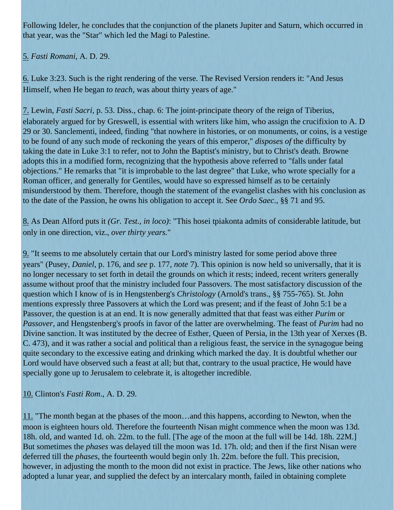Following Ideler, he concludes that the conjunction of the planets Jupiter and Saturn, which occurred in that year, was the "Star" which led the Magi to Palestine.

<span id="page-69-0"></span>[5.](#page-65-3) *Fasti Romani,* A. D. 29.

<span id="page-69-1"></span>[6.](#page-66-0) Luke 3:23. Such is the right rendering of the verse. The Revised Version renders it: "And Jesus Himself, when He began *to teach*, was about thirty years of age."

<span id="page-69-2"></span>[7.](#page-66-1) Lewin, *Fasti Sacri,* p. 53. Diss., chap. 6: The joint-principate theory of the reign of Tiberius, elaborately argued for by Greswell, is essential with writers like him, who assign the crucifixion to A. D 29 or 30. Sanclementi, indeed, finding "that nowhere in histories, or on monuments, or coins, is a vestige to be found of any such mode of reckoning the years of this emperor," *disposes of* the difficulty by taking the date in Luke 3:1 to refer, not to John the Baptist's ministry, but to Christ's death. Browne adopts this in a modified form, recognizing that the hypothesis above referred to "falls under fatal objections." He remarks that "it is improbable to the last degree" that Luke, who wrote specially for a Roman officer, and generally for Gentiles, would have so expressed himself as to be certainly misunderstood by them. Therefore, though the statement of the evangelist clashes with his conclusion as to the date of the Passion, he owns his obligation to accept it. See *Ordo Saec*., §§ 71 and 95.

<span id="page-69-3"></span>[8.](#page-66-2) As Dean Alford puts it *(Gr. Test., in loco)*: "This hosei tpiakonta admits of considerable latitude, but only in one direction, viz., *over thirty years.*"

<span id="page-69-4"></span>[9.](#page-66-3) "It seems to me absolutely certain that our Lord's ministry lasted for some period above three years" (Pusey, *Daniel*, p. 176, and *see* p. 177, *note* 7). This opinion is now held so universally, that it is no longer necessary to set forth in detail the grounds on which it rests; indeed, recent writers generally assume without proof that the ministry included four Passovers. The most satisfactory discussion of the question which I know of is in Hengstenberg's *Christology* (Arnold's trans., §§ 755-765). St. John mentions expressly three Passovers at which the Lord was present; and if the feast of John 5:1 be a Passover, the question is at an end. It is now generally admitted that that feast was either *Purim* or *Passover*, and Hengstenberg's proofs in favor of the latter are overwhelming. The feast of *Purim* had no Divine sanction. It was instituted by the decree of Esther, Queen of Persia, in the 13th year of Xerxes (B. C. 473), and it was rather a social and political than a religious feast, the service in the synagogue being quite secondary to the excessive eating and drinking which marked the day. It is doubtful whether our Lord would have observed such a feast at all; but that, contrary to the usual practice, He would have specially gone up to Jerusalem to celebrate it, is altogether incredible.

<span id="page-69-5"></span>[10.](#page-66-4) Clinton's *Fasti Rom*., A. D. 29.

<span id="page-69-6"></span>[11.](#page-67-0) "The month began at the phases of the moon…and this happens, according to Newton, when the moon is eighteen hours old. Therefore the fourteenth Nisan might commence when the moon was 13d. 18h. old, and wanted 1d. oh. 22m. to the full. [The age of the moon at the full will be 14d. 18h. 22M.] But sometimes the *phases* was delayed till the moon was 1d. 17h. old; and then if the first Nisan were deferred till the *phases*, the fourteenth would begin only 1h. 22m. before the full. This precision, however, in adjusting the month to the moon did not exist in practice. The Jews, like other nations who adopted a lunar year, and supplied the defect by an intercalary month, failed in obtaining complete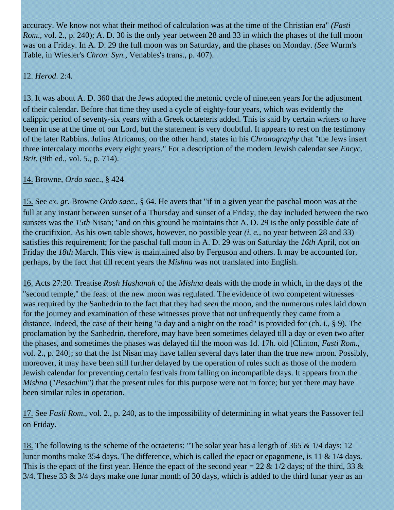accuracy. We know not what their method of calculation was at the time of the Christian era" *(Fasti Rom.*, vol. 2., p. 240); A. D. 30 is the only year between 28 and 33 in which the phases of the full moon was on a Friday. In A. D. 29 the full moon was on Saturday, and the phases on Monday. *(See* Wurm's Table, in Wiesler's *Chron. Syn.,* Venables's trans., p. 407).

<span id="page-70-0"></span>[12.](#page-67-1) *Herod*. 2:4.

<span id="page-70-1"></span>[13.](#page-67-2) It was about A. D. 360 that the Jews adopted the metonic cycle of nineteen years for the adjustment of their calendar. Before that time they used a cycle of eighty-four years, which was evidently the calippic period of seventy-six years with a Greek octaeteris added. This is said by certain writers to have been in use at the time of our Lord, but the statement is very doubtful. It appears to rest on the testimony of the later Rabbins. Julius Africanus, on the other hand, states in his *Chronography* that "the Jews insert three intercalary months every eight years." For a description of the modern Jewish calendar see *Encyc. Brit.* (9th ed., vol. 5., p. 714).

<span id="page-70-2"></span>[14.](#page-67-3) Browne, *Ordo saec*., § 424

<span id="page-70-3"></span>[15.](#page-67-4) See *ex. gr.* Browne *Ordo saec*., § 64. He avers that "if in a given year the paschal moon was at the full at any instant between sunset of a Thursday and sunset of a Friday, the day included between the two sunsets was the *15th* Nisan; "and on this ground he maintains that A. D. 29 is the only possible date of the crucifixion. As his own table shows, however, no possible year *(i. e.,* no year between 28 and 33) satisfies this requirement; for the paschal full moon in A. D. 29 was on Saturday the *16th* April, not on Friday the *18th* March. This view is maintained also by Ferguson and others. It may be accounted for, perhaps, by the fact that till recent years the *Mishna* was not translated into English.

<span id="page-70-4"></span>[16.](#page-67-5) Acts 27:20. Treatise *Rosh Hashanah* of the *Mishna* deals with the mode in which, in the days of the "second temple," the feast of the new moon was regulated. The evidence of two competent witnesses was required by the Sanhedrin to the fact that they had *seen* the moon, and the numerous rules laid down for the journey and examination of these witnesses prove that not unfrequently they came from a distance. Indeed, the case of their being "a day and a night on the road" is provided for (ch. i., § 9). The proclamation by the Sanhedrin, therefore, may have been sometimes delayed till a day or even two after the phases, and sometimes the phases was delayed till the moon was 1d. 17h. old [Clinton, *Fasti Rom*., vol. 2., p. 240]; so that the 1st Nisan may have fallen several days later than the true new moon. Possibly, moreover, it may have been still further delayed by the operation of rules such as those of the modern Jewish calendar for preventing certain festivals from falling on incompatible days. It appears from the *Mishna* ("*Pesachim")* that the present rules for this purpose were not in force; but yet there may have been similar rules in operation.

<span id="page-70-5"></span>[17.](#page-67-6) See *Fasli Rom*., vol. 2., p. 240, as to the impossibility of determining in what years the Passover fell on Friday.

<span id="page-70-6"></span>[18.](#page-67-7) The following is the scheme of the octaeteris: "The solar year has a length of 365 & 1/4 days; 12 lunar months make 354 days. The difference, which is called the epact or epagomene, is 11  $\&$  1/4 days. This is the epact of the first year. Hence the epact of the second year = 22 & 1/2 days; of the third, 33 & 3/4. These 33 & 3/4 days make one lunar month of 30 days, which is added to the third lunar year as an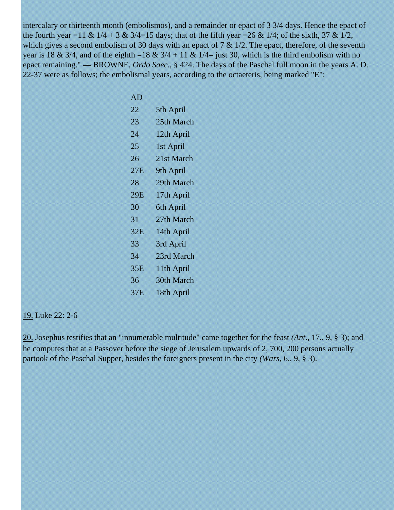intercalary or thirteenth month (embolismos), and a remainder or epact of 3 3/4 days. Hence the epact of the fourth year =11 &  $1/4 + 3$  &  $3/4=15$  days; that of the fifth year =26 &  $1/4$ ; of the sixth, 37 &  $1/2$ , which gives a second embolism of 30 days with an epact of 7  $\&$  1/2. The epact, therefore, of the seventh year is 18 & 3/4, and of the eighth =18 &  $3/4 + 11$  &  $1/4=$  just 30, which is the third embolism with no epact remaining." — BROWNE, *Ordo Saec*., § 424. The days of the Paschal full moon in the years A. D. 22-37 were as follows; the embolismal years, according to the octaeteris, being marked "E":

| AD  |            |
|-----|------------|
| 22  | 5th April  |
| 23  | 25th March |
| 24  | 12th April |
| 25  | 1st April  |
| 26  | 21st March |
| 27E | 9th April  |
| 28  | 29th March |
| 29E | 17th April |
| 30  | 6th April  |
| 31  | 27th March |
| 32E | 14th April |
| 33  | 3rd April  |
| 34  | 23rd March |
| 35E | 11th April |
| 36  | 30th March |
| 37E | 18th April |

<span id="page-71-0"></span>[19.](#page-68-4) Luke 22: 2-6

<span id="page-71-1"></span>[20.](#page-68-5) Josephus testifies that an "innumerable multitude" came together for the feast *(Ant*., 17., 9, § 3); and he computes that at a Passover before the siege of Jerusalem upwards of 2, 700, 200 persons actually partook of the Paschal Supper, besides the foreigners present in the city *(Wars*, 6., 9, § 3).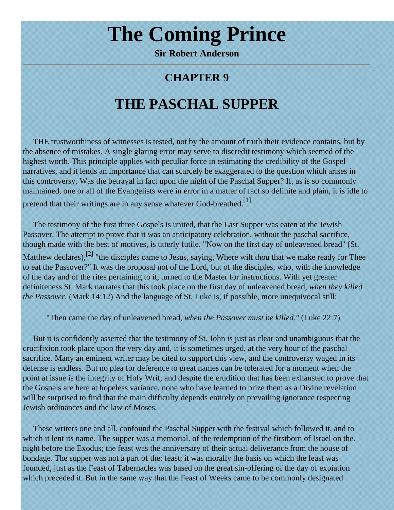# **The Coming Prince**

**Sir Robert Anderson**

### **CHAPTER 9**

## **THE PASCHAL SUPPER**

 THE trustworthiness of witnesses is tested, not by the amount of truth their evidence contains, but by the absence of mistakes. A single glaring error may serve to discredit testimony which seemed of the highest worth. This principle applies with peculiar force in estimating the credibility of the Gospel narratives, and it lends an importance that can scarcely be exaggerated to the question which arises in this controversy, Was the betrayal in fact upon the night of the Paschal Supper? If, as is so commonly maintained, one or all of the Evangelists were in error in a matter of fact so definite and plain, it is idle to pretend that their writings are in any sense whatever God-breathed.<sup>[1]</sup>

<span id="page-72-1"></span><span id="page-72-0"></span> The testimony of the first three Gospels is united, that the Last Supper was eaten at the Jewish Passover. The attempt to prove that it was an anticipatory celebration, without the paschal sacrifice, though made with the best of motives, is utterly futile. "Now on the first day of unleavened bread" (St. Matthew declares),  $\left[2\right]$  "the disciples came to Jesus, saying, Where wilt thou that we make ready for Thee to eat the Passover?" It was the proposal not of the Lord, but of the disciples, who, with the knowledge of the day and of the rites pertaining to it, turned to the Master for instructions. With yet greater definiteness St. Mark narrates that this took place on the first day of unleavened bread, *when they killed the Passover.* (Mark 14:12) And the language of St. Luke is, if possible, more unequivocal still:

"Then came the day of unleavened bread, *when the Passover must be killed."* (Luke 22:7)

 But it is confidently asserted that the testimony of St. John is just as clear and unambiguous that the crucifixion took place upon the very day and, it is sometimes urged, at the very hour of the paschal sacrifice. Many an eminent writer may be cited to support this view, and the controversy waged in its defense is endless. But no plea for deference to great names can be tolerated for a moment when the point at issue is the integrity of Holy Writ; and despite the erudition that has been exhausted to prove that the Gospels are here at hopeless variance, none who have learned to prize them as a Divine revelation will be surprised to find that the main difficulty depends entirely on prevailing ignorance respecting Jewish ordinances and the law of Moses.

 These writers one and all. confound the Paschal Supper with the festival which followed it, and to which it lent its name. The supper was a memorial. of the redemption of the firstborn of Israel on the. night before the Exodus; the feast was the anniversary of their actual deliverance from the house of bondage. The supper was not a part of the: feast; it was morally the basis on which the feast was founded, just as the Feast of Tabernacles was based on the great sin-offering of the day of expiation which preceded it. But in the same way that the Feast of Weeks came to be commonly designated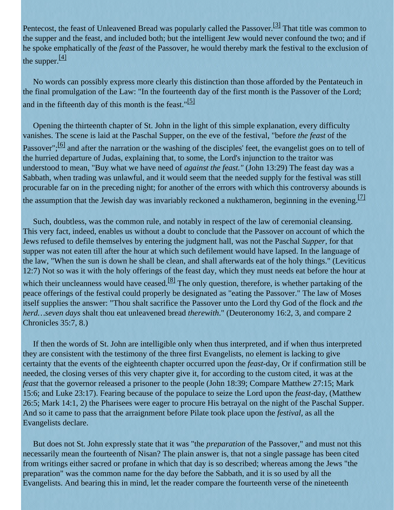<span id="page-73-0"></span>Pentecost, the feast of Unleavened Bread was popularly called the Passover.<sup>[3]</sup> That title was common to the supper and the feast, and included both; but the intelligent Jew would never confound the two; and if he spoke emphatically of the *feast* of the Passover, he would thereby mark the festival to the exclusion of the supper. $[4]$ 

<span id="page-73-1"></span> No words can possibly express more clearly this distinction than those afforded by the Pentateuch in the final promulgation of the Law: "In the fourteenth day of the first month is the Passover of the Lord; and in the fifteenth day of this month is the feast." $[5]$ 

<span id="page-73-3"></span><span id="page-73-2"></span> Opening the thirteenth chapter of St. John in the light of this simple explanation, every difficulty vanishes. The scene is laid at the Paschal Supper, on the eve of the festival, "before *the feast* of the Passover";<sup>[6]</sup> and after the narration or the washing of the disciples' feet, the evangelist goes on to tell of the hurried departure of Judas, explaining that, to some, the Lord's injunction to the traitor was understood to mean, "Buy what we have need of *against the feast."* (John 13:29) The feast day was a Sabbath, when trading was unlawful, and it would seem that the needed supply for the festival was still procurable far on in the preceding night; for another of the errors with which this controversy abounds is the assumption that the Jewish day was invariably reckoned a nukthameron, beginning in the evening.<sup>[7]</sup>

<span id="page-73-4"></span> Such, doubtless, was the common rule, and notably in respect of the law of ceremonial cleansing. This very fact, indeed, enables us without a doubt to conclude that the Passover on account of which the Jews refused to defile themselves by entering the judgment hall, was not the Paschal *Supper*, for that supper was not eaten till after the hour at which such defilement would have lapsed. In the language of the law, "When the sun is down he shall be clean, and shall afterwards eat of the holy things." (Leviticus 12:7) Not so was it with the holy offerings of the feast day, which they must needs eat before the hour at which their uncleanness would have ceased.<sup>[8]</sup> The only question, therefore, is whether partaking of the peace offerings of the festival could properly be designated as "eating the Passover." The law of Moses itself supplies the answer: "Thou shalt sacrifice the Passover unto the Lord thy God of the flock and *the herd…seven days* shalt thou eat unleavened bread *therewith*." (Deuteronomy 16:2, 3, and compare 2 Chronicles 35:7, 8.)

<span id="page-73-5"></span> If then the words of St. John are intelligible only when thus interpreted, and if when thus interpreted they are consistent with the testimony of the three first Evangelists, no element is lacking to give certainty that the events of the eighteenth chapter occurred upon the *feast-*day, Or if confirmation still be needed, the closing verses of this very chapter give it, for according to the custom cited, it was at the *feast* that the governor released a prisoner to the people (John 18:39; Compare Matthew 27:15; Mark 15:6; and Luke 23:17). Fearing because of the populace to seize the Lord upon the *feast*-day, (Matthew 26:5; Mark 14:1, 2) the Pharisees were eager to procure His betrayal on the night of the Paschal Supper. And so it came to pass that the arraignment before Pilate took place upon the *festival*, as all the Evangelists declare.

 But does not St. John expressly state that it was "the *preparation* of the Passover," and must not this necessarily mean the fourteenth of Nisan? The plain answer is, that not a single passage has been cited from writings either sacred or profane in which that day is so described; whereas among the Jews "the preparation" was the common name for the day before the Sabbath, and it is so used by all the Evangelists. And bearing this in mind, let the reader compare the fourteenth verse of the nineteenth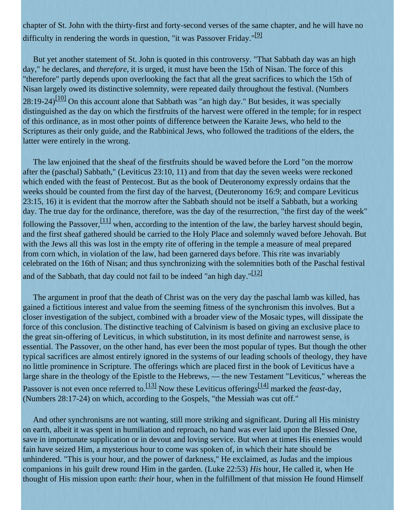chapter of St. John with the thirty-first and forty-second verses of the same chapter, and he will have no difficulty in rendering the words in question, "it was Passover Friday."<sup>[9]</sup>

<span id="page-74-0"></span> But yet another statement of St. John is quoted in this controversy. "That Sabbath day was an high day," he declares, and *therefore*, it is urged, it must have been the 15th of Nisan. The force of this "therefore" partly depends upon overlooking the fact that all the great sacrifices to which the 15th of Nisan largely owed its distinctive solemnity, were repeated daily throughout the festival. (Numbers  $28:19-24$ <sup>[10]</sup> On this account alone that Sabbath was "an high day." But besides, it was specially distinguished as the day on which the firstfruits of the harvest were offered in the temple; for in respect of this ordinance, as in most other points of difference between the Karaite Jews, who held to the Scriptures as their only guide, and the Rabbinical Jews, who followed the traditions of the elders, the latter were entirely in the wrong.

 The law enjoined that the sheaf of the firstfruits should be waved before the Lord "on the morrow after the (paschal) Sabbath," (Leviticus 23:10, 11) and from that day the seven weeks were reckoned which ended with the feast of Pentecost. But as the book of Deuteronomy expressly ordains that the weeks should be counted from the first day of the harvest, (Deuteronomy 16:9; and compare Leviticus 23:15, 16) it is evident that the morrow after the Sabbath should not be itself a Sabbath, but a working day. The true day for the ordinance, therefore, was the day of the resurrection, "the first day of the week" following the Passover,  $\frac{[11]}{[11]}$  when, according to the intention of the law, the barley harvest should begin, and the first sheaf gathered should be carried to the Holy Place and solemnly waved before Jehovah. But with the Jews all this was lost in the empty rite of offering in the temple a measure of meal prepared from corn which, in violation of the law, had been garnered days before. This rite was invariably celebrated on the 16th of Nisan; and thus synchronizing with the solemnities both of the Paschal festival and of the Sabbath, that day could not fail to be indeed "an high day."<sup>[12]</sup>

 The argument in proof that the death of Christ was on the very day the paschal lamb was killed, has gained a fictitious interest and value from the seeming fitness of the synchronism this involves. But a closer investigation of the subject, combined with a broader view of the Mosaic types, will dissipate the force of this conclusion. The distinctive teaching of Calvinism is based on giving an exclusive place to the great sin-offering of Leviticus, in which substitution, in its most definite and narrowest sense, is essential. The Passover, on the other hand, has ever been the most popular of types. But though the other typical sacrifices are almost entirely ignored in the systems of our leading schools of theology, they have no little prominence in Scripture. The offerings which are placed first in the book of Leviticus have a large share in the theology of the Epistle to the Hebrews, — the new Testament "Leviticus," whereas the Passover is not even once referred to.<sup>[13]</sup> Now these Leviticus offerings<sup>[14]</sup> marked the *feast*-day, (Numbers 28:17-24) on which, according to the Gospels, "the Messiah was cut off."

<span id="page-74-1"></span> And other synchronisms are not wanting, still more striking and significant. During all His ministry on earth, albeit it was spent in humiliation and reproach, no hand was ever laid upon the Blessed One, save in importunate supplication or in devout and loving service. But when at times His enemies would fain have seized Him, a mysterious hour to come was spoken of, in which their hate should be unhindered. "This is your hour, and the power of darkness," He exclaimed, as Judas and the impious companions in his guilt drew round Him in the garden. (Luke 22:53) *His* hour, He called it, when He thought of His mission upon earth: *their* hour, when in the fulfillment of that mission He found Himself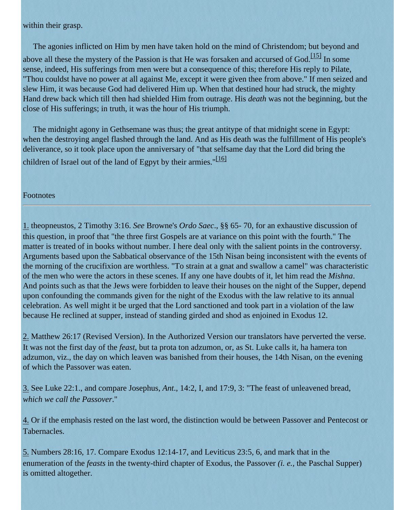within their grasp.

<span id="page-75-0"></span> The agonies inflicted on Him by men have taken hold on the mind of Christendom; but beyond and above all these the mystery of the Passion is that He was forsaken and accursed of God.<sup>[15]</sup> In some sense, indeed, His sufferings from men were but a consequence of this; therefore His reply to Pilate, "Thou couldst have no power at all against Me, except it were given thee from above." If men seized and slew Him, it was because God had delivered Him up. When that destined hour had struck, the mighty Hand drew back which till then had shielded Him from outrage. His *death* was not the beginning, but the close of His sufferings; in truth, it was the hour of His triumph.

 The midnight agony in Gethsemane was thus; the great antitype of that midnight scene in Egypt: when the destroying angel flashed through the land. And as His death was the fulfillment of His people's deliverance, so it took place upon the anniversary of "that selfsame day that the Lord did bring the children of Israel out of the land of Egpyt by their armies."<sup>[16]</sup>

<span id="page-75-1"></span>Footnotes

[1.](#page-72-0) theopneustos, 2 Timothy 3:16. *See* Browne's *Ordo Saec*., §§ 65- 70, for an exhaustive discussion of this question, in proof that "the three first Gospels are at variance on this point with the fourth." The matter is treated of in books without number. I here deal only with the salient points in the controversy. Arguments based upon the Sabbatical observance of the 15th Nisan being inconsistent with the events of the morning of the crucifixion are worthless. "To strain at a gnat and swallow a camel" was characteristic of the men who were the actors in these scenes. If any one have doubts of it, let him read the *Mishna*. And points such as that the Jews were forbidden to leave their houses on the night of the Supper, depend upon confounding the commands given for the night of the Exodus with the law relative to its annual celebration. As well might it be urged that the Lord sanctioned and took part in a violation of the law because He reclined at supper, instead of standing girded and shod as enjoined in Exodus 12.

[2.](#page-72-1) Matthew 26:17 (Revised Version). In the Authorized Version our translators have perverted the verse. It was not the first day of the *feast*, but ta prota ton adzumon, or, as St. Luke calls it, ha hamera ton adzumon, viz., the day on which leaven was banished from their houses, the 14th Nisan, on the evening of which the Passover was eaten.

[3.](#page-73-0) See Luke 22:1., and compare Josephus, *Ant*., 14:2, I, and 17:9, 3: "The feast of unleavened bread, *which we call the Passover*."

[4.](#page-73-1) Or if the emphasis rested on the last word, the distinction would be between Passover and Pentecost or Tabernacles.

[5.](#page-73-2) Numbers 28:16, 17. Compare Exodus 12:14-17, and Leviticus 23:5, 6, and mark that in the enumeration of the *feasts* in the twenty-third chapter of Exodus, the Passover *(i. e.,* the Paschal Supper) is omitted altogether.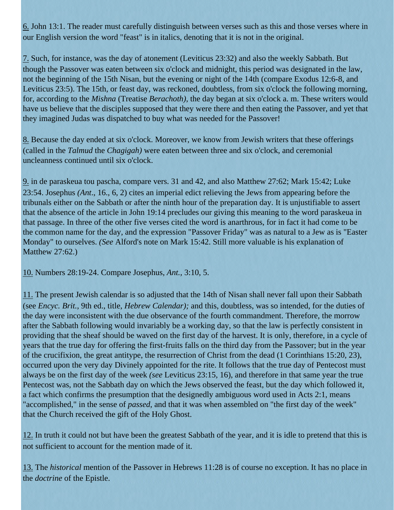[6.](#page-73-3) John 13:1. The reader must carefully distinguish between verses such as this and those verses where in our English version the word "feast" is in italics, denoting that it is not in the original.

[7.](#page-73-4) Such, for instance, was the day of atonement (Leviticus 23:32) and also the weekly Sabbath. But though the Passover was eaten between six o'clock and midnight, this period was designated in the law, not the beginning of the 15th Nisan, but the evening or night of the 14th (compare Exodus 12:6-8, and Leviticus 23:5). The 15th, or feast day, was reckoned, doubtless, from six o'clock the following morning, for, according to the *Mishna* (Treatise *Berachoth)*, the day began at six o'clock a. m. These writers would have us believe that the disciples supposed that they were there and then eating the Passover, and yet that they imagined Judas was dispatched to buy what was needed for the Passover!

[8.](#page-73-5) Because the day ended at six o'clock. Moreover, we know from Jewish writers that these offerings (called in the *Talmud* the *Chagigah)* were eaten between three and six o'clock, and ceremonial uncleanness continued until six o'clock.

[9.](#page-74-0) in de paraskeua tou pascha, compare vers. 31 and 42, and also Matthew 27:62; Mark 15:42; Luke 23:54. Josephus *(Ant*., 16., 6, 2) cites an imperial edict relieving the Jews from appearing before the tribunals either on the Sabbath or after the ninth hour of the preparation day. It is unjustifiable to assert that the absence of the article in John 19:14 precludes our giving this meaning to the word paraskeua in that passage. In three of the other five verses cited the word is anarthrous, for in fact it had come to be the common name for the day, and the expression "Passover Friday" was as natural to a Jew as is "Easter Monday" to ourselves. *(See* Alford's note on Mark 15:42. Still more valuable is his explanation of Matthew 27:62.)

10. Numbers 28:19-24. Compare Josephus, *Ant.,* 3:10, 5.

11. The present Jewish calendar is so adjusted that the 14th of Nisan shall never fall upon their Sabbath (see *Encyc. Brit.,* 9th ed., title, *Hebrew Calendar);* and this, doubtless, was so intended, for the duties of the day were inconsistent with the due observance of the fourth commandment. Therefore, the morrow after the Sabbath following would invariably be a working day, so that the law is perfectly consistent in providing that the sheaf should be waved on the first day of the harvest. It is only, therefore, in a cycle of years that the true day for offering the first-fruits falls on the third day from the Passover; but in the year of the crucifixion, the great antitype, the resurrection of Christ from the dead (1 Corinthians 15:20, 23), occurred upon the very day Divinely appointed for the rite. It follows that the true day of Pentecost must always be on the first day of the week *(see* Leviticus 23:15, 16), and therefore in that same year the true Pentecost was, not the Sabbath day on which the Jews observed the feast, but the day which followed it, a fact which confirms the presumption that the designedly ambiguous word used in Acts 2:1, means "accomplished," in the sense of *passed*, and that it was when assembled on "the first day of the week" that the Church received the gift of the Holy Ghost.

12. In truth it could not but have been the greatest Sabbath of the year, and it is idle to pretend that this is not sufficient to account for the mention made of it.

13. The *historical* mention of the Passover in Hebrews 11:28 is of course no exception. It has no place in the *doctrine* of the Epistle.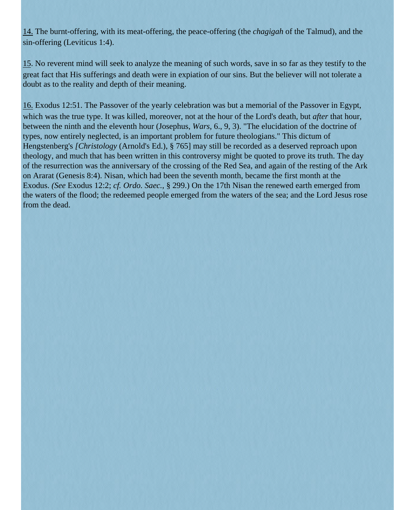[14.](#page-74-1) The burnt-offering, with its meat-offering, the peace-offering (the *chagigah* of the Talmud), and the sin-offering (Leviticus 1:4).

[15](#page-75-0). No reverent mind will seek to analyze the meaning of such words, save in so far as they testify to the great fact that His sufferings and death were in expiation of our sins. But the believer will not tolerate a doubt as to the reality and depth of their meaning.

[16.](#page-75-1) Exodus 12:51. The Passover of the yearly celebration was but a memorial of the Passover in Egypt, which was the true type. It was killed, moreover, not at the hour of the Lord's death, but *after* that hour, between the ninth and the eleventh hour (Josephus, *Wars*, 6., 9, 3). "The elucidation of the doctrine of types, now entirely neglected, is an important problem for future theologians." This dictum of Hengstenberg's *[Christology* (Arnold's Ed.), § 765] may still be recorded as a deserved reproach upon theology, and much that has been written in this controversy might be quoted to prove its truth. The day of the resurrection was the anniversary of the crossing of the Red Sea, and again of the resting of the Ark on Ararat (Genesis 8:4). Nisan, which had been the seventh month, became the first month at the Exodus. *(See* Exodus 12:2; *cf. Ordo. Saec.*, § 299.) On the 17th Nisan the renewed earth emerged from the waters of the flood; the redeemed people emerged from the waters of the sea; and the Lord Jesus rose from the dead.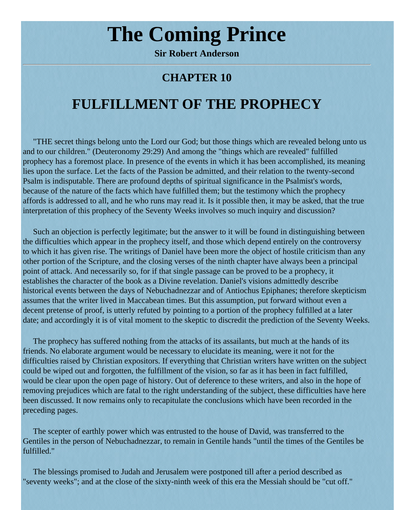## **The Coming Prince**

**Sir Robert Anderson**

#### **CHAPTER 10**

### **FULFILLMENT OF THE PROPHECY**

 "THE secret things belong unto the Lord our God; but those things which are revealed belong unto us and to our children." (Deuteronomy 29:29) And among the "things which are revealed" fulfilled prophecy has a foremost place. In presence of the events in which it has been accomplished, its meaning lies upon the surface. Let the facts of the Passion be admitted, and their relation to the twenty-second Psalm is indisputable. There are profound depths of spiritual significance in the Psalmist's words, because of the nature of the facts which have fulfilled them; but the testimony which the prophecy affords is addressed to all, and he who runs may read it. Is it possible then, it may be asked, that the true interpretation of this prophecy of the Seventy Weeks involves so much inquiry and discussion?

 Such an objection is perfectly legitimate; but the answer to it will be found in distinguishing between the difficulties which appear in the prophecy itself, and those which depend entirely on the controversy to which it has given rise. The writings of Daniel have been more the object of hostile criticism than any other portion of the Scripture, and the closing verses of the ninth chapter have always been a principal point of attack. And necessarily so, for if that single passage can be proved to be a prophecy, it establishes the character of the book as a Divine revelation. Daniel's visions admittedly describe historical events between the days of Nebuchadnezzar and of Antiochus Epiphanes; therefore skepticism assumes that the writer lived in Maccabean times. But this assumption, put forward without even a decent pretense of proof, is utterly refuted by pointing to a portion of the prophecy fulfilled at a later date; and accordingly it is of vital moment to the skeptic to discredit the prediction of the Seventy Weeks.

 The prophecy has suffered nothing from the attacks of its assailants, but much at the hands of its friends. No elaborate argument would be necessary to elucidate its meaning, were it not for the difficulties raised by Christian expositors. If everything that Christian writers have written on the subject could be wiped out and forgotten, the fulfillment of the vision, so far as it has been in fact fulfilled, would be clear upon the open page of history. Out of deference to these writers, and also in the hope of removing prejudices which are fatal to the right understanding of the subject, these difficulties have here been discussed. It now remains only to recapitulate the conclusions which have been recorded in the preceding pages.

 The scepter of earthly power which was entrusted to the house of David, was transferred to the Gentiles in the person of Nebuchadnezzar, to remain in Gentile hands "until the times of the Gentiles be fulfilled."

 The blessings promised to Judah and Jerusalem were postponed till after a period described as "seventy weeks"; and at the close of the sixty-ninth week of this era the Messiah should be "cut off."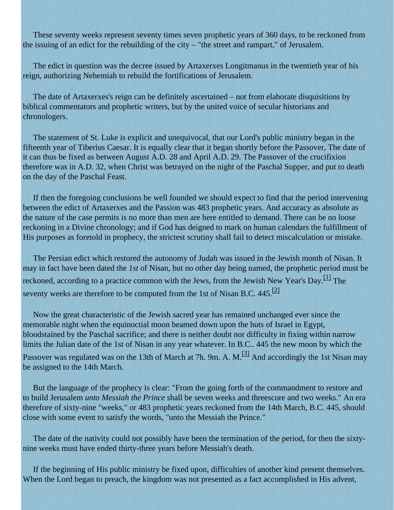These seventy weeks represent seventy times seven prophetic years of 360 days, to be reckoned from the issuing of an edict for the rebuilding of the city – "the street and rampart," of Jerusalem.

 The edict in question was the decree issued by Artaxerxes Longitmanus in the twentieth year of his reign, authorizing Nehemiah to rebuild the fortifications of Jerusalem.

 The date of Artaxerxes's reign can be definitely ascertained – not from elaborate disquisitions by biblical commentators and prophetic writers, but by the united voice of secular historians and chronologers.

 The statement of St. Luke is explicit and unequivocal, that our Lord's public ministry began in the fifteenth year of Tiberius Caesar. It is equally clear that it began shortly before the Passover, The date of it can thus be fixed as between August A.D. 28 and April A.D. 29. The Passover of the crucifixion therefore was in A.D. 32, when Christ was betrayed on the night of the Paschal Supper, and put to death on the day of the Paschal Feast.

 If then the foregoing conclusions be well founded we should expect to find that the period intervening between the edict of Artaxerxes and the Passion was 483 prophetic years. And accuracy as absolute as the nature of the case permits is no more than men are here entitled to demand. There can be no loose reckoning in a Divine chronology; and if God has deigned to mark on human calendars the fulfillment of His purposes as foretold in prophecy, the strictest scrutiny shall fail to detect miscalculation or mistake.

 The Persian edict which restored the autonomy of Judah was issued in the Jewish month of Nisan. It may in fact have been dated the *1st* of Nisan, but no other day being named, the prophetic period must be reckoned, according to a practice common with the Jews, from the Jewish New Year's Day.<sup>[1]</sup> The seventy weeks are therefore to be computed from the 1st of Nisan B.C. 445.<sup>[\[2\]](#page-81-1)</sup>

<span id="page-79-1"></span><span id="page-79-0"></span> Now the great characteristic of the Jewish sacred year has remained unchanged ever since the memorable night when the equinoctial moon beamed down upon the huts of Israel in Egypt, bloodstained by the Paschal sacrifice; and there is neither doubt nor difficulty in fixing within narrow limits the Julian date of the 1st of Nisan in any year whatever. In B.C.. 445 the new moon by which the Passover was regulated was on the 13th of March at 7h. 9m. A. M.<sup>[3]</sup> And accordingly the 1st Nisan may be assigned to the 14th March.

<span id="page-79-2"></span> But the language of the prophecy is clear: "From the going forth of the commandment to restore and to build Jerusalem *unto Messiah the Prince* shall be seven weeks and threescore and two weeks." An era therefore of sixty-nine "weeks," or 483 prophetic years reckoned from the 14th March, B.C. 445, should close with some event to satisfy the words, "unto the Messiah the Prince."

 The date of the nativity could not possibly have been the termination of the period, for then the sixtynine weeks must have ended thirty-three years before Messiah's death.

 If the beginning of His public ministry be fixed upon, difficulties of another kind present themselves. When the Lord began to preach, the kingdom was not presented as a fact accomplished in His advent,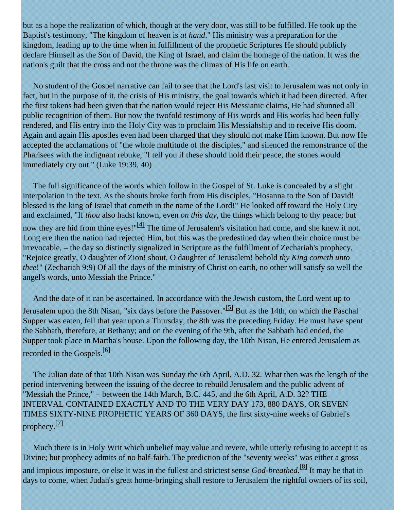but as a hope the realization of which, though at the very door, was still to be fulfilled. He took up the Baptist's testimony, "The kingdom of heaven is *at hand*." His ministry was a preparation for the kingdom, leading up to the time when in fulfillment of the prophetic Scriptures He should publicly declare Himself as the Son of David, the King of Israel, and claim the homage of the nation. It was the nation's guilt that the cross and not the throne was the climax of His life on earth.

 No student of the Gospel narrative can fail to see that the Lord's last visit to Jerusalem was not only in fact, but in the purpose of it, the crisis of His ministry, the goal towards which it had been directed. After the first tokens had been given that the nation would reject His Messianic claims, He had shunned all public recognition of them. But now the twofold testimony of His words and His works had been fully rendered, and His entry into the Holy City was to proclaim His Messiahship and to receive His doom. Again and again His apostles even had been charged that they should not make Him known. But now He accepted the acclamations of "the whole multitude of the disciples," and silenced the remonstrance of the Pharisees with the indignant rebuke, "I tell you if these should hold their peace, the stones would immediately cry out." (Luke 19:39, 40)

<span id="page-80-0"></span> The full significance of the words which follow in the Gospel of St. Luke is concealed by a slight interpolation in the text. As the shouts broke forth from His disciples, "Hosanna to the Son of David! blessed is the king of Israel that cometh in the name of the Lord!" He looked off toward the Holy City and exclaimed, "If *thou* also hadst known, even *on this day*, the things which belong to thy peace; but now they are hid from thine eyes!"<sup>[4]</sup> The time of Jerusalem's visitation had come, and she knew it not. Long ere then the nation had rejected Him, but this was the predestined day when their choice must be irrevocable, – the day so distinctly signalized in Scripture as the fulfillment of Zechariah's prophecy, "Rejoice greatly, O daughter of Zion! shout, O daughter of Jerusalem! behold *thy King cometh unto thee*!" (Zechariah 9:9) Of all the days of the ministry of Christ on earth, no other will satisfy so well the angel's words, unto Messiah the Prince."

<span id="page-80-1"></span> And the date of it can be ascertained. In accordance with the Jewish custom, the Lord went up to Jerusalem upon the 8th Nisan, "six days before the Passover."<sup>[5]</sup> But as the 14th, on which the Paschal Supper was eaten, fell that year upon a Thursday, the 8th was the preceding Friday. He must have spent the Sabbath, therefore, at Bethany; and on the evening of the 9th, after the Sabbath had ended, the Supper took place in Martha's house. Upon the following day, the 10th Nisan, He entered Jerusalem as recorded in the Gospels. $\frac{6}{6}$ 

<span id="page-80-2"></span> The Julian date of that 10th Nisan was Sunday the 6th April, A.D. 32. What then was the length of the period intervening between the issuing of the decree to rebuild Jerusalem and the public advent of "Messiah the Prince," – between the 14th March, B.C. 445, and the 6th April, A.D. 32? THE INTERVAL CONTAINED EXACTLY AND TO THE VERY DAY 173, 880 DAYS, OR SEVEN TIMES SIXTY-NINE PROPHETIC YEARS OF 360 DAYS, the first sixty-nine weeks of Gabriel's prophecy.<sup>[\[7\]](#page-82-3)</sup>

<span id="page-80-4"></span><span id="page-80-3"></span> Much there is in Holy Writ which unbelief may value and revere, while utterly refusing to accept it as Divine; but prophecy admits of no half-faith. The prediction of the "seventy weeks" was either a gross and impious imposture, or else it was in the fullest and strictest sense *God-breathed*. [\[8\]](#page-82-4) It may be that in days to come, when Judah's great home-bringing shall restore to Jerusalem the rightful owners of its soil,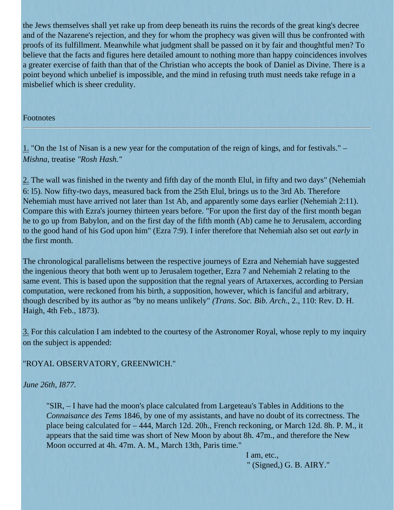the Jews themselves shall yet rake up from deep beneath its ruins the records of the great king's decree and of the Nazarene's rejection, and they for whom the prophecy was given will thus be confronted with proofs of its fulfillment. Meanwhile what judgment shall be passed on it by fair and thoughtful men? To believe that the facts and figures here detailed amount to nothing more than happy coincidences involves a greater exercise of faith than that of the Christian who accepts the book of Daniel as Divine. There is a point beyond which unbelief is impossible, and the mind in refusing truth must needs take refuge in a misbelief which is sheer credulity.

Footnotes

<span id="page-81-0"></span>[1.](#page-79-0) "On the 1st of Nisan is a new year for the computation of the reign of kings, and for festivals." – *Mishna*, treatise *"Rosh Hash."*

<span id="page-81-1"></span>[2.](#page-79-1) The wall was finished in the twenty and fifth day of the month Elul, in fifty and two days" (Nehemiah 6: l5). Now fifty-two days, measured back from the 25th Elul, brings us to the 3rd Ab. Therefore Nehemiah must have arrived not later than 1st Ab, and apparently some days earlier (Nehemiah 2:11). Compare this with Ezra's journey thirteen years before. "For upon the first day of the first month began he to go up from Babylon, and on the first day of the fifth month (Ab) came he to Jerusalem, according to the good hand of his God upon him" (Ezra 7:9). I infer therefore that Nehemiah also set out *early* in the first month.

The chronological parallelisms between the respective journeys of Ezra and Nehemiah have suggested the ingenious theory that both went up to Jerusalem together, Ezra 7 and Nehemiah 2 relating to the same event. This is based upon the supposition that the regnal years of Artaxerxes, according to Persian computation, were reckoned from his birth, a supposition, however, which is fanciful and arbitrary, though described by its author as "by no means unlikely" *(Trans*. *Soc. Bib. Arch*., 2., 110: Rev. D. H. Haigh, 4th Feb., 1873).

<span id="page-81-2"></span>[3.](#page-79-2) For this calculation I am indebted to the courtesy of the Astronomer Royal, whose reply to my inquiry on the subject is appended:

"ROYAL OBSERVATORY, GREENWICH."

*June 26th, I877.*

"SIR, – I have had the moon's place calculated from Largeteau's Tables in Additions to the *Connaisance des Tems* 1846, by one of my assistants, and have no doubt of its correctness. The place being calculated for – 444, March 12d. 20h., French reckoning, or March 12d. 8h. P. M., it appears that the said time was short of New Moon by about 8h. 47m., and therefore the New Moon occurred at 4h. 47m. A. M., March 13th, Paris time."

> I am, etc., " (Signed,) G. B. AIRY."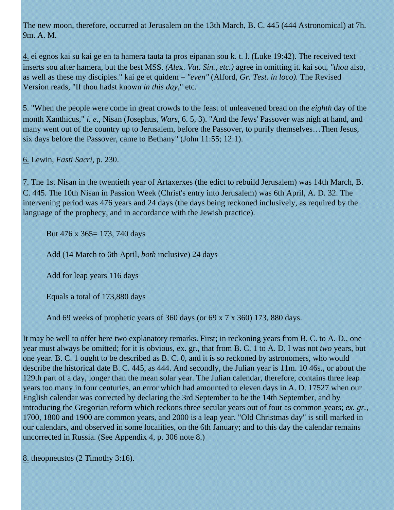The new moon, therefore, occurred at Jerusalem on the 13th March, B. C. 445 (444 Astronomical) at 7h. 9m. A. M.

<span id="page-82-0"></span>[4.](#page-80-0) ei egnos kai su kai ge en ta hamera tauta ta pros eipanan sou k. t. l. (Luke 19:42). The received text inserts sou after hamera, but the best MSS. *(Ale*x. *Vat. Sin., etc.)* agree in omitting it. kai sou, *"thou* also, as well as these my disciples." kai ge et quidem – *"even"* (Alford, *Gr. Test. in loco).* The Revised Version reads, "If thou hadst known *in this day,*" etc.

<span id="page-82-1"></span>[5.](#page-80-1) "When the people were come in great crowds to the feast of unleavened bread on the *eighth* day of the month Xanthicus," *i. e.,* Nisan (Josephus, *Wars*, 6. 5, 3). "And the Jews' Passover was nigh at hand, and many went out of the country up to Jerusalem, before the Passover, to purify themselves…Then Jesus, six days before the Passover, came to Bethany" (John 11:55; 12:1).

<span id="page-82-2"></span>[6.](#page-80-2) Lewin, *Fasti Sacri*, p. 230.

<span id="page-82-3"></span>[7.](#page-80-3) The 1st Nisan in the twentieth year of Artaxerxes (the edict to rebuild Jerusalem) was 14th March, B. C. 445. The 10th Nisan in Passion Week (Christ's entry into Jerusalem) was 6th April, A. D. 32. The intervening period was 476 years and 24 days (the days being reckoned inclusively, as required by the language of the prophecy, and in accordance with the Jewish practice).

But 476 x 365= 173, 740 days

Add (14 March to 6th April, *both* inclusive) 24 days

Add for leap years 116 days

Equals a total of 173,880 days

And 69 weeks of prophetic years of 360 days (or 69 x 7 x 360) 173, 880 days.

It may be well to offer here two explanatory remarks. First; in reckoning years from B. C. to A. D., one year must always be omitted; for it is obvious, ex. gr., that from B. C. 1 to A. D. I was not *two* years, but one year. B. C. 1 ought to be described as B. C. 0, and it is so reckoned by astronomers, who would describe the historical date B. C. 445, as 444. And secondly, the Julian year is 11m. 10 46s., or about the 129th part of a day, longer than the mean solar year. The Julian calendar, therefore, contains three leap years too many in four centuries, an error which had amounted to eleven days in A. D. 17527 when our English calendar was corrected by declaring the 3rd September to be the 14th September, and by introducing the Gregorian reform which reckons three secular years out of four as common years; *ex. gr.,*  1700, 1800 and 1900 are common years, and 2000 is a leap year. "Old Christmas day" is still marked in our calendars, and observed in some localities, on the 6th January; and to this day the calendar remains uncorrected in Russia. (See Appendix 4, p. 306 note 8.)

<span id="page-82-4"></span>[8.](#page-80-4) theopneustos (2 Timothy 3:16).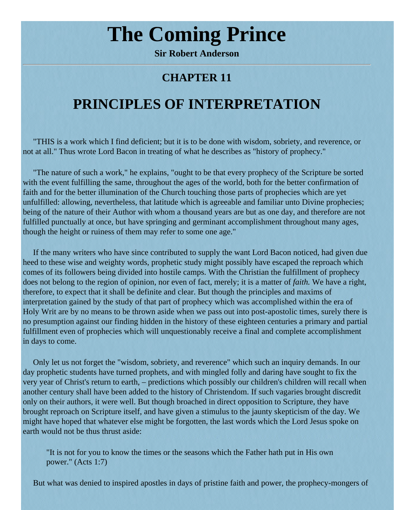# **The Coming Prince**

**Sir Robert Anderson**

### **CHAPTER 11**

## **PRINCIPLES OF INTERPRETATION**

 "THIS is a work which I find deficient; but it is to be done with wisdom, sobriety, and reverence, or not at all." Thus wrote Lord Bacon in treating of what he describes as "history of prophecy."

 "The nature of such a work," he explains, "ought to be that every prophecy of the Scripture be sorted with the event fulfilling the same, throughout the ages of the world, both for the better confirmation of faith and for the better illumination of the Church touching those parts of prophecies which are yet unfulfilled: allowing, nevertheless, that latitude which is agreeable and familiar unto Divine prophecies; being of the nature of their Author with whom a thousand years are but as one day, and therefore are not fulfilled punctually at once, but have springing and germinant accomplishment throughout many ages, though the height or ruiness of them may refer to some one age."

 If the many writers who have since contributed to supply the want Lord Bacon noticed, had given due heed to these wise and weighty words, prophetic study might possibly have escaped the reproach which comes of its followers being divided into hostile camps. With the Christian the fulfillment of prophecy does not belong to the region of opinion, nor even of fact, merely; it is a matter of *faith.* We have a right, therefore, to expect that it shall be definite and clear. But though the principles and maxims of interpretation gained by the study of that part of prophecy which was accomplished within the era of Holy Writ are by no means to be thrown aside when we pass out into post-apostolic times, surely there is no presumption against our finding hidden in the history of these eighteen centuries a primary and partial fulfillment even of prophecies which will unquestionably receive a final and complete accomplishment in days to come.

 Only let us not forget the "wisdom, sobriety, and reverence" which such an inquiry demands. In our day prophetic students have turned prophets, and with mingled folly and daring have sought to fix the very year of Christ's return to earth, – predictions which possibly our children's children will recall when another century shall have been added to the history of Christendom. If such vagaries brought discredit only on their authors, it were well. But though broached in direct opposition to Scripture, they have brought reproach on Scripture itself, and have given a stimulus to the jaunty skepticism of the day. We might have hoped that whatever else might be forgotten, the last words which the Lord Jesus spoke on earth would not be thus thrust aside:

"It is not for you to know the times or the seasons which the Father hath put in His own power." (Acts 1:7)

But what was denied to inspired apostles in days of pristine faith and power, the prophecy-mongers of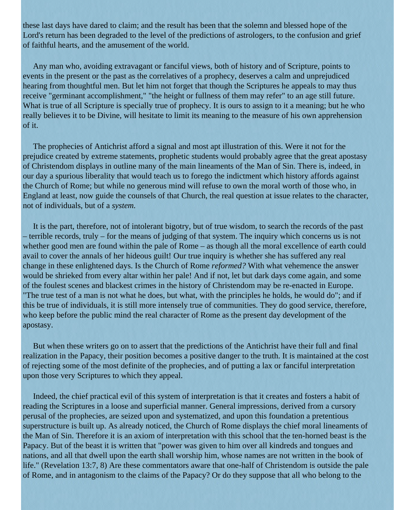these last days have dared to claim; and the result has been that the solemn and blessed hope of the Lord's return has been degraded to the level of the predictions of astrologers, to the confusion and grief of faithful hearts, and the amusement of the world.

 Any man who, avoiding extravagant or fanciful views, both of history and of Scripture, points to events in the present or the past as the correlatives of a prophecy, deserves a calm and unprejudiced hearing from thoughtful men. But let him not forget that though the Scriptures he appeals to may thus receive "germinant accomplishment," "the height or fullness of them may refer" to an age still future. What is true of all Scripture is specially true of prophecy. It is ours to assign to it a meaning; but he who really believes it to be Divine, will hesitate to limit its meaning to the measure of his own apprehension of it.

 The prophecies of Antichrist afford a signal and most apt illustration of this. Were it not for the prejudice created by extreme statements, prophetic students would probably agree that the great apostasy of Christendom displays in outline many of the main lineaments of the Man of Sin. There is, indeed, in our day a spurious liberality that would teach us to forego the indictment which history affords against the Church of Rome; but while no generous mind will refuse to own the moral worth of those who, in England at least, now guide the counsels of that Church, the real question at issue relates to the character, not of individuals, but of a *system.*

 It is the part, therefore, not of intolerant bigotry, but of true wisdom, to search the records of the past – terrible records, truly – for the means of judging of that system. The inquiry which concerns us is not whether good men are found within the pale of Rome – as though all the moral excellence of earth could avail to cover the annals of her hideous guilt! Our true inquiry is whether she has suffered any real change in these enlightened days. Is the Church of Rome *reformed?* With what vehemence the answer would be shrieked from every altar within her pale! And if not, let but dark days come again, and some of the foulest scenes and blackest crimes in the history of Christendom may be re-enacted in Europe. "The true test of a man is not what he does, but what, with the principles he holds, he would do"; and if this be true of individuals, it is still more intensely true of communities. They do good service, therefore, who keep before the public mind the real character of Rome as the present day development of the apostasy.

 But when these writers go on to assert that the predictions of the Antichrist have their full and final realization in the Papacy, their position becomes a positive danger to the truth. It is maintained at the cost of rejecting some of the most definite of the prophecies, and of putting a lax or fanciful interpretation upon those very Scriptures to which they appeal.

 Indeed, the chief practical evil of this system of interpretation is that it creates and fosters a habit of reading the Scriptures in a loose and superficial manner. General impressions, derived from a cursory perusal of the prophecies, are seized upon and systematized, and upon this foundation a pretentious superstructure is built up. As already noticed, the Church of Rome displays the chief moral lineaments of the Man of Sin. Therefore it is an axiom of interpretation with this school that the ten-horned beast is the Papacy. But of the beast it is written that "power was given to him over all kindreds and tongues and nations, and all that dwell upon the earth shall worship him, whose names are not written in the book of life." (Revelation 13:7, 8) Are these commentators aware that one-half of Christendom is outside the pale of Rome, and in antagonism to the claims of the Papacy? Or do they suppose that all who belong to the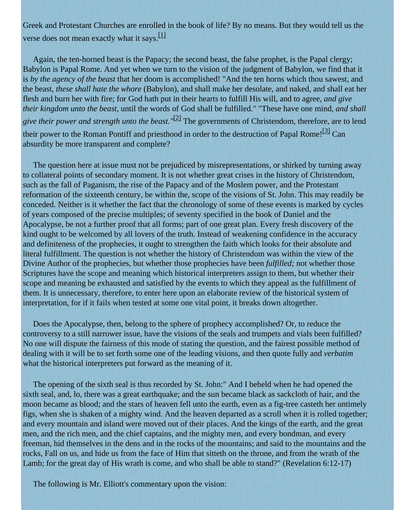Greek and Protestant Churches are enrolled in the book of life? By no means. But they would tell us the verse does not mean exactly what it says.<sup>[\[1\]](#page-89-0)</sup>

<span id="page-85-0"></span> Again, the ten-horned beast is the Papacy; the second beast, the false prophet, is the Papal clergy; Babylon is Papal Rome. And yet when we turn to the vision of the judgment of Babylon, we find that it is *by the agency of the beast* that her doom is accomplished! "And the ten horns which thou sawest, and the beast, *these shall hate the whore* (Babylon), and shall make her desolate, and naked, and shall eat her flesh and burn her with fire; for God hath put in their hearts to fulfill His will, and to agree, *and give their kingdom unto the beast,* until the words of God shall be fulfilled." "These have one mind, *and shall give their power and strength unto the beast."*[\[2\]](#page-89-1) The governments of Christendom, therefore, are to lend their power to the Roman Pontiff and priesthood in order to the destruction of Papal Rome!<sup>[\[3\]](#page-89-2)</sup> Can absurdity be more transparent and complete?

<span id="page-85-2"></span><span id="page-85-1"></span> The question here at issue must not be prejudiced by misrepresentations, or shirked by turning away to collateral points of secondary moment. It is not whether great crises in the history of Christendom, such as the fall of Paganism, the rise of the Papacy and of the Moslem power, and the Protestant reformation of the sixteenth century, be within the, scope of the visions of St. John. This may readily be conceded. Neither is it whether the fact that the chronology of some of these events is marked by cycles of years composed of the precise multiples; of seventy specified in the book of Daniel and the Apocalypse, be not a further proof that all forms; part of one great plan. Every fresh discovery of the kind ought to be welcomed by all lovers of the truth. Instead of weakening confidence in the accuracy and definiteness of the prophecies, it ought to strengthen the faith which looks for their absolute and literal fulfillment. The question is not whether the history of Christendom was within the view of the Divine Author of the prophecies, but whether those prophecies have been *fulfilled;* not whether those Scriptures have the scope and meaning which historical interpreters assign to them, but whether their scope and meaning be exhausted and satisfied by the events to which they appeal as the fulfillment of them. It is unnecessary, therefore, to enter here upon an elaborate review of the historical system of interpretation, for if it fails when tested at some one vital point, it breaks down altogether.

 Does the Apocalypse, then, belong to the sphere of prophecy accomplished? Or, to reduce the controversy to a still narrower issue, have the visions of the seals and trumpets and vials been fulfilled? No one will dispute the fairness of this mode of stating the question, and the fairest possible method of dealing with it will be to set forth some one of the leading visions, and then quote fully and *verbatim*  what the historical interpreters put forward as the meaning of it.

 The opening of the sixth seal is thus recorded by St. John:" And I beheld when he had opened the sixth seal, and, lo, there was a great earthquake; and the sun became black as sackcloth of hair, and the moon became as blood; and the stars of heaven fell unto the earth, even as a fig-tree casteth her untimely figs, when she is shaken of a mighty wind. And the heaven departed as a scroll when it is rolled together; and every mountain and island were moved out of their places. And the kings of the earth, and the great men, and the rich men, and the chief captains, and the mighty men, and every bondman, and every freeman, hid themselves in the dens and in the rocks of the mountains; and said to the mountains and the rocks, Fall on us, and hide us from the face of Him that sitteth on the throne, and from the wrath of the Lamb; for the great day of His wrath is come, and who shall be able to stand?" (Revelation 6:12-17)

The following is Mr. Elliott's commentary upon the vision: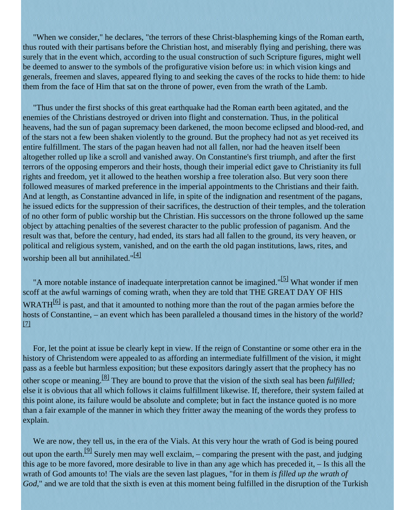"When we consider," he declares, "the terrors of these Christ-blaspheming kings of the Roman earth, thus routed with their partisans before the Christian host, and miserably flying and perishing, there was surely that in the event which, according to the usual construction of such Scripture figures, might well be deemed to answer to the symbols of the profigurative vision before us: in which vision kings and generals, freemen and slaves, appeared flying to and seeking the caves of the rocks to hide them: to hide them from the face of Him that sat on the throne of power, even from the wrath of the Lamb.

 "Thus under the first shocks of this great earthquake had the Roman earth been agitated, and the enemies of the Christians destroyed or driven into flight and consternation. Thus, in the political heavens, had the sun of pagan supremacy been darkened, the moon become eclipsed and blood-red, and of the stars not a few been shaken violently to the ground. But the prophecy had not as yet received its entire fulfillment. The stars of the pagan heaven had not all fallen, nor had the heaven itself been altogether rolled up like a scroll and vanished away. On Constantine's first triumph, and after the first terrors of the opposing emperors and their hosts, though their imperial edict gave to Christianity its full rights and freedom, yet it allowed to the heathen worship a free toleration also. But very soon there followed measures of marked preference in the imperial appointments to the Christians and their faith. And at length, as Constantine advanced in life, in spite of the indignation and resentment of the pagans, he issued edicts for the suppression of their sacrifices, the destruction of their temples, and the toleration of no other form of public worship but the Christian. His successors on the throne followed up the same object by attaching penalties of the severest character to the public profession of paganism. And the result was that, before the century, had ended, its stars had all fallen to the ground, its very heaven, or political and religious system, vanished, and on the earth the old pagan institutions, laws, rites, and worship been all but annihilated."<sup>[\[4\]](#page-89-3)</sup>

<span id="page-86-2"></span><span id="page-86-1"></span><span id="page-86-0"></span>"A more notable instance of inadequate interpretation cannot be imagined."<sup>[\[5\]](#page-89-4)</sup> What wonder if men scoff at the awful warnings of coming wrath, when they are told that THE GREAT DAY OF HIS WRATH<sup>[\[6\]](#page-89-5)</sup> is past, and that it amounted to nothing more than the rout of the pagan armies before the hosts of Constantine, – an event which has been paralleled a thousand times in the history of the world? [\[7\]](#page-89-6)

<span id="page-86-4"></span><span id="page-86-3"></span> For, let the point at issue be clearly kept in view. If the reign of Constantine or some other era in the history of Christendom were appealed to as affording an intermediate fulfillment of the vision, it might pass as a feeble but harmless exposition; but these expositors daringly assert that the prophecy has no other scope or meaning.[\[8\]](#page-89-7) They are bound to prove that the vision of the sixth seal has been *fulfilled;* else it is obvious that all which follows it claims fulfillment likewise. If, therefore, their system failed at this point alone, its failure would be absolute and complete; but in fact the instance quoted is no more than a fair example of the manner in which they fritter away the meaning of the words they profess to explain.

<span id="page-86-5"></span> We are now, they tell us, in the era of the Vials. At this very hour the wrath of God is being poured out upon the earth.<sup>[\[9\]](#page-89-8)</sup> Surely men may well exclaim, – comparing the present with the past, and judging this age to be more favored, more desirable to live in than any age which has preceded it, – Is this all the wrath of God amounts to! The vials are the seven last plagues, "for in them *is filled up the wrath of God,*" and we are told that the sixth is even at this moment being fulfilled in the disruption of the Turkish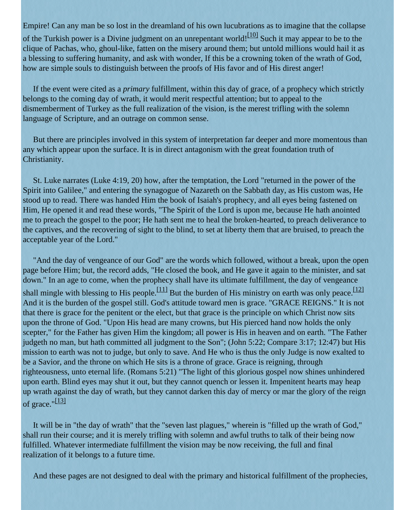<span id="page-87-0"></span>Empire! Can any man be so lost in the dreamland of his own lucubrations as to imagine that the collapse of the Turkish power is a Divine judgment on an unrepentant world!  $[10]$  Such it may appear to be to the clique of Pachas, who, ghoul-like, fatten on the misery around them; but untold millions would hail it as a blessing to suffering humanity, and ask with wonder, If this be a crowning token of the wrath of God, how are simple souls to distinguish between the proofs of His favor and of His direst anger!

 If the event were cited as a *primary* fulfillment, within this day of grace, of a prophecy which strictly belongs to the coming day of wrath, it would merit respectful attention; but to appeal to the dismemberment of Turkey as the full realization of the vision, is the merest trifling with the solemn language of Scripture, and an outrage on common sense.

 But there are principles involved in this system of interpretation far deeper and more momentous than any which appear upon the surface. It is in direct antagonism with the great foundation truth of Christianity.

 St. Luke narrates (Luke 4:19, 20) how, after the temptation, the Lord "returned in the power of the Spirit into Galilee," and entering the synagogue of Nazareth on the Sabbath day, as His custom was, He stood up to read. There was handed Him the book of Isaiah's prophecy, and all eyes being fastened on Him, He opened it and read these words, "The Spirit of the Lord is upon me, because He hath anointed me to preach the gospel to the poor; He hath sent me to heal the broken-hearted, to preach deliverance to the captives, and the recovering of sight to the blind, to set at liberty them that are bruised, to preach the acceptable year of the Lord."

<span id="page-87-1"></span> "And the day of vengeance of our God" are the words which followed, without a break, upon the open page before Him; but, the record adds, "He closed the book, and He gave it again to the minister, and sat down." In an age to come, when the prophecy shall have its ultimate fulfillment, the day of vengeance shall mingle with blessing to His people.<sup>[\[11\]](#page-90-1)</sup> But the burden of His ministry on earth was only peace.<sup>[\[12\]](#page-90-2)</sup> And it is the burden of the gospel still. God's attitude toward men is grace. "GRACE REIGNS." It is not that there is grace for the penitent or the elect, but that grace is the principle on which Christ now sits upon the throne of God. "Upon His head are many crowns, but His pierced hand now holds the only scepter," for the Father has given Him the kingdom; all power is His in heaven and on earth. "The Father judgeth no man, but hath committed all judgment to the Son"; (John 5:22; Compare 3:17; 12:47) but His mission to earth was not to judge, but only to save. And He who is thus the only Judge is now exalted to be a Savior, and the throne on which He sits is a throne of grace. Grace is reigning, through righteousness, unto eternal life. (Romans 5:21) "The light of this glorious gospel now shines unhindered upon earth. Blind eyes may shut it out, but they cannot quench or lessen it. Impenitent hearts may heap up wrath against the day of wrath, but they cannot darken this day of mercy or mar the glory of the reign of grace." $\frac{[13]}{[13]}$  $\frac{[13]}{[13]}$  $\frac{[13]}{[13]}$ 

<span id="page-87-2"></span> It will be in "the day of wrath" that the "seven last plagues," wherein is "filled up the wrath of God," shall run their course; and it is merely trifling with solemn and awful truths to talk of their being now fulfilled. Whatever intermediate fulfillment the vision may be now receiving, the full and final realization of it belongs to a future time.

And these pages are not designed to deal with the primary and historical fulfillment of the prophecies,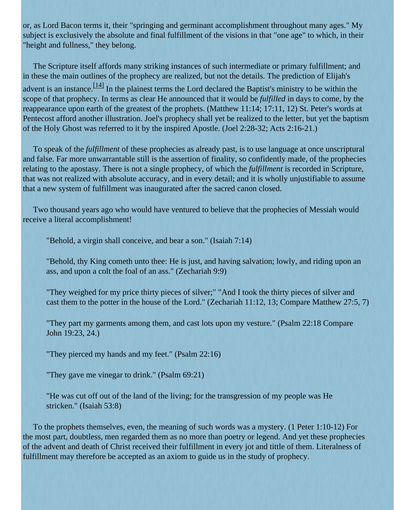or, as Lord Bacon terms it, their "springing and germinant accomplishment throughout many ages." My subject is exclusively the absolute and final fulfillment of the visions in that "one age" to which, in their "height and fullness," they belong.

<span id="page-88-0"></span> The Scripture itself affords many striking instances of such intermediate or primary fulfillment; and in these the main outlines of the prophecy are realized, but not the details. The prediction of Elijah's advent is an instance.<sup>[14]</sup> In the plainest terms the Lord declared the Baptist's ministry to be within the scope of that prophecy. In terms as clear He announced that it would be *fulfilled* in days to come, by the reappearance upon earth of the greatest of the prophets. (Matthew 11:14; 17:11, 12) St. Peter's words at Pentecost afford another illustration. Joel's prophecy shall yet be realized to the letter, but yet the baptism of the Holy Ghost was referred to it by the inspired Apostle. (Joel 2:28-32; Acts 2:16-21.)

 To speak of the *fulfillment* of these prophecies as already past, is to use language at once unscriptural and false. Far more unwarrantable still is the assertion of finality, so confidently made, of the prophecies relating to the apostasy. There is not a single prophecy, of which the *fulfillment* is recorded in Scripture, that was not realized with absolute accuracy, and in every detail; and it is wholly unjustifiable to assume that a new system of fulfillment was inaugurated after the sacred canon closed.

 Two thousand years ago who would have ventured to believe that the prophecies of Messiah would receive a literal accomplishment!

"Behold, a virgin shall conceive, and bear a son." (Isaiah 7:14)

"Behold, thy King cometh unto thee: He is just, and having salvation; lowly, and riding upon an ass, and upon a colt the foal of an ass." (Zechariah 9:9)

"They weighed for my price thirty pieces of silver;" "And I took the thirty pieces of silver and cast them to the potter in the house of the Lord." (Zechariah 11:12, 13; Compare Matthew 27:5, 7)

"They part my garments among them, and cast lots upon my vesture." (Psalm 22:18 Compare John 19:23, 24.)

"They pierced my hands and my feet." (Psalm 22:16)

"They gave me vinegar to drink." (Psalm 69:21)

"He was cut off out of the land of the living; for the transgression of my people was He stricken." (Isaiah 53:8)

 To the prophets themselves, even, the meaning of such words was a mystery. (1 Peter 1:10-12) For the most part, doubtless, men regarded them as no more than poetry or legend. And yet these prophecies of the advent and death of Christ received their fulfillment in every jot and tittle of them. Literalness of fulfillment may therefore be accepted as an axiom to guide us in the study of prophecy.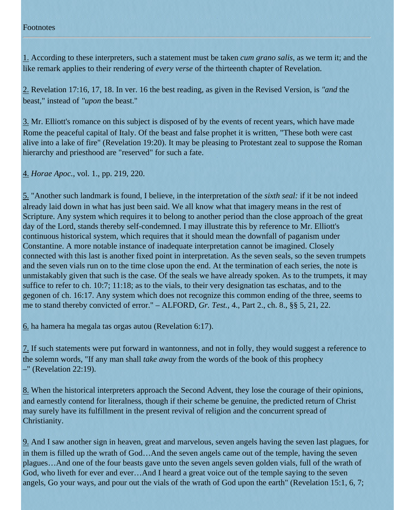#### Footnotes

<span id="page-89-0"></span>[1.](#page-85-0) According to these interpreters, such a statement must be taken *cum grano salis*, as we term it; and the like remark applies to their rendering of *every verse* of the thirteenth chapter of Revelation.

<span id="page-89-1"></span>[2.](#page-85-1) Revelation 17:16, 17, 18. In ver. 16 the best reading, as given in the Revised Version, is *"and* the beast," instead of *"upon* the beast."

<span id="page-89-2"></span>[3.](#page-85-2) Mr. Elliott's romance on this subject is disposed of by the events of recent years, which have made Rome the peaceful capital of Italy. Of the beast and false prophet it is written, "These both were cast alive into a lake of fire" (Revelation 19:20). It may be pleasing to Protestant zeal to suppose the Roman hierarchy and priesthood are "reserved" for such a fate.

<span id="page-89-3"></span>[4.](#page-86-0) *Horae Apoc.,* vol. 1., pp. 219, 220.

<span id="page-89-4"></span>[5.](#page-86-1) "Another such landmark is found, I believe, in the interpretation of the *sixth seal:* if it be not indeed already laid down in what has just been said. We all know what that imagery means in the rest of Scripture. Any system which requires it to belong to another period than the close approach of the great day of the Lord, stands thereby self-condemned. I may illustrate this by reference to Mr. Elliott's continuous historical system, which requires that it should mean the downfall of paganism under Constantine. A more notable instance of inadequate interpretation cannot be imagined. Closely connected with this last is another fixed point in interpretation. As the seven seals, so the seven trumpets and the seven vials run on to the time close upon the end. At the termination of each series, the note is unmistakably given that such is the case. Of the seals we have already spoken. As to the trumpets, it may suffice to refer to ch. 10:7; 11:18; as to the vials, to their very designation tas eschatas, and to the gegonen of ch. 16:17. Any system which does not recognize this common ending of the three, seems to me to stand thereby convicted of error." – ALFORD, *Gr. Test.,* 4., Part 2., ch. 8., §§ 5, 21, 22.

<span id="page-89-5"></span>[6.](#page-86-2) ha hamera ha megala tas orgas autou (Revelation 6:17).

<span id="page-89-6"></span>[7.](#page-86-3) If such statements were put forward in wantonness, and not in folly, they would suggest a reference to the solemn words, "If any man shall *take away* from the words of the book of this prophecy –" (Revelation 22:19).

<span id="page-89-7"></span>[8.](#page-86-4) When the historical interpreters approach the Second Advent, they lose the courage of their opinions, and earnestly contend for literalness, though if their scheme be genuine, the predicted return of Christ may surely have its fulfillment in the present revival of religion and the concurrent spread of Christianity.

<span id="page-89-8"></span>[9.](#page-86-5) And I saw another sign in heaven, great and marvelous, seven angels having the seven last plagues, for in them is filled up the wrath of God…And the seven angels came out of the temple, having the seven plagues…And one of the four beasts gave unto the seven angels seven golden vials, full of the wrath of God, who liveth for ever and ever…And I heard a great voice out of the temple saying to the seven angels, Go your ways, and pour out the vials of the wrath of God upon the earth" (Revelation 15:1, 6, 7;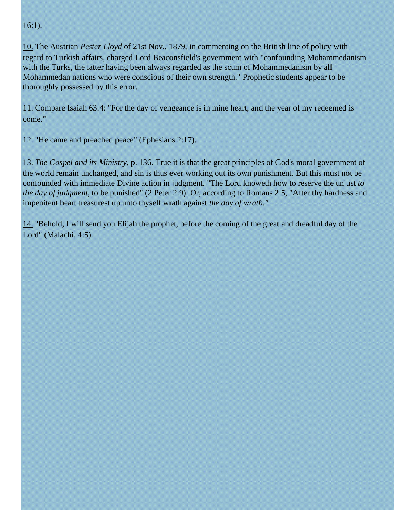16:1).

<span id="page-90-0"></span>[10.](#page-87-0) The Austrian *Pester Lloyd* of 21st Nov., 1879, in commenting on the British line of policy with regard to Turkish affairs, charged Lord Beaconsfield's government with "confounding Mohammedanism with the Turks, the latter having been always regarded as the scum of Mohammedanism by all Mohammedan nations who were conscious of their own strength." Prophetic students appear to be thoroughly possessed by this error.

<span id="page-90-1"></span>[11.](#page-87-1) Compare Isaiah 63:4: "For the day of vengeance is in mine heart, and the year of my redeemed is come."

<span id="page-90-2"></span>[12.](#page-87-1) "He came and preached peace" (Ephesians 2:17).

<span id="page-90-3"></span>[13.](#page-87-2) *The Gospel and its Ministry,* p. 136. True it is that the great principles of God's moral government of the world remain unchanged, and sin is thus ever working out its own punishment. But this must not be confounded with immediate Divine action in judgment. "The Lord knoweth how to reserve the unjust *to the day of judgment,* to be punished" (2 Peter 2:9). Or, according to Romans 2:5, "After thy hardness and impenitent heart treasurest up unto thyself wrath against *the day of wrath."*

<span id="page-90-4"></span>[14.](#page-88-0) "Behold, I will send you Elijah the prophet, before the coming of the great and dreadful day of the Lord" (Malachi. 4:5).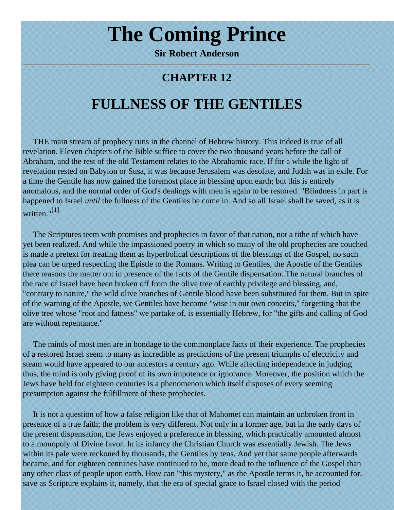## **The Coming Prince**

**Sir Robert Anderson**

#### **CHAPTER 12**

### **FULLNESS OF THE GENTILES**

 THE main stream of prophecy runs in the channel of Hebrew history. This indeed is true of all revelation. Eleven chapters of the Bible suffice to cover the two thousand years before the call of Abraham, and the rest of the old Testament relates to the Abrahamic race. If for a while the light of revelation rested on Babylon or Susa, it was because Jerusalem was desolate, and Judah was in exile. For a time the Gentile has now gained the foremost place in blessing upon earth; but this is entirely anomalous, and the normal order of God's dealings with men is again to be restored. "Blindness in part is happened to Israel *until* the fullness of the Gentiles be come in. And so all Israel shall be saved, as it is written." $\Box$ 

<span id="page-91-0"></span> The Scriptures teem with promises and prophecies in favor of that nation, not a tithe of which have yet been realized. And while the impassioned poetry in which so many of the old prophecies are couched is made a pretext for treating them as hyperbolical descriptions of the blessings of the Gospel, no such plea can be urged respecting the Epistle to the Romans. Writing to Gentiles, the Apostle of the Gentiles there reasons the matter out in presence of the facts of the Gentile dispensation. The natural branches of the race of Israel have been broken off from the olive tree of earthly privilege and blessing, and, "contrary to nature," the wild olive branches of Gentile blood have been substituted for them. But in spite of the warning of the Apostle, we Gentiles have become "wise in our own conceits," forgetting that the olive tree whose "root and fatness" we partake of, is essentially Hebrew, for "the gifts and calling of God are without repentance."

 The minds of most men are in bondage to the commonplace facts of their experience. The prophecies of a restored Israel seem to many as incredible as predictions of the present triumphs of electricity and steam would have appeared to our ancestors a century ago. While affecting independence in judging thus, the mind is only giving proof of its own impotence or ignorance. Moreover, the position which the Jews have held for eighteen centuries is a phenomenon which itself disposes of every seeming presumption against the fulfillment of these prophecies.

 It is not a question of how a false religion like that of Mahomet can maintain an unbroken front in presence of a true faith; the problem is very different. Not only in a former age, but in the early days of the present dispensation, the Jews enjoyed a preference in blessing, which practically amounted almost to a monopoly of Divine favor. In its infancy the Christian Church was essentially Jewish. The Jews within its pale were reckoned by thousands, the Gentiles by tens. And yet that same people afterwards became, and for eighteen centuries have continued to be, more dead to the influence of the Gospel than any other class of people upon earth. How can "this mystery," as the Apostle terms it, be accounted for, save as Scripture explains it, namely, that the era of special grace to Israel closed with the period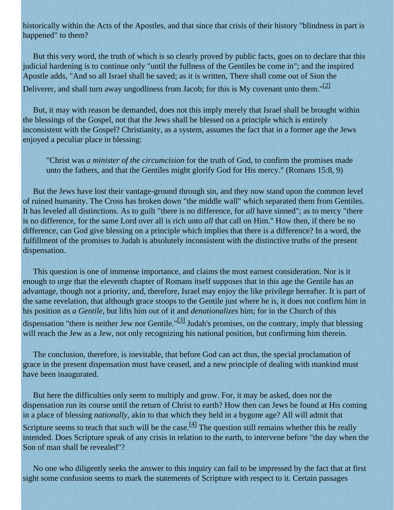historically within the Acts of the Apostles, and that since that crisis of their history "blindness in part is happened" to them?

 But this very word, the truth of which is so clearly proved by public facts, goes on to declare that this judicial hardening is to continue only "until the fullness of the Gentiles be come in"; and the inspired Apostle adds, "And so all Israel shall be saved; as it is written, There shall come out of Sion the Deliverer, and shall turn away ungodliness from Jacob; for this is My covenant unto them."<sup>[\[2\]](#page-94-1)</sup>

<span id="page-92-0"></span> But, it may with reason be demanded, does not this imply merely that Israel shall be brought within the blessings of the Gospel, not that the Jews shall be blessed on a principle which is entirely inconsistent with the Gospel? Christianity, as a system, assumes the fact that in a former age the Jews enjoyed a peculiar place in blessing:

"Christ was *a minister of the circumcision* for the truth of God, to confirm the promises made unto the fathers, and that the Gentiles might glorify God for His mercy." (Romans 15:8, 9)

 But the Jews have lost their vantage-ground through sin, and they now stand upon the common level of ruined humanity. The Cross has broken down "the middle wall" which separated them from Gentiles. It has leveled all distinctions. As to guilt "there is no difference, for *all* have sinned"; as to mercy "there is no difference, for the same Lord over all is rich unto *all* that call on Him." How then, if there be no difference, can God give blessing on a principle which implies that there is a difference? In a word, the fulfillment of the promises to Judah is absolutely inconsistent with the distinctive truths of the present dispensation.

 This question is one of immense importance, and claims the most earnest consideration. Nor is it enough to urge that the eleventh chapter of Romans itself supposes that in this age the Gentile has an advantage, though not a priority, and, therefore, Israel may enjoy the like privilege hereafter. It is part of the same revelation, that although grace stoops to the Gentile just where he is, it does not confirm him in his position *as a Gentile*, but lifts him out of it and *denationalizes* him; for in the Church of this dispensation "there is neither Jew nor Gentile."<sup>[3]</sup> Judah's promises, on the contrary, imply that blessing will reach the Jew as a Jew, not only recognizing his national position, but confirming him therein.

<span id="page-92-1"></span> The conclusion, therefore, is inevitable, that before God can act thus, the special proclamation of grace in the present dispensation must have ceased, and a new principle of dealing with mankind must have been inaugurated.

 But here the difficulties only seem to multiply and grow. For, it may be asked, does not the dispensation run its course until the return of Christ to earth? How then can Jews be found at His coming in a place of blessing *nationally*, akin to that which they held in a bygone age? All will admit that Scripture seems to teach that such will be the case.<sup>[4]</sup> The question still remains whether this be really intended. Does Scripture speak of any crisis in relation to the earth, to intervene before "the day when the Son of man shall be revealed"?

<span id="page-92-2"></span> No one who diligently seeks the answer to this inquiry can fail to be impressed by the fact that at first sight some confusion seems to mark the statements of Scripture with respect to it. Certain passages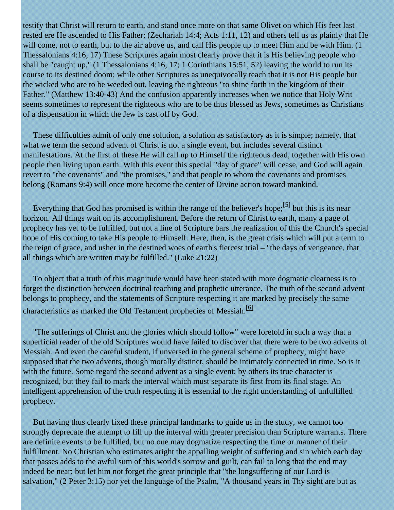testify that Christ will return to earth, and stand once more on that same Olivet on which His feet last rested ere He ascended to His Father; (Zechariah 14:4; Acts 1:11, 12) and others tell us as plainly that He will come, not to earth, but to the air above us, and call His people up to meet Him and be with Him. (1) Thessalonians 4:16, 17) These Scriptures again most clearly prove that it is His believing people who shall be "caught up," (1 Thessalonians 4:16, 17; 1 Corinthians 15:51, 52) leaving the world to run its course to its destined doom; while other Scriptures as unequivocally teach that it is not His people but the wicked who are to be weeded out, leaving the righteous "to shine forth in the kingdom of their Father." (Matthew 13:40-43) And the confusion apparently increases when we notice that Holy Writ seems sometimes to represent the righteous who are to be thus blessed as Jews, sometimes as Christians of a dispensation in which the Jew is cast off by God.

 These difficulties admit of only one solution, a solution as satisfactory as it is simple; namely, that what we term the second advent of Christ is not a single event, but includes several distinct manifestations. At the first of these He will call up to Himself the righteous dead, together with His own people then living upon earth. With this event this special "day of grace" will cease, and God will again revert to "the covenants" and "the promises," and that people to whom the covenants and promises belong (Romans 9:4) will once more become the center of Divine action toward mankind.

<span id="page-93-0"></span>Everything that God has promised is within the range of the believer's hope;  $\left[5\right]$  but this is its near horizon. All things wait on its accomplishment. Before the return of Christ to earth, many a page of prophecy has yet to be fulfilled, but not a line of Scripture bars the realization of this the Church's special hope of His coming to take His people to Himself. Here, then, is the great crisis which will put a term to the reign of grace, and usher in the destined woes of earth's fiercest trial – "the days of vengeance, that all things which are written may be fulfilled." (Luke 21:22)

 To object that a truth of this magnitude would have been stated with more dogmatic clearness is to forget the distinction between doctrinal teaching and prophetic utterance. The truth of the second advent belongs to prophecy, and the statements of Scripture respecting it are marked by precisely the same characteristics as marked the Old Testament prophecies of Messiah.<sup>[\[6\]](#page-94-5)</sup>

<span id="page-93-1"></span> "The sufferings of Christ and the glories which should follow" were foretold in such a way that a superficial reader of the old Scriptures would have failed to discover that there were to be two advents of Messiah. And even the careful student, if unversed in the general scheme of prophecy, might have supposed that the two advents, though morally distinct, should be intimately connected in time. So is it with the future. Some regard the second advent as a single event; by others its true character is recognized, but they fail to mark the interval which must separate its first from its final stage. An intelligent apprehension of the truth respecting it is essential to the right understanding of unfulfilled prophecy.

 But having thus clearly fixed these principal landmarks to guide us in the study, we cannot too strongly deprecate the attempt to fill up the interval with greater precision than Scripture warrants. There are definite events to be fulfilled, but no one may dogmatize respecting the time or manner of their fulfillment. No Christian who estimates aright the appalling weight of suffering and sin which each day that passes adds to the awful sum of this world's sorrow and guilt, can fail to long that the end may indeed be near; but let him not forget the great principle that "the longsuffering of our Lord is salvation," (2 Peter 3:15) nor yet the language of the Psalm, "A thousand years in Thy sight are but as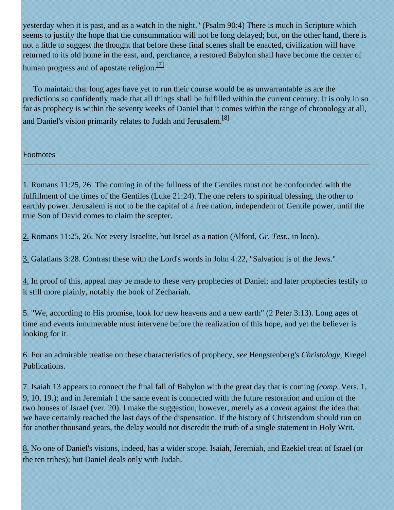yesterday when it is past, and as a watch in the night." (Psalm 90:4) There is much in Scripture which seems to justify the hope that the consummation will not be long delayed; but, on the other hand, there is not a little to suggest the thought that before these final scenes shall be enacted, civilization will have returned to its old home in the east, and, perchance, a restored Babylon shall have become the center of human progress and of apostate religion.<sup>[7]</sup>

<span id="page-94-8"></span> To maintain that long ages have yet to run their course would be as unwarrantable as are the predictions so confidently made that all things shall be fulfilled within the current century. It is only in so far as prophecy is within the seventy weeks of Daniel that it comes within the range of chronology at all, and Daniel's vision primarily relates to Judah and Jerusalem.<sup>[\[8\]](#page-94-7)</sup>

<span id="page-94-9"></span>Footnotes

<span id="page-94-0"></span>[1.](#page-91-0) Romans 11:25, 26. The coming in of the fullness of the Gentiles must not be confounded with the fulfillment of the times of the Gentiles (Luke 21:24). The one refers to spiritual blessing, the other to earthly power. Jerusalem is not to be the capital of a free nation, independent of Gentile power, until the true Son of David comes to claim the scepter.

<span id="page-94-1"></span>[2.](#page-92-0) Romans 11:25, 26. Not every Israelite, but Israel as a nation (Alford, *Gr. Test.*, in loco).

<span id="page-94-2"></span>[3.](#page-92-1) Galatians 3:28. Contrast these with the Lord's words in John 4:22, "Salvation is of the Jews."

<span id="page-94-3"></span>[4.](#page-92-2) In proof of this, appeal may be made to these very prophecies of Daniel; and later prophecies testify to it still more plainly, notably the book of Zechariah.

<span id="page-94-4"></span>[5.](#page-93-0) "We, according to His promise, look for new heavens and a new earth" (2 Peter 3:13). Long ages of time and events innumerable must intervene before the realization of this hope, and yet the believer is looking for it.

<span id="page-94-5"></span>[6.](#page-93-1) For an admirable treatise on these characteristics of prophecy, *see* Hengstenberg's *Christology,* Kregel Publications.

<span id="page-94-6"></span>[7.](#page-94-8) Isaiah 13 appears to connect the final fall of Babylon with the great day that is coming *(comp.* Vers. 1, 9, 10, 19.); and in Jeremiah 1 the same event is connected with the future restoration and union of the two houses of Israel (ver. 20). I make the suggestion, however, merely as a *caveat* against the idea that we have certainly reached the last days of the dispensation. If the history of Christendom should run on for another thousand years, the delay would not discredit the truth of a single statement in Holy Writ.

<span id="page-94-7"></span>[8.](#page-94-9) No one of Daniel's visions, indeed, has a wider scope. Isaiah, Jeremiah, and Ezekiel treat of Israel (or the ten tribes); but Daniel deals only with Judah.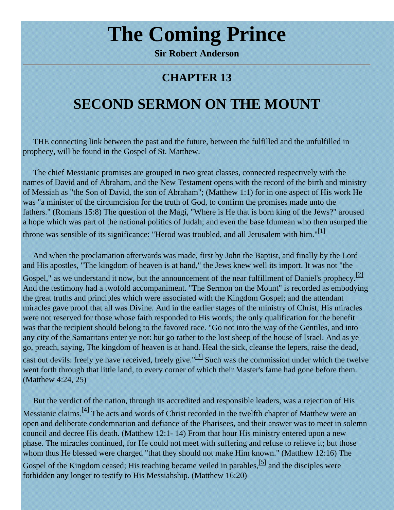# **The Coming Prince**

**Sir Robert Anderson**

#### **CHAPTER 13**

### **SECOND SERMON ON THE MOUNT**

 THE connecting link between the past and the future, between the fulfilled and the unfulfilled in prophecy, will be found in the Gospel of St. Matthew.

 The chief Messianic promises are grouped in two great classes, connected respectively with the names of David and of Abraham, and the New Testament opens with the record of the birth and ministry of Messiah as "the Son of David, the son of Abraham"; (Matthew 1:1) for in one aspect of His work He was "a minister of the circumcision for the truth of God, to confirm the promises made unto the fathers." (Romans 15:8) The question of the Magi, "Where is He that is born king of the Jews?" aroused a hope which was part of the national politics of Judah; and even the base Idumean who then usurped the throne was sensible of its significance: "Herod was troubled, and all Jerusalem with him." $[1]$ 

<span id="page-95-0"></span> And when the proclamation afterwards was made, first by John the Baptist, and finally by the Lord and His apostles, "The kingdom of heaven is at hand," the Jews knew well its import. It was not "the

<span id="page-95-1"></span>Gospel," as we understand it now, but the announcement of the near fulfillment of Daniel's prophecy.<sup>[\[2\]](#page-98-1)</sup> And the testimony had a twofold accompaniment. "The Sermon on the Mount" is recorded as embodying the great truths and principles which were associated with the Kingdom Gospel; and the attendant miracles gave proof that all was Divine. And in the earlier stages of the ministry of Christ, His miracles were not reserved for those whose faith responded to His words; the only qualification for the benefit was that the recipient should belong to the favored race. "Go not into the way of the Gentiles, and into any city of the Samaritans enter ye not: but go rather to the lost sheep of the house of Israel. And as ye go, preach, saying, The kingdom of heaven is at hand. Heal the sick, cleanse the lepers, raise the dead, cast out devils: freely ye have received, freely give." $\frac{[3]}{3}$  $\frac{[3]}{3}$  $\frac{[3]}{3}$  Such was the commission under which the twelve went forth through that little land, to every corner of which their Master's fame had gone before them. (Matthew 4:24, 25)

<span id="page-95-3"></span><span id="page-95-2"></span> But the verdict of the nation, through its accredited and responsible leaders, was a rejection of His Messianic claims.[\[4\]](#page-98-3) The acts and words of Christ recorded in the twelfth chapter of Matthew were an open and deliberate condemnation and defiance of the Pharisees, and their answer was to meet in solemn council and decree His death. (Matthew 12:1- 14) From that hour His ministry entered upon a new phase. The miracles continued, for He could not meet with suffering and refuse to relieve it; but those whom thus He blessed were charged "that they should not make Him known." (Matthew 12:16) The

<span id="page-95-4"></span>Gospel of the Kingdom ceased; His teaching became veiled in parables,  $\left[5\right]$  and the disciples were forbidden any longer to testify to His Messiahship. (Matthew 16:20)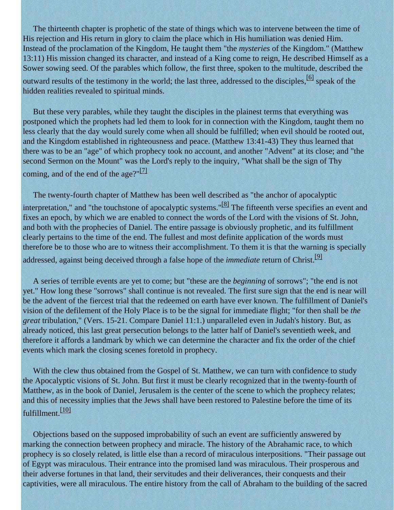The thirteenth chapter is prophetic of the state of things which was to intervene between the time of His rejection and His return in glory to claim the place which in His humiliation was denied Him. Instead of the proclamation of the Kingdom, He taught them "the *mysteries* of the Kingdom." (Matthew 13:11) His mission changed its character, and instead of a King come to reign, He described Himself as a Sower sowing seed. Of the parables which follow, the first three, spoken to the multitude, described the outward results of the testimony in the world; the last three, addressed to the disciples, <sup>[6]</sup> speak of the hidden realities revealed to spiritual minds.

<span id="page-96-0"></span> But these very parables, while they taught the disciples in the plainest terms that everything was postponed which the prophets had led them to look for in connection with the Kingdom, taught them no less clearly that the day would surely come when all should be fulfilled; when evil should be rooted out, and the Kingdom established in righteousness and peace. (Matthew 13:41-43) They thus learned that there was to be an "age" of which prophecy took no account, and another "Advent" at its close; and "the second Sermon on the Mount" was the Lord's reply to the inquiry, "What shall be the sign of Thy coming, and of the end of the age?"[\[7\]](#page-99-0)

<span id="page-96-2"></span><span id="page-96-1"></span> The twenty-fourth chapter of Matthew has been well described as "the anchor of apocalyptic interpretation," and "the touchstone of apocalyptic systems."<sup>[\[8\]](#page-99-1)</sup> The fifteenth verse specifies an event and fixes an epoch, by which we are enabled to connect the words of the Lord with the visions of St. John, and both with the prophecies of Daniel. The entire passage is obviously prophetic, and its fulfillment clearly pertains to the time of the end. The fullest and most definite application of the words must therefore be to those who are to witness their accomplishment. To them it is that the warning is specially addressed, against being deceived through a false hope of the *immediate* return of Christ.[\[9\]](#page-99-2)

<span id="page-96-3"></span> A series of terrible events are yet to come; but "these are the *beginning* of sorrows"; "the end is not yet." How long these "sorrows" shall continue is not revealed. The first sure sign that the end is near will be the advent of the fiercest trial that the redeemed on earth have ever known. The fulfillment of Daniel's vision of the defilement of the Holy Place is to be the signal for immediate flight; "for then shall be *the great* tribulation," (Vers. 15-21. Compare Daniel 11:1.) unparalleled even in Judah's history. But, as already noticed, this last great persecution belongs to the latter half of Daniel's seventieth week, and therefore it affords a landmark by which we can determine the character and fix the order of the chief events which mark the closing scenes foretold in prophecy.

 With the clew thus obtained from the Gospel of St. Matthew, we can turn with confidence to study the Apocalyptic visions of St. John. But first it must be clearly recognized that in the twenty-fourth of Matthew, as in the book of Daniel, Jerusalem is the center of the scene to which the prophecy relates; and this of necessity implies that the Jews shall have been restored to Palestine before the time of its fulfillment<sup>[\[10\]](#page-99-3)</sup>

<span id="page-96-4"></span> Objections based on the supposed improbability of such an event are sufficiently answered by marking the connection between prophecy and miracle. The history of the Abrahamic race, to which prophecy is so closely related, is little else than a record of miraculous interpositions. "Their passage out of Egypt was miraculous. Their entrance into the promised land was miraculous. Their prosperous and their adverse fortunes in that land, their servitudes and their deliverances, their conquests and their captivities, were all miraculous. The entire history from the call of Abraham to the building of the sacred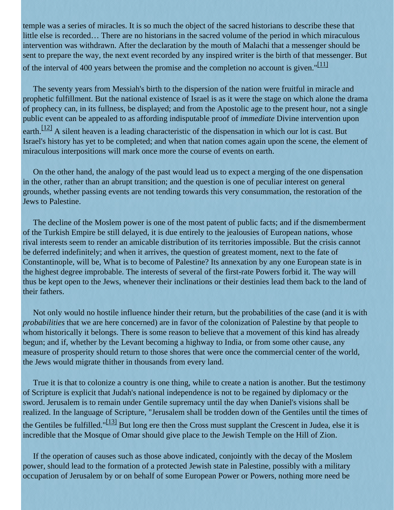temple was a series of miracles. It is so much the object of the sacred historians to describe these that little else is recorded… There are no historians in the sacred volume of the period in which miraculous intervention was withdrawn. After the declaration by the mouth of Malachi that a messenger should be sent to prepare the way, the next event recorded by any inspired writer is the birth of that messenger. But of the interval of 400 years between the promise and the completion no account is given.["\[11\]](#page-99-4)

<span id="page-97-0"></span> The seventy years from Messiah's birth to the dispersion of the nation were fruitful in miracle and prophetic fulfillment. But the national existence of Israel is as it were the stage on which alone the drama of prophecy can, in its fullness, be displayed; and from the Apostolic age to the present hour, not a single public event can be appealed to as affording indisputable proof of *immediate* Divine intervention upon earth.<sup>[\[12\]](#page-99-5)</sup> A silent heaven is a leading characteristic of the dispensation in which our lot is cast. But Israel's history has yet to be completed; and when that nation comes again upon the scene, the element of

 On the other hand, the analogy of the past would lead us to expect a merging of the one dispensation in the other, rather than an abrupt transition; and the question is one of peculiar interest on general grounds, whether passing events are not tending towards this very consummation, the restoration of the Jews to Palestine.

<span id="page-97-1"></span>miraculous interpositions will mark once more the course of events on earth.

 The decline of the Moslem power is one of the most patent of public facts; and if the dismemberment of the Turkish Empire be still delayed, it is due entirely to the jealousies of European nations, whose rival interests seem to render an amicable distribution of its territories impossible. But the crisis cannot be deferred indefinitely; and when it arrives, the question of greatest moment, next to the fate of Constantinople, will be, What is to become of Palestine? Its annexation by any one European state is in the highest degree improbable. The interests of several of the first-rate Powers forbid it. The way will thus be kept open to the Jews, whenever their inclinations or their destinies lead them back to the land of their fathers.

 Not only would no hostile influence hinder their return, but the probabilities of the case (and it is with *probabilities* that we are here concerned) are in favor of the colonization of Palestine by that people to whom historically it belongs. There is some reason to believe that a movement of this kind has already begun; and if, whether by the Levant becoming a highway to India, or from some other cause, any measure of prosperity should return to those shores that were once the commercial center of the world, the Jews would migrate thither in thousands from every land.

 True it is that to colonize a country is one thing, while to create a nation is another. But the testimony of Scripture is explicit that Judah's national independence is not to be regained by diplomacy or the sword. Jerusalem is to remain under Gentile supremacy until the day when Daniel's visions shall be realized. In the language of Scripture, "Jerusalem shall be trodden down of the Gentiles until the times of the Gentiles be fulfilled."<sup>[13]</sup> But long ere then the Cross must supplant the Crescent in Judea, else it is incredible that the Mosque of Omar should give place to the Jewish Temple on the Hill of Zion.

<span id="page-97-2"></span> If the operation of causes such as those above indicated, conjointly with the decay of the Moslem power, should lead to the formation of a protected Jewish state in Palestine, possibly with a military occupation of Jerusalem by or on behalf of some European Power or Powers, nothing more need be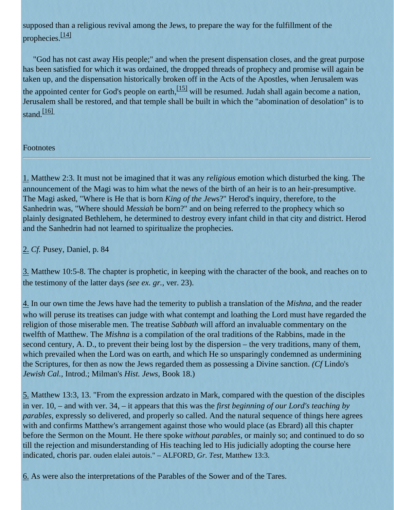supposed than a religious revival among the Jews, to prepare the way for the fulfillment of the prophecies.<sup>[\[14\]](#page-99-7)</sup>

<span id="page-98-7"></span><span id="page-98-6"></span> "God has not cast away His people;" and when the present dispensation closes, and the great purpose has been satisfied for which it was ordained, the dropped threads of prophecy and promise will again be taken up, and the dispensation historically broken off in the Acts of the Apostles, when Jerusalem was the appointed center for God's people on earth,  $^{[15]}$  $^{[15]}$  $^{[15]}$  will be resumed. Judah shall again become a nation, Jerusalem shall be restored, and that temple shall be built in which the "abomination of desolation" is to stand.<sup>[16]</sup>

<span id="page-98-8"></span>Footnotes

<span id="page-98-0"></span>[1.](#page-95-0) Matthew 2:3. It must not be imagined that it was any *religious* emotion which disturbed the king. The announcement of the Magi was to him what the news of the birth of an heir is to an heir-presumptive. The Magi asked, "Where is He that is born *King of the Jew*s?" Herod's inquiry, therefore, to the Sanhedrin was, "Where should *Messiah* be born?" and on being referred to the prophecy which so plainly designated Bethlehem, he determined to destroy every infant child in that city and district. Herod and the Sanhedrin had not learned to spiritualize the prophecies.

<span id="page-98-1"></span>[2.](#page-95-1) *Cf.* Pusey, Daniel, p. 84

<span id="page-98-2"></span>[3.](#page-95-2) Matthew 10:5-8. The chapter is prophetic, in keeping with the character of the book, and reaches on to the testimony of the latter days *(see ex. gr.,* ver. 23).

<span id="page-98-3"></span>[4.](#page-95-3) In our own time the Jews have had the temerity to publish a translation of the *Mishna*, and the reader who will peruse its treatises can judge with what contempt and loathing the Lord must have regarded the religion of those miserable men. The treatise *Sabbath* will afford an invaluable commentary on the twelfth of Matthew. The *Mishna* is a compilation of the oral traditions of the Rabbins, made in the second century, A. D., to prevent their being lost by the dispersion – the very traditions, many of them, which prevailed when the Lord was on earth, and which He so unsparingly condemned as undermining the Scriptures, for then as now the Jews regarded them as possessing a Divine sanction. *(Cf* Lindo's *Jewish Cal.,* Introd.; Milman's *Hist. Jews,* Book 18.)

<span id="page-98-4"></span>[5.](#page-95-4) Matthew 13:3, 13. "From the expression ardzato in Mark, compared with the question of the disciples in ver. 10, – and with ver. 34, – it appears that this was the *first beginning of our Lord's teaching by parables,* expressly so delivered, and properly so called. And the natural sequence of things here agrees with and confirms Matthew's arrangement against those who would place (as Ebrard) all this chapter before the Sermon on the Mount. He there spoke *without parables,* or mainly so; and continued to do so till the rejection and misunderstanding of His teaching led to His judicially adopting the course here indicated, choris par. ouden elalei autois." *–* ALFORD, *Gr. Test,* Matthew 13:3.

<span id="page-98-5"></span>[6.](#page-96-0) As were also the interpretations of the Parables of the Sower and of the Tares.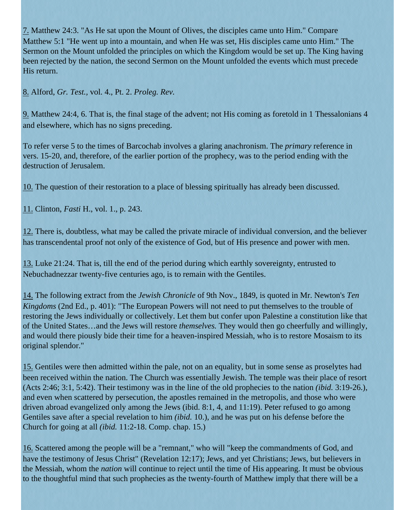<span id="page-99-0"></span>[7.](#page-96-1) Matthew 24:3. "As He sat upon the Mount of Olives, the disciples came unto Him." Compare Matthew 5:1 "He went up into a mountain, and when He was set, His disciples came unto Him." The Sermon on the Mount unfolded the principles on which the Kingdom would be set up. The King having been rejected by the nation, the second Sermon on the Mount unfolded the events which must precede His return.

<span id="page-99-1"></span>[8.](#page-96-2) Alford, *Gr. Test.,* vol. 4., Pt. 2. *Proleg. Rev.*

<span id="page-99-2"></span>[9.](#page-96-3) Matthew 24:4, 6. That is, the final stage of the advent; not His coming as foretold in 1 Thessalonians 4 and elsewhere, which has no signs preceding.

To refer verse 5 to the times of Barcochab involves a glaring anachronism. The *primary* reference in vers. 15-20, and, therefore, of the earlier portion of the prophecy, was to the period ending with the destruction of Jerusalem.

<span id="page-99-3"></span>[10.](#page-96-4) The question of their restoration to a place of blessing spiritually has already been discussed.

<span id="page-99-4"></span>[11.](#page-97-0) Clinton, *Fasti* H., vol. 1., p. 243.

<span id="page-99-5"></span>[12.](#page-97-1) There is, doubtless, what may be called the private miracle of individual conversion, and the believer has transcendental proof not only of the existence of God, but of His presence and power with men.

<span id="page-99-6"></span>[13.](#page-97-2) Luke 21:24. That is, till the end of the period during which earthly sovereignty, entrusted to Nebuchadnezzar twenty-five centuries ago, is to remain with the Gentiles.

<span id="page-99-7"></span>[14.](#page-98-6) The following extract from the *Jewish Chronicle* of 9th Nov., 1849, is quoted in Mr. Newton's *Ten Kingdoms* (2nd Ed., p. 401): "The European Powers will not need to put themselves to the trouble of restoring the Jews individually or collectively. Let them but confer upon Palestine a constitution like that of the United States…and the Jews will restore *themselves.* They would then go cheerfully and willingly, and would there piously bide their time for a heaven-inspired Messiah, who is to restore Mosaism to its original splendor."

<span id="page-99-8"></span>[15.](#page-98-7) Gentiles were then admitted within the pale, not on an equality, but in some sense as proselytes had been received within the nation. The Church was essentially Jewish. The temple was their place of resort (Acts 2:46; 3:1, 5:42). Their testimony was in the line of the old prophecies to the nation *(ibid.* 3:19-26.), and even when scattered by persecution, the apostles remained in the metropolis, and those who were driven abroad evangelized only among the Jews (ibid. 8:1, 4, and 11:19). Peter refused to go among Gentiles save after a special revelation to him *(ibid.* 10.), and he was put on his defense before the Church for going at all *(ibid.* 11:2-18. Comp. chap. 15.)

<span id="page-99-9"></span>[16.](#page-98-8) Scattered among the people will be a "remnant," who will "keep the commandments of God, and have the testimony of Jesus Christ" (Revelation 12:17); Jews, and yet Christians; Jews, but believers in the Messiah, whom the *nation* will continue to reject until the time of His appearing. It must be obvious to the thoughtful mind that such prophecies as the twenty-fourth of Matthew imply that there will be a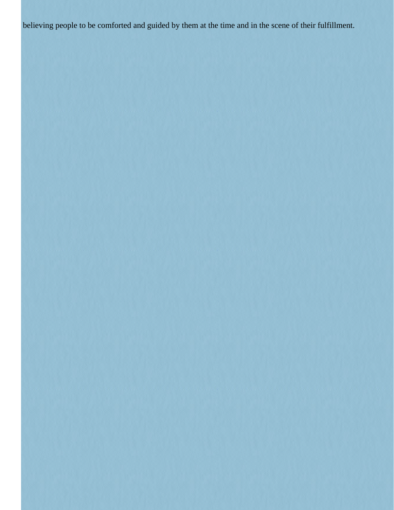believing people to be comforted and guided by them at the time and in the scene of their fulfillment.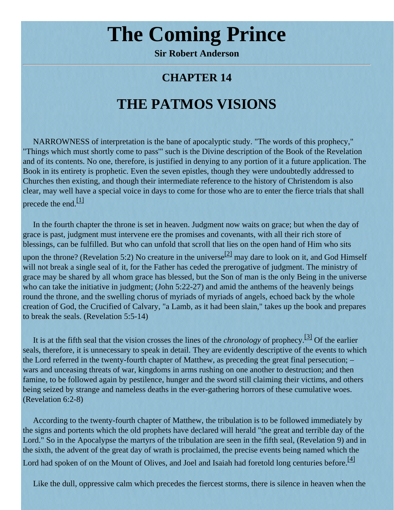# **The Coming Prince**

**Sir Robert Anderson**

### **CHAPTER 14**

## **THE PATMOS VISIONS**

 NARROWNESS of interpretation is the bane of apocalyptic study. "The words of this prophecy," "Things which must shortly come to pass'" such is the Divine description of the Book of the Revelation and of its contents. No one, therefore, is justified in denying to any portion of it a future application. The Book in its entirety is prophetic. Even the seven epistles, though they were undoubtedly addressed to Churches then existing, and though their intermediate reference to the history of Christendom is also clear, may well have a special voice in days to come for those who are to enter the fierce trials that shall precede the end  $\Box$ 

 In the fourth chapter the throne is set in heaven. Judgment now waits on grace; but when the day of grace is past, judgment must intervene ere the promises and covenants, with all their rich store of blessings, can be fulfilled. But who can unfold that scroll that lies on the open hand of Him who sits upon the throne? (Revelation 5:2) No creature in the universe<sup>[2]</sup> may dare to look on it, and God Himself will not break a single seal of it, for the Father has ceded the prerogative of judgment. The ministry of grace may be shared by all whom grace has blessed, but the Son of man is the only Being in the universe who can take the initiative in judgment; (John 5:22-27) and amid the anthems of the heavenly beings round the throne, and the swelling chorus of myriads of myriads of angels, echoed back by the whole creation of God, the Crucified of Calvary, "a Lamb, as it had been slain," takes up the book and prepares to break the seals. (Revelation 5:5-14)

 It is at the fifth seal that the vision crosses the lines of the *chronology* of prophecy.[3] Of the earlier seals, therefore, it is unnecessary to speak in detail. They are evidently descriptive of the events to which the Lord referred in the twenty-fourth chapter of Matthew, as preceding the great final persecution; – wars and unceasing threats of war, kingdoms in arms rushing on one another to destruction; and then famine, to be followed again by pestilence, hunger and the sword still claiming their victims, and others being seized by strange and nameless deaths in the ever-gathering horrors of these cumulative woes. (Revelation 6:2-8)

 According to the twenty-fourth chapter of Matthew, the tribulation is to be followed immediately by the signs and portents which the old prophets have declared will herald "the great and terrible day of the Lord." So in the Apocalypse the martyrs of the tribulation are seen in the fifth seal, (Revelation 9) and in the sixth, the advent of the great day of wrath is proclaimed, the precise events being named which the Lord had spoken of on the Mount of Olives, and Joel and Isaiah had foretold long centuries before.<sup>[4]</sup>

Like the dull, oppressive calm which precedes the fiercest storms, there is silence in heaven when the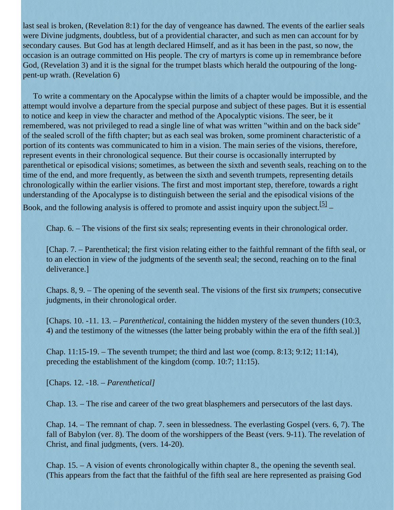last seal is broken, (Revelation 8:1) for the day of vengeance has dawned. The events of the earlier seals were Divine judgments, doubtless, but of a providential character, and such as men can account for by secondary causes. But God has at length declared Himself, and as it has been in the past, so now, the occasion is an outrage committed on His people. The cry of martyrs is come up in remembrance before God, (Revelation 3) and it is the signal for the trumpet blasts which herald the outpouring of the longpent-up wrath. (Revelation 6)

 To write a commentary on the Apocalypse within the limits of a chapter would be impossible, and the attempt would involve a departure from the special purpose and subject of these pages. But it is essential to notice and keep in view the character and method of the Apocalyptic visions. The seer, be it remembered, was not privileged to read a single line of what was written "within and on the back side" of the sealed scroll of the fifth chapter; but as each seal was broken, some prominent characteristic of a portion of its contents was communicated to him in a vision. The main series of the visions, therefore, represent events in their chronological sequence. But their course is occasionally interrupted by parenthetical or episodical visions; sometimes, as between the sixth and seventh seals, reaching on to the time of the end, and more frequently, as between the sixth and seventh trumpets, representing details chronologically within the earlier visions. The first and most important step, therefore, towards a right understanding of the Apocalypse is to distinguish between the serial and the episodical visions of the Book, and the following analysis is offered to promote and assist inquiry upon the subject.<sup>[5]</sup> –

Chap. 6. – The visions of the first six seals; representing events in their chronological order.

[Chap. 7. – Parenthetical; the first vision relating either to the faithful remnant of the fifth seal, or to an election in view of the judgments of the seventh seal; the second, reaching on to the final deliverance.]

Chaps. 8, 9. – The opening of the seventh seal. The visions of the first six *trumpet*s; consecutive judgments, in their chronological order.

[Chaps. 10. -11. 13. – *Parenthetical,* containing the hidden mystery of the seven thunders (10:3, 4) and the testimony of the witnesses (the latter being probably within the era of the fifth seal.)]

Chap. 11:15-19. – The seventh trumpet; the third and last woe (comp. 8:13; 9:12; 11:14), preceding the establishment of the kingdom (comp. 10:7; 11:15).

[Chaps. 12. -18. *– Parenthetical]*

Chap. 13. – The rise and career of the two great blasphemers and persecutors of the last days.

Chap. 14. – The remnant of chap. 7. seen in blessedness. The everlasting Gospel (vers. 6, 7). The fall of Babylon (ver. 8). The doom of the worshippers of the Beast (vers. 9-11). The revelation of Christ, and final judgments, (vers. 14-20).

Chap. 15. – A vision of events chronologically within chapter 8., the opening the seventh seal. (This appears from the fact that the faithful of the fifth seal are here represented as praising God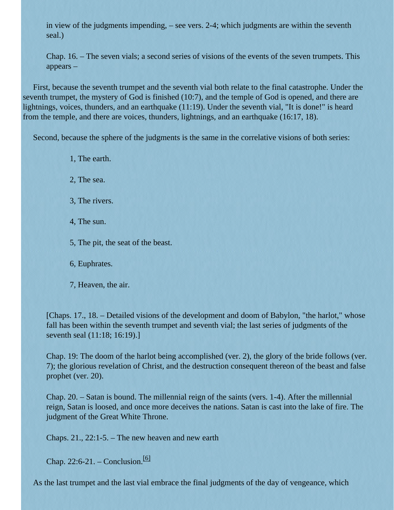in view of the judgments impending, – see vers. 2-4; which judgments are within the seventh seal.)

Chap. 16. – The seven vials; a second series of visions of the events of the seven trumpets. This appears –

 First, because the seventh trumpet and the seventh vial both relate to the final catastrophe. Under the seventh trumpet, the mystery of God is finished (10:7), and the temple of God is opened, and there are lightnings, voices, thunders, and an earthquake (11:19). Under the seventh vial, "It is done!" is heard from the temple, and there are voices, thunders, lightnings, and an earthquake (16:17, 18).

Second, because the sphere of the judgments is the same in the correlative visions of both series:

1, The earth.

2, The sea.

3, The rivers.

4, The sun.

5, The pit, the seat of the beast.

6, Euphrates.

7, Heaven, the air.

[Chaps. 17., 18. – Detailed visions of the development and doom of Babylon, "the harlot," whose fall has been within the seventh trumpet and seventh vial; the last series of judgments of the seventh seal (11:18; 16:19).]

Chap. 19: The doom of the harlot being accomplished (ver. 2), the glory of the bride follows (ver. 7); the glorious revelation of Christ, and the destruction consequent thereon of the beast and false prophet (ver. 20).

Chap. 20. – Satan is bound. The millennial reign of the saints (vers. 1-4). After the millennial reign, Satan is loosed, and once more deceives the nations. Satan is cast into the lake of fire. The judgment of the Great White Throne.

Chaps. 21., 22:1-5. – The new heaven and new earth

Chap.  $22:6-21$ . – Conclusion.<sup>[6]</sup>

As the last trumpet and the last vial embrace the final judgments of the day of vengeance, which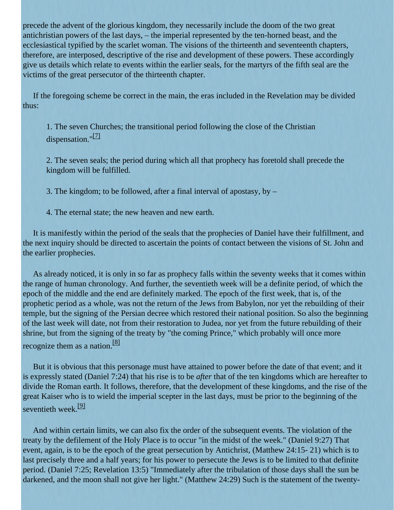precede the advent of the glorious kingdom, they necessarily include the doom of the two great antichristian powers of the last days, – the imperial represented by the ten-horned beast, and the ecclesiastical typified by the scarlet woman. The visions of the thirteenth and seventeenth chapters, therefore, are interposed, descriptive of the rise and development of these powers. These accordingly give us details which relate to events within the earlier seals, for the martyrs of the fifth seal are the victims of the great persecutor of the thirteenth chapter.

 If the foregoing scheme be correct in the main, the eras included in the Revelation may be divided thus:

1. The seven Churches; the transitional period following the close of the Christian dispensation."[7]

2. The seven seals; the period during which all that prophecy has foretold shall precede the kingdom will be fulfilled.

3. The kingdom; to be followed, after a final interval of apostasy, by –

4. The eternal state; the new heaven and new earth.

 It is manifestly within the period of the seals that the prophecies of Daniel have their fulfillment, and the next inquiry should be directed to ascertain the points of contact between the visions of St. John and the earlier prophecies.

 As already noticed, it is only in so far as prophecy falls within the seventy weeks that it comes within the range of human chronology. And further, the seventieth week will be a definite period, of which the epoch of the middle and the end are definitely marked. The epoch of the first week, that is, of the prophetic period as a whole, was not the return of the Jews from Babylon, nor yet the rebuilding of their temple, but the signing of the Persian decree which restored their national position. So also the beginning of the last week will date, not from their restoration to Judea, nor yet from the future rebuilding of their shrine, but from the signing of the treaty by "the coming Prince," which probably will once more recognize them as a nation.[8]

 But it is obvious that this personage must have attained to power before the date of that event; and it is expressly stated (Daniel 7:24) that his rise is to be *after* that of the ten kingdoms which are hereafter to divide the Roman earth. It follows, therefore, that the development of these kingdoms, and the rise of the great Kaiser who is to wield the imperial scepter in the last days, must be prior to the beginning of the seventieth week.<sup>[9]</sup>

 And within certain limits, we can also fix the order of the subsequent events. The violation of the treaty by the defilement of the Holy Place is to occur "in the midst of the week." (Daniel 9:27) That event, again, is to be the epoch of the great persecution by Antichrist, (Matthew 24:15- 21) which is to last precisely three and a half years; for his power to persecute the Jews is to be limited to that definite period. (Daniel 7:25; Revelation 13:5) "Immediately after the tribulation of those days shall the sun be darkened, and the moon shall not give her light." (Matthew 24:29) Such is the statement of the twenty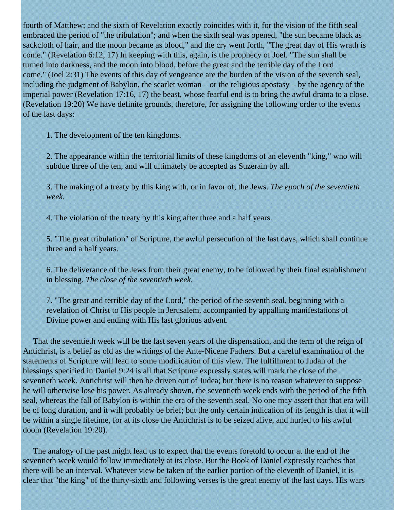fourth of Matthew; and the sixth of Revelation exactly coincides with it, for the vision of the fifth seal embraced the period of "the tribulation"; and when the sixth seal was opened, "the sun became black as sackcloth of hair, and the moon became as blood," and the cry went forth, "The great day of His wrath is come." (Revelation 6:12, 17) In keeping with this, again, is the prophecy of Joel. "The sun shall be turned into darkness, and the moon into blood, before the great and the terrible day of the Lord come." (Joel 2:31) The events of this day of vengeance are the burden of the vision of the seventh seal, including the judgment of Babylon, the scarlet woman – or the religious apostasy – by the agency of the imperial power (Revelation 17:16, 17) the beast, whose fearful end is to bring the awful drama to a close. (Revelation 19:20) We have definite grounds, therefore, for assigning the following order to the events of the last days:

1. The development of the ten kingdoms.

2. The appearance within the territorial limits of these kingdoms of an eleventh "king," who will subdue three of the ten, and will ultimately be accepted as Suzerain by all.

3. The making of a treaty by this king with, or in favor of, the Jews. *The epoch of the seventieth week.*

4. The violation of the treaty by this king after three and a half years.

5. "The great tribulation" of Scripture, the awful persecution of the last days, which shall continue three and a half years.

6. The deliverance of the Jews from their great enemy, to be followed by their final establishment in blessing. *The close of the seventieth week.*

7. "The great and terrible day of the Lord," the period of the seventh seal, beginning with a revelation of Christ to His people in Jerusalem, accompanied by appalling manifestations of Divine power and ending with His last glorious advent.

 That the seventieth week will be the last seven years of the dispensation, and the term of the reign of Antichrist, is a belief as old as the writings of the Ante-Nicene Fathers. But a careful examination of the statements of Scripture will lead to some modification of this view. The fulfillment to Judah of the blessings specified in Daniel 9:24 is all that Scripture expressly states will mark the close of the seventieth week. Antichrist will then be driven out of Judea; but there is no reason whatever to suppose he will otherwise lose his power. As already shown, the seventieth week ends with the period of the fifth seal, whereas the fall of Babylon is within the era of the seventh seal. No one may assert that that era will be of long duration, and it will probably be brief; but the only certain indication of its length is that it will be within a single lifetime, for at its close the Antichrist is to be seized alive, and hurled to his awful doom (Revelation 19:20).

 The analogy of the past might lead us to expect that the events foretold to occur at the end of the seventieth week would follow immediately at its close. But the Book of Daniel expressly teaches that there will be an interval. Whatever view be taken of the earlier portion of the eleventh of Daniel, it is clear that "the king" of the thirty-sixth and following verses is the great enemy of the last days. His wars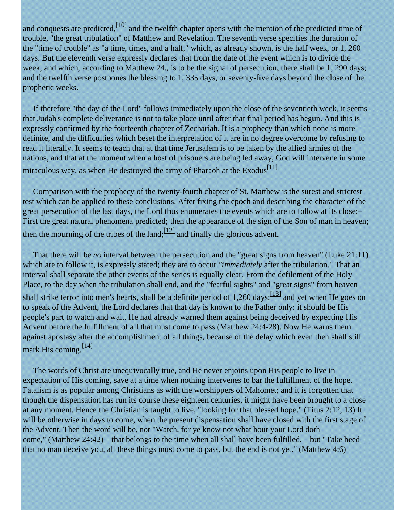and conquests are predicted,  $\frac{100}{101}$  and the twelfth chapter opens with the mention of the predicted time of trouble, "the great tribulation" of Matthew and Revelation. The seventh verse specifies the duration of the "time of trouble" as "a time, times, and a half," which, as already shown, is the half week, or 1, 260 days. But the eleventh verse expressly declares that from the date of the event which is to divide the week, and which, according to Matthew 24., is to be the signal of persecution, there shall be 1, 290 days; and the twelfth verse postpones the blessing to 1, 335 days, or seventy-five days beyond the close of the prophetic weeks.

 If therefore "the day of the Lord" follows immediately upon the close of the seventieth week, it seems that Judah's complete deliverance is not to take place until after that final period has begun. And this is expressly confirmed by the fourteenth chapter of Zechariah. It is a prophecy than which none is more definite, and the difficulties which beset the interpretation of it are in no degree overcome by refusing to read it literally. It seems to teach that at that time Jerusalem is to be taken by the allied armies of the nations, and that at the moment when a host of prisoners are being led away, God will intervene in some miraculous way, as when He destroyed the army of Pharaoh at the Exodus<sup>[11]</sup>

 Comparison with the prophecy of the twenty-fourth chapter of St. Matthew is the surest and strictest test which can be applied to these conclusions. After fixing the epoch and describing the character of the great persecution of the last days, the Lord thus enumerates the events which are to follow at its close:– First the great natural phenomena predicted; then the appearance of the sign of the Son of man in heaven; then the mourning of the tribes of the land;  $\frac{12}{2}$  and finally the glorious advent.

 That there will be *no* interval between the persecution and the "great signs from heaven" (Luke 21:11) which are to follow it, is expressly stated; they are to occur *"immediately* after the tribulation." That an interval shall separate the other events of the series is equally clear. From the defilement of the Holy Place, to the day when the tribulation shall end, and the "fearful sights" and "great signs" from heaven shall strike terror into men's hearts, shall be a definite period of 1,260 days;  $\frac{131}{2}$  and yet when He goes on to speak of the Advent, the Lord declares that that day is known to the Father only: it should be His people's part to watch and wait. He had already warned them against being deceived by expecting His Advent before the fulfillment of all that must come to pass (Matthew 24:4-28). Now He warns them against apostasy after the accomplishment of all things, because of the delay which even then shall still mark His coming.<sup>[14]</sup>

 The words of Christ are unequivocally true, and He never enjoins upon His people to live in expectation of His coming, save at a time when nothing intervenes to bar the fulfillment of the hope. Fatalism is as popular among Christians as with the worshippers of Mahomet; and it is forgotten that though the dispensation has run its course these eighteen centuries, it might have been brought to a close at any moment. Hence the Christian is taught to live, "looking for that blessed hope." (Titus 2:12, 13) It will be otherwise in days to come, when the present dispensation shall have closed with the first stage of the Advent. Then the word will be, not "Watch, for ye know not what hour your Lord doth come," (Matthew 24:42) – that belongs to the time when all shall have been fulfilled, – but "Take heed that no man deceive you, all these things must come to pass, but the end is not yet." (Matthew 4:6)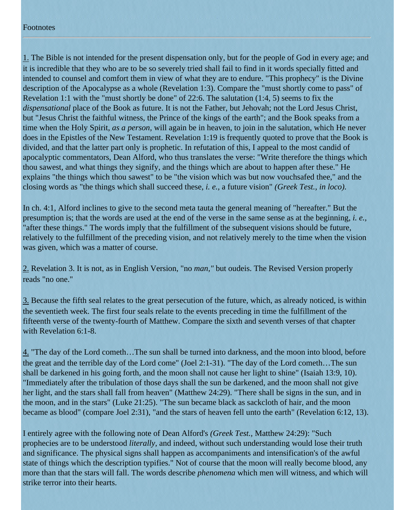#### Footnotes

1. The Bible is not intended for the present dispensation only, but for the people of God in every age; and it is incredible that they who are to be so severely tried shall fail to find in it words specially fitted and intended to counsel and comfort them in view of what they are to endure. "This prophecy" is the Divine description of the Apocalypse as a whole (Revelation 1:3). Compare the "must shortly come to pass" of Revelation 1:1 with the "must shortly be done" of 22:6. The salutation (1:4, 5) seems to fix the *dispensational* place of the Book as future. It is not the Father, but Jehovah; not the Lord Jesus Christ, but "Jesus Christ the faithful witness, the Prince of the kings of the earth"; and the Book speaks from a time when the Holy Spirit, *as a person,* will again be in heaven, to join in the salutation, which He never does in the Epistles of the New Testament. Revelation 1:19 is frequently quoted to prove that the Book is divided, and that the latter part only is prophetic. In refutation of this, I appeal to the most candid of apocalyptic commentators, Dean Alford, who thus translates the verse: "Write therefore the things which thou sawest, and what things they signify, and the things which are about to happen after these." He explains "the things which thou sawest" to be "the vision which was but now vouchsafed thee," and the closing words as "the things which shall succeed these, *i. e.,* a future vision" *(Greek Test., in loco).*

In ch. 4:1, Alford inclines to give to the second meta tauta the general meaning of "hereafter." But the presumption is; that the words are used at the end of the verse in the same sense as at the beginning, *i. e.,*  "after these things." The words imply that the fulfillment of the subsequent visions should be future, relatively to the fulfillment of the preceding vision, and not relatively merely to the time when the vision was given, which was a matter of course.

2. Revelation 3. It is not, as in English Version, "no *man,"* but oudeis. The Revised Version properly reads "no one."

3. Because the fifth seal relates to the great persecution of the future, which, as already noticed, is within the seventieth week. The first four seals relate to the events preceding in time the fulfillment of the fifteenth verse of the twenty-fourth of Matthew. Compare the sixth and seventh verses of that chapter with Revelation 6:1-8.

4. "The day of the Lord cometh…The sun shall be turned into darkness, and the moon into blood, before the great and the terrible day of the Lord come" (Joel 2:1-31). "The day of the Lord cometh…The sun shall be darkened in his going forth, and the moon shall not cause her light to shine" (Isaiah 13:9, 10). "Immediately after the tribulation of those days shall the sun be darkened, and the moon shall not give her light, and the stars shall fall from heaven" (Matthew 24:29). "There shall be signs in the sun, and in the moon, and in the stars" (Luke 21:25). "The sun became black as sackcloth of hair, and the moon became as blood" (compare Joel 2:31), "and the stars of heaven fell unto the earth" (Revelation 6:12, 13).

I entirely agree with the following note of Dean Alford's *(Greek Test.,* Matthew 24:29): "Such prophecies are to be understood *literally,* and indeed, without such understanding would lose their truth and significance. The physical signs shall happen as accompaniments and intensification's of the awful state of things which the description typifies." Not of course that the moon will really become blood, any more than that the stars will fall. The words describe *phenomena* which men will witness, and which will strike terror into their hearts.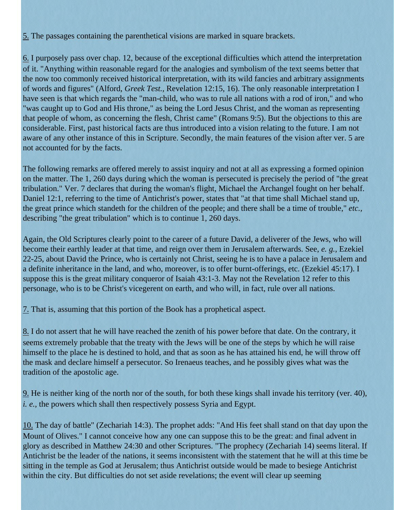5. The passages containing the parenthetical visions are marked in square brackets.

6. I purposely pass over chap. 12, because of the exceptional difficulties which attend the interpretation of it. "Anything within reasonable regard for the analogies and symbolism of the text seems better that the now too commonly received historical interpretation, with its wild fancies and arbitrary assignments of words and figures" (Alford, *Greek Test.,* Revelation 12:15, 16). The only reasonable interpretation I have seen is that which regards the "man-child, who was to rule all nations with a rod of iron," and who "was caught up to God and His throne," as being the Lord Jesus Christ, and the woman as representing that people of whom, as concerning the flesh, Christ came" (Romans 9:5). But the objections to this are considerable. First, past historical facts are thus introduced into a vision relating to the future. I am not aware of any other instance of this in Scripture. Secondly, the main features of the vision after ver. 5 are not accounted for by the facts.

The following remarks are offered merely to assist inquiry and not at all as expressing a formed opinion on the matter. The 1, 260 days during which the woman is persecuted is precisely the period of "the great tribulation." Ver. 7 declares that during the woman's flight, Michael the Archangel fought on her behalf. Daniel 12:1, referring to the time of Antichrist's power, states that "at that time shall Michael stand up, the great prince which standeth for the children of the people; and there shall be a time of trouble," *etc.,*  describing "the great tribulation" which is to continue 1, 260 days.

Again, the Old Scriptures clearly point to the career of a future David, a deliverer of the Jews, who will become their earthly leader at that time, and reign over them in Jerusalem afterwards. See, *e. g.,* Ezekiel 22-25, about David the Prince, who is certainly not Christ, seeing he is to have a palace in Jerusalem and a definite inheritance in the land, and who, moreover, is to offer burnt-offerings, etc. (Ezekiel 45:17). I suppose this is the great military conqueror of Isaiah 43:1-3. May not the Revelation 12 refer to this personage, who is to be Christ's vicegerent on earth, and who will, in fact, rule over all nations.

7. That is, assuming that this portion of the Book has a prophetical aspect.

8. I do not assert that he will have reached the zenith of his power before that date. On the contrary, it seems extremely probable that the treaty with the Jews will be one of the steps by which he will raise himself to the place he is destined to hold, and that as soon as he has attained his end, he will throw off the mask and declare himself a persecutor. So Irenaeus teaches, and he possibly gives what was the tradition of the apostolic age.

9. He is neither king of the north nor of the south, for both these kings shall invade his territory (ver. 40), *i. e.*, the powers which shall then respectively possess Syria and Egypt.

10. The day of battle" (Zechariah 14:3). The prophet adds: "And His feet shall stand on that day upon the Mount of Olives." I cannot conceive how any one can suppose this to be the great: and final advent in glory as described in Matthew 24:30 and other Scriptures. "The prophecy (Zechariah 14) seems literal. If Antichrist be the leader of the nations, it seems inconsistent with the statement that he will at this time be sitting in the temple as God at Jerusalem; thus Antichrist outside would be made to besiege Antichrist within the city. But difficulties do not set aside revelations; the event will clear up seeming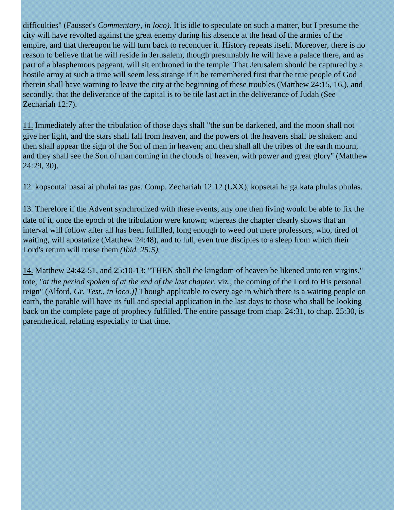difficulties" (Fausset's *Commentary, in loco).* It is idle to speculate on such a matter, but I presume the city will have revolted against the great enemy during his absence at the head of the armies of the empire, and that thereupon he will turn back to reconquer it. History repeats itself. Moreover, there is no reason to believe that he will reside in Jerusalem, though presumably he will have a palace there, and as part of a blasphemous pageant, will sit enthroned in the temple. That Jerusalem should be captured by a hostile army at such a time will seem less strange if it be remembered first that the true people of God therein shall have warning to leave the city at the beginning of these troubles (Matthew 24:15, 16.), and secondly, that the deliverance of the capital is to be tile last act in the deliverance of Judah (See Zechariah 12:7).

11. Immediately after the tribulation of those days shall "the sun be darkened, and the moon shall not give her light, and the stars shall fall from heaven, and the powers of the heavens shall be shaken: and then shall appear the sign of the Son of man in heaven; and then shall all the tribes of the earth mourn, and they shall see the Son of man coming in the clouds of heaven, with power and great glory" (Matthew 24:29, 30).

12. kopsontai pasai ai phulai tas gas. Comp. Zechariah 12:12 (LXX), kopsetai ha ga kata phulas phulas.

13. Therefore if the Advent synchronized with these events, any one then living would be able to fix the date of it, once the epoch of the tribulation were known; whereas the chapter clearly shows that an interval will follow after all has been fulfilled, long enough to weed out mere professors, who, tired of waiting, will apostatize (Matthew 24:48), and to lull, even true disciples to a sleep from which their Lord's return will rouse them *(Ibid. 25:5).*

14. Matthew 24:42-51, and 25:10-13: "THEN shall the kingdom of heaven be likened unto ten virgins." tote, *"at the period spoken of at the end of the last chapter,* viz., the coming of the Lord to His personal reign" (Alford, *Gr. Test., in loco.)]* Though applicable to every age in which there is a waiting people on earth, the parable will have its full and special application in the last days to those who shall be looking back on the complete page of prophecy fulfilled. The entire passage from chap. 24:31, to chap. 25:30, is parenthetical, relating especially to that time.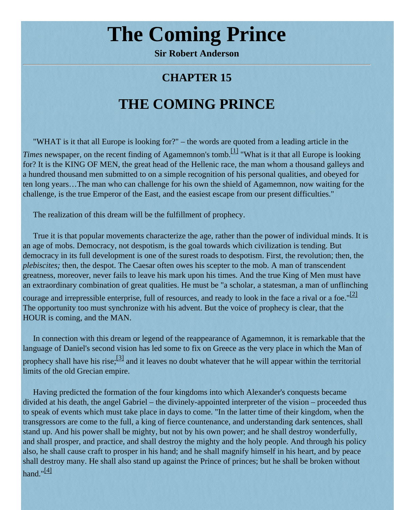# **The Coming Prince**

**Sir Robert Anderson**

### **CHAPTER 15**

## **THE COMING PRINCE**

<span id="page-110-0"></span> "WHAT is it that all Europe is looking for?" – the words are quoted from a leading article in the *Times* newspaper, on the recent finding of Agamemnon's tomb.<sup>[1]</sup> "What is it that all Europe is looking for? It is the KING OF MEN, the great head of the Hellenic race, the man whom a thousand galleys and a hundred thousand men submitted to on a simple recognition of his personal qualities, and obeyed for ten long years…The man who can challenge for his own the shield of Agamemnon, now waiting for the challenge, is the true Emperor of the East, and the easiest escape from our present difficulties."

The realization of this dream will be the fulfillment of prophecy.

 True it is that popular movements characterize the age, rather than the power of individual minds. It is an age of mobs. Democracy, not despotism, is the goal towards which civilization is tending. But democracy in its full development is one of the surest roads to despotism. First, the revolution; then, the *plebiscites;* then, the despot. The Caesar often owes his scepter to the mob. A man of transcendent greatness, moreover, never fails to leave his mark upon his times. And the true King of Men must have an extraordinary combination of great qualities. He must be "a scholar, a statesman, a man of unflinching courage and irrepressible enterprise, full of resources, and ready to look in the face a rival or a foe."<sup>[\[2\]](#page-118-0)</sup> The opportunity too must synchronize with his advent. But the voice of prophecy is clear, that the HOUR is coming, and the MAN.

<span id="page-110-1"></span> In connection with this dream or legend of the reappearance of Agamemnon, it is remarkable that the language of Daniel's second vision has led some to fix on Greece as the very place in which the Man of prophecy shall have his rise;<sup>[3]</sup> and it leaves no doubt whatever that he will appear within the territorial limits of the old Grecian empire.

<span id="page-110-3"></span><span id="page-110-2"></span> Having predicted the formation of the four kingdoms into which Alexander's conquests became divided at his death, the angel Gabriel – the divinely-appointed interpreter of the vision – proceeded thus to speak of events which must take place in days to come. "In the latter time of their kingdom, when the transgressors are come to the full, a king of fierce countenance, and understanding dark sentences, shall stand up. And his power shall be mighty, but not by his own power; and he shall destroy wonderfully, and shall prosper, and practice, and shall destroy the mighty and the holy people. And through his policy also, he shall cause craft to prosper in his hand; and he shall magnify himself in his heart, and by peace shall destroy many. He shall also stand up against the Prince of princes; but he shall be broken without hand." $[4]$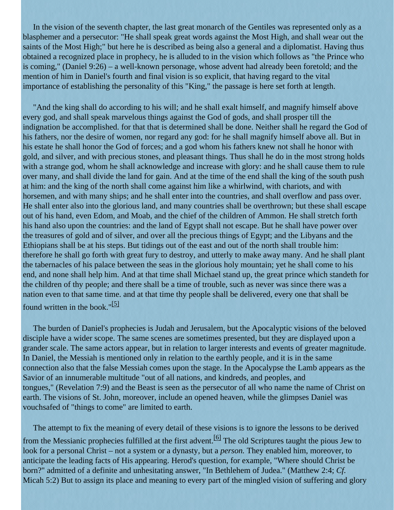In the vision of the seventh chapter, the last great monarch of the Gentiles was represented only as a blasphemer and a persecutor: "He shall speak great words against the Most High, and shall wear out the saints of the Most High;" but here he is described as being also a general and a diplomatist. Having thus obtained a recognized place in prophecy, he is alluded to in the vision which follows as "the Prince who is coming," (Daniel 9:26) – a well-known personage, whose advent had already been foretold; and the mention of him in Daniel's fourth and final vision is so explicit, that having regard to the vital importance of establishing the personality of this "King," the passage is here set forth at length.

 "And the king shall do according to his will; and he shall exalt himself, and magnify himself above every god, and shall speak marvelous things against the God of gods, and shall prosper till the indignation be accomplished. for that that is determined shall be done. Neither shall he regard the God of his fathers, nor the desire of women, nor regard any god: for he shall magnify himself above all. But in his estate he shall honor the God of forces; and a god whom his fathers knew not shall he honor with gold, and silver, and with precious stones, and pleasant things. Thus shall he do in the most strong holds with a strange god, whom he shall acknowledge and increase with glory: and he shall cause them to rule over many, and shall divide the land for gain. And at the time of the end shall the king of the south push at him: and the king of the north shall come against him like a whirlwind, with chariots, and with horsemen, and with many ships; and he shall enter into the countries, and shall overflow and pass over. He shall enter also into the glorious land, and many countries shall be overthrown; but these shall escape out of his hand, even Edom, and Moab, and the chief of the children of Ammon. He shall stretch forth his hand also upon the countries: and the land of Egypt shall not escape. But he shall have power over the treasures of gold and of silver, and over all the precious things of Egypt; and the Libyans and the Ethiopians shall be at his steps. But tidings out of the east and out of the north shall trouble him: therefore he shall go forth with great fury to destroy, and utterly to make away many. And he shall plant the tabernacles of his palace between the seas in the glorious holy mountain; yet he shall come to his end, and none shall help him. And at that time shall Michael stand up, the great prince which standeth for the children of thy people; and there shall be a time of trouble, such as never was since there was a nation even to that same time. and at that time thy people shall be delivered, every one that shall be found written in the book."<sup>[\[5\]](#page-118-3)</sup>

<span id="page-111-0"></span> The burden of Daniel's prophecies is Judah and Jerusalem, but the Apocalyptic visions of the beloved disciple have a wider scope. The same scenes are sometimes presented, but they are displayed upon a grander scale. The same actors appear, but in relation to larger interests and events of greater magnitude. In Daniel, the Messiah is mentioned only in relation to the earthly people, and it is in the same connection also that the false Messiah comes upon the stage. In the Apocalypse the Lamb appears as the Savior of an innumerable multitude "out of all nations, and kindreds, and peoples, and tongues," (Revelation 7:9) and the Beast is seen as the persecutor of all who name the name of Christ on earth. The visions of St. John, moreover, include an opened heaven, while the glimpses Daniel was vouchsafed of "things to come" are limited to earth.

<span id="page-111-1"></span> The attempt to fix the meaning of every detail of these visions is to ignore the lessons to be derived from the Messianic prophecies fulfilled at the first advent.<sup>[6]</sup> The old Scriptures taught the pious Jew to look for a personal Christ – not a system or a dynasty, but a *person.* They enabled him, moreover, to anticipate the leading facts of His appearing. Herod's question, for example, "Where should Christ be born?" admitted of a definite and unhesitating answer, "In Bethlehem of Judea." (Matthew 2:4; *Cf.* Micah 5:2) But to assign its place and meaning to every part of the mingled vision of suffering and glory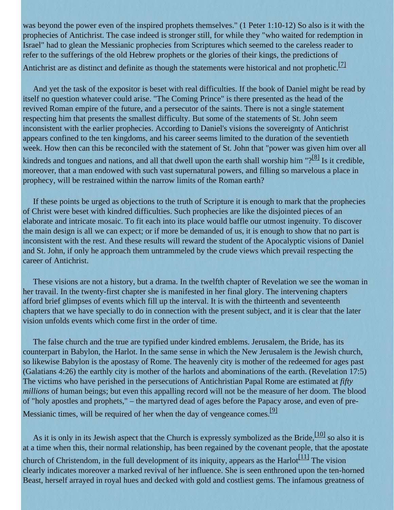was beyond the power even of the inspired prophets themselves." (1 Peter 1:10-12) So also is it with the prophecies of Antichrist. The case indeed is stronger still, for while they "who waited for redemption in Israel" had to glean the Messianic prophecies from Scriptures which seemed to the careless reader to refer to the sufferings of the old Hebrew prophets or the glories of their kings, the predictions of Antichrist are as distinct and definite as though the statements were historical and not prophetic.<sup>[\[7\]](#page-119-1)</sup>

<span id="page-112-0"></span> And yet the task of the expositor is beset with real difficulties. If the book of Daniel might be read by itself no question whatever could arise. "The Coming Prince" is there presented as the head of the revived Roman empire of the future, and a persecutor of the saints. There is not a single statement respecting him that presents the smallest difficulty. But some of the statements of St. John seem inconsistent with the earlier prophecies. According to Daniel's visions the sovereignty of Antichrist appears confined to the ten kingdoms, and his career seems limited to the duration of the seventieth week. How then can this be reconciled with the statement of St. John that "power was given him over all kindreds and tongues and nations, and all that dwell upon the earth shall worship him "?<sup>[8]</sup> Is it credible. moreover, that a man endowed with such vast supernatural powers, and filling so marvelous a place in prophecy, will be restrained within the narrow limits of the Roman earth?

<span id="page-112-1"></span> If these points be urged as objections to the truth of Scripture it is enough to mark that the prophecies of Christ were beset with kindred difficulties. Such prophecies are like the disjointed pieces of an elaborate and intricate mosaic. To fit each into its place would baffle our utmost ingenuity. To discover the main design is all we can expect; or if more be demanded of us, it is enough to show that no part is inconsistent with the rest. And these results will reward the student of the Apocalyptic visions of Daniel and St. John, if only he approach them untrammeled by the crude views which prevail respecting the career of Antichrist.

 These visions are not a history, but a drama. In the twelfth chapter of Revelation we see the woman in her travail. In the twenty-first chapter she is manifested in her final glory. The intervening chapters afford brief glimpses of events which fill up the interval. It is with the thirteenth and seventeenth chapters that we have specially to do in connection with the present subject, and it is clear that the later vision unfolds events which come first in the order of time.

 The false church and the true are typified under kindred emblems. Jerusalem, the Bride, has its counterpart in Babylon, the Harlot. In the same sense in which the New Jerusalem is the Jewish church, so likewise Babylon is the apostasy of Rome. The heavenly city is mother of the redeemed for ages past (Galatians 4:26) the earthly city is mother of the harlots and abominations of the earth. (Revelation 17:5) The victims who have perished in the persecutions of Antichristian Papal Rome are estimated at *fifty millions* of human beings; but even this appalling record will not be the measure of her doom. The blood of "holy apostles and prophets," – the martyred dead of ages before the Papacy arose, and even of pre-Messianic times, will be required of her when the day of vengeance comes.<sup>[\[9\]](#page-119-3)</sup>

<span id="page-112-4"></span><span id="page-112-3"></span><span id="page-112-2"></span>As it is only in its Jewish aspect that the Church is expressly symbolized as the Bride,  $\frac{100}{100}$  so also it is at a time when this, their normal relationship, has been regained by the covenant people, that the apostate church of Christendom, in the full development of its iniquity, appears as the Harlot $\frac{[11]}{]}$  The vision clearly indicates moreover a marked revival of her influence. She is seen enthroned upon the ten-horned Beast, herself arrayed in royal hues and decked with gold and costliest gems. The infamous greatness of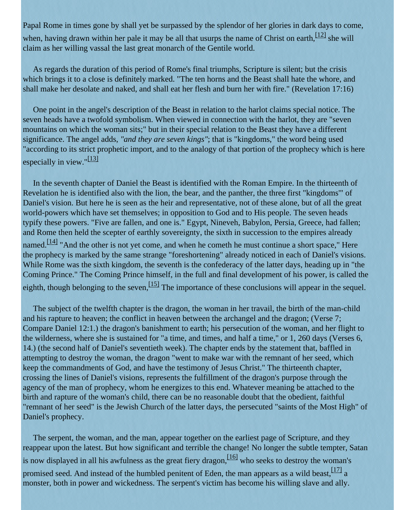<span id="page-113-0"></span>Papal Rome in times gone by shall yet be surpassed by the splendor of her glories in dark days to come, when, having drawn within her pale it may be all that usurps the name of Christ on earth, <sup>[12]</sup> she will claim as her willing vassal the last great monarch of the Gentile world.

 As regards the duration of this period of Rome's final triumphs, Scripture is silent; but the crisis which brings it to a close is definitely marked. "The ten horns and the Beast shall hate the whore, and shall make her desolate and naked, and shall eat her flesh and burn her with fire." (Revelation 17:16)

 One point in the angel's description of the Beast in relation to the harlot claims special notice. The seven heads have a twofold symbolism. When viewed in connection with the harlot, they are "seven mountains on which the woman sits;" but in their special relation to the Beast they have a different significance. The angel adds, *"and they are seven kings"*; that is "kingdoms," the word being used "according to its strict prophetic import, and to the analogy of that portion of the prophecy which is here especially in view."<sup>[13]</sup>

<span id="page-113-1"></span> In the seventh chapter of Daniel the Beast is identified with the Roman Empire. In the thirteenth of Revelation he is identified also with the lion, the bear, and the panther, the three first "kingdoms'" of Daniel's vision. But here he is seen as the heir and representative, not of these alone, but of all the great world-powers which have set themselves; in opposition to God and to His people. The seven heads typify these powers. "Five are fallen, and one is." Egypt, Nineveh, Babylon, Persia, Greece, had fallen; and Rome then held the scepter of earthly sovereignty, the sixth in succession to the empires already named. $\frac{[14]}{[14]}$  "And the other is not yet come, and when he cometh he must continue a short space," Here the prophecy is marked by the same strange "foreshortening" already noticed in each of Daniel's visions. While Rome was the sixth kingdom, the seventh is the confederacy of the latter days, heading up in "the Coming Prince." The Coming Prince himself, in the full and final development of his power, is called the eighth, though belonging to the seven,  $^{[15]}$  The importance of these conclusions will appear in the sequel.

<span id="page-113-3"></span><span id="page-113-2"></span> The subject of the twelfth chapter is the dragon, the woman in her travail, the birth of the man-child and his rapture to heaven; the conflict in heaven between the archangel and the dragon; (Verse 7; Compare Daniel 12:1.) the dragon's banishment to earth; his persecution of the woman, and her flight to the wilderness, where she is sustained for "a time, and times, and half a time," or 1, 260 days (Verses 6, 14.) (the second half of Daniel's seventieth week). The chapter ends by the statement that, baffled in attempting to destroy the woman, the dragon "went to make war with the remnant of her seed, which keep the commandments of God, and have the testimony of Jesus Christ." The thirteenth chapter, crossing the lines of Daniel's visions, represents the fulfillment of the dragon's purpose through the agency of the man of prophecy, whom he energizes to this end. Whatever meaning be attached to the birth and rapture of the woman's child, there can be no reasonable doubt that the obedient, faithful "remnant of her seed" is the Jewish Church of the latter days, the persecuted "saints of the Most High" of Daniel's prophecy.

<span id="page-113-5"></span><span id="page-113-4"></span> The serpent, the woman, and the man, appear together on the earliest page of Scripture, and they reappear upon the latest. But how significant and terrible the change! No longer the subtle tempter, Satan is now displayed in all his awfulness as the great fiery dragon, <sup>[16]</sup> who seeks to destroy the woman's promised seed. And instead of the humbled penitent of Eden, the man appears as a wild beast,  $\frac{117}{12}$  a monster, both in power and wickedness. The serpent's victim has become his willing slave and ally.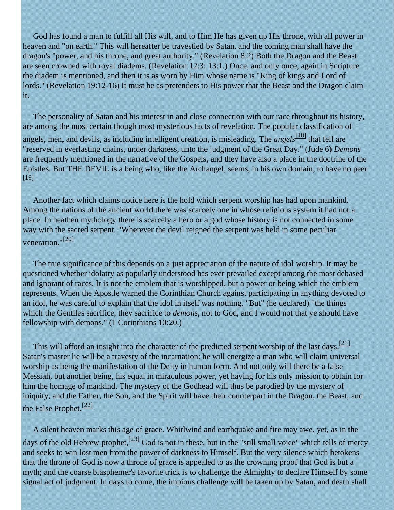God has found a man to fulfill all His will, and to Him He has given up His throne, with all power in heaven and "on earth." This will hereafter be travestied by Satan, and the coming man shall have the dragon's "power, and his throne, and great authority." (Revelation 8:2) Both the Dragon and the Beast are seen crowned with royal diadems. (Revelation 12:3; 13:1.) Once, and only once, again in Scripture the diadem is mentioned, and then it is as worn by Him whose name is "King of kings and Lord of lords." (Revelation 19:12-16) It must be as pretenders to His power that the Beast and the Dragon claim it.

 The personality of Satan and his interest in and close connection with our race throughout its history, are among the most certain though most mysterious facts of revelation. The popular classification of

<span id="page-114-0"></span>angels, men, and devils, as including intelligent creation, is misleading. The *angels*<sup>[\[18\]](#page-120-2)</sup> that fell are "reserved in everlasting chains, under darkness, unto the judgment of the Great Day." (Jude 6) *Demons*  are frequently mentioned in the narrative of the Gospels, and they have also a place in the doctrine of the Epistles. But THE DEVIL is a being who, like the Archangel, seems, in his own domain, to have no peer [\[19\]](#page-120-3) 

<span id="page-114-1"></span> Another fact which claims notice here is the hold which serpent worship has had upon mankind. Among the nations of the ancient world there was scarcely one in whose religious system it had not a place. In heathen mythology there is scarcely a hero or a god whose history is not connected in some way with the sacred serpent. "Wherever the devil reigned the serpent was held in some peculiar veneration."<sup>[\[20\]](#page-120-4)</sup>

<span id="page-114-2"></span> The true significance of this depends on a just appreciation of the nature of idol worship. It may be questioned whether idolatry as popularly understood has ever prevailed except among the most debased and ignorant of races. It is not the emblem that is worshipped, but a power or being which the emblem represents. When the Apostle warned the Corinthian Church against participating in anything devoted to an idol, he was careful to explain that the idol in itself was nothing. "But" (he declared) "the things which the Gentiles sacrifice, they sacrifice to *demon*s, not to God, and I would not that ye should have fellowship with demons." (1 Corinthians 10:20.)

<span id="page-114-3"></span>This will afford an insight into the character of the predicted serpent worship of the last days.<sup>[\[21\]](#page-120-5)</sup> Satan's master lie will be a travesty of the incarnation: he will energize a man who will claim universal worship as being the manifestation of the Deity in human form. And not only will there be a false Messiah, but another being, his equal in miraculous power, yet having for his only mission to obtain for him the homage of mankind. The mystery of the Godhead will thus be parodied by the mystery of iniquity, and the Father, the Son, and the Spirit will have their counterpart in the Dragon, the Beast, and the False Prophet.<sup>[\[22\]](#page-121-0)</sup>

<span id="page-114-5"></span><span id="page-114-4"></span> A silent heaven marks this age of grace. Whirlwind and earthquake and fire may awe, yet, as in the days of the old Hebrew prophet, $\frac{[23]}{[23]}$  God is not in these, but in the "still small voice" which tells of mercy and seeks to win lost men from the power of darkness to Himself. But the very silence which betokens that the throne of God is now a throne of grace is appealed to as the crowning proof that God is but a myth; and the coarse blasphemer's favorite trick is to challenge the Almighty to declare Himself by some signal act of judgment. In days to come, the impious challenge will be taken up by Satan, and death shall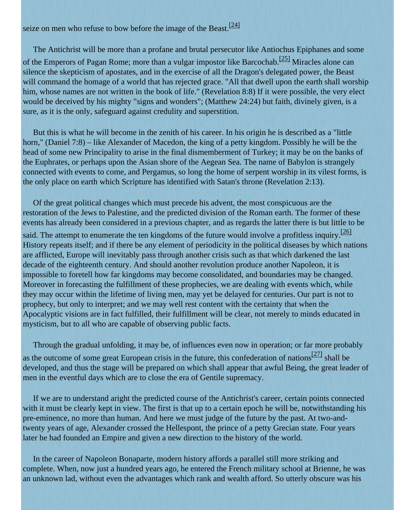<span id="page-115-0"></span>seize on men who refuse to bow before the image of the Beast.<sup>[\[24\]](#page-121-2)</sup>

<span id="page-115-1"></span> The Antichrist will be more than a profane and brutal persecutor like Antiochus Epiphanes and some of the Emperors of Pagan Rome; more than a vulgar impostor like Barcochab.<sup>[25]</sup> Miracles alone can silence the skepticism of apostates, and in the exercise of all the Dragon's delegated power, the Beast will command the homage of a world that has rejected grace. "All that dwell upon the earth shall worship him, whose names are not written in the book of life." (Revelation 8:8) If it were possible, the very elect would be deceived by his mighty "signs and wonders"; (Matthew 24:24) but faith, divinely given, is a sure, as it is the only, safeguard against credulity and superstition.

 But this is what he will become in the zenith of his career. In his origin he is described as a "little horn," (Daniel 7:8) – like Alexander of Macedon, the king of a petty kingdom. Possibly he will be the head of some new Principality to arise in the final dismemberment of Turkey; it may be on the banks of the Euphrates, or perhaps upon the Asian shore of the Aegean Sea. The name of Babylon is strangely connected with events to come, and Pergamus, so long the home of serpent worship in its vilest forms, is the only place on earth which Scripture has identified with Satan's throne (Revelation 2:13).

 Of the great political changes which must precede his advent, the most conspicuous are the restoration of the Jews to Palestine, and the predicted division of the Roman earth. The former of these events has already been considered in a previous chapter, and as regards the latter there is but little to be

<span id="page-115-2"></span>said. The attempt to enumerate the ten kingdoms of the future would involve a profitless inquiry.<sup>[\[26\]](#page-121-4)</sup> History repeats itself; and if there be any element of periodicity in the political diseases by which nations are afflicted, Europe will inevitably pass through another crisis such as that which darkened the last decade of the eighteenth century. And should another revolution produce another Napoleon, it is impossible to foretell how far kingdoms may become consolidated, and boundaries may be changed. Moreover in forecasting the fulfillment of these prophecies, we are dealing with events which, while they may occur within the lifetime of living men, may yet be delayed for centuries. Our part is not to prophecy, but only to interpret; and we may well rest content with the certainty that when the Apocalyptic visions are in fact fulfilled, their fulfillment will be clear, not merely to minds educated in mysticism, but to all who are capable of observing public facts.

<span id="page-115-3"></span> Through the gradual unfolding, it may be, of influences even now in operation; or far more probably as the outcome of some great European crisis in the future, this confederation of nations<sup>[\[27\]](#page-121-5)</sup> shall be developed, and thus the stage will be prepared on which shall appear that awful Being, the great leader of men in the eventful days which are to close the era of Gentile supremacy.

 If we are to understand aright the predicted course of the Antichrist's career, certain points connected with it must be clearly kept in view. The first is that up to a certain epoch he will be, notwithstanding his pre-eminence, no more than human. And here we must judge of the future by the past. At two-andtwenty years of age, Alexander crossed the Hellespont, the prince of a petty Grecian state. Four years later he had founded an Empire and given a new direction to the history of the world.

 In the career of Napoleon Bonaparte, modern history affords a parallel still more striking and complete. When, now just a hundred years ago, he entered the French military school at Brienne, he was an unknown lad, without even the advantages which rank and wealth afford. So utterly obscure was his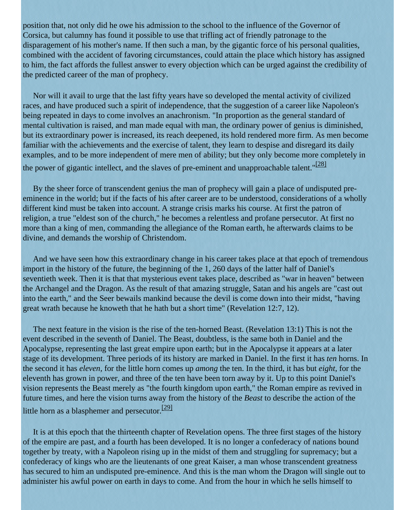position that, not only did he owe his admission to the school to the influence of the Governor of Corsica, but calumny has found it possible to use that trifling act of friendly patronage to the disparagement of his mother's name. If then such a man, by the gigantic force of his personal qualities, combined with the accident of favoring circumstances, could attain the place which history has assigned to him, the fact affords the fullest answer to every objection which can be urged against the credibility of the predicted career of the man of prophecy.

 Nor will it avail to urge that the last fifty years have so developed the mental activity of civilized races, and have produced such a spirit of independence, that the suggestion of a career like Napoleon's being repeated in days to come involves an anachronism. "In proportion as the general standard of mental cultivation is raised, and man made equal with man, the ordinary power of genius is diminished, but its extraordinary power is increased, its reach deepened, its hold rendered more firm. As men become familiar with the achievements and the exercise of talent, they learn to despise and disregard its daily examples, and to be more independent of mere men of ability; but they only become more completely in the power of gigantic intellect, and the slaves of pre-eminent and unapproachable talent."<sup>[28]</sup>

<span id="page-116-0"></span> By the sheer force of transcendent genius the man of prophecy will gain a place of undisputed preeminence in the world; but if the facts of his after career are to be understood, considerations of a wholly different kind must be taken into account. A strange crisis marks his course. At first the patron of religion, a true "eldest son of the church," he becomes a relentless and profane persecutor. At first no more than a king of men, commanding the allegiance of the Roman earth, he afterwards claims to be divine, and demands the worship of Christendom.

 And we have seen how this extraordinary change in his career takes place at that epoch of tremendous import in the history of the future, the beginning of the 1, 260 days of the latter half of Daniel's seventieth week. Then it is that that mysterious event takes place, described as "war in heaven" between the Archangel and the Dragon. As the result of that amazing struggle, Satan and his angels are "cast out into the earth," and the Seer bewails mankind because the devil is come down into their midst, "having great wrath because he knoweth that he hath but a short time" (Revelation 12:7, 12).

 The next feature in the vision is the rise of the ten-horned Beast. (Revelation 13:1) This is not the event described in the seventh of Daniel. The Beast, doubtless, is the same both in Daniel and the Apocalypse, representing the last great empire upon earth; but in the Apocalypse it appears at a later stage of its development. Three periods of its history are marked in Daniel. In the first it has *ten* horns. In the second it has *eleven,* for the little horn comes up *among* the ten. In the third, it has but *eight,* for the eleventh has grown in power, and three of the ten have been torn away by it. Up to this point Daniel's vision represents the Beast merely as "the fourth kingdom upon earth," the Roman empire as revived in future times, and here the vision turns away from the history of the *Beast* to describe the action of the little horn as a blasphemer and persecutor.<sup>[\[29\]](#page-121-7)</sup>

<span id="page-116-1"></span> It is at this epoch that the thirteenth chapter of Revelation opens. The three first stages of the history of the empire are past, and a fourth has been developed. It is no longer a confederacy of nations bound together by treaty, with a Napoleon rising up in the midst of them and struggling for supremacy; but a confederacy of kings who are the lieutenants of one great Kaiser, a man whose transcendent greatness has secured to him an undisputed pre-eminence. And this is the man whom the Dragon will single out to administer his awful power on earth in days to come. And from the hour in which he sells himself to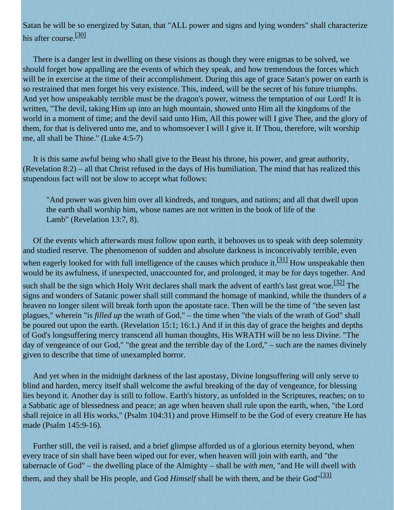Satan he will be so energized by Satan, that "ALL power and signs and lying wonders" shall characterize his after course.<sup>[\[30\]](#page-121-8)</sup>

<span id="page-117-0"></span> There is a danger lest in dwelling on these visions as though they were enigmas to be solved, we should forget how appalling are the events of which they speak, and how tremendous the forces which will be in exercise at the time of their accomplishment. During this age of grace Satan's power on earth is so restrained that men forget his very existence. This, indeed, will be the secret of his future triumphs. And yet how unspeakably terrible must be the dragon's power, witness the temptation of our Lord! It is written, "The devil, taking Him up into an high mountain, showed unto Him all the kingdoms of the world in a moment of time; and the devil said unto Him, All this power will I give Thee, and the glory of them, for that is delivered unto me, and to whomsoever I will I give it. If Thou, therefore, wilt worship me, all shall be Thine." (Luke 4:5-7)

 It is this same awful being who shall give to the Beast his throne, his power, and great authority, (Revelation 8:2) – all that Christ refused in the days of His humiliation. The mind that has realized this stupendous fact will not be slow to accept what follows:

"And power was given him over all kindreds, and tongues, and nations; and all that dwell upon the earth shall worship him, whose names are not written in the book of life of the Lamb" (Revelation 13:7, 8).

<span id="page-117-2"></span><span id="page-117-1"></span> Of the events which afterwards must follow upon earth, it behooves us to speak with deep solemnity and studied reserve. The phenomenon of sudden and absolute darkness is inconceivably terrible, even when eagerly looked for with full intelligence of the causes which produce it.<sup>[\[31\]](#page-121-9)</sup> How unspeakable then would be its awfulness, if unexpected, unaccounted for, and prolonged, it may be for days together. And such shall be the sign which Holy Writ declares shall mark the advent of earth's last great woe.<sup>[32]</sup> The signs and wonders of Satanic power shall still command the homage of mankind, while the thunders of a heaven no longer silent will break forth upon the apostate race. Then will be the time of "the seven last plagues," wherein "is *filled up* the wrath of God," – the time when "the vials of the wrath of God" shall be poured out upon the earth. (Revelation 15:1; 16:1.) And if in this day of grace the heights and depths of God's longsuffering mercy transcend all human thoughts, His WRATH will be no less Divine. "The day of vengeance of our God," "the great and the terrible day of the Lord," – such are the names divinely given to describe that time of unexampled horror.

 And yet when in the midnight darkness of the last apostasy, Divine longsuffering will only serve to blind and harden, mercy itself shall welcome the awful breaking of the day of vengeance, for blessing lies beyond it. Another day is still to follow. Earth's history, as unfolded in the Scriptures, reaches; on to a Sabbatic age of blessedness and peace; an age when heaven shall rule upon the earth, when, "the Lord shall rejoice in all His works," (Psalm 104:31) and prove Himself to be the God of every creature He has made (Psalm 145:9-16).

<span id="page-117-3"></span> Further still, the veil is raised, and a brief glimpse afforded us of a glorious eternity beyond, when every trace of sin shall have been wiped out for ever, when heaven will join with earth, and "the tabernacle of God" – the dwelling place of the Almighty – shall be *with men,* "and He will dwell with them, and they shall be His people, and God *Himself* shall be with them, and be their God"<sup>[\[33\]](#page-122-0)</sup>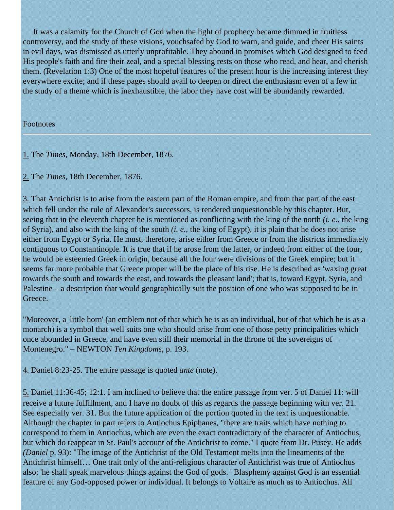It was a calamity for the Church of God when the light of prophecy became dimmed in fruitless controversy, and the study of these visions, vouchsafed by God to warn, and guide, and cheer His saints in evil days, was dismissed as utterly unprofitable. They abound in promises which God designed to feed His people's faith and fire their zeal, and a special blessing rests on those who read, and hear, and cherish them. (Revelation 1:3) One of the most hopeful features of the present hour is the increasing interest they everywhere excite; and if these pages should avail to deepen or direct the enthusiasm even of a few in the study of a theme which is inexhaustible, the labor they have cost will be abundantly rewarded.

Footnotes

[1.](#page-110-0) The *Times,* Monday, 18th December, 1876.

<span id="page-118-0"></span>[2.](#page-110-1) The *Times,* 18th December, 1876.

<span id="page-118-1"></span>[3.](#page-110-2) That Antichrist is to arise from the eastern part of the Roman empire, and from that part of the east which fell under the rule of Alexander's successors, is rendered unquestionable by this chapter. But, seeing that in the eleventh chapter he is mentioned as conflicting with the king of the north *(i. e.,* the king of Syria), and also with the king of the south *(i. e.,* the king of Egypt), it is plain that he does not arise either from Egypt or Syria. He must, therefore, arise either from Greece or from the districts immediately contiguous to Constantinople. It is true that if he arose from the latter, or indeed from either of the four, he would be esteemed Greek in origin, because all the four were divisions of the Greek empire; but it seems far more probable that Greece proper will be the place of his rise. He is described as 'waxing great towards the south and towards the east, and towards the pleasant land'; that is, toward Egypt, Syria, and Palestine – a description that would geographically suit the position of one who was supposed to be in Greece.

"Moreover, a 'little horn' (an emblem not of that which he is as an individual, but of that which he is as a monarch) is a symbol that well suits one who should arise from one of those petty principalities which once abounded in Greece, and have even still their memorial in the throne of the sovereigns of Montenegro." – NEWTON *Ten Kingdoms,* p. 193.

<span id="page-118-2"></span>[4.](#page-110-3) Daniel 8:23-25. The entire passage is quoted *ante* (note).

<span id="page-118-3"></span>[5.](#page-111-0) Daniel 11:36-45; 12:1. I am inclined to believe that the entire passage from ver. 5 of Daniel 11: will receive a future fulfillment, and I have no doubt of this as regards the passage beginning with ver. 21. See especially ver. 31. But the future application of the portion quoted in the text is unquestionable. Although the chapter in part refers to Antiochus Epiphanes, "there are traits which have nothing to correspond to them in Antiochus, which are even the exact contradictory of the character of Antiochus, but which do reappear in St. Paul's account of the Antichrist to come." I quote from Dr. Pusey. He adds *(Daniel* p. 93): "The image of the Antichrist of the Old Testament melts into the lineaments of the Antichrist himself… One trait only of the anti-religious character of Antichrist was true of Antiochus also; 'he shall speak marvelous things against the God of gods. ' Blasphemy against God is an essential feature of any God-opposed power or individual. It belongs to Voltaire as much as to Antiochus. All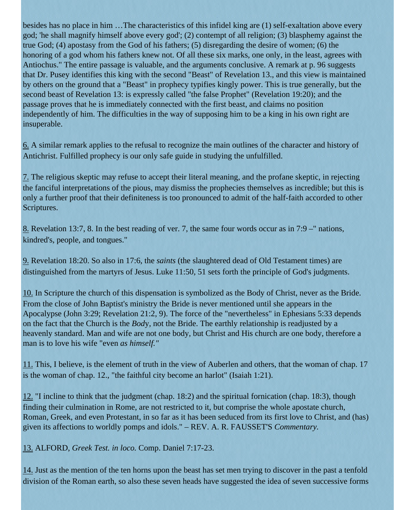besides has no place in him …The characteristics of this infidel king are (1) self-exaltation above every god; 'he shall magnify himself above every god'; (2) contempt of all religion; (3) blasphemy against the true God; (4) apostasy from the God of his fathers; (5) disregarding the desire of women; (6) the honoring of a god whom his fathers knew not. Of all these six marks, one only, in the least, agrees with Antiochus." The entire passage is valuable, and the arguments conclusive. A remark at p. 96 suggests that Dr. Pusey identifies this king with the second "Beast" of Revelation 13., and this view is maintained by others on the ground that a "Beast" in prophecy typifies kingly power. This is true generally, but the second beast of Revelation 13: is expressly called "the false Prophet" (Revelation 19:20); and the passage proves that he is immediately connected with the first beast, and claims no position independently of him. The difficulties in the way of supposing him to be a king in his own right are insuperable.

<span id="page-119-0"></span>[6.](#page-111-1) A similar remark applies to the refusal to recognize the main outlines of the character and history of Antichrist. Fulfilled prophecy is our only safe guide in studying the unfulfilled.

<span id="page-119-1"></span>[7.](#page-112-0) The religious skeptic may refuse to accept their literal meaning, and the profane skeptic, in rejecting the fanciful interpretations of the pious, may dismiss the prophecies themselves as incredible; but this is only a further proof that their definiteness is too pronounced to admit of the half-faith accorded to other Scriptures.

<span id="page-119-2"></span>[8.](#page-112-1) Revelation 13:7, 8. In the best reading of ver. 7, the same four words occur as in 7:9 –" nations, kindred's, people, and tongues."

<span id="page-119-3"></span>[9.](#page-112-2) Revelation 18:20. So also in 17:6, the *saints* (the slaughtered dead of Old Testament times) are distinguished from the martyrs of Jesus. Luke 11:50, 51 sets forth the principle of God's judgments.

[10.](#page-112-3) In Scripture the church of this dispensation is symbolized as the Body of Christ, never as the Bride. From the close of John Baptist's ministry the Bride is never mentioned until she appears in the Apocalypse (John 3:29; Revelation 21:2, 9). The force of the "nevertheless" in Ephesians 5:33 depends on the fact that the Church is the *Bod*y, not the Bride. The earthly relationship is readjusted by a heavenly standard. Man and wife are not one body, but Christ and His church are one body, therefore a man is to love his wife "even *as himself."*

[11.](#page-112-4) This, I believe, is the element of truth in the view of Auberlen and others, that the woman of chap. 17 is the woman of chap. 12., "the faithful city become an harlot" (Isaiah 1:21).

[12.](#page-113-0) "I incline to think that the judgment (chap. 18:2) and the spiritual fornication (chap. 18:3), though finding their culmination in Rome, are not restricted to it, but comprise the whole apostate church, Roman, Greek, and even Protestant, in so far as it has been seduced from its first love to Christ, and (has) given its affections to worldly pomps and idols." – REV. A. R. FAUSSET'S *Commentary.*

[13.](#page-113-1) ALFORD, *Greek Test. in loco.* Comp. Daniel 7:17-23.

[14.](#page-113-2) Just as the mention of the ten horns upon the beast has set men trying to discover in the past a tenfold division of the Roman earth, so also these seven heads have suggested the idea of seven successive forms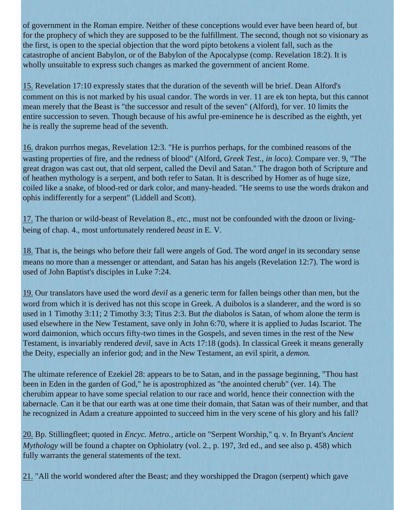of government in the Roman empire. Neither of these conceptions would ever have been heard of, but for the prophecy of which they are supposed to be the fulfillment. The second, though not so visionary as the first, is open to the special objection that the word pipto betokens a violent fall, such as the catastrophe of ancient Babylon, or of the Babylon of the Apocalypse (comp. Revelation 18:2). It is wholly unsuitable to express such changes as marked the government of ancient Rome.

[15.](#page-113-3) Revelation 17:10 expressly states that the duration of the seventh will be brief. Dean Alford's comment on this is not marked by his usual candor. The words in ver. 11 are ek ton hepta, but this cannot mean merely that the Beast is "the successor and result of the seven" (Alford), for ver. 10 limits the entire succession to seven. Though because of his awful pre-eminence he is described as the eighth, yet he is really the supreme head of the seventh.

<span id="page-120-0"></span>[16.](#page-113-4) drakon purrhos megas, Revelation 12:3. "He is purrhos perhaps, for the combined reasons of the wasting properties of fire, and the redness of blood" (Alford, *Greek Test., in loco).* Compare ver. 9, "The great dragon was cast out, that old serpent, called the Devil and Satan." The dragon both of Scripture and of heathen mythology is a serpent, and both refer to Satan. It is described by Homer as of huge size, coiled like a snake, of blood-red or dark color, and many-headed. "He seems to use the words drakon and ophis indifferently for a serpent" (Liddell and Scott).

<span id="page-120-1"></span>[17.](#page-113-5) The tharion or wild-beast of Revelation 8., *etc.,* must not be confounded with the dzoon or livingbeing of chap. 4., most unfortunately rendered *beast* in E. V.

<span id="page-120-2"></span>[18.](#page-114-0) That is, the beings who before their fall were angels of God. The word *angel* in its secondary sense means no more than a messenger or attendant, and Satan has his angels (Revelation 12:7). The word is used of John Baptist's disciples in Luke 7:24.

<span id="page-120-3"></span>[19.](#page-114-1) Our translators have used the word *devil* as a generic term for fallen beings other than men, but the word from which it is derived has not this scope in Greek. A duibolos is a slanderer, and the word is so used in 1 Timothy 3:11; 2 Timothy 3:3; Titus 2:3. But *the* diabolos is Satan, of whom alone the term is used elsewhere in the New Testament, save only in John 6:70, where it is applied to Judas Iscariot. The word daimonion, which occurs fifty-two times in the Gospels, and seven times in the rest of the New Testament, is invariably rendered *devil,* save in Acts 17:18 (gods). In classical Greek it means generally the Deity, especially an inferior god; and in the New Testament, an evil spirit, a *demon.*

The ultimate reference of Ezekiel 28: appears to be to Satan, and in the passage beginning, "Thou hast been in Eden in the garden of God," he is apostrophized as "the anointed cherub" (ver. 14). The cherubim appear to have some special relation to our race and world, hence their connection with the tabernacle. Can it be that our earth was at one time their domain, that Satan was of their number, and that he recognized in Adam a creature appointed to succeed him in the very scene of his glory and his fall?

<span id="page-120-4"></span>[20.](#page-114-2) Bp. Stillingfleet; quoted in *Encyc. Metro.,* article on "Serpent Worship," q. v. In Bryant's *Ancient Mythology* will be found a chapter on Ophiolatry (vol. 2., p. 197, 3rd ed., and see also p. 458) which fully warrants the general statements of the text.

<span id="page-120-5"></span>[21.](#page-114-3) "All the world wondered after the Beast; and they worshipped the Dragon (serpent) which gave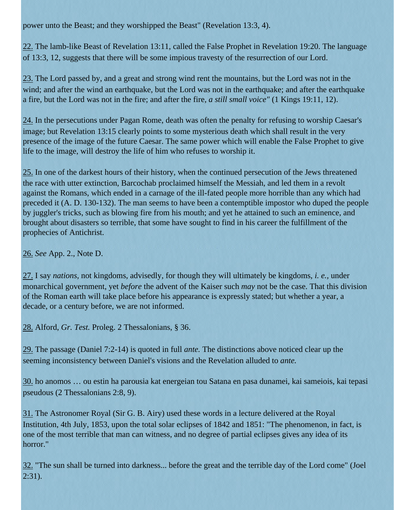power unto the Beast; and they worshipped the Beast" (Revelation 13:3, 4).

<span id="page-121-0"></span>[22.](#page-114-4) The lamb-like Beast of Revelation 13:11, called the False Prophet in Revelation 19:20. The language of 13:3, 12, suggests that there will be some impious travesty of the resurrection of our Lord.

<span id="page-121-1"></span>[23.](#page-114-5) The Lord passed by, and a great and strong wind rent the mountains, but the Lord was not in the wind; and after the wind an earthquake, but the Lord was not in the earthquake; and after the earthquake a fire, but the Lord was not in the fire; and after the fire, *a still small voice"* (1 Kings 19:11, 12).

<span id="page-121-2"></span>[24.](#page-115-0) In the persecutions under Pagan Rome, death was often the penalty for refusing to worship Caesar's image; but Revelation 13:15 clearly points to some mysterious death which shall result in the very presence of the image of the future Caesar. The same power which will enable the False Prophet to give life to the image, will destroy the life of him who refuses to worship it.

<span id="page-121-3"></span>[25.](#page-115-1) In one of the darkest hours of their history, when the continued persecution of the Jews threatened the race with utter extinction, Barcochab proclaimed himself the Messiah, and led them in a revolt against the Romans, which ended in a carnage of the ill-fated people more horrible than any which had preceded it (A. D. 130-132). The man seems to have been a contemptible impostor who duped the people by juggler's tricks, such as blowing fire from his mouth; and yet he attained to such an eminence, and brought about disasters so terrible, that some have sought to find in his career the fulfillment of the prophecies of Antichrist.

<span id="page-121-4"></span>[26.](#page-115-2) *See* App. 2., Note D.

<span id="page-121-5"></span>[27.](#page-115-3) I say *nations,* not kingdoms, advisedly, for though they will ultimately be kingdoms, *i. e.,* under monarchical government, yet *before* the advent of the Kaiser such *may* not be the case. That this division of the Roman earth will take place before his appearance is expressly stated; but whether a year, a decade, or a century before, we are not informed.

<span id="page-121-6"></span>[28.](#page-116-0) Alford, *Gr. Test.* Proleg. 2 Thessalonians, § 36.

<span id="page-121-7"></span>[29.](#page-116-1) The passage (Daniel 7:2-14) is quoted in full *ante.* The distinctions above noticed clear up the seeming inconsistency between Daniel's visions and the Revelation alluded to *ante.*

<span id="page-121-8"></span>[30.](#page-117-0) ho anomos … ou estin ha parousia kat energeian tou Satana en pasa dunamei, kai sameiois, kai tepasi pseudous (2 Thessalonians 2:8, 9).

<span id="page-121-9"></span>[31.](#page-117-1) The Astronomer Royal (Sir G. B. Airy) used these words in a lecture delivered at the Royal Institution, 4th July, 1853, upon the total solar eclipses of 1842 and 1851: "The phenomenon, in fact, is one of the most terrible that man can witness, and no degree of partial eclipses gives any idea of its horror."

<span id="page-121-10"></span>[32.](#page-117-2) "The sun shall be turned into darkness... before the great and the terrible day of the Lord come" (Joel 2:31).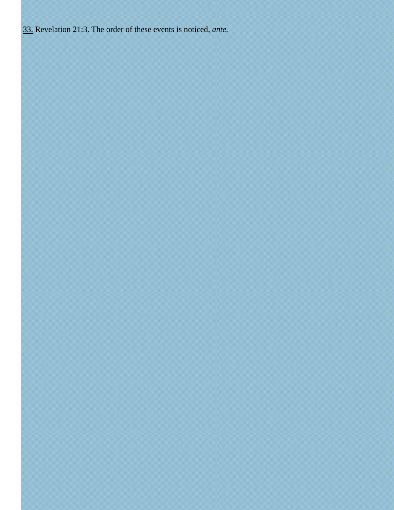<span id="page-122-0"></span>[33.](#page-117-3) Revelation 21:3. The order of these events is noticed, *ante.*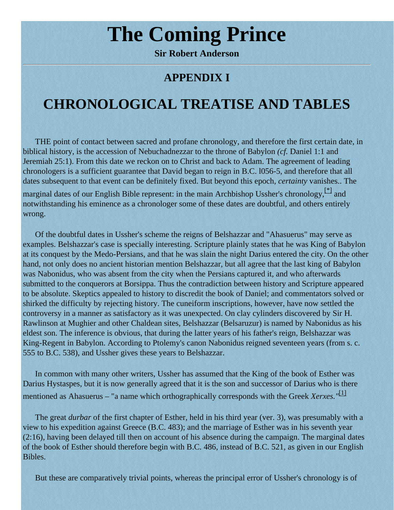# **The Coming Prince**

**Sir Robert Anderson**

### **APPENDIX I**

## <span id="page-123-0"></span>**CHRONOLOGICAL TREATISE AND TABLES**

 THE point of contact between sacred and profane chronology, and therefore the first certain date, in biblical history, is the accession of Nebuchadnezzar to the throne of Babylon *(cf.* Daniel 1:1 and Jeremiah 25:1). From this date we reckon on to Christ and back to Adam. The agreement of leading chronologers is a sufficient guarantee that David began to reign in B.C. l056-5, and therefore that all dates subsequent to that event can be definitely fixed. But beyond this epoch, *certainty* vanishes.. The

<span id="page-123-1"></span>marginal dates of our English Bible represent: in the main Archbishop Ussher's chronology,<sup>[\*]</sup> and notwithstanding his eminence as a chronologer some of these dates are doubtful, and others entirely wrong.

 Of the doubtful dates in Ussher's scheme the reigns of Belshazzar and "Ahasuerus" may serve as examples. Belshazzar's case is specially interesting. Scripture plainly states that he was King of Babylon at its conquest by the Medo-Persians, and that he was slain the night Darius entered the city. On the other hand, not only does no ancient historian mention Belshazzar, but all agree that the last king of Babylon was Nabonidus, who was absent from the city when the Persians captured it, and who afterwards submitted to the conquerors at Borsippa. Thus the contradiction between history and Scripture appeared to be absolute. Skeptics appealed to history to discredit the book of Daniel; and commentators solved or shirked the difficulty by rejecting history. The cuneiform inscriptions, however, have now settled the controversy in a manner as satisfactory as it was unexpected. On clay cylinders discovered by Sir H. Rawlinson at Mughier and other Chaldean sites, Belshazzar (Belsaruzur) is named by Nabonidus as his eldest son. The inference is obvious, that during the latter years of his father's reign, Belshazzar was King-Regent in Babylon. According to Ptolemy's canon Nabonidus reigned seventeen years (from s. c. 555 to B.C. 538), and Ussher gives these years to Belshazzar.

 In common with many other writers, Ussher has assumed that the King of the book of Esther was Darius Hystaspes, but it is now generally agreed that it is the son and successor of Darius who is there mentioned as Ahasuerus – "a name which orthographically corresponds with the Greek *Xerxes."*[\[1\]](#page-137-1)

<span id="page-123-2"></span> The great *durbar* of the first chapter of Esther, held in his third year (ver. 3), was presumably with a view to his expedition against Greece (B.C. 483); and the marriage of Esther was in his seventh year (2:16), having been delayed till then on account of his absence during the campaign. The marginal dates of the book of Esther should therefore begin with B.C. 486, instead of B.C. 521, as given in our English Bibles.

But these are comparatively trivial points, whereas the principal error of Ussher's chronology is of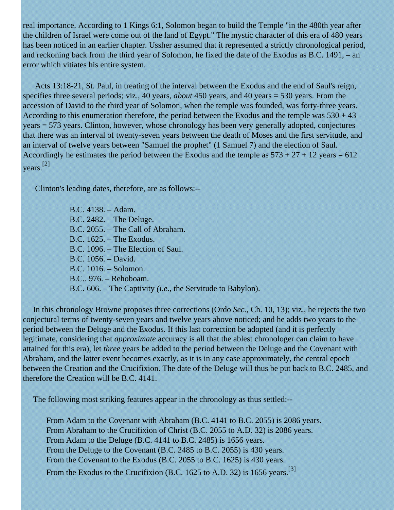real importance. According to 1 Kings 6:1, Solomon began to build the Temple "in the 480th year after the children of Israel were come out of the land of Egypt." The mystic character of this era of 480 years has been noticed in an earlier chapter. Ussher assumed that it represented a strictly chronological period, and reckoning back from the third year of Solomon, he fixed the date of the Exodus as B.C. 1491, – an error which vitiates his entire system.

 Acts 13:18-21, St. Paul, in treating of the interval between the Exodus and the end of Saul's reign, specifies three several periods; viz., 40 years, *about* 450 years, and 40 years = 530 years. From the accession of David to the third year of Solomon, when the temple was founded, was forty-three years. According to this enumeration therefore, the period between the Exodus and the temple was  $530 + 43$ years = 573 years. Clinton, however, whose chronology has been very generally adopted, conjectures that there was an interval of twenty-seven years between the death of Moses and the first servitude, and an interval of twelve years between "Samuel the prophet" (1 Samuel 7) and the election of Saul. Accordingly he estimates the period between the Exodus and the temple as  $573 + 27 + 12$  years = 612 years.<sup>[\[2\]](#page-137-2)</sup>

<span id="page-124-0"></span>Clinton's leading dates, therefore, are as follows:--

B.C. 4138. – Adam. B.C. 2482. – The Deluge. B.C. 2055. – The Call of Abraham. B.C. 1625. – The Exodus. B.C. 1096. – The Election of Saul. B.C. 1056. – David. B.C. 1016. – Solomon. B.C.. 976. – Rehoboam. B.C. 606. – The Captivity *(i.e*., the Servitude to Babylon).

 In this chronology Browne proposes three corrections (Ordo *Sec.,* Ch. 10, 13); viz., he rejects the two conjectural terms of twenty-seven years and twelve years above noticed; and he adds two years to the period between the Deluge and the Exodus. If this last correction be adopted (and it is perfectly legitimate, considering that *approximate* accuracy is all that the ablest chronologer can claim to have attained for this era), let *three* years be added to the period between the Deluge and the Covenant with Abraham, and the latter event becomes exactly, as it is in any case approximately, the central epoch between the Creation and the Crucifixion. The date of the Deluge will thus be put back to B.C. 2485, and therefore the Creation will be B.C. 4141.

The following most striking features appear in the chronology as thus settled:--

<span id="page-124-1"></span>From Adam to the Covenant with Abraham (B.C. 4141 to B.C. 2055) is 2086 years. From Abraham to the Crucifixion of Christ (B.C. 2055 to A.D. 32) is 2086 years. From Adam to the Deluge (B.C. 4141 to B.C. 2485) is 1656 years. From the Deluge to the Covenant (B.C. 2485 to B.C. 2055) is 430 years. From the Covenant to the Exodus (B.C. 2055 to B.C. 1625) is 430 years. From the Exodus to the Crucifixion (B.C. 1625 to A.D. 32) is 1656 years.<sup>[\[3\]](#page-137-3)</sup>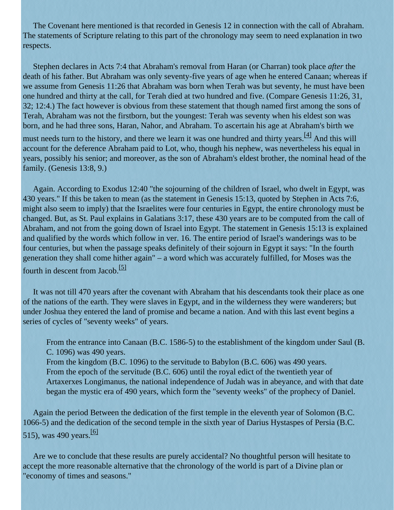The Covenant here mentioned is that recorded in Genesis 12 in connection with the call of Abraham. The statements of Scripture relating to this part of the chronology may seem to need explanation in two respects.

 Stephen declares in Acts 7:4 that Abraham's removal from Haran (or Charran) took place *after* the death of his father. But Abraham was only seventy-five years of age when he entered Canaan; whereas if we assume from Genesis 11:26 that Abraham was born when Terah was but seventy, he must have been one hundred and thirty at the call, for Terah died at two hundred and five. (Compare Genesis 11:26, 31, 32; 12:4.) The fact however is obvious from these statement that though named first among the sons of Terah, Abraham was not the firstborn, but the youngest: Terah was seventy when his eldest son was born, and he had three sons, Haran, Nahor, and Abraham. To ascertain his age at Abraham's birth we must needs turn to the history, and there we learn it was one hundred and thirty years.<sup>[4]</sup> And this will account for the deference Abraham paid to Lot, who, though his nephew, was nevertheless his equal in years, possibly his senior; and moreover, as the son of Abraham's eldest brother, the nominal head of the family. (Genesis 13:8, 9.)

<span id="page-125-0"></span> Again. According to Exodus 12:40 "the sojourning of the children of Israel, who dwelt in Egypt, was 430 years." If this be taken to mean (as the statement in Genesis 15:13, quoted by Stephen in Acts 7:6, might also seem to imply) that the Israelites were four centuries in Egypt, the entire chronology must be changed. But, as St. Paul explains in Galatians 3:17, these 430 years are to be computed from the call of Abraham, and not from the going down of Israel into Egypt. The statement in Genesis 15:13 is explained and qualified by the words which follow in ver. 16. The entire period of Israel's wanderings was to be four centuries, but when the passage speaks definitely of their sojourn in Egypt it says: "In the fourth generation they shall come hither again" – a word which was accurately fulfilled, for Moses was the fourth in descent from Jacob.<sup>[\[5\]](#page-138-0)</sup>

<span id="page-125-1"></span> It was not till 470 years after the covenant with Abraham that his descendants took their place as one of the nations of the earth. They were slaves in Egypt, and in the wilderness they were wanderers; but under Joshua they entered the land of promise and became a nation. And with this last event begins a series of cycles of "seventy weeks" of years.

From the entrance into Canaan (B.C. 1586-5) to the establishment of the kingdom under Saul (B. C. 1096) was 490 years.

From the kingdom (B.C. 1096) to the servitude to Babylon (B.C. 606) was 490 years. From the epoch of the servitude (B.C. 606) until the royal edict of the twentieth year of Artaxerxes Longimanus, the national independence of Judah was in abeyance, and with that date began the mystic era of 490 years, which form the "seventy weeks" of the prophecy of Daniel.

 Again the period Between the dedication of the first temple in the eleventh year of Solomon (B.C. 1066-5) and the dedication of the second temple in the sixth year of Darius Hystaspes of Persia (B.C. 515), was 490 years.<sup>[\[6\]](#page-138-1)</sup>

<span id="page-125-2"></span> Are we to conclude that these results are purely accidental? No thoughtful person will hesitate to accept the more reasonable alternative that the chronology of the world is part of a Divine plan or "economy of times and seasons."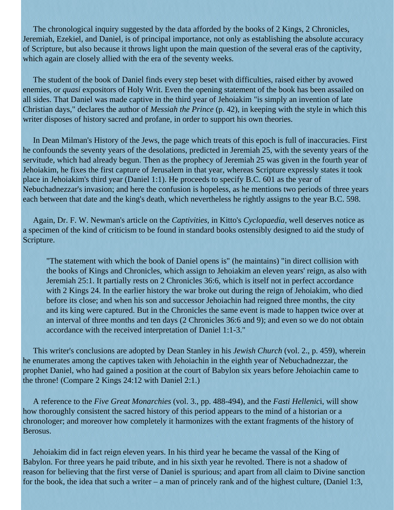The chronological inquiry suggested by the data afforded by the books of 2 Kings, 2 Chronicles, Jeremiah, Ezekiel, and Daniel, is of principal importance, not only as establishing the absolute accuracy of Scripture, but also because it throws light upon the main question of the several eras of the captivity, which again are closely allied with the era of the seventy weeks.

 The student of the book of Daniel finds every step beset with difficulties, raised either by avowed enemies, or *quasi* expositors of Holy Writ. Even the opening statement of the book has been assailed on all sides. That Daniel was made captive in the third year of Jehoiakim "is simply an invention of late Christian days," declares the author of *Messiah the Prince* (p. 42), in keeping with the style in which this writer disposes of history sacred and profane, in order to support his own theories.

 In Dean Milman's History of the Jews, the page which treats of this epoch is full of inaccuracies. First he confounds the seventy years of the desolations, predicted in Jeremiah 25, with the seventy years of the servitude, which had already begun. Then as the prophecy of Jeremiah 25 was given in the fourth year of Jehoiakim, he fixes the first capture of Jerusalem in that year, whereas Scripture expressly states it took place in Jehoiakim's third year (Daniel 1:1). He proceeds to specify B.C. 601 as the year of Nebuchadnezzar's invasion; and here the confusion is hopeless, as he mentions two periods of three years each between that date and the king's death, which nevertheless he rightly assigns to the year B.C. 598.

 Again, Dr. F. W. Newman's article on the *Captivities,* in Kitto's *Cyclopaedia,* well deserves notice as a specimen of the kind of criticism to be found in standard books ostensibly designed to aid the study of Scripture.

"The statement with which the book of Daniel opens is" (he maintains) "in direct collision with the books of Kings and Chronicles, which assign to Jehoiakim an eleven years' reign, as also with Jeremiah 25:1. It partially rests on 2 Chronicles 36:6, which is itself not in perfect accordance with 2 Kings 24. In the earlier history the war broke out during the reign of Jehoiakim, who died before its close; and when his son and successor Jehoiachin had reigned three months, the city and its king were captured. But in the Chronicles the same event is made to happen twice over at an interval of three months and ten days (2 Chronicles 36:6 and 9); and even so we do not obtain accordance with the received interpretation of Daniel 1:1-3."

 This writer's conclusions are adopted by Dean Stanley in his *Jewish Church* (vol. 2., p. 459), wherein he enumerates among the captives taken with Jehoiachin in the eighth year of Nebuchadnezzar, the prophet Daniel, who had gained a position at the court of Babylon six years before Jehoiachin came to the throne! (Compare 2 Kings 24:12 with Daniel 2:1.)

 A reference to the *Five Great Monarchies* (vol. 3., pp. 488-494), and the *Fasti Hellenic*i, will show how thoroughly consistent the sacred history of this period appears to the mind of a historian or a chronologer; and moreover how completely it harmonizes with the extant fragments of the history of Berosus.

 Jehoiakim did in fact reign eleven years. In his third year he became the vassal of the King of Babylon. For three years he paid tribute, and in his sixth year he revolted. There is not a shadow of reason for believing that the first verse of Daniel is spurious; and apart from all claim to Divine sanction for the book, the idea that such a writer – a man of princely rank and of the highest culture, (Daniel 1:3,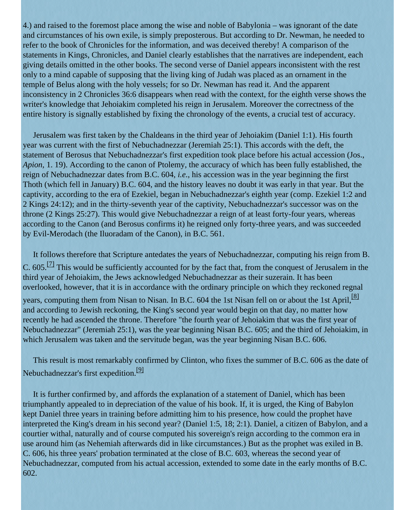4.) and raised to the foremost place among the wise and noble of Babylonia – was ignorant of the date and circumstances of his own exile, is simply preposterous. But according to Dr. Newman, he needed to refer to the book of Chronicles for the information, and was deceived thereby! A comparison of the statements in Kings, Chronicles, and Daniel clearly establishes that the narratives are independent, each giving details omitted in the other books. The second verse of Daniel appears inconsistent with the rest only to a mind capable of supposing that the living king of Judah was placed as an ornament in the temple of Belus along with the holy vessels; for so Dr. Newman has read it. And the apparent inconsistency in 2 Chronicles 36:6 disappears when read with the context, for the eighth verse shows the writer's knowledge that Jehoiakim completed his reign in Jerusalem. Moreover the correctness of the entire history is signally established by fixing the chronology of the events, a crucial test of accuracy.

 Jerusalem was first taken by the Chaldeans in the third year of Jehoiakim (Daniel 1:1). His fourth year was current with the first of Nebuchadnezzar (Jeremiah 25:1). This accords with the deft, the statement of Berosus that Nebuchadnezzar's first expedition took place before his actual accession (Jos., *Apion,* 1. 19). According to the canon of Ptolemy, the accuracy of which has been fully established, the reign of Nebuchadnezzar dates from B.C. 604, *i.e*., his accession was in the year beginning the first Thoth (which fell in January) B.C. 604, and the history leaves no doubt it was early in that year. But the captivity, according to the era of Ezekiel, began in Nebuchadnezzar's eighth year (comp. Ezekiel 1:2 and 2 Kings 24:12); and in the thirty-seventh year of the captivity, Nebuchadnezzar's successor was on the throne (2 Kings 25:27). This would give Nebuchadnezzar a reign of at least forty-four years, whereas according to the Canon (and Berosus confirms it) he reigned only forty-three years, and was succeeded by Evil-Merodach (the Iluoradam of the Canon), in B.C. 561.

<span id="page-127-0"></span> It follows therefore that Scripture antedates the years of Nebuchadnezzar, computing his reign from B. C.  $605$ .<sup>[7]</sup> This would be sufficiently accounted for by the fact that, from the conquest of Jerusalem in the third year of Jehoiakim, the Jews acknowledged Nebuchadnezzar as their suzerain. It has been overlooked, however, that it is in accordance with the ordinary principle on which they reckoned regnal

<span id="page-127-1"></span>years, computing them from Nisan to Nisan. In B.C. 604 the 1st Nisan fell on or about the 1st April,<sup>[\[8\]](#page-138-3)</sup> and according to Jewish reckoning, the King's second year would begin on that day, no matter how recently he had ascended the throne. Therefore "the fourth year of Jehoiakim that was the first year of Nebuchadnezzar" (Jeremiah 25:1), was the year beginning Nisan B.C. 605; and the third of Jehoiakim, in which Jerusalem was taken and the servitude began, was the year beginning Nisan B.C. 606.

 This result is most remarkably confirmed by Clinton, who fixes the summer of B.C. 606 as the date of Nebuchadnezzar's first expedition.<sup>[\[9\]](#page-138-4)</sup>

<span id="page-127-2"></span> It is further confirmed by, and affords the explanation of a statement of Daniel, which has been triumphantly appealed to in depreciation of the value of his book. If, it is urged, the King of Babylon kept Daniel three years in training before admitting him to his presence, how could the prophet have interpreted the King's dream in his second year? (Daniel 1:5, 18; 2:1). Daniel, a citizen of Babylon, and a courtier withal, naturally and of course computed his sovereign's reign according to the common era in use around him (as Nehemiah afterwards did in like circumstances.) But as the prophet was exiled in B. C. 606, his three years' probation terminated at the close of B.C. 603, whereas the second year of Nebuchadnezzar, computed from his actual accession, extended to some date in the early months of B.C. 602.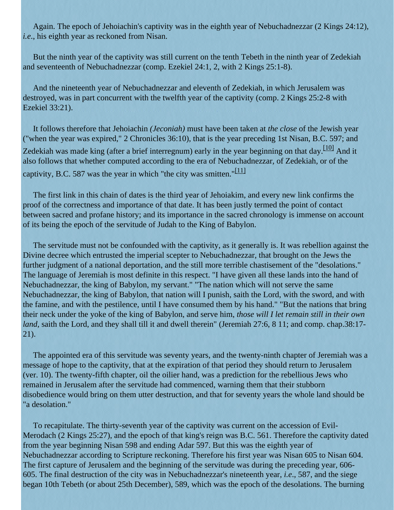Again. The epoch of Jehoiachin's captivity was in the eighth year of Nebuchadnezzar (2 Kings 24:12), *i.e*., his eighth year as reckoned from Nisan.

 But the ninth year of the captivity was still current on the tenth Tebeth in the ninth year of Zedekiah and seventeenth of Nebuchadnezzar (comp. Ezekiel 24:1, 2, with 2 Kings 25:1-8).

 And the nineteenth year of Nebuchadnezzar and eleventh of Zedekiah, in which Jerusalem was destroyed, was in part concurrent with the twelfth year of the captivity (comp. 2 Kings 25:2-8 with Ezekiel 33:21).

<span id="page-128-0"></span> It follows therefore that Jehoiachin *(Jeconiah)* must have been taken at *the close* of the Jewish year ("when the year was expired," 2 Chronicles 36:10), that is the year preceding 1st Nisan, B.C. 597; and Zedekiah was made king (after a brief interregnum) early in the year beginning on that day.<sup>[10]</sup> And it also follows that whether computed according to the era of Nebuchadnezzar, of Zedekiah, or of the captivity, B.C. 587 was the year in which "the city was smitten."<sup>[\[11\]](#page-138-6)</sup>

<span id="page-128-1"></span> The first link in this chain of dates is the third year of Jehoiakim, and every new link confirms the proof of the correctness and importance of that date. It has been justly termed the point of contact between sacred and profane history; and its importance in the sacred chronology is immense on account of its being the epoch of the servitude of Judah to the King of Babylon.

 The servitude must not be confounded with the captivity, as it generally is. It was rebellion against the Divine decree which entrusted the imperial scepter to Nebuchadnezzar, that brought on the Jews the further judgment of a national deportation, and the still more terrible chastisement of the "desolations." The language of Jeremiah is most definite in this respect. "I have given all these lands into the hand of Nebuchadnezzar, the king of Babylon, my servant." "The nation which will not serve the same Nebuchadnezzar, the king of Babylon, that nation will I punish, saith the Lord, with the sword, and with the famine, and with the pestilence, until I have consumed them by his hand." "But the nations that bring their neck under the yoke of the king of Babylon, and serve him, *those will I let remain still in their own land,* saith the Lord, and they shall till it and dwell therein" (Jeremiah 27:6, 8 11; and comp. chap.38:17- 21).

 The appointed era of this servitude was seventy years, and the twenty-ninth chapter of Jeremiah was a message of hope to the captivity, that at the expiration of that period they should return to Jerusalem (ver. 10). The twenty-fifth chapter, oil the oilier hand, was a prediction for the rebellious Jews who remained in Jerusalem after the servitude had commenced, warning them that their stubborn disobedience would bring on them utter destruction, and that for seventy years the whole land should be "a desolation."

 To recapitulate. The thirty-seventh year of the captivity was current on the accession of Evil-Merodach (2 Kings 25:27), and the epoch of that king's reign was B.C. 561. Therefore the captivity dated from the year beginning Nisan 598 and ending Adar 597. But this was the eighth year of Nebuchadnezzar according to Scripture reckoning. Therefore his first year was Nisan 605 to Nisan 604. The first capture of Jerusalem and the beginning of the servitude was during the preceding year, 606- 605. The final destruction of the city was in Nebuchadnezzar's nineteenth year, *i.e*., 587, and the siege began 10th Tebeth (or about 25th December), 589, which was the epoch of the desolations. The burning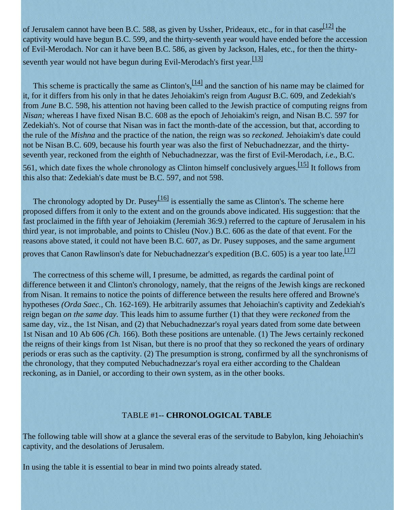<span id="page-129-0"></span>of Jerusalem cannot have been B.C. 588, as given by Ussher, Prideaux, etc., for in that case  $\frac{12}{2}$  the captivity would have begun B.C. 599, and the thirty-seventh year would have ended before the accession of Evil-Merodach. Nor can it have been B.C. 586, as given by Jackson, Hales, etc., for then the thirty-seventh year would not have begun during Evil-Merodach's first year.<sup>[\[13\]](#page-138-8)</sup>

<span id="page-129-2"></span><span id="page-129-1"></span>This scheme is practically the same as Clinton's,  $\frac{1141}{2}$  and the sanction of his name may be claimed for it, for it differs from his only in that he dates Jehoiakim's reign from *August* B.C. 609, and Zedekiah's from *June* B.C. 598, his attention not having been called to the Jewish practice of computing reigns from *Nisan;* whereas I have fixed Nisan B.C. 608 as the epoch of Jehoiakim's reign, and Nisan B.C. 597 for Zedekiah's. Not of course that Nisan was in fact the month-date of the accession, but that, according to the rule of the *Mishna* and the practice of the nation, the reign was so *reckoned.* Jehoiakim's date could not be Nisan B.C. 609, because his fourth year was also the first of Nebuchadnezzar, and the thirtyseventh year, reckoned from the eighth of Nebuchadnezzar, was the first of Evil-Merodach, *i.e*., B.C. 561, which date fixes the whole chronology as Clinton himself conclusively argues.<sup>[15]</sup> It follows from this also that: Zedekiah's date must be B.C. 597, and not 598.

<span id="page-129-4"></span><span id="page-129-3"></span>The chronology adopted by Dr. Pusey<sup>[16]</sup> is essentially the same as Clinton's. The scheme here proposed differs from it only to the extent and on the grounds above indicated. His suggestion: that the fast proclaimed in the fifth year of Jehoiakim (Jeremiah 36:9.) referred to the capture of Jerusalem in his third year, is not improbable, and points to Chisleu (Nov.) B.C. 606 as the date of that event. For the reasons above stated, it could not have been B.C. 607, as Dr. Pusey supposes, and the same argument proves that Canon Rawlinson's date for Nebuchadnezzar's expedition (B.C. 605) is a year too late.<sup>[\[17\]](#page-138-12)</sup>

<span id="page-129-5"></span> The correctness of this scheme will, I presume, be admitted, as regards the cardinal point of difference between it and Clinton's chronology, namely, that the reigns of the Jewish kings are reckoned from Nisan. It remains to notice the points of difference between the results here offered and Browne's hypotheses *(Orda Saec.,* Ch. 162-169). He arbitrarily assumes that Jehoiachin's captivity and Zedekiah's reign began *on the same day.* This leads him to assume further (1) that they were *reckoned* from the same day, viz., the 1st Nisan, and (2) that Nebuchadnezzar's royal years dated from some date between 1st Nisan and 10 Ab 606 *(Ch.* 166). Both these positions are untenable. (1) The Jews certainly reckoned the reigns of their kings from 1st Nisan, but there is no proof that they so reckoned the years of ordinary periods or eras such as the captivity. (2) The presumption is strong, confirmed by all the synchronisms of the chronology, that they computed Nebuchadnezzar's royal era either according to the Chaldean reckoning, as in Daniel, or according to their own system, as in the other books.

#### TABLE #1-- **CHRONOLOGICAL TABLE**

The following table will show at a glance the several eras of the servitude to Babylon, king Jehoiachin's captivity, and the desolations of Jerusalem.

In using the table it is essential to bear in mind two points already stated.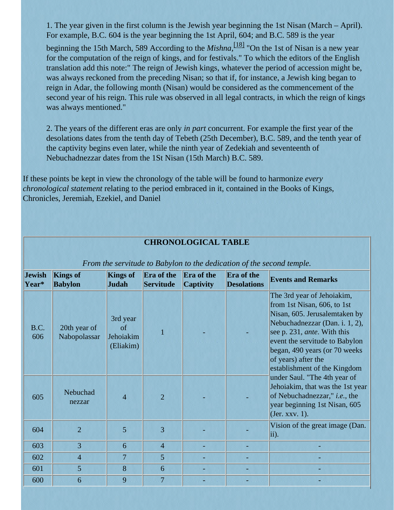<span id="page-130-0"></span>1. The year given in the first column is the Jewish year beginning the 1st Nisan (March – April). For example, B.C. 604 is the year beginning the 1st April, 604; and B.C. 589 is the year beginning the 15th March, 589 According to the *Mishna*, <sup>[\[18\]](#page-138-13)</sup> "On the 1st of Nisan is a new year for the computation of the reign of kings, and for festivals." To which the editors of the English translation add this note:" The reign of Jewish kings, whatever the period of accession might be, was always reckoned from the preceding Nisan; so that if, for instance, a Jewish king began to reign in Adar, the following month (Nisan) would be considered as the commencement of the second year of his reign. This rule was observed in all legal contracts, in which the reign of kings was always mentioned."

2. The years of the different eras are only *in part* concurrent. For example the first year of the desolations dates from the tenth day of Tebeth (25th December), B.C. 589, and the tenth year of the captivity begins even later, while the ninth year of Zedekiah and seventeenth of Nebuchadnezzar dates from the 1St Nisan (15th March) B.C. 589.

If these points be kept in view the chronology of the table will be found to harmonize *every chronological statement* relating to the period embraced in it, contained in the Books of Kings, Chronicles, Jeremiah, Ezekiel, and Daniel

| <b>CHRONOLOGICAL TABLE</b> |                                                                       |                                          |                                |                                |                                  |                                                                                                                                                                                                                                                                                                                                                                                                                                                        |  |  |  |
|----------------------------|-----------------------------------------------------------------------|------------------------------------------|--------------------------------|--------------------------------|----------------------------------|--------------------------------------------------------------------------------------------------------------------------------------------------------------------------------------------------------------------------------------------------------------------------------------------------------------------------------------------------------------------------------------------------------------------------------------------------------|--|--|--|
|                            | From the servitude to Babylon to the dedication of the second temple. |                                          |                                |                                |                                  |                                                                                                                                                                                                                                                                                                                                                                                                                                                        |  |  |  |
| <b>Jewish</b><br>Year*     | <b>Kings</b> of<br><b>Babylon</b>                                     | <b>Kings of</b><br><b>Judah</b>          | Era of the<br><b>Servitude</b> | Era of the<br><b>Captivity</b> | Era of the<br><b>Desolations</b> | <b>Events and Remarks</b>                                                                                                                                                                                                                                                                                                                                                                                                                              |  |  |  |
| <b>B.C.</b><br>606         | 20th year of<br>Nabopolassar                                          | 3rd year<br>of<br>Jehoiakim<br>(Eliakim) |                                |                                |                                  | The 3rd year of Jehoiakim,<br>from 1st Nisan, 606, to 1st<br>Nisan, 605. Jerusalemtaken by<br>Nebuchadnezzar (Dan. i. 1, 2),<br>see p. 231, ante. With this<br>event the servitude to Babylon<br>began, 490 years (or 70 weeks)<br>of years) after the<br>establishment of the Kingdom<br>under Saul. "The 4th year of<br>Jehoiakim, that was the 1st year<br>of Nebuchadnezzar," <i>i.e.</i> , the<br>year beginning 1st Nisan, 605<br>(Jer. xxv. 1). |  |  |  |
| 605                        | Nebuchad<br>nezzar                                                    | $\overline{4}$                           | $\overline{2}$                 |                                |                                  |                                                                                                                                                                                                                                                                                                                                                                                                                                                        |  |  |  |
| 604                        | $\overline{2}$                                                        | 5                                        | 3                              |                                |                                  | Vision of the great image (Dan.<br>$\vert$ ii).                                                                                                                                                                                                                                                                                                                                                                                                        |  |  |  |
| 603                        | 3                                                                     | 6                                        | $\overline{4}$                 |                                |                                  |                                                                                                                                                                                                                                                                                                                                                                                                                                                        |  |  |  |
| 602                        | $\overline{4}$                                                        | $\overline{7}$                           | 5                              |                                |                                  |                                                                                                                                                                                                                                                                                                                                                                                                                                                        |  |  |  |
| 601                        | 5                                                                     | 8                                        | 6                              |                                |                                  |                                                                                                                                                                                                                                                                                                                                                                                                                                                        |  |  |  |
| 600                        | 6                                                                     | 9                                        | $\overline{7}$                 |                                |                                  |                                                                                                                                                                                                                                                                                                                                                                                                                                                        |  |  |  |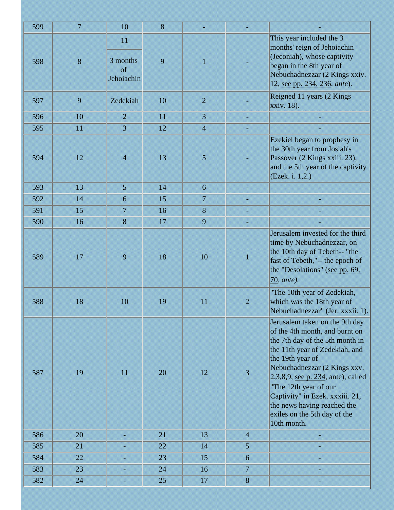| 599 | $\overline{7}$ | 10                                 | 8  |                |                |                                                                                                                                                                                                                                                                                                                                                                                   |
|-----|----------------|------------------------------------|----|----------------|----------------|-----------------------------------------------------------------------------------------------------------------------------------------------------------------------------------------------------------------------------------------------------------------------------------------------------------------------------------------------------------------------------------|
| 598 | 8              | 11<br>3 months<br>of<br>Jehoiachin | 9  | 1              |                | This year included the 3<br>months' reign of Jehoiachin<br>(Jeconiah), whose captivity<br>began in the 8th year of<br>Nebuchadnezzar (2 Kings xxiv.<br>12, see pp. 234, 236, ante).                                                                                                                                                                                               |
| 597 | 9              | Zedekiah                           | 10 | $\overline{2}$ |                | Reigned 11 years (2 Kings)<br>xxiv. 18).                                                                                                                                                                                                                                                                                                                                          |
| 596 | 10             | $\overline{2}$                     | 11 | $\overline{3}$ |                |                                                                                                                                                                                                                                                                                                                                                                                   |
| 595 | 11             | $\overline{3}$                     | 12 | $\overline{4}$ |                |                                                                                                                                                                                                                                                                                                                                                                                   |
| 594 | 12             | $\overline{4}$                     | 13 | 5              |                | Ezekiel began to prophesy in<br>the 30th year from Josiah's<br>Passover (2 Kings xxiii. 23),<br>and the 5th year of the captivity<br>(Ezek. i. 1,2.)                                                                                                                                                                                                                              |
| 593 | 13             | 5                                  | 14 | 6              |                |                                                                                                                                                                                                                                                                                                                                                                                   |
| 592 | 14             | 6                                  | 15 | $\overline{7}$ |                |                                                                                                                                                                                                                                                                                                                                                                                   |
| 591 | 15             | $\overline{7}$                     | 16 | 8              |                |                                                                                                                                                                                                                                                                                                                                                                                   |
| 590 | 16             | 8                                  | 17 | 9              |                |                                                                                                                                                                                                                                                                                                                                                                                   |
| 589 | 17             | 9                                  | 18 | 10             | ٦              | Jerusalem invested for the third<br>time by Nebuchadnezzar, on<br>the 10th day of Tebeth-- "the<br>fast of Tebeth,"-- the epoch of<br>the "Desolations" (see pp. 69,<br>70, ante).                                                                                                                                                                                                |
| 588 | 18             | 10                                 | 19 | 11             | $\overline{2}$ | "The 10th year of Zedekiah,<br>which was the 18th year of<br>Nebuchadnezzar" (Jer. xxxii. 1).                                                                                                                                                                                                                                                                                     |
| 587 | 19             | 11                                 | 20 | 12             | $\overline{3}$ | Jerusalem taken on the 9th day<br>of the 4th month, and burnt on<br>the 7th day of the 5th month in<br>the 11th year of Zedekiah, and<br>the 19th year of<br>Nebuchadnezzar (2 Kings xxv.<br>2,3,8,9, <u>see p. 234</u> , ante), called<br>"The 12th year of our<br>Captivity" in Ezek. xxxiii. 21,<br>the news having reached the<br>exiles on the 5th day of the<br>10th month. |
| 586 | 20             |                                    | 21 | 13             | $\overline{4}$ |                                                                                                                                                                                                                                                                                                                                                                                   |
| 585 | 21             |                                    | 22 | 14             | 5              |                                                                                                                                                                                                                                                                                                                                                                                   |
| 584 | 22             |                                    | 23 | 15             | 6              |                                                                                                                                                                                                                                                                                                                                                                                   |
| 583 | 23             |                                    | 24 | 16             | $\overline{7}$ |                                                                                                                                                                                                                                                                                                                                                                                   |
| 582 | 24             |                                    | 25 | 17             | 8              |                                                                                                                                                                                                                                                                                                                                                                                   |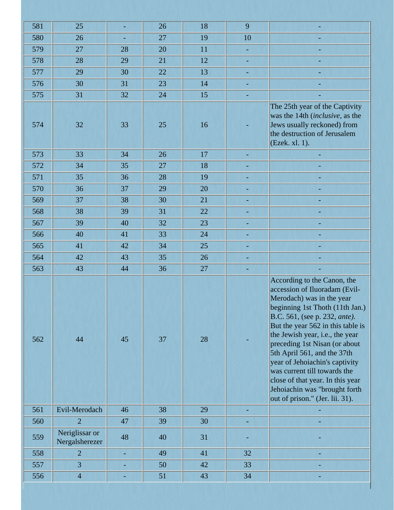| 581 | 25                               |    | 26 | 18 | 9  |                                                                                                                                                                                                                                                                                                                                                                                                                                                                                         |
|-----|----------------------------------|----|----|----|----|-----------------------------------------------------------------------------------------------------------------------------------------------------------------------------------------------------------------------------------------------------------------------------------------------------------------------------------------------------------------------------------------------------------------------------------------------------------------------------------------|
| 580 | 26                               |    | 27 | 19 | 10 |                                                                                                                                                                                                                                                                                                                                                                                                                                                                                         |
| 579 | 27                               | 28 | 20 | 11 |    |                                                                                                                                                                                                                                                                                                                                                                                                                                                                                         |
| 578 | 28                               | 29 | 21 | 12 | a  |                                                                                                                                                                                                                                                                                                                                                                                                                                                                                         |
| 577 | 29                               | 30 | 22 | 13 | ×  |                                                                                                                                                                                                                                                                                                                                                                                                                                                                                         |
| 576 | 30                               | 31 | 23 | 14 | a  |                                                                                                                                                                                                                                                                                                                                                                                                                                                                                         |
| 575 | 31                               | 32 | 24 | 15 | ¥, |                                                                                                                                                                                                                                                                                                                                                                                                                                                                                         |
| 574 | 32                               | 33 | 25 | 16 |    | The 25th year of the Captivity<br>was the 14th (inclusive, as the<br>Jews usually reckoned) from<br>the destruction of Jerusalem<br>(Ezek. xl. 1).                                                                                                                                                                                                                                                                                                                                      |
| 573 | 33                               | 34 | 26 | 17 |    |                                                                                                                                                                                                                                                                                                                                                                                                                                                                                         |
| 572 | 34                               | 35 | 27 | 18 |    |                                                                                                                                                                                                                                                                                                                                                                                                                                                                                         |
| 571 | 35                               | 36 | 28 | 19 |    |                                                                                                                                                                                                                                                                                                                                                                                                                                                                                         |
| 570 | 36                               | 37 | 29 | 20 |    |                                                                                                                                                                                                                                                                                                                                                                                                                                                                                         |
| 569 | 37                               | 38 | 30 | 21 | a  |                                                                                                                                                                                                                                                                                                                                                                                                                                                                                         |
| 568 | 38                               | 39 | 31 | 22 | ¥  |                                                                                                                                                                                                                                                                                                                                                                                                                                                                                         |
| 567 | 39                               | 40 | 32 | 23 | H  |                                                                                                                                                                                                                                                                                                                                                                                                                                                                                         |
| 566 | 40                               | 41 | 33 | 24 | g  |                                                                                                                                                                                                                                                                                                                                                                                                                                                                                         |
| 565 | 41                               | 42 | 34 | 25 | B  |                                                                                                                                                                                                                                                                                                                                                                                                                                                                                         |
| 564 | 42                               | 43 | 35 | 26 | e  |                                                                                                                                                                                                                                                                                                                                                                                                                                                                                         |
| 563 | 43                               | 44 | 36 | 27 | ×  |                                                                                                                                                                                                                                                                                                                                                                                                                                                                                         |
| 562 | 44                               | 45 | 37 | 28 |    | According to the Canon, the<br>accession of Iluoradam (Evil-<br>Merodach) was in the year<br>beginning 1st Thoth (11th Jan.)<br>B.C. 561, (see p. 232, <i>ante</i> ).<br>But the year 562 in this table is<br>the Jewish year, i.e., the year<br>preceding 1st Nisan (or about<br>5th April 561, and the 37th<br>year of Jehoiachin's captivity<br>was current till towards the<br>close of that year. In this year<br>Jehoiachin was "brought forth<br>out of prison." (Jer. lii. 31). |
| 561 | Evil-Merodach                    | 46 | 38 | 29 |    |                                                                                                                                                                                                                                                                                                                                                                                                                                                                                         |
| 560 | $\overline{2}$                   | 47 | 39 | 30 |    |                                                                                                                                                                                                                                                                                                                                                                                                                                                                                         |
| 559 | Neriglissar or<br>Nergalsherezer | 48 | 40 | 31 |    |                                                                                                                                                                                                                                                                                                                                                                                                                                                                                         |
| 558 | $\overline{2}$                   |    | 49 | 41 | 32 |                                                                                                                                                                                                                                                                                                                                                                                                                                                                                         |
| 557 | $\overline{\mathbf{3}}$          | ×  | 50 | 42 | 33 |                                                                                                                                                                                                                                                                                                                                                                                                                                                                                         |
| 556 | $\overline{a}$                   |    | 51 | 43 | 34 |                                                                                                                                                                                                                                                                                                                                                                                                                                                                                         |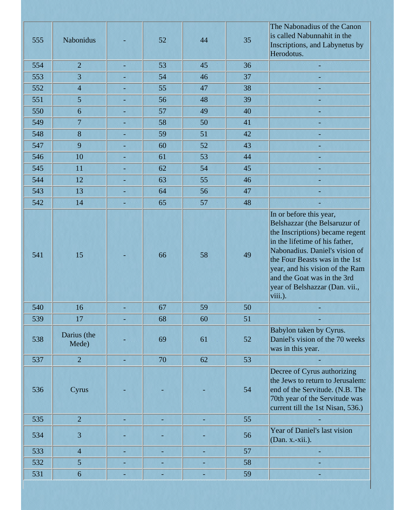| 555 | <b>Nabonidus</b>     |   | 52 | 44 | 35 | The Nabonadius of the Canon<br>is called Nabunnahit in the<br>Inscriptions, and Labynetus by<br>Herodotus.                                                                                                                                                                                                       |
|-----|----------------------|---|----|----|----|------------------------------------------------------------------------------------------------------------------------------------------------------------------------------------------------------------------------------------------------------------------------------------------------------------------|
| 554 | $\overline{2}$       |   | 53 | 45 | 36 |                                                                                                                                                                                                                                                                                                                  |
| 553 | 3                    |   | 54 | 46 | 37 |                                                                                                                                                                                                                                                                                                                  |
| 552 | $\overline{4}$       |   | 55 | 47 | 38 |                                                                                                                                                                                                                                                                                                                  |
| 551 | 5                    |   | 56 | 48 | 39 |                                                                                                                                                                                                                                                                                                                  |
| 550 | $\boldsymbol{6}$     |   | 57 | 49 | 40 |                                                                                                                                                                                                                                                                                                                  |
| 549 | $\overline{7}$       | 當 | 58 | 50 | 41 | B                                                                                                                                                                                                                                                                                                                |
| 548 | 8                    |   | 59 | 51 | 42 |                                                                                                                                                                                                                                                                                                                  |
| 547 | 9                    |   | 60 | 52 | 43 |                                                                                                                                                                                                                                                                                                                  |
| 546 | 10                   |   | 61 | 53 | 44 |                                                                                                                                                                                                                                                                                                                  |
| 545 | 11                   |   | 62 | 54 | 45 |                                                                                                                                                                                                                                                                                                                  |
| 544 | 12                   |   | 63 | 55 | 46 |                                                                                                                                                                                                                                                                                                                  |
| 543 | 13                   |   | 64 | 56 | 47 |                                                                                                                                                                                                                                                                                                                  |
| 542 | 14                   |   | 65 | 57 | 48 |                                                                                                                                                                                                                                                                                                                  |
| 541 | 15                   |   | 66 | 58 | 49 | In or before this year,<br>Belshazzar (the Belsaruzur of<br>the Inscriptions) became regent<br>in the lifetime of his father,<br>Nabonadius. Daniel's vision of<br>the Four Beasts was in the 1st<br>year, and his vision of the Ram<br>and the Goat was in the 3rd<br>year of Belshazzar (Dan. vii.,<br>viii.). |
| 540 | 16                   |   | 67 | 59 | 50 |                                                                                                                                                                                                                                                                                                                  |
| 539 | $17\,$               |   | 68 | 60 | 51 |                                                                                                                                                                                                                                                                                                                  |
| 538 | Darius (the<br>Mede) |   | 69 | 61 | 52 | Babylon taken by Cyrus.<br>Daniel's vision of the 70 weeks<br>was in this year.                                                                                                                                                                                                                                  |
| 537 | $\overline{2}$       |   | 70 | 62 | 53 |                                                                                                                                                                                                                                                                                                                  |
| 536 | Cyrus                |   |    |    | 54 | Decree of Cyrus authorizing<br>the Jews to return to Jerusalem:<br>end of the Servitude. (N.B. The<br>70th year of the Servitude was<br>current till the 1st Nisan, 536.)                                                                                                                                        |
| 535 | $\overline{2}$       |   |    |    | 55 |                                                                                                                                                                                                                                                                                                                  |
| 534 | 3                    |   |    |    | 56 | Year of Daniel's last vision<br>(Dan. x.-xii.).                                                                                                                                                                                                                                                                  |
| 533 | $\overline{4}$       |   |    |    | 57 |                                                                                                                                                                                                                                                                                                                  |
| 532 | 5                    |   |    |    | 58 |                                                                                                                                                                                                                                                                                                                  |
| 531 | $\boldsymbol{6}$     |   |    |    | 59 |                                                                                                                                                                                                                                                                                                                  |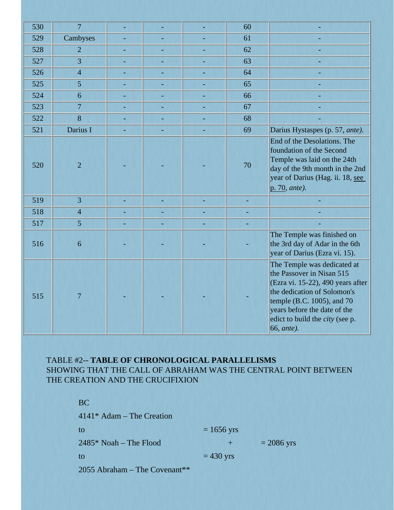| 530 | $\overline{7}$ |  | 60 |                                                                                                                                                                                                                                                    |
|-----|----------------|--|----|----------------------------------------------------------------------------------------------------------------------------------------------------------------------------------------------------------------------------------------------------|
| 529 | Cambyses       |  | 61 |                                                                                                                                                                                                                                                    |
| 528 | $\overline{2}$ |  | 62 |                                                                                                                                                                                                                                                    |
| 527 | 3              |  | 63 |                                                                                                                                                                                                                                                    |
| 526 | $\overline{4}$ |  | 64 |                                                                                                                                                                                                                                                    |
| 525 | 5              |  | 65 |                                                                                                                                                                                                                                                    |
| 524 | 6              |  | 66 |                                                                                                                                                                                                                                                    |
| 523 | $\overline{7}$ |  | 67 |                                                                                                                                                                                                                                                    |
| 522 | 8              |  | 68 |                                                                                                                                                                                                                                                    |
| 521 | Darius I       |  | 69 | Darius Hystaspes (p. 57, ante).                                                                                                                                                                                                                    |
| 520 | $\overline{2}$ |  | 70 | End of the Desolations. The<br>foundation of the Second<br>Temple was laid on the 24th<br>day of the 9th month in the 2nd<br>year of Darius (Hag. ii. 18, see<br>p. 70, ante).                                                                     |
| 519 | $\overline{3}$ |  |    |                                                                                                                                                                                                                                                    |
| 518 | $\overline{4}$ |  |    |                                                                                                                                                                                                                                                    |
| 517 | 5              |  |    |                                                                                                                                                                                                                                                    |
| 516 | 6              |  |    | The Temple was finished on<br>the 3rd day of Adar in the 6th<br>year of Darius (Ezra vi. 15).                                                                                                                                                      |
| 515 | $\overline{7}$ |  |    | The Temple was dedicated at<br>the Passover in Nisan 515<br>(Ezra vi. 15-22), 490 years after<br>the dedication of Solomon's<br>temple (B.C. 1005), and 70<br>years before the date of the<br>edict to build the <i>city</i> (see p.<br>66, ante). |

#### TABLE #2-- **TABLE OF CHRONOLOGICAL PARALLELISMS** SHOWING THAT THE CALL OF ABRAHAM WAS THE CENTRAL POINT BETWEEN THE CREATION AND THE CRUCIFIXION

BC 4141\* Adam – The Creation  $\tau = 1656 \text{ yrs}$  $2485*$  Noah – The Flood  $+$  = 2086 yrs to  $= 430 \text{ yrs}$ 2055 Abraham – The Covenant\*\*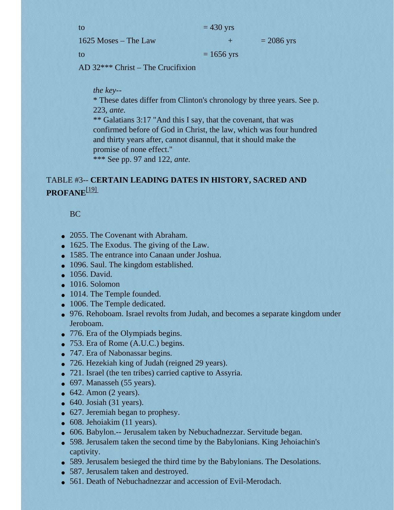$1625$  Moses – The Law  $+$  = 2086 yrs

to  $= 1656 \text{ yrs}$ 

AD 32\*\*\* Christ – The Crucifixion

*the key--*

\* These dates differ from Clinton's chronology by three years. See p. 223, *ante.*

\*\* Galatians 3:17 "And this I say, that the covenant, that was confirmed before of God in Christ, the law, which was four hundred and thirty years after, cannot disannul, that it should make the promise of none effect." \*\*\* See pp. 97 and 122, *ante.*

#### <span id="page-135-0"></span>TABLE #3-- **CERTAIN LEADING DATES IN HISTORY, SACRED AND PROFANE**[\[19\]](#page-138-14)

BC

- 2055. The Covenant with Abraham.
- 1625. The Exodus. The giving of the Law.
- 1585. The entrance into Canaan under Joshua.
- 1096. Saul. The kingdom established.
- 1056. David.
- $\bullet$  1016. Solomon
- 1014. The Temple founded.
- 1006. The Temple dedicated.
- 976. Rehoboam. Israel revolts from Judah, and becomes a separate kingdom under Jeroboam.
- 776. Era of the Olympiads begins.
- 753. Era of Rome (A.U.C.) begins.
- 747. Era of Nabonassar begins.
- 726. Hezekiah king of Judah (reigned 29 years).
- 721. Israel (the ten tribes) carried captive to Assyria.
- $\bullet$  697. Manasseh (55 years).
- $\bullet$  642. Amon (2 years).
- $\bullet$  640. Josiah (31 years).
- 627. Jeremiah began to prophesy.
- $\bullet$  608. Jehoiakim (11 years).
- 606. Babylon.-- Jerusalem taken by Nebuchadnezzar. Servitude began.
- 598. Jerusalem taken the second time by the Babylonians. King Jehoiachin's captivity.
- 589. Jerusalem besieged the third time by the Babylonians. The Desolations.
- 587. Jerusalem taken and destroyed.
- 561. Death of Nebuchadnezzar and accession of Evil-Merodach.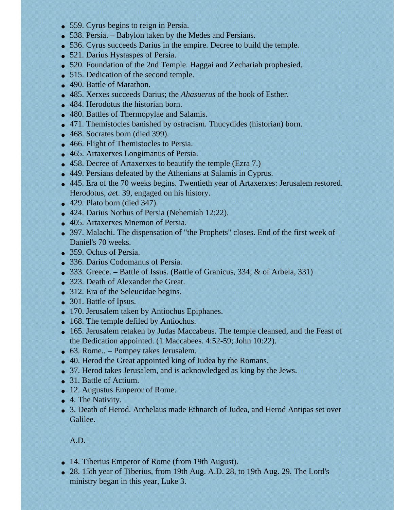- 559. Cyrus begins to reign in Persia.
- 538. Persia. Babylon taken by the Medes and Persians.
- 536. Cyrus succeeds Darius in the empire. Decree to build the temple.
- 521. Darius Hystaspes of Persia.
- 520. Foundation of the 2nd Temple. Haggai and Zechariah prophesied.
- 515. Dedication of the second temple.
- 490. Battle of Marathon.
- 485. Xerxes succeeds Darius; the *Ahasuerus* of the book of Esther.
- 484. Herodotus the historian born.
- 480. Battles of Thermopylae and Salamis.
- 471. Themistocles banished by ostracism. Thucydides (historian) born.
- $\bullet$  468. Socrates born (died 399).
- 466. Flight of Themistocles to Persia.
- 465. Artaxerxes Longimanus of Persia.
- 458. Decree of Artaxerxes to beautify the temple (Ezra 7.)
- 449. Persians defeated by the Athenians at Salamis in Cyprus.
- 445. Era of the 70 weeks begins. Twentieth year of Artaxerxes: Jerusalem restored. Herodotus, *ae*t. 39, engaged on his history.
- $\bullet$  429. Plato born (died 347).
- 424. Darius Nothus of Persia (Nehemiah 12:22).
- 405. Artaxerxes Mnemon of Persia.
- 397. Malachi. The dispensation of "the Prophets" closes. End of the first week of Daniel's 70 weeks.
- 359. Ochus of Persia.
- 336. Darius Codomanus of Persia.
- 333. Greece. Battle of Issus. (Battle of Granicus, 334;  $\&$  of Arbela, 331)
- 323. Death of Alexander the Great.
- 312. Era of the Seleucidae begins.
- 301. Battle of Ipsus.
- 170. Jerusalem taken by Antiochus Epiphanes.
- 168. The temple defiled by Antiochus.
- 165. Jerusalem retaken by Judas Maccabeus. The temple cleansed, and the Feast of the Dedication appointed. (1 Maccabees. 4:52-59; John 10:22).
- 63. Rome.. Pompey takes Jerusalem.
- 40. Herod the Great appointed king of Judea by the Romans.
- 37. Herod takes Jerusalem, and is acknowledged as king by the Jews.
- 31. Battle of Actium.
- 12. Augustus Emperor of Rome.
- 4. The Nativity.
- 3. Death of Herod. Archelaus made Ethnarch of Judea, and Herod Antipas set over Galilee.

A.D.

- 14. Tiberius Emperor of Rome (from 19th August).
- 28. 15th year of Tiberius, from 19th Aug. A.D. 28, to 19th Aug. 29. The Lord's ministry began in this year, Luke 3.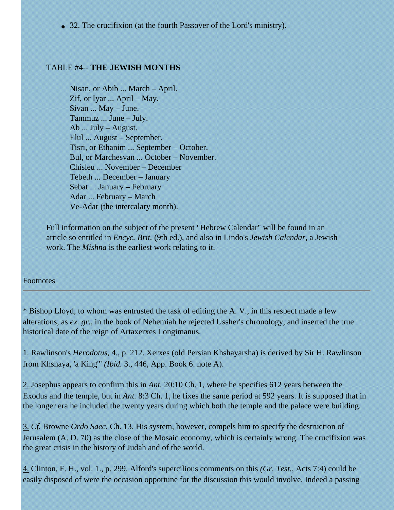• 32. The crucifixion (at the fourth Passover of the Lord's ministry).

#### TABLE #4-- **THE JEWISH MONTHS**

Nisan, or Abib ... March – April. Zif, or Iyar ... April – May. Sivan ... May – June. Tammuz ... June – July. Ab ... July – August. Elul ... August – September. Tisri, or Ethanim ... September – October. Bul, or Marchesvan ... October – November. Chisleu ... November – December Tebeth ... December – January Sebat ... January – February Adar ... February – March Ve-Adar (the intercalary month).

Full information on the subject of the present "Hebrew Calendar" will be found in an article so entitled in *Encyc. Brit.* (9th ed.), and also in Lindo's *Jewish Calendar,* a Jewish work. The *Mishna* is the earliest work relating to it.

#### Footnotes

<span id="page-137-0"></span>[\\*](#page-123-1) Bishop Lloyd, to whom was entrusted the task of editing the A. V., in this respect made a few alterations, as *ex. gr.,* in the book of Nehemiah he rejected Ussher's chronology, and inserted the true historical date of the reign of Artaxerxes Longimanus.

<span id="page-137-1"></span>[1.](#page-123-2) Rawlinson's *Herodotus,* 4., p. 212. Xerxes (old Persian Khshayarsha) is derived by Sir H. Rawlinson from Khshaya, 'a King'" *(Ibid.* 3., 446, App. Book 6. note A).

<span id="page-137-2"></span>[2.](#page-124-0) Josephus appears to confirm this in *Ant.* 20:10 Ch. 1, where he specifies 612 years between the Exodus and the temple, but in *Ant.* 8:3 Ch. 1, he fixes the same period at 592 years. It is supposed that in the longer era he included the twenty years during which both the temple and the palace were building.

<span id="page-137-3"></span>[3.](#page-124-1) *Cf.* Browne *Ordo Saec.* Ch. 13. His system, however, compels him to specify the destruction of Jerusalem (A. D. 70) as the close of the Mosaic economy, which is certainly wrong. The crucifixion was the great crisis in the history of Judah and of the world.

<span id="page-137-4"></span>[4.](#page-125-0) Clinton, F. H., vol. 1., p. 299. Alford's supercilious comments on this *(Gr. Test.,* Acts 7:4) could be easily disposed of were the occasion opportune for the discussion this would involve. Indeed a passing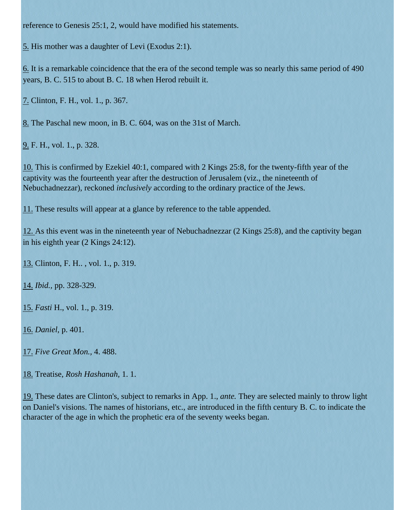reference to Genesis 25:1, 2, would have modified his statements.

<span id="page-138-0"></span>[5.](#page-125-1) His mother was a daughter of Levi (Exodus 2:1).

<span id="page-138-1"></span>[6.](#page-125-2) It is a remarkable coincidence that the era of the second temple was so nearly this same period of 490 years, B. C. 515 to about B. C. 18 when Herod rebuilt it.

<span id="page-138-2"></span>[7.](#page-127-0) Clinton, F. H., vol. 1., p. 367.

<span id="page-138-3"></span>[8.](#page-127-1) The Paschal new moon, in B. C. 604, was on the 31st of March.

<span id="page-138-4"></span>[9.](#page-127-2) F. H., vol. 1., p. 328.

<span id="page-138-5"></span>[10.](#page-128-0) This is confirmed by Ezekiel 40:1, compared with 2 Kings 25:8, for the twenty-fifth year of the captivity was the fourteenth year after the destruction of Jerusalem (viz., the nineteenth of Nebuchadnezzar), reckoned *inclusively* according to the ordinary practice of the Jews.

<span id="page-138-6"></span>[11.](#page-128-1) These results will appear at a glance by reference to the table appended.

<span id="page-138-7"></span>[12.](#page-129-0) As this event was in the nineteenth year of Nebuchadnezzar (2 Kings 25:8), and the captivity began in his eighth year (2 Kings 24:12).

<span id="page-138-8"></span>[13.](#page-129-1) Clinton, F. H.. , vol. 1., p. 319.

<span id="page-138-9"></span>[14.](#page-129-2) *Ibid.,* pp. 328-329.

<span id="page-138-10"></span>[15.](#page-129-3) *Fasti* H., vol. 1., p. 319.

<span id="page-138-11"></span>[16.](#page-129-4) *Daniel,* p. 401.

<span id="page-138-12"></span>[17.](#page-129-5) *Five Great Mon.,* 4. 488.

<span id="page-138-13"></span>[18.](#page-130-0) Treatise, *Rosh Hashanah,* 1. 1.

<span id="page-138-14"></span>[19.](#page-135-0) These dates are Clinton's, subject to remarks in App. 1., *ante.* They are selected mainly to throw light on Daniel's visions. The names of historians, etc., are introduced in the fifth century B. C. to indicate the character of the age in which the prophetic era of the seventy weeks began.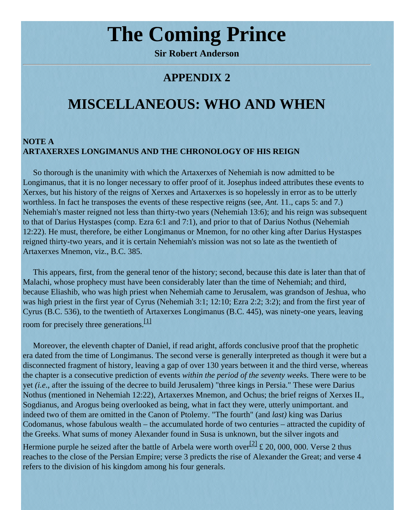# **The Coming Prince**

**Sir Robert Anderson**

### **APPENDIX 2**

## **MISCELLANEOUS: WHO AND WHEN**

#### **NOTE A ARTAXERXES LONGIMANUS AND THE CHRONOLOGY OF HIS REIGN**

 So thorough is the unanimity with which the Artaxerxes of Nehemiah is now admitted to be Longimanus, that it is no longer necessary to offer proof of it. Josephus indeed attributes these events to Xerxes, but his history of the reigns of Xerxes and Artaxerxes is so hopelessly in error as to be utterly worthless. In fact he transposes the events of these respective reigns (see, *Ant.* 11., caps 5: and 7.) Nehemiah's master reigned not less than thirty-two years (Nehemiah 13:6); and his reign was subsequent to that of Darius Hystaspes (comp. Ezra 6:1 and 7:1), and prior to that of Darius Nothus (Nehemiah 12:22). He must, therefore, be either Longimanus or Mnemon, for no other king after Darius Hystaspes reigned thirty-two years, and it is certain Nehemiah's mission was not so late as the twentieth of Artaxerxes Mnemon, viz., B.C. 385.

 This appears, first, from the general tenor of the history; second, because this date is later than that of Malachi, whose prophecy must have been considerably later than the time of Nehemiah; and third, because Eliashib, who was high priest when Nehemiah came to Jerusalem, was grandson of Jeshua, who was high priest in the first year of Cyrus (Nehemiah 3:1; 12:10; Ezra 2:2; 3:2); and from the first year of Cyrus (B.C. 536), to the twentieth of Artaxerxes Longimanus (B.C. 445), was ninety-one years, leaving room for precisely three generations.<sup>[\[1\]](#page-150-0)</sup>

 Moreover, the eleventh chapter of Daniel, if read aright, affords conclusive proof that the prophetic era dated from the time of Longimanus. The second verse is generally interpreted as though it were but a disconnected fragment of history, leaving a gap of over 130 years between it and the third verse, whereas the chapter is a consecutive prediction of events *within the period of the seventy week*s. There were to be yet *(i.e*., after the issuing of the decree to build Jerusalem) "three kings in Persia." These were Darius Nothus (mentioned in Nehemiah 12:22), Artaxerxes Mnemon, and Ochus; the brief reigns of Xerxes II., Sogdianus, and Arogus being overlooked as being, what in fact they were, utterly unimportant. and indeed two of them are omitted in the Canon of Ptolemy. "The fourth" (and *last)* king was Darius Codomanus, whose fabulous wealth – the accumulated horde of two centuries – attracted the cupidity of the Greeks. What sums of money Alexander found in Susa is unknown, but the silver ingots and Hermione purple he seized after the battle of Arbela were worth over<sup>[2]</sup>  $\pounds$  20, 000, 000. Verse 2 thus reaches to the close of the Persian Empire; verse 3 predicts the rise of Alexander the Great; and verse 4 refers to the division of his kingdom among his four generals.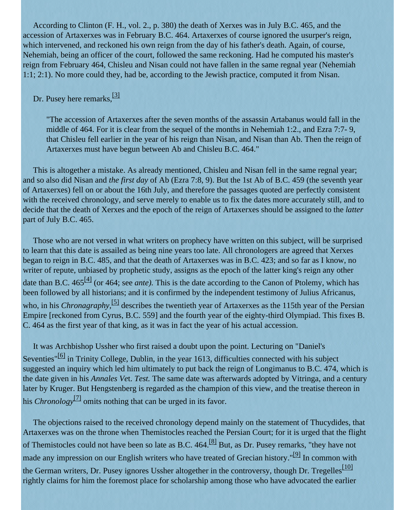According to Clinton (F. H., vol. 2., p. 380) the death of Xerxes was in July B.C. 465, and the accession of Artaxerxes was in February B.C. 464. Artaxerxes of course ignored the usurper's reign, which intervened, and reckoned his own reign from the day of his father's death. Again, of course, Nehemiah, being an officer of the court, followed the same reckoning. Had he computed his master's reign from February 464, Chisleu and Nisan could not have fallen in the same regnal year (Nehemiah 1:1; 2:1). No more could they, had be, according to the Jewish practice, computed it from Nisan.

Dr. Pusey here remarks,<sup>[3]</sup>

"The accession of Artaxerxes after the seven months of the assassin Artabanus would fall in the middle of 464. For it is clear from the sequel of the months in Nehemiah 1:2., and Ezra 7:7- 9, that Chisleu fell earlier in the year of his reign than Nisan, and Nisan than Ab. Then the reign of Artaxerxes must have begun between Ab and Chisleu B.C. 464."

 This is altogether a mistake. As already mentioned, Chisleu and Nisan fell in the same regnal year; and so also did Nisan and *the first day* of Ab (Ezra 7:8, 9). But the 1st Ab of B.C. 459 (the seventh year of Artaxerxes) fell on or about the 16th July, and therefore the passages quoted are perfectly consistent with the received chronology, and serve merely to enable us to fix the dates more accurately still, and to decide that the death of Xerxes and the epoch of the reign of Artaxerxes should be assigned to the *latter*  part of July B.C. 465.

 Those who are not versed in what writers on prophecy have written on this subject, will be surprised to learn that this date is assailed as being nine years too late. All chronologers are agreed that Xerxes began to reign in B.C. 485, and that the death of Artaxerxes was in B.C. 423; and so far as I know, no writer of repute, unbiased by prophetic study, assigns as the epoch of the latter king's reign any other date than B.C. 465<sup>[4]</sup> (or 464; see *ante*). This is the date according to the Canon of Ptolemy, which has been followed by all historians; and it is confirmed by the independent testimony of Julius Africanus, who, in his *Chronagraphy*,<sup>[\[5\]](#page-150-4)</sup> describes the twentieth year of Artaxerxes as the 115th year of the Persian Empire [reckoned from Cyrus, B.C. 559] and the fourth year of the eighty-third Olympiad. This fixes B. C. 464 as the first year of that king, as it was in fact the year of his actual accession.

It was Archbishop Ussher who first raised a doubt upon the point. Lecturing on "Daniel's

Seventies"<sup>[\[6\]](#page-150-5)</sup> in Trinity College, Dublin, in the year 1613, difficulties connected with his subject suggested an inquiry which led him ultimately to put back the reign of Longimanus to B.C. 474, which is the date given in his *Annales Ve*t. *Test.* The same date was afterwards adopted by Vitringa, and a century later by Kruger. But Hengstenberg is regarded as the champion of this view, and the treatise thereon in his *Chronology*<sup>[\[7\]](#page-150-6)</sup> omits nothing that can be urged in its favor.

 The objections raised to the received chronology depend mainly on the statement of Thucydides, that Artaxerxes was on the throne when Themistocles reached the Persian Court; for it is urged that the flight of Themistocles could not have been so late as B.C.  $464$ .<sup>[8]</sup> But, as Dr. Pusey remarks, "they have not made any impression on our English writers who have treated of Grecian history."<sup>[\[9\]](#page-150-8)</sup> In common with the German writers, Dr. Pusey ignores Ussher altogether in the controversy, though Dr. Tregelles<sup>[\[10\]](#page-151-0)</sup> rightly claims for him the foremost place for scholarship among those who have advocated the earlier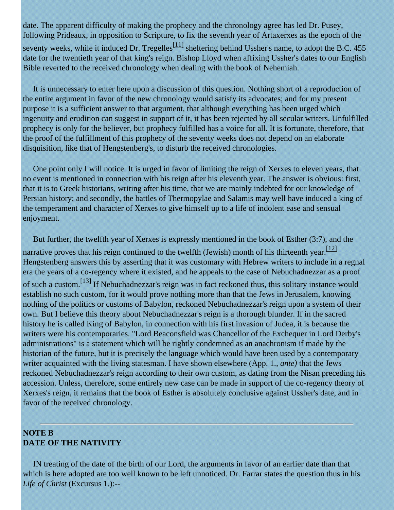date. The apparent difficulty of making the prophecy and the chronology agree has led Dr. Pusey, following Prideaux, in opposition to Scripture, to fix the seventh year of Artaxerxes as the epoch of the seventy weeks, while it induced Dr. Tregelles  $\frac{[11]}{[11]}$  sheltering behind Ussher's name, to adopt the B.C. 455 date for the twentieth year of that king's reign. Bishop Lloyd when affixing Ussher's dates to our English Bible reverted to the received chronology when dealing with the book of Nehemiah.

 It is unnecessary to enter here upon a discussion of this question. Nothing short of a reproduction of the entire argument in favor of the new chronology would satisfy its advocates; and for my present purpose it is a sufficient answer to that argument, that although everything has been urged which ingenuity and erudition can suggest in support of it, it has been rejected by all secular writers. Unfulfilled prophecy is only for the believer, but prophecy fulfilled has a voice for all. It is fortunate, therefore, that the proof of the fulfillment of this prophecy of the seventy weeks does not depend on an elaborate disquisition, like that of Hengstenberg's, to disturb the received chronologies.

 One point only I will notice. It is urged in favor of limiting the reign of Xerxes to eleven years, that no event is mentioned in connection with his reign after his eleventh year. The answer is obvious: first, that it is to Greek historians, writing after his time, that we are mainly indebted for our knowledge of Persian history; and secondly, the battles of Thermopylae and Salamis may well have induced a king of the temperament and character of Xerxes to give himself up to a life of indolent ease and sensual enjoyment.

 But further, the twelfth year of Xerxes is expressly mentioned in the book of Esther (3:7), and the narrative proves that his reign continued to the twelfth (Jewish) month of his thirteenth year.<sup>[\[12\]](#page-151-2)</sup> Hengstenberg answers this by asserting that it was customary with Hebrew writers to include in a regnal era the years of a co-regency where it existed, and he appeals to the case of Nebuchadnezzar as a proof of such a custom.<sup>[13]</sup> If Nebuchadnezzar's reign was in fact reckoned thus, this solitary instance would establish no such custom, for it would prove nothing more than that the Jews in Jerusalem, knowing nothing of the politics or customs of Babylon, reckoned Nebuchadnezzar's reign upon a system of their own. But I believe this theory about Nebuchadnezzar's reign is a thorough blunder. If in the sacred history he is called King of Babylon, in connection with his first invasion of Judea, it is because the writers were his contemporaries. "Lord Beaconsfield was Chancellor of the Exchequer in Lord Derby's administrations" is a statement which will be rightly condemned as an anachronism if made by the historian of the future, but it is precisely the language which would have been used by a contemporary writer acquainted with the living statesman. I have shown elsewhere (App. 1., *ante)* that the Jews reckoned Nebuchadnezzar's reign according to their own custom, as dating from the Nisan preceding his accession. Unless, therefore, some entirely new case can be made in support of the co-regency theory of Xerxes's reign, it remains that the book of Esther is absolutely conclusive against Ussher's date, and in favor of the received chronology.

#### **NOTE B DATE OF THE NATIVITY**

 IN treating of the date of the birth of our Lord, the arguments in favor of an earlier date than that which is here adopted are too well known to be left unnoticed. Dr. Farrar states the question thus in his *Life of Christ* (Excursus 1.):--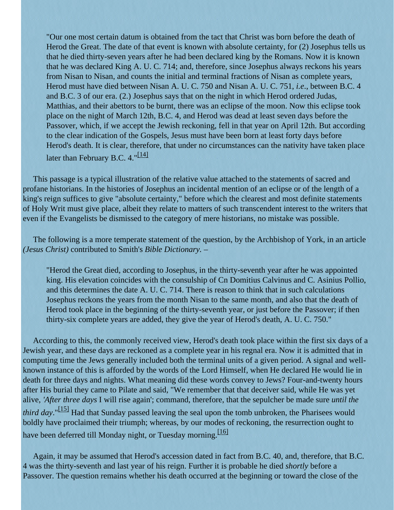"Our one most certain datum is obtained from the tact that Christ was born before the death of Herod the Great. The date of that event is known with absolute certainty, for (2) Josephus tells us that he died thirty-seven years after he had been declared king by the Romans. Now it is known that he was declared King A. U. C. 714; and, therefore, since Josephus always reckons his years from Nisan to Nisan, and counts the initial and terminal fractions of Nisan as complete years, Herod must have died between Nisan A. U. C. 750 and Nisan A. U. C. 751, *i.e*., between B.C. 4 and B.C. 3 of our era. (2.) Josephus says that on the night in which Herod ordered Judas, Matthias, and their abettors to be burnt, there was an eclipse of the moon. Now this eclipse took place on the night of March 12th, B.C. 4, and Herod was dead at least seven days before the Passover, which, if we accept the Jewish reckoning, fell in that year on April 12th. But according to the clear indication of the Gospels, Jesus must have been born at least forty days before Herod's death. It is clear, therefore, that under no circumstances can the nativity have taken place later than February B.C. 4."[\[14\]](#page-151-4)

 This passage is a typical illustration of the relative value attached to the statements of sacred and profane historians. In the histories of Josephus an incidental mention of an eclipse or of the length of a king's reign suffices to give "absolute certainty," before which the clearest and most definite statements of Holy Writ must give place, albeit they relate to matters of such transcendent interest to the writers that even if the Evangelists be dismissed to the category of mere historians, no mistake was possible.

 The following is a more temperate statement of the question, by the Archbishop of York, in an article *(Jesus Christ)* contributed to Smith's *Bible Dictionary. –*

"Herod the Great died, according to Josephus, in the thirty-seventh year after he was appointed king. His elevation coincides with the consulship of Cn Domitius Calvinus and C. Asinius Pollio, and this determines the date A. U. C. 714. There is reason to think that in such calculations Josephus reckons the years from the month Nisan to the same month, and also that the death of Herod took place in the beginning of the thirty-seventh year, or just before the Passover; if then thirty-six complete years are added, they give the year of Herod's death, A. U. C. 750."

 According to this, the commonly received view, Herod's death took place within the first six days of a Jewish year, and these days are reckoned as a complete year in his regnal era. Now it is admitted that in computing time the Jews generally included both the terminal units of a given period. A signal and wellknown instance of this is afforded by the words of the Lord Himself, when He declared He would lie in death for three days and nights. What meaning did these words convey to Jews? Four-and-twenty hours after His burial they came to Pilate and said, "We remember that that deceiver said, while He was yet alive, *'After three days* I will rise again'; command, therefore, that the sepulcher be made sure *until the third day*."<sup>[\[15\]](#page-151-5)</sup> Had that Sunday passed leaving the seal upon the tomb unbroken, the Pharisees would boldly have proclaimed their triumph; whereas, by our modes of reckoning, the resurrection ought to have been deferred till Monday night, or Tuesday morning.<sup>[\[16\]](#page-151-6)</sup>

 Again, it may be assumed that Herod's accession dated in fact from B.C. 40, and, therefore, that B.C. 4 was the thirty-seventh and last year of his reign. Further it is probable he died *shortly* before a Passover. The question remains whether his death occurred at the beginning or toward the close of the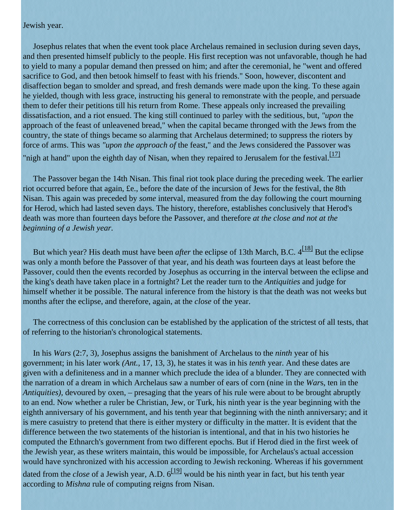Jewish year.

 Josephus relates that when the event took place Archelaus remained in seclusion during seven days, and then presented himself publicly to the people. His first reception was not unfavorable, though he had to yield to many a popular demand then pressed on him; and after the ceremonial, he "went and offered sacrifice to God, and then betook himself to feast with his friends." Soon, however, discontent and disaffection began to smolder and spread, and fresh demands were made upon the king. To these again he yielded, though with less grace, instructing his general to remonstrate with the people, and persuade them to defer their petitions till his return from Rome. These appeals only increased the prevailing dissatisfaction, and a riot ensued. The king still continued to parley with the seditious, but, *"upon* the approach of the feast of unleavened bread," when the capital became thronged with the Jews from the country, the state of things became so alarming that Archelaus determined; to suppress the rioters by force of arms. This was *"upon the approach of* the feast," and the Jews considered the Passover was "nigh at hand" upon the eighth day of Nisan, when they repaired to Jerusalem for the festival.<sup>[\[17\]](#page-151-7)</sup>

 The Passover began the 14th Nisan. This final riot took place during the preceding week. The earlier riot occurred before that again, £e., before the date of the incursion of Jews for the festival, the 8th Nisan. This again was preceded by *some* interval, measured from the day following the court mourning for Herod, which had lasted seven days. The history, therefore, establishes conclusively that Herod's death was more than fourteen days before the Passover, and therefore *at the close and not at the beginning of a Jewish year.*

But which year? His death must have been *after* the eclipse of 13th March, B.C.  $4^{18}$  But the eclipse was only a month before the Passover of that year, and his death was fourteen days at least before the Passover, could then the events recorded by Josephus as occurring in the interval between the eclipse and the king's death have taken place in a fortnight? Let the reader turn to the *Antiquities* and judge for himself whether it be possible. The natural inference from the history is that the death was not weeks but months after the eclipse, and therefore, again, at the *close* of the year.

 The correctness of this conclusion can be established by the application of the strictest of all tests, that of referring to the historian's chronological statements.

 In his *Wars* (2:7, 3), Josephus assigns the banishment of Archelaus to the *ninth* year of his government; in his later work *(Ant.,* 17, 13, 3), he states it was in his *tenth* year. And these dates are given with a definiteness and in a manner which preclude the idea of a blunder. They are connected with the narration of a dream in which Archelaus saw a number of ears of corn (nine in the *War*s, ten in the *Antiquities),* devoured by oxen, – presaging that the years of his rule were about to be brought abruptly to an end. Now whether a ruler be Christian, Jew, or Turk, his ninth year is the year beginning with the eighth anniversary of his government, and his tenth year that beginning with the ninth anniversary; and it is mere casuistry to pretend that there is either mystery or difficulty in the matter. It is evident that the difference between the two statements of the historian is intentional, and that in his two histories he computed the Ethnarch's government from two different epochs. But if Herod died in the first week of the Jewish year, as these writers maintain, this would be impossible, for Archelaus's actual accession would have synchronized with his accession according to Jewish reckoning. Whereas if his government dated from the *close* of a Jewish year, A.D.  $6^{[19]}$  would be his ninth year in fact, but his tenth year according to *Mishna* rule of computing reigns from Nisan.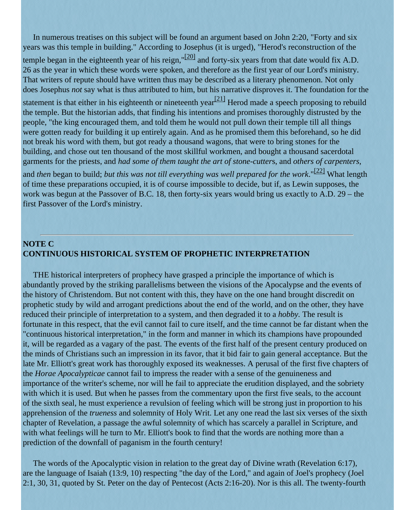<span id="page-144-0"></span> In numerous treatises on this subject will be found an argument based on John 2:20, "Forty and six years was this temple in building." According to Josephus (it is urged), "Herod's reconstruction of the temple began in the eighteenth year of his reign," $[20]$  and forty-six years from that date would fix A.D. 26 as the year in which these words were spoken, and therefore as the first year of our Lord's ministry. That writers of repute should have written thus may be described as a literary phenomenon. Not only does Josephus *not* say what is thus attributed to him, but his narrative disproves it. The foundation for the statement is that either in his eighteenth or nineteenth year<sup>[\[21\]](#page-152-1)</sup> Herod made a speech proposing to rebuild the temple. But the historian adds, that finding his intentions and promises thoroughly distrusted by the people, "the king encouraged them, and told them he would not pull down their temple till all things were gotten ready for building it up entirely again. And as he promised them this beforehand, so he did not break his word with them, but got ready a thousand wagons, that were to bring stones for the building, and chose out ten thousand of the most skillful workmen, and bought a thousand sacerdotal garments for the priests, and *had some of them taught the art of stone-cutter*s, and *others of carpenters,*

<span id="page-144-2"></span><span id="page-144-1"></span>and *then* began to build; *but this was not till everything was well prepared for the work*."<sup>[\[22\]](#page-152-2)</sup> What length of time these preparations occupied, it is of course impossible to decide, but if, as Lewin supposes, the work was begun at the Passover of B.C. 18, then forty-six years would bring us exactly to A.D. 29 – the first Passover of the Lord's ministry.

### **NOTE C CONTINUOUS HISTORICAL SYSTEM OF PROPHETIC INTERPRETATION**

 THE historical interpreters of prophecy have grasped a principle the importance of which is abundantly proved by the striking parallelisms between the visions of the Apocalypse and the events of the history of Christendom. But not content with this, they have on the one hand brought discredit on prophetic study by wild and arrogant predictions about the end of the world, and on the other, they have reduced their principle of interpretation to a system, and then degraded it to a *hobby.* The result is fortunate in this respect, that the evil cannot fail to cure itself, and the time cannot be far distant when the "continuous historical interpretation," in the form and manner in which its champions have propounded it, will be regarded as a vagary of the past. The events of the first half of the present century produced on the minds of Christians such an impression in its favor, that it bid fair to gain general acceptance. But the late Mr. Elliott's great work has thoroughly exposed its weaknesses. A perusal of the first five chapters of the *Horae Apocalypticae* cannot fail to impress the reader with a sense of the genuineness and importance of the writer's scheme, nor will he fail to appreciate the erudition displayed, and the sobriety with which it is used. But when he passes from the commentary upon the first five seals, to the account of the sixth seal, he must experience a revulsion of feeling which will be strong just in proportion to his apprehension of the *trueness* and solemnity of Holy Writ. Let any one read the last six verses of the sixth chapter of Revelation, a passage the awful solemnity of which has scarcely a parallel in Scripture, and with what feelings will he turn to Mr. Elliott's book to find that the words are nothing more than a prediction of the downfall of paganism in the fourth century!

 The words of the Apocalyptic vision in relation to the great day of Divine wrath (Revelation 6:17), are the language of Isaiah (13:9, 10) respecting "the day of the Lord," and again of Joel's prophecy (Joel 2:1, 30, 31, quoted by St. Peter on the day of Pentecost (Acts 2:16-20). Nor is this all. The twenty-fourth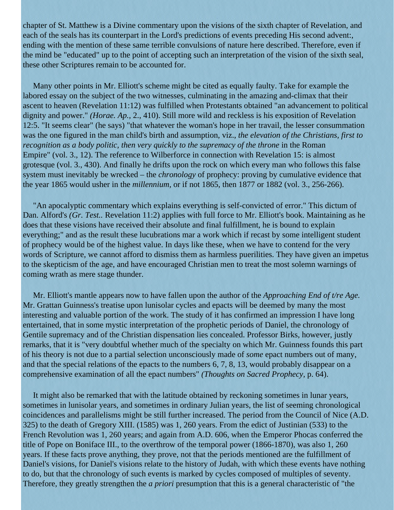chapter of St. Matthew is a Divine commentary upon the visions of the sixth chapter of Revelation, and each of the seals has its counterpart in the Lord's predictions of events preceding His second advent:, ending with the mention of these same terrible convulsions of nature here described. Therefore, even if the mind be "educated" up to the point of accepting such an interpretation of the vision of the sixth seal, these other Scriptures remain to be accounted for.

 Many other points in Mr. Elliott's scheme might be cited as equally faulty. Take for example the labored essay on the subject of the two witnesses, culminating in the amazing and-climax that their ascent to heaven (Revelation 11:12) was fulfilled when Protestants obtained "an advancement to political dignity and power." *(Horae. Ap.,* 2., 410). Still more wild and reckless is his exposition of Revelation 12:5. "It seems clear" (he says) "that whatever the woman's hope in her travail, the lesser consummation was the one figured in the man child's birth and assumption, viz., *the elevation of the Christians, first to*  recognition as a body politic, *then very quickly to the supremacy of the throne* in the Roman Empire" (vol. 3., 12). The reference to Wilberforce in connection with Revelation 15: is almost grotesque (vol. 3., 430). And finally he drifts upon the rock on which every man who follows this false system must inevitably be wrecked – the *chronology* of prophecy: proving by cumulative evidence that the year 1865 would usher in the *millennium,* or if not 1865, then 1877 or 1882 (vol. 3., 256-266).

 "An apocalyptic commentary which explains everything is self-convicted of error." This dictum of Dan. Alford's *(Gr. Test..* Revelation 11:2) applies with full force to Mr. Elliott's book. Maintaining as he does that these visions have received their absolute and final fulfillment, he is bound to explain everything;" and as the result these lucubrations mar a work which if recast by some intelligent student of prophecy would be of the highest value. In days like these, when we have to contend for the very words of Scripture, we cannot afford to dismiss them as harmless puerilities. They have given an impetus to the skepticism of the age, and have encouraged Christian men to treat the most solemn warnings of coming wrath as mere stage thunder.

 Mr. Elliott's mantle appears now to have fallen upon the author of the *Approaching End of t/re Age.*  Mr. Grattan Guinness's treatise upon lunisolar cycles and epacts will be deemed by many the most interesting and valuable portion of the work. The study of it has confirmed an impression I have long entertained, that in some mystic interpretation of the prophetic periods of Daniel, the chronology of Gentile supremacy and of the Christian dispensation lies concealed. Professor Birks, however, justly remarks, that it is "very doubtful whether much of the specialty on which Mr. Guinness founds this part of his theory is not due to a partial selection unconsciously made of *some* epact numbers out of many, and that the special relations of the epacts to the numbers 6, 7, 8, 13, would probably disappear on a comprehensive examination of all the epact numbers" *(Thoughts on Sacred Prophecy,* p. 64).

 It might also be remarked that with the latitude obtained by reckoning sometimes in lunar years, sometimes in lunisolar years, and sometimes in ordinary Julian years, the list of seeming chronological coincidences and parallelisms might be still further increased. The period from the Council of Nice (A.D. 325) to the death of Gregory XIII. (1585) was 1, 260 years. From the edict of Justinian (533) to the French Revolution was 1, 260 years; and again from A.D. 606, when the Emperor Phocas conferred the title of Pope on Boniface III., to the overthrow of the temporal power (1866-1870), was also 1, 260 years. If these facts prove anything, they prove, not that the periods mentioned are the fulfillment of Daniel's visions, for Daniel's visions relate to the history of Judah, with which these events have nothing to do, but that the chronology of such events is marked by cycles composed of multiples of seventy. Therefore, they greatly strengthen the *a priori* presumption that this is a general characteristic of "the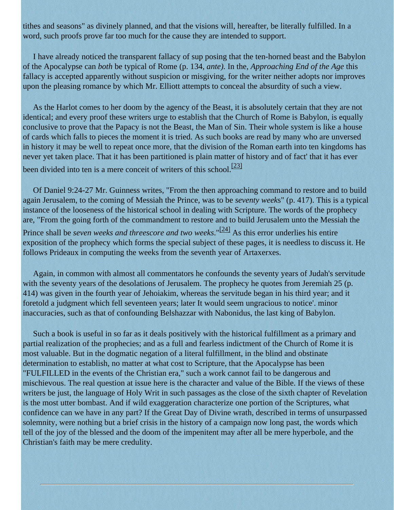tithes and seasons" as divinely planned, and that the visions will, hereafter, be literally fulfilled. In a word, such proofs prove far too much for the cause they are intended to support.

 I have already noticed the transparent fallacy of sup posing that the ten-horned beast and the Babylon of the Apocalypse can *both* be typical of Rome (p. 134, *ante).* In the, *Approaching End of the Age* this fallacy is accepted apparently without suspicion or misgiving, for the writer neither adopts nor improves upon the pleasing romance by which Mr. Elliott attempts to conceal the absurdity of such a view.

 As the Harlot comes to her doom by the agency of the Beast, it is absolutely certain that they are not identical; and every proof these writers urge to establish that the Church of Rome is Babylon, is equally conclusive to prove that the Papacy is not the Beast, the Man of Sin. Their whole system is like a house of cards which falls to pieces the moment it is tried. As such books are read by many who are unversed in history it may be well to repeat once more, that the division of the Roman earth into ten kingdoms has never yet taken place. That it has been partitioned is plain matter of history and of fact' that it has ever been divided into ten is a mere conceit of writers of this school.<sup>[\[23\]](#page-152-3)</sup>

<span id="page-146-0"></span> Of Daniel 9:24-27 Mr. Guinness writes, "From the then approaching command to restore and to build again Jerusalem, to the coming of Messiah the Prince, was to be *seventy week*s" (p. 417). This is a typical instance of the looseness of the historical school in dealing with Scripture. The words of the prophecy are, "From the going forth of the commandment to restore and to build Jerusalem unto the Messiah the Prince shall be *seven weeks and threescore and two weeks*."[\[24\]](#page-152-4) As this error underlies his entire exposition of the prophecy which forms the special subject of these pages, it is needless to discuss it. He follows Prideaux in computing the weeks from the seventh year of Artaxerxes.

<span id="page-146-1"></span> Again, in common with almost all commentators he confounds the seventy years of Judah's servitude with the seventy years of the desolations of Jerusalem. The prophecy he quotes from Jeremiah 25 (p. 414) was given in the fourth year of Jehoiakim, whereas the servitude began in his third year; and it foretold a judgment which fell seventeen years; later It would seem ungracious to notice'. minor inaccuracies, such as that of confounding Belshazzar with Nabonidus, the last king of Babylon.

 Such a book is useful in so far as it deals positively with the historical fulfillment as a primary and partial realization of the prophecies; and as a full and fearless indictment of the Church of Rome it is most valuable. But in the dogmatic negation of a literal fulfillment, in the blind and obstinate determination to establish, no matter at what cost to Scripture, that the Apocalypse has been "FULFILLED in the events of the Christian era," such a work cannot fail to be dangerous and mischievous. The real question at issue here is the character and value of the Bible. If the views of these writers be just, the language of Holy Writ in such passages as the close of the sixth chapter of Revelation is the most utter bombast. And if wild exaggeration characterize one portion of the Scriptures, what confidence can we have in any part? If the Great Day of Divine wrath, described in terms of unsurpassed solemnity, were nothing but a brief crisis in the history of a campaign now long past, the words which tell of the joy of the blessed and the doom of the impenitent may after all be mere hyperbole, and the Christian's faith may be mere credulity.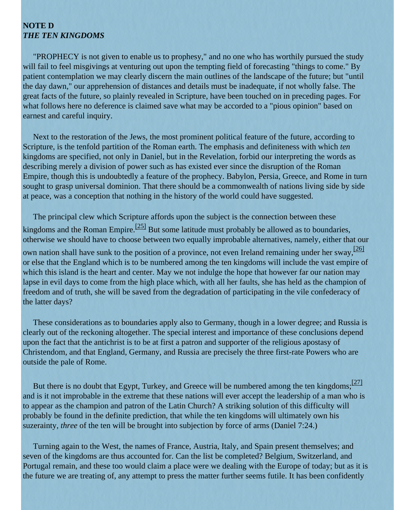#### **NOTE D** *THE TEN KINGDOMS*

 "PROPHECY is not given to enable us to prophesy," and no one who has worthily pursued the study will fail to feel misgivings at venturing out upon the tempting field of forecasting "things to come." By patient contemplation we may clearly discern the main outlines of the landscape of the future; but "until the day dawn," our apprehension of distances and details must be inadequate, if not wholly false. The great facts of the future, so plainly revealed in Scripture, have been touched on in preceding pages. For what follows here no deference is claimed save what may be accorded to a "pious opinion" based on earnest and careful inquiry.

 Next to the restoration of the Jews, the most prominent political feature of the future, according to Scripture, is the tenfold partition of the Roman earth. The emphasis and definiteness with which *ten*  kingdoms are specified, not only in Daniel, but in the Revelation, forbid our interpreting the words as describing merely a division of power such as has existed ever since the disruption of the Roman Empire, though this is undoubtedly a feature of the prophecy. Babylon, Persia, Greece, and Rome in turn sought to grasp universal dominion. That there should be a commonwealth of nations living side by side at peace, was a conception that nothing in the history of the world could have suggested.

<span id="page-147-1"></span><span id="page-147-0"></span> The principal clew which Scripture affords upon the subject is the connection between these kingdoms and the Roman Empire.<sup>[25]</sup> But some latitude must probably be allowed as to boundaries, otherwise we should have to choose between two equally improbable alternatives, namely, either that our own nation shall have sunk to the position of a province, not even Ireland remaining under her sway,<sup>[\[26\]](#page-152-6)</sup> or else that the England which is to be numbered among the ten kingdoms will include the vast empire of which this island is the heart and center. May we not indulge the hope that however far our nation may lapse in evil days to come from the high place which, with all her faults, she has held as the champion of freedom and of truth, she will be saved from the degradation of participating in the vile confederacy of the latter days?

 These considerations as to boundaries apply also to Germany, though in a lower degree; and Russia is clearly out of the reckoning altogether. The special interest and importance of these conclusions depend upon the fact that the antichrist is to be at first a patron and supporter of the religious apostasy of Christendom, and that England, Germany, and Russia are precisely the three first-rate Powers who are outside the pale of Rome.

<span id="page-147-2"></span>But there is no doubt that Egypt, Turkey, and Greece will be numbered among the ten kingdoms; $\frac{27}{127}$ and is it not improbable in the extreme that these nations will ever accept the leadership of a man who is to appear as the champion and patron of the Latin Church? A striking solution of this difficulty will probably be found in the definite prediction, that while the ten kingdoms will ultimately own his suzerainty, *three* of the ten will be brought into subjection by force of arms (Daniel 7:24.)

 Turning again to the West, the names of France, Austria, Italy, and Spain present themselves; and seven of the kingdoms are thus accounted for. Can the list be completed? Belgium, Switzerland, and Portugal remain, and these too would claim a place were we dealing with the Europe of today; but as it is the future we are treating of, any attempt to press the matter further seems futile. It has been confidently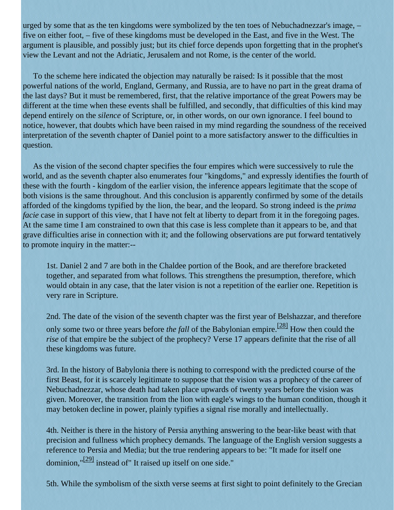urged by some that as the ten kingdoms were symbolized by the ten toes of Nebuchadnezzar's image, – five on either foot, – five of these kingdoms must be developed in the East, and five in the West. The argument is plausible, and possibly just; but its chief force depends upon forgetting that in the prophet's view the Levant and not the Adriatic, Jerusalem and not Rome, is the center of the world.

 To the scheme here indicated the objection may naturally be raised: Is it possible that the most powerful nations of the world, England, Germany, and Russia, are to have no part in the great drama of the last days? But it must be remembered, first, that the relative importance of the great Powers may be different at the time when these events shall be fulfilled, and secondly, that difficulties of this kind may depend entirely on the *silence* of Scripture, or, in other words, on our own ignorance. I feel bound to notice, however, that doubts which have been raised in my mind regarding the soundness of the received interpretation of the seventh chapter of Daniel point to a more satisfactory answer to the difficulties in question.

 As the vision of the second chapter specifies the four empires which were successively to rule the world, and as the seventh chapter also enumerates four "kingdoms," and expressly identifies the fourth of these with the fourth - kingdom of the earlier vision, the inference appears legitimate that the scope of both visions is the same throughout. And this conclusion is apparently confirmed by some of the details afforded of the kingdoms typified by the lion, the bear, and the leopard. So strong indeed is the *prima facie* case in support of this view, that I have not felt at liberty to depart from it in the foregoing pages. At the same time I am constrained to own that this case is less complete than it appears to be, and that grave difficulties arise in connection with it; and the following observations are put forward tentatively to promote inquiry in the matter:--

1st. Daniel 2 and 7 are both in the Chaldee portion of the Book, and are therefore bracketed together, and separated from what follows. This strengthens the presumption, therefore, which would obtain in any case, that the later vision is not a repetition of the earlier one. Repetition is very rare in Scripture.

<span id="page-148-0"></span>2nd. The date of the vision of the seventh chapter was the first year of Belshazzar, and therefore only some two or three years before *the fall* of the Babylonian empire.[\[28\]](#page-152-8) How then could the *rise* of that empire be the subject of the prophecy? Verse 17 appears definite that the rise of all these kingdoms was future.

3rd. In the history of Babylonia there is nothing to correspond with the predicted course of the first Beast, for it is scarcely legitimate to suppose that the vision was a prophecy of the career of Nebuchadnezzar, whose death had taken place upwards of twenty years before the vision was given. Moreover, the transition from the lion with eagle's wings to the human condition, though it may betoken decline in power, plainly typifies a signal rise morally and intellectually.

4th. Neither is there in the history of Persia anything answering to the bear-like beast with that precision and fullness which prophecy demands. The language of the English version suggests a reference to Persia and Media; but the true rendering appears to be: "It made for itself one dominion," $[29]$  instead of" It raised up itself on one side."

<span id="page-148-1"></span>5th. While the symbolism of the sixth verse seems at first sight to point definitely to the Grecian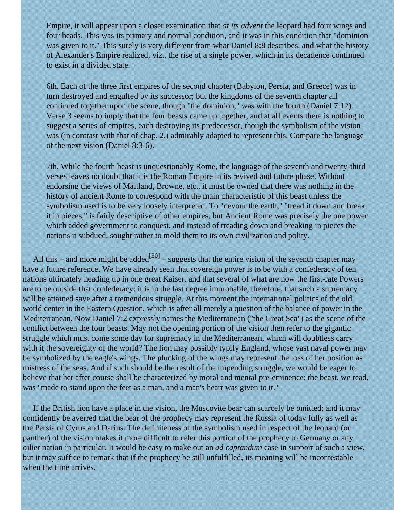Empire, it will appear upon a closer examination that *at its advent* the leopard had four wings and four heads. This was its primary and normal condition, and it was in this condition that "dominion was given to it." This surely is very different from what Daniel 8:8 describes, and what the history of Alexander's Empire realized, viz., the rise of a single power, which in its decadence continued to exist in a divided state.

6th. Each of the three first empires of the second chapter (Babylon, Persia, and Greece) was in turn destroyed and engulfed by its successor; but the kingdoms of the seventh chapter all continued together upon the scene, though "the dominion," was with the fourth (Daniel 7:12). Verse 3 seems to imply that the four beasts came up together, and at all events there is nothing to suggest a series of empires, each destroying its predecessor, though the symbolism of the vision was (in contrast with that of chap. 2.) admirably adapted to represent this. Compare the language of the next vision (Daniel 8:3-6).

7th. While the fourth beast is unquestionably Rome, the language of the seventh and twenty-third verses leaves no doubt that it is the Roman Empire in its revived and future phase. Without endorsing the views of Maitland, Browne, etc., it must be owned that there was nothing in the history of ancient Rome to correspond with the main characteristic of this beast unless the symbolism used is to be very loosely interpreted. To "devour the earth," "tread it down and break it in pieces," is fairly descriptive of other empires, but Ancient Rome was precisely the one power which added government to conquest, and instead of treading down and breaking in pieces the nations it subdued, sought rather to mold them to its own civilization and polity.

<span id="page-149-0"></span>All this – and more might be added<sup>[30]</sup> – suggests that the entire vision of the seventh chapter may have a future reference. We have already seen that sovereign power is to be with a confederacy of ten nations ultimately heading up in one great Kaiser, and that several of what are now the first-rate Powers are to be outside that confederacy: it is in the last degree improbable, therefore, that such a supremacy will be attained save after a tremendous struggle. At this moment the international politics of the old world center in the Eastern Question, which is after all merely a question of the balance of power in the Mediterranean. Now Daniel 7:2 expressly names the Mediterranean ("the Great Sea") as the scene of the conflict between the four beasts. May not the opening portion of the vision then refer to the gigantic struggle which must come some day for supremacy in the Mediterranean, which will doubtless carry with it the sovereignty of the world? The lion may possibly typify England, whose vast naval power may be symbolized by the eagle's wings. The plucking of the wings may represent the loss of her position as mistress of the seas. And if such should be the result of the impending struggle, we would be eager to believe that her after course shall be characterized by moral and mental pre-eminence: the beast, we read, was "made to stand upon the feet as a man, and a man's heart was given to it."

 If the British lion have a place in the vision, the Muscovite bear can scarcely be omitted; and it may confidently be averred that the bear of the prophecy may represent the Russia of today fully as well as the Persia of Cyrus and Darius. The definiteness of the symbolism used in respect of the leopard (or panther) of the vision makes it more difficult to refer this portion of the prophecy to Germany or any oilier nation in particular. It would be easy to make out an *ad captandum* case in support of such a view, but it may suffice to remark that if the prophecy be still unfulfilled, its meaning will be incontestable when the time arrives.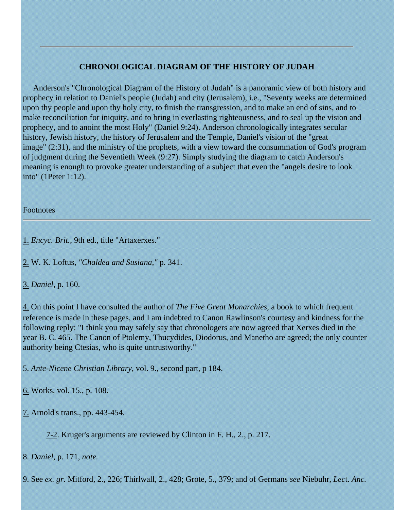### **CHRONOLOGICAL DIAGRAM OF THE HISTORY OF JUDAH**

 Anderson's "Chronological Diagram of the History of Judah" is a panoramic view of both history and prophecy in relation to Daniel's people (Judah) and city (Jerusalem), i.e., "Seventy weeks are determined upon thy people and upon thy holy city, to finish the transgression, and to make an end of sins, and to make reconciliation for iniquity, and to bring in everlasting righteousness, and to seal up the vision and prophecy, and to anoint the most Holy" (Daniel 9:24). Anderson chronologically integrates secular history, Jewish history, the history of Jerusalem and the Temple, Daniel's vision of the "great image" (2:31), and the ministry of the prophets, with a view toward the consummation of God's program of judgment during the Seventieth Week (9:27). Simply studying the diagram to catch Anderson's meaning is enough to provoke greater understanding of a subject that even the "angels desire to look into" (1Peter 1:12).

Footnotes

[1.](#page-139-0) *Encyc. Brit.,* 9th ed., title "Artaxerxes."

[2.](#page-139-1) W. K. Loftus, *"Chaldea and Susiana,"* p. 341.

[3.](#page-140-0) *Daniel,* p. 160.

[4.](#page-140-1) On this point I have consulted the author of *The Five Great Monarchies,* a book to which frequent reference is made in these pages, and I am indebted to Canon Rawlinson's courtesy and kindness for the following reply: "I think you may safely say that chronologers are now agreed that Xerxes died in the year B. C. 465. The Canon of Ptolemy, Thucydides, Diodorus, and Manetho are agreed; the only counter authority being Ctesias, who is quite untrustworthy."

[5.](#page-140-2) *Ante-Nicene Christian Library,* vol. 9., second part, p 184.

[6.](#page-140-3) Works, vol. 15., p. 108.

[7.](#page-140-4) Arnold's trans., pp. 443-454.

[7-2.](#page-140-4) Kruger's arguments are reviewed by Clinton in F. H., 2., p. 217.

[8.](#page-140-5) *Daniel,* p. 171, *note.*

[9.](#page-140-6) See *ex. gr*. Mitford, 2., 226; Thirlwall, 2., 428; Grote, 5., 379; and of Germans *see* Niebuhr, *Lec*t. *Anc.*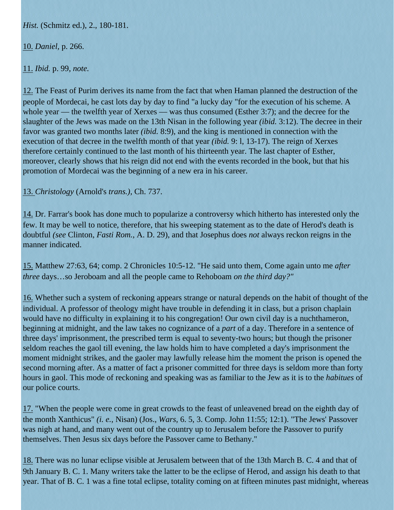*Hist.* (Schmitz ed.), 2., 180-181.

[10.](#page-140-7) *Daniel,* p. 266.

[11.](#page-141-0) *Ibid.* p. 99, *note.*

[12.](#page-141-1) The Feast of Purim derives its name from the fact that when Haman planned the destruction of the people of Mordecai, he cast lots day by day to find "a lucky day "for the execution of his scheme. A whole year — the twelfth year of Xerxes — was thus consumed (Esther 3:7); and the decree for the slaughter of the Jews was made on the 13th Nisan in the following year *(ibid.* 3:12). The decree in their favor was granted two months later *(ibid.* 8:9), and the king is mentioned in connection with the execution of that decree in the twelfth month of that year *(ibid.* 9: l, 13-17). The reign of Xerxes therefore certainly continued to the last month of his thirteenth year. The last chapter of Esther, moreover, clearly shows that his reign did not end with the events recorded in the book, but that his promotion of Mordecai was the beginning of a new era in his career.

[13.](#page-141-2) *Christology* (Arnold's *trans.),* Ch. 737.

[14.](#page-142-0) Dr. Farrar's book has done much to popularize a controversy which hitherto has interested only the few. It may be well to notice, therefore, that his sweeping statement as to the date of Herod's death is doubtful *(see* Clinton, *Fasti Rom.,* A. D. 29), and that Josephus does *not* always reckon reigns in the manner indicated.

[15.](#page-142-1) Matthew 27:63, 64; comp. 2 Chronicles 10:5-12. "He said unto them, Come again unto me *after three* days…so Jeroboam and all the people came to Rehoboam *on the third day?"*

[16.](#page-142-2) Whether such a system of reckoning appears strange or natural depends on the habit of thought of the individual. A professor of theology might have trouble in defending it in class, but a prison chaplain would have no difficulty in explaining it to his congregation! Our own civil day is a nuchthameron, beginning at midnight, and the law takes no cognizance of a *part* of a day. Therefore in a sentence of three days' imprisonment, the prescribed term is equal to seventy-two hours; but though the prisoner seldom reaches the gaol till evening, the law holds him to have completed a day's imprisonment the moment midnight strikes, and the gaoler may lawfully release him the moment the prison is opened the second morning after. As a matter of fact a prisoner committed for three days is seldom more than forty hours in gaol. This mode of reckoning and speaking was as familiar to the Jew as it is to the *habitues* of our police courts.

[17.](#page-143-0) "When the people were come in great crowds to the feast of unleavened bread on the eighth day of the month Xanthicus" *(i. e.,* Nisan) (Jos., *Wars,* 6. 5, 3. Comp. John 11:55; 12:1). "The Jews' Passover was nigh at hand, and many went out of the country up to Jerusalem before the Passover to purify themselves. Then Jesus six days before the Passover came to Bethany."

[18.](#page-143-1) There was no lunar eclipse visible at Jerusalem between that of the 13th March B. C. 4 and that of 9th January B. C. 1. Many writers take the latter to be the eclipse of Herod, and assign his death to that year. That of B. C. 1 was a fine total eclipse, totality coming on at fifteen minutes past midnight, whereas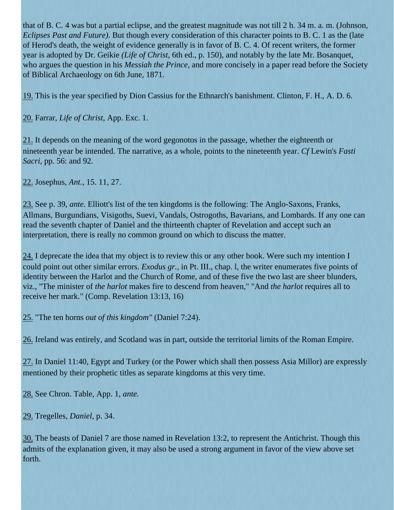that of B. C. 4 was but a partial eclipse, and the greatest magnitude was not till 2 h. 34 m. a. m. (Johnson, *Eclipses Past and Future).* But though every consideration of this character points to B. C. 1 as the (late of Herod's death, the weight of evidence generally is in favor of B. C. 4. Of recent writers, the former year is adopted by Dr. Geikie *(Life of Christ,* 6th ed., p. 150), and notably by the late Mr. Bosanquet, who argues the question in his *Messiah the Prince,* and more concisely in a paper read before the Society of Biblical Archaeology on 6th June, 1871.

[19.](#page-143-2) This is the year specified by Dion Cassius for the Ethnarch's banishment. Clinton, F. H., A. D. 6.

<span id="page-152-0"></span>[20.](#page-144-0) Farrar, *Life of Christ,* App. Exc. 1.

<span id="page-152-1"></span>[21.](#page-144-1) It depends on the meaning of the word gegonotos in the passage, whether the eighteenth or nineteenth year be intended. The narrative, as a whole, points to the nineteenth year. *Cf* Lewin's *Fasti Sacri,* pp. 56: and 92.

<span id="page-152-2"></span>[22.](#page-144-2) Josephus, *Ant.,* 15. 11, 27.

<span id="page-152-3"></span>[23.](#page-146-0) See p. 39, *ante.* Elliott's list of the ten kingdoms is the following: The Anglo-Saxons, Franks, Allmans, Burgundians, Visigoths, Suevi, Vandals, Ostrogoths, Bavarians, and Lombards. If any one can read the seventh chapter of Daniel and the thirteenth chapter of Revelation and accept such an interpretation, there is really no common ground on which to discuss the matter.

<span id="page-152-4"></span>[24.](#page-146-1) I deprecate the idea that my object is to review this or any other book. Were such my intention I could point out other similar errors. *Exodus gr.,* in Pt. III., chap. l, the writer enumerates five points of identity between the Harlot and the Church of Rome, and of these five the two last are sheer blunders, viz., "The minister of *the harlot* makes fire to descend from heaven," "And *the harlot* requires all to receive her mark." (Comp. Revelation 13:13, 16)

<span id="page-152-5"></span>[25.](#page-147-0) "The ten horns *out of this kingdom"* (Daniel 7:24).

<span id="page-152-6"></span>[26.](#page-147-1) Ireland was entirely, and Scotland was in part, outside the territorial limits of the Roman Empire.

<span id="page-152-7"></span>[27.](#page-147-2) In Daniel 11:40, Egypt and Turkey (or the Power which shall then possess Asia Millor) are expressly mentioned by their prophetic titles as separate kingdoms at this very time.

<span id="page-152-8"></span>[28.](#page-148-0) See Chron. Table, App. 1, *ante.*

<span id="page-152-9"></span>[29.](#page-148-1) Tregelles, *Daniel,* p. 34.

<span id="page-152-10"></span>[30.](#page-149-0) The beasts of Daniel 7 are those named in Revelation 13:2, to represent the Antichrist. Though this admits of the explanation given, it may also be used a strong argument in favor of the view above set forth.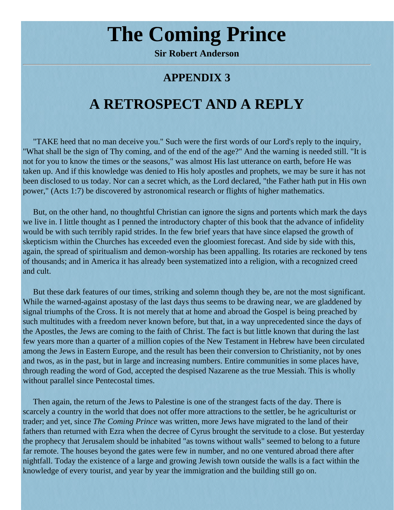## <span id="page-153-0"></span>**The Coming Prince**

**Sir Robert Anderson**

### **APPENDIX 3**

### **A RETROSPECT AND A REPLY**

 "TAKE heed that no man deceive you." Such were the first words of our Lord's reply to the inquiry, "What shall be the sign of Thy coming, and of the end of the age?" And the warning is needed still. "It is not for you to know the times or the seasons," was almost His last utterance on earth, before He was taken up. And if this knowledge was denied to His holy apostles and prophets, we may be sure it has not been disclosed to us today. Nor can a secret which, as the Lord declared, "the Father hath put in His own power," (Acts 1:7) be discovered by astronomical research or flights of higher mathematics.

 But, on the other hand, no thoughtful Christian can ignore the signs and portents which mark the days we live in. I little thought as I penned the introductory chapter of this book that the advance of infidelity would be with such terribly rapid strides. In the few brief years that have since elapsed the growth of skepticism within the Churches has exceeded even the gloomiest forecast. And side by side with this, again, the spread of spiritualism and demon-worship has been appalling. Its rotaries are reckoned by tens of thousands; and in America it has already been systematized into a religion, with a recognized creed and cult.

 But these dark features of our times, striking and solemn though they be, are not the most significant. While the warned-against apostasy of the last days thus seems to be drawing near, we are gladdened by signal triumphs of the Cross. It is not merely that at home and abroad the Gospel is being preached by such multitudes with a freedom never known before, but that, in a way unprecedented since the days of the Apostles, the Jews are coming to the faith of Christ. The fact is but little known that during the last few years more than a quarter of a million copies of the New Testament in Hebrew have been circulated among the Jews in Eastern Europe, and the result has been their conversion to Christianity, not by ones and twos, as in the past, but in large and increasing numbers. Entire communities in some places have, through reading the word of God, accepted the despised Nazarene as the true Messiah. This is wholly without parallel since Pentecostal times.

 Then again, the return of the Jews to Palestine is one of the strangest facts of the day. There is scarcely a country in the world that does not offer more attractions to the settler, be he agriculturist or trader; and yet, since *The Coming Prince* was written, more Jews have migrated to the land of their fathers than returned with Ezra when the decree of Cyrus brought the servitude to a close. But yesterday the prophecy that Jerusalem should be inhabited "as towns without walls" seemed to belong to a future far remote. The houses beyond the gates were few in number, and no one ventured abroad there after nightfall. Today the existence of a large and growing Jewish town outside the walls is a fact within the knowledge of every tourist, and year by year the immigration and the building still go on.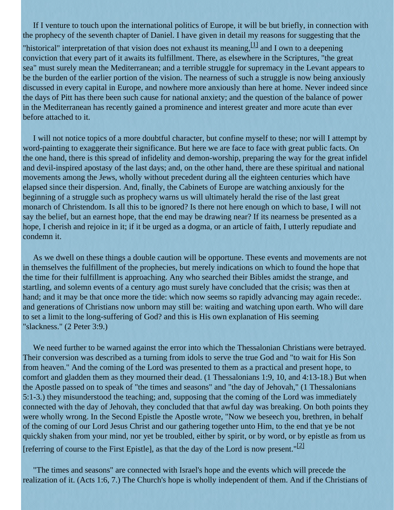<span id="page-154-0"></span> If I venture to touch upon the international politics of Europe, it will be but briefly, in connection with the prophecy of the seventh chapter of Daniel. I have given in detail my reasons for suggesting that the "historical" interpretation of that vision does not exhaust its meaning,  $\left[1\right]$  and I own to a deepening conviction that every part of it awaits its fulfillment. There, as elsewhere in the Scriptures, "the great sea" must surely mean the Mediterranean; and a terrible struggle for supremacy in the Levant appears to be the burden of the earlier portion of the vision. The nearness of such a struggle is now being anxiously discussed in every capital in Europe, and nowhere more anxiously than here at home. Never indeed since the days of Pitt has there been such cause for national anxiety; and the question of the balance of power in the Mediterranean has recently gained a prominence and interest greater and more acute than ever before attached to it.

 I will not notice topics of a more doubtful character, but confine myself to these; nor will I attempt by word-painting to exaggerate their significance. But here we are face to face with great public facts. On the one hand, there is this spread of infidelity and demon-worship, preparing the way for the great infidel and devil-inspired apostasy of the last days; and, on the other hand, there are these spiritual and national movements among the Jews, wholly without precedent during all the eighteen centuries which have elapsed since their dispersion. And, finally, the Cabinets of Europe are watching anxiously for the beginning of a struggle such as prophecy warns us will ultimately herald the rise of the last great monarch of Christendom. Is all this to be ignored? Is there not here enough on which to base, I will not say the belief, but an earnest hope, that the end may be drawing near? If its nearness be presented as a hope, I cherish and rejoice in it; if it be urged as a dogma, or an article of faith, I utterly repudiate and condemn it.

 As we dwell on these things a double caution will be opportune. These events and movements are not in themselves the fulfillment of the prophecies, but merely indications on which to found the hope that the time for their fulfillment is approaching. Any who searched their Bibles amidst the strange, and startling, and solemn events of a century ago must surely have concluded that the crisis; was then at hand; and it may be that once more the tide: which now seems so rapidly advancing may again recede:. and generations of Christians now unborn may still be: waiting and watching upon earth. Who will dare to set a limit to the long-suffering of God? and this is His own explanation of His seeming "slackness." (2 Peter 3:9.)

 We need further to be warned against the error into which the Thessalonian Christians were betrayed. Their conversion was described as a turning from idols to serve the true God and "to wait for His Son from heaven." And the coming of the Lord was presented to them as a practical and present hope, to comfort and gladden them as they mourned their dead. (1 Thessalonians 1:9, 10, and 4:13-18.) But when the Apostle passed on to speak of "the times and seasons" and "the day of Jehovah," (1 Thessalonians 5:1-3.) they misunderstood the teaching; and, supposing that the coming of the Lord was immediately connected with the day of Jehovah, they concluded that that awful day was breaking. On both points they were wholly wrong. In the Second Epistle the Apostle wrote, "Now we beseech you, brethren, in behalf of the coming of our Lord Jesus Christ and our gathering together unto Him, to the end that ye be not quickly shaken from your mind, nor yet be troubled, either by spirit, or by word, or by epistle as from us [referring of course to the First Epistle], as that the day of the Lord is now present."<sup>[\[2\]](#page-162-1)</sup>

<span id="page-154-1"></span> "The times and seasons" are connected with Israel's hope and the events which will precede the realization of it. (Acts 1:6, 7.) The Church's hope is wholly independent of them. And if the Christians of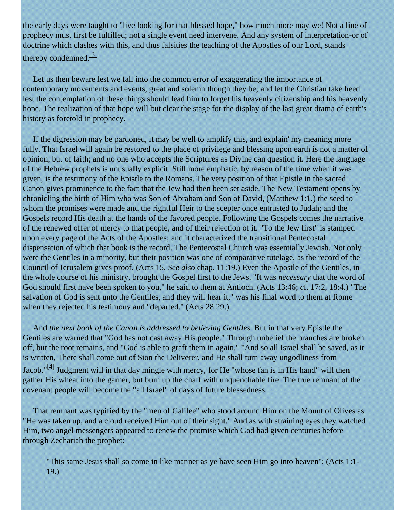the early days were taught to "live looking for that blessed hope," how much more may we! Not a line of prophecy must first be fulfilled; not a single event need intervene. And any system of interpretation-or of doctrine which clashes with this, and thus falsities the teaching of the Apostles of our Lord, stands thereby condemned.<sup>[\[3\]](#page-162-2)</sup>

<span id="page-155-0"></span> Let us then beware lest we fall into the common error of exaggerating the importance of contemporary movements and events, great and solemn though they be; and let the Christian take heed lest the contemplation of these things should lead him to forget his heavenly citizenship and his heavenly hope. The realization of that hope will but clear the stage for the display of the last great drama of earth's history as foretold in prophecy.

 If the digression may be pardoned, it may be well to amplify this, and explain' my meaning more fully. That Israel will again be restored to the place of privilege and blessing upon earth is not a matter of opinion, but of faith; and no one who accepts the Scriptures as Divine can question it. Here the language of the Hebrew prophets is unusually explicit. Still more emphatic, by reason of the time when it was given, is the testimony of the Epistle to the Romans. The very position of that Epistle in the sacred Canon gives prominence to the fact that the Jew had then been set aside. The New Testament opens by chronicling the birth of Him who was Son of Abraham and Son of David, (Matthew 1:1.) the seed to whom the promises were made and the rightful Heir to the scepter once entrusted to Judah; and the Gospels record His death at the hands of the favored people. Following the Gospels comes the narrative of the renewed offer of mercy to that people, and of their rejection of it. "To the Jew first" is stamped upon every page of the Acts of the Apostles; and it characterized the transitional Pentecostal dispensation of which that book is the record. The Pentecostal Church was essentially Jewish. Not only were the Gentiles in a minority, but their position was one of comparative tutelage, as the record of the Council of Jerusalem gives proof. (Acts 15. *See also* chap. 11:19.) Even the Apostle of the Gentiles, in the whole course of his ministry, brought the Gospel first to the Jews. "It was *necessary* that the word of God should first have been spoken to you," he said to them at Antioch. (Acts 13:46; *c*f. 17:2, 18:4.) "The salvation of God is sent unto the Gentiles, and they will hear it," was his final word to them at Rome when they rejected his testimony and "departed." (Acts 28:29.)

 And *the next book of the Canon is addressed to believing Gentiles.* But in that very Epistle the Gentiles are warned that "God has not cast away His people." Through unbelief the branches are broken off, but the root remains, and "God is able to graft them in again." "And so all Israel shall be saved, as it is written, There shall come out of Sion the Deliverer, and He shall turn away ungodliness from Jacob."<sup>[4]</sup> Judgment will in that day mingle with mercy, for He "whose fan is in His hand" will then gather His wheat into the garner, but burn up the chaff with unquenchable fire. The true remnant of the covenant people will become the "all Israel" of days of future blessedness.

<span id="page-155-1"></span> That remnant was typified by the "men of Galilee" who stood around Him on the Mount of Olives as "He was taken up, and a cloud received Him out of their sight." And as with straining eyes they watched Him, two angel messengers appeared to renew the promise which God had given centuries before through Zechariah the prophet:

"This same Jesus shall so come in like manner as ye have seen Him go into heaven"; (Acts 1:1- 19.)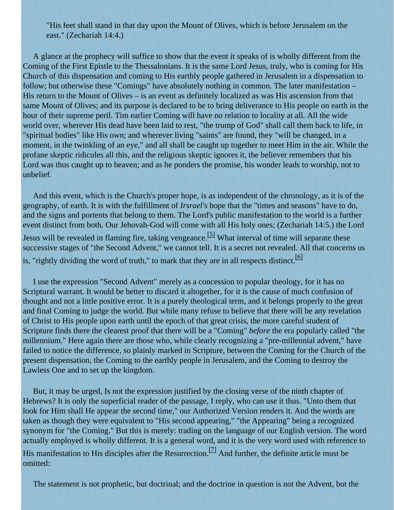"His feet shall stand in that day upon the Mount of Olives, which is before Jerusalem on the east." (Zechariah 14:4.)

 A glance at the prophecy will suffice to show that the event it speaks of is wholly different from the Coming of the First Epistle to the Thessalonians. It is the same Lord Jesus, truly, who is coming for His Church of this dispensation and coming to His earthly people gathered in Jerusalem in a dispensation to follow; but otherwise these "Comings" have absolutely nothing in common. The later manifestation – His return to the Mount of Olives – is an event as definitely localized as was His ascension from that same Mount of Olives; and its purpose is declared to be to bring deliverance to His people on earth in the hour of their supreme peril. Tim earlier Coming will have no relation to locality at all. All the wide world over, wherever His dead have been laid to rest, "the trump of God" shall call them back to life, in "spiritual bodies" like His own; and wherever living "saints" are found, they "will be changed, in a moment, in the twinkling of an eye," and all shall be caught up together to meet Him in the air. While the profane skeptic ridicules all this, and the religious skeptic ignores it, the believer remembers that his Lord was thus caught up to heaven; and as he ponders the promise, his wonder leads to worship, not to unbelief.

 And this event, which is the Church's proper hope, is as independent of the chronology, as it is of the geography, of earth. It is with the fulfillment of *Irsrael's* hope that the "times and seasons" have to do, and the signs and portents that belong to them. The Lord's public manifestation to the world is a further event distinct from both. Our Jehovah-God will come with all His holy ones; (Zechariah 14:5.) the Lord Jesus will be revealed in flaming fire, taking vengeance.<sup>[5]</sup> What interval of time will separate these successive stages of "the Second Advent," we cannot tell. It is a secret not revealed. All that concerns us is, "rightly dividing the word of truth," to mark that they are in all respects distinct.<sup>[\[6\]](#page-162-5)</sup>

<span id="page-156-1"></span><span id="page-156-0"></span> I use the expression "Second Advent" merely as a concession to popular theology, for it has no Scriptural warrant. It would be better to discard it altogether, for it is the cause of much confusion of thought and not a little positive error. It is a purely theological term, and it belongs properly to the great and final Coming to judge the world. But while many refuse to believe that there will be any revelation of Christ to His people upon earth until the epoch of that great crisis, the more careful student of Scripture finds there the clearest proof that there will be a "Coming" *before* the era popularly called "the millennium." Here again there are those who, while clearly recognizing a "pre-millennial advent," have failed to notice the difference, so plainly marked in Scripture, between the Coming for the Church of the present dispensation, the Coming to the earthly people in Jerusalem, and the Coming to destroy the Lawless One and to set up the kingdom.

 But, it may be urged, Is not the expression justified by the closing verse of the ninth chapter of Hebrews? It is only the superficial reader of the passage, I reply, who can use it thus. "Unto them that look for Him shall He appear the second time," our Authorized Version renders it. And the words are taken as though they were equivalent to "His second appearing," "the Appearing" being a recognized synonym for "the Coming." But this is merely: trading on the language of our English version. The word actually employed is wholly different. It is a general word, and it is the very word used with reference to His manifestation to His disciples after the Resurrection.<sup>[\[7\]](#page-162-6)</sup> And further, the definite article must be omitted:

<span id="page-156-2"></span>The statement is not prophetic, but doctrinal; and the doctrine in question is not the Advent, but the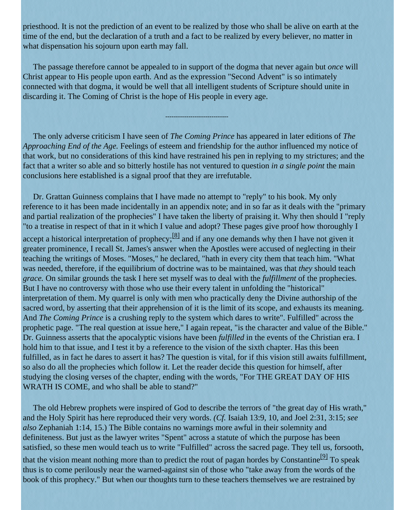priesthood. It is not the prediction of an event to be realized by those who shall be alive on earth at the time of the end, but the declaration of a truth and a fact to be realized by every believer, no matter in what dispensation his sojourn upon earth may fall.

 The passage therefore cannot be appealed to in support of the dogma that never again but *once* will Christ appear to His people upon earth. And as the expression "Second Advent" is so intimately connected with that dogma, it would be well that all intelligent students of Scripture should unite in discarding it. The Coming of Christ is the hope of His people in every age.

 The only adverse criticism I have seen of *The Coming Prince* has appeared in later editions of *The Approaching End of the Age.* Feelings of esteem and friendship for the author influenced my notice of that work, but no considerations of this kind have restrained his pen in replying to my strictures; and the fact that a writer so able and so bitterly hostile has not ventured to question *in a single point* the main conclusions here established is a signal proof that they are irrefutable.

------------------------------

<span id="page-157-0"></span> Dr. Grattan Guinness complains that I have made no attempt to "reply" to his book. My only reference to it has been made incidentally in an appendix note; and in so far as it deals with the "primary and partial realization of the prophecies" I have taken the liberty of praising it. Why then should I "reply "to a treatise in respect of that in it which I value and adopt? These pages give proof how thoroughly I accept a historical interpretation of prophecy;  $\frac{8}{3}$  and if any one demands why then I have not given it greater prominence, I recall St. James's answer when the Apostles were accused of neglecting in their teaching the writings of Moses. "Moses," he declared, "hath in every city them that teach him. "What was needed, therefore, if the equilibrium of doctrine was to be maintained, was that *they* should teach *grace.* On similar grounds the task I here set myself was to deal with the *fulfillment* of the prophecies. But I have no controversy with those who use their every talent in unfolding the "historical" interpretation of them. My quarrel is only with men who practically deny the Divine authorship of the sacred word, by asserting that their apprehension of it is the limit of its scope, and exhausts its meaning. And *The Coming Prince* is a crushing reply to the system which dares to write". Fulfilled" across the prophetic page. "The real question at issue here," I again repeat, "is the character and value of the Bible." Dr. Guinness asserts that the apocalyptic visions have been *fulfilled* in the events of the Christian era. I hold him to that issue, and I test it by a reference to the vision of the sixth chapter. Has this been fulfilled, as in fact he dares to assert it has? The question is vital, for if this vision still awaits fulfillment, so also do all the prophecies which follow it. Let the reader decide this question for himself, after studying the closing verses of the chapter, ending with the words, "For THE GREAT DAY OF HIS WRATH IS COME, and who shall be able to stand?"

 The old Hebrew prophets were inspired of God to describe the terrors of "the great day of His wrath," and the Holy Spirit has here reproduced their very words. *(Cf.* Isaiah 13:9, 10, and Joel 2:31, 3:15; *see also* Zephaniah 1:14, 15.) The Bible contains no warnings more awful in their solemnity and definiteness. But just as the lawyer writes "Spent" across a statute of which the purpose has been satisfied, so these men would teach us to write "Fulfilled" across the sacred page. They tell us, forsooth, that the vision meant nothing more than to predict the rout of pagan hordes by Constantine<sup>[9]</sup> To speak

<span id="page-157-1"></span>thus is to come perilously near the warned-against sin of those who "take away from the words of the book of this prophecy." But when our thoughts turn to these teachers themselves we are restrained by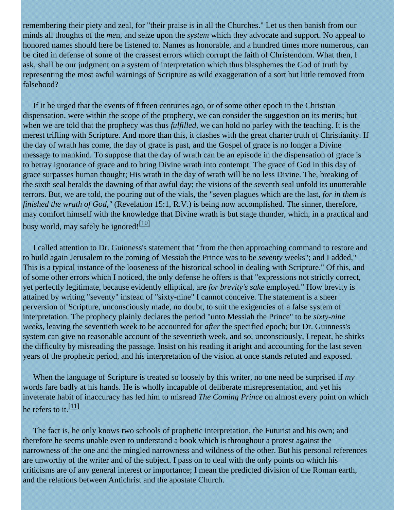remembering their piety and zeal, for "their praise is in all the Churches." Let us then banish from our minds all thoughts of the *me*n, and seize upon the *system* which they advocate and support. No appeal to honored names should here be listened to. Names as honorable, and a hundred times more numerous, can be cited in defense of some of the crassest errors which corrupt the faith of Christendom. What then, I ask, shall be our judgment on a system of interpretation which thus blasphemes the God of truth by representing the most awful warnings of Scripture as wild exaggeration of a sort but little removed from falsehood?

 If it be urged that the events of fifteen centuries ago, or of some other epoch in the Christian dispensation, were within the scope of the prophecy, we can consider the suggestion on its merits; but when we are told that the prophecy was thus *fulfilled,* we can hold no parley with the teaching. It is the merest trifling with Scripture. And more than this, it clashes with the great charter truth of Christianity. If the day of wrath has come, the day of grace is past, and the Gospel of grace is no longer a Divine message to mankind. To suppose that the day of wrath can be an episode in the dispensation of grace is to betray ignorance of grace and to bring Divine wrath into contempt. The grace of God in this day of grace surpasses human thought; His wrath in the day of wrath will be no less Divine. The, breaking of the sixth seal heralds the dawning of that awful day; the visions of the seventh seal unfold its unutterable terrors. But, we are told, the pouring out of the vials, the "seven plagues which are the last, *for in them is finished the wrath of God,"* (Revelation 15:1, R.V.) is being now accomplished. The sinner, therefore, may comfort himself with the knowledge that Divine wrath is but stage thunder, which, in a practical and busy world, may safely be ignored! $[10]$ 

<span id="page-158-0"></span> I called attention to Dr. Guinness's statement that "from the then approaching command to restore and to build again Jerusalem to the coming of Messiah the Prince was to be *seventy* weeks"; and I added," This is a typical instance of the looseness of the historical school in dealing with Scripture." Of this, and of some other errors which I noticed, the only defense he offers is that "expressions not strictly correct, yet perfectly legitimate, because evidently elliptical, are *for brevity's sake* employed." How brevity is attained by writing "seventy" instead of "sixty-nine" I cannot conceive. The statement is a sheer perversion of Scripture, unconsciously made, no doubt, to suit the exigencies of a false system of interpretation. The prophecy plainly declares the period "unto Messiah the Prince" to be *sixty-nine weeks,* leaving the seventieth week to be accounted for *after* the specified epoch; but Dr. Guinness's system can give no reasonable account of the seventieth week, and so, unconsciously, I repeat, he shirks the difficulty by misreading the passage. Insist on his reading it aright and accounting for the last seven years of the prophetic period, and his interpretation of the vision at once stands refuted and exposed.

 When the language of Scripture is treated so loosely by this writer, no one need be surprised if *my*  words fare badly at his hands. He is wholly incapable of deliberate misrepresentation, and yet his inveterate habit of inaccuracy has led him to misread *The Coming Prince* on almost every point on which he refers to it.  $[11]$ 

<span id="page-158-1"></span> The fact is, he only knows two schools of prophetic interpretation, the Futurist and his own; and therefore he seems unable even to understand a book which is throughout a protest against the narrowness of the one and the mingled narrowness and wildness of the other. But his personal references are unworthy of the writer and of the subject. I pass on to deal with the only points on which his criticisms are of any general interest or importance; I mean the predicted division of the Roman earth, and the relations between Antichrist and the apostate Church.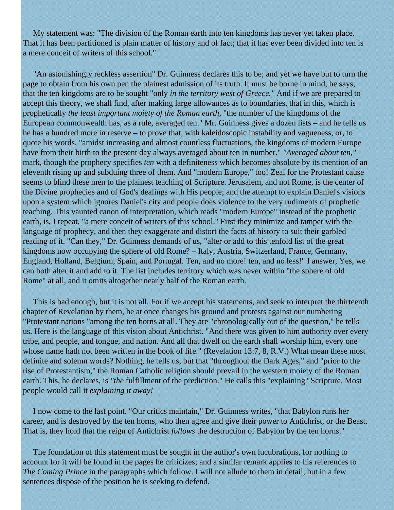My statement was: "The division of the Roman earth into ten kingdoms has never yet taken place. That it has been partitioned is plain matter of history and of fact; that it has ever been divided into ten is a mere conceit of writers of this school."

 "An astonishingly reckless assertion" Dr. Guinness declares this to be; and yet we have but to turn the page to obtain from his own pen the plainest admission of its truth. It must be borne in mind, he says, that the ten kingdoms are to be sought "only *in the territory west of Greece."* And if we are prepared to accept this theory, we shall find, after making large allowances as to boundaries, that in this, which is prophetically *the least important moiety of the Roman earth,* "the number of the kingdoms of the European commonwealth has, as a rule, averaged ten." Mr. Guinness gives a dozen lists – and he tells us he has a hundred more in reserve – to prove that, with kaleidoscopic instability and vagueness, or, to quote his words, "amidst increasing and almost countless fluctuations, the kingdoms of modern Europe have from their birth to the present day always averaged about ten in number." *"Averaged about ten,"*  mark, though the prophecy specifies *ten* with a definiteness which becomes absolute by its mention of an eleventh rising up and subduing three of them. And "modern Europe," too! Zeal for the Protestant cause seems to blind these men to the plainest teaching of Scripture. Jerusalem, and not Rome, is the center of the Divine prophecies and of God's dealings with His people; and the attempt to explain Daniel's visions upon a system which ignores Daniel's city and people does violence to the very rudiments of prophetic teaching. This vaunted canon of interpretation, which reads "modern Europe" instead of the prophetic earth, is, I repeat, "a mere conceit of writers of this school." First they minimize and tamper with the language of prophecy, and then they exaggerate and distort the facts of history to suit their garbled reading of it. "Can they," Dr. Guinness demands of us, "alter or add to this tenfold list of the great kingdoms now occupying the sphere of old Rome? – Italy, Austria, Switzerland, France, Germany, England, Holland, Belgium, Spain, and Portugal. Ten, and no more! ten, and no less!" I answer, Yes, we can both alter it and add to it. The list includes territory which was never within "the sphere of old Rome" at all, and it omits altogether nearly half of the Roman earth.

 This is bad enough, but it is not all. For if we accept his statements, and seek to interpret the thirteenth chapter of Revelation by them, he at once changes his ground and protests against our numbering "Protestant nations "among the ten horns at all. They are "chronologically out of the question," he tells us. Here is the language of this vision about Antichrist. "And there was given to him authority over every tribe, and people, and tongue, and nation. And all that dwell on the earth shall worship him, every one whose name hath not been written in the book of life." (Revelation 13:7, 8, R.V.) What mean these most definite and solemn words? Nothing, he tells us, but that "throughout the Dark Ages," and "prior to the rise of Protestantism," the Roman Catholic religion should prevail in the western moiety of the Roman earth. This, he declares, is *"the* fulfillment of the prediction." He calls this "explaining" Scripture. Most people would call it *explaining it away!*

 I now come to the last point. "Our critics maintain," Dr. Guinness writes, "that Babylon runs her career, and is destroyed by the ten horns, who then agree and give their power to Antichrist, or the Beast. That is, they hold that the reign of Antichrist *follows* the destruction of Babylon by the ten horns."

 The foundation of this statement must be sought in the author's own lucubrations, for nothing to account for it will be found in the pages he criticizes; and a similar remark applies to his references to *The Coming Prince* in the paragraphs which follow. I will not allude to them in detail, but in a few sentences dispose of the position he is seeking to defend.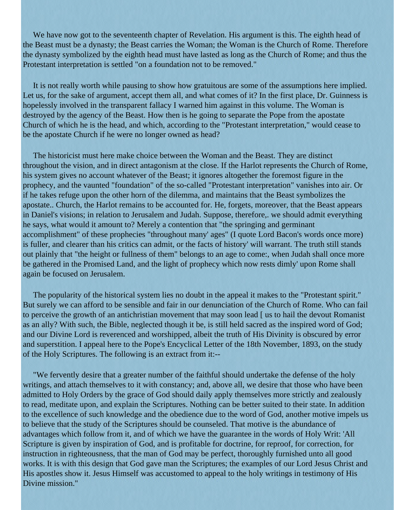We have now got to the seventeenth chapter of Revelation. His argument is this. The eighth head of the Beast must be a dynasty; the Beast carries the Woman; the Woman is the Church of Rome. Therefore the dynasty symbolized by the eighth head must have lasted as long as the Church of Rome; and thus the Protestant interpretation is settled "on a foundation not to be removed."

 It is not really worth while pausing to show how gratuitous are some of the assumptions here implied. Let us, for the sake of argument, accept them all, and what comes of it? In the first place, Dr. Guinness is hopelessly involved in the transparent fallacy I warned him against in this volume. The Woman is destroyed by the agency of the Beast. How then is he going to separate the Pope from the apostate Church of which he is the head, and which, according to the "Protestant interpretation," would cease to be the apostate Church if he were no longer owned as head?

 The historicist must here make choice between the Woman and the Beast. They are distinct throughout the vision, and in direct antagonism at the close. If the Harlot represents the Church of Rome, his system gives no account whatever of the Beast; it ignores altogether the foremost figure in the prophecy, and the vaunted "foundation" of the so-called "Protestant interpretation" vanishes into air. Or if he takes refuge upon the other horn of the dilemma, and maintains that the Beast symbolizes the apostate.. Church, the Harlot remains to be accounted for. He, forgets, moreover, that the Beast appears in Daniel's visions; in relation to Jerusalem and Judah. Suppose, therefore,. we should admit everything he says, what would it amount to? Merely a contention that "the springing and germinant accomplishment" of these prophecies "throughout many' ages" (I quote Lord Bacon's words once more) is fuller, and clearer than his critics can admit, or the facts of history' will warrant. The truth still stands out plainly that "the height or fullness of them" belongs to an age to come:, when Judah shall once more be gathered in the Promised Land, and the light of prophecy which now rests dimly' upon Rome shall again be focused on Jerusalem.

 The popularity of the historical system lies no doubt in the appeal it makes to the "Protestant spirit." But surely we can afford to be sensible and fair in our denunciation of the Church of Rome. Who can fail to perceive the growth of an antichristian movement that may soon lead [ us to hail the devout Romanist as an ally? With such, the Bible, neglected though it be, is still held sacred as the inspired word of God; and our Divine Lord is reverenced and worshipped, albeit the truth of His Divinity is obscured by error and superstition. I appeal here to the Pope's Encyclical Letter of the 18th November, 1893, on the study of the Holy Scriptures. The following is an extract from it:--

 "We fervently desire that a greater number of the faithful should undertake the defense of the holy writings, and attach themselves to it with constancy; and, above all, we desire that those who have been admitted to Holy Orders by the grace of God should daily apply themselves more strictly and zealously to read, meditate upon, and explain the Scriptures. Nothing can be better suited to their state. In addition to the excellence of such knowledge and the obedience due to the word of God, another motive impels us to believe that the study of the Scriptures should be counseled. That motive is the abundance of advantages which follow from it, and of which we have the guarantee in the words of Holy Writ: 'All Scripture is given by inspiration of God, and is profitable for doctrine, for reproof, for correction, for instruction in righteousness, that the man of God may be perfect, thoroughly furnished unto all good works. It is with this design that God gave man the Scriptures; the examples of our Lord Jesus Christ and His apostles show it. Jesus Himself was accustomed to appeal to the holy writings in testimony of His Divine mission."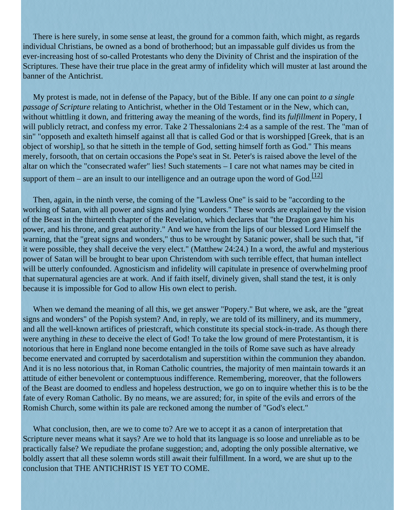There is here surely, in some sense at least, the ground for a common faith, which might, as regards individual Christians, be owned as a bond of brotherhood; but an impassable gulf divides us from the ever-increasing host of so-called Protestants who deny the Divinity of Christ and the inspiration of the Scriptures. These have their true place in the great army of infidelity which will muster at last around the banner of the Antichrist.

 My protest is made, not in defense of the Papacy, but of the Bible. If any one can point *to a single passage of Scripture* relating to Antichrist, whether in the Old Testament or in the New, which can, without whittling it down, and frittering away the meaning of the words, find its *fulfillment* in Popery, I will publicly retract, and confess my error. Take 2 Thessalonians 2:4 as a sample of the rest. The "man of sin" "opposeth and exalteth himself against all that is called God or that is worshipped [Greek, that is an object of worship], so that he sitteth in the temple of God, setting himself forth as God." This means merely, forsooth, that on certain occasions the Pope's seat in St. Peter's is raised above the level of the altar on which the "consecrated wafer" lies! Such statements – I care not what names may be cited in support of them – are an insult to our intelligence and an outrage upon the word of God.<sup>[\[12\]](#page-163-4)</sup>

<span id="page-161-0"></span> Then, again, in the ninth verse, the coming of the "Lawless One" is said to be "according to the working of Satan, with all power and signs and lying wonders." These words are explained by the vision of the Beast in the thirteenth chapter of the Revelation, which declares that "the Dragon gave him his power, and his throne, and great authority." And we have from the lips of our blessed Lord Himself the warning, that the "great signs and wonders," thus to be wrought by Satanic power, shall be such that, "if it were possible, they shall deceive the very elect." (Matthew 24:24.) In a word, the awful and mysterious power of Satan will be brought to bear upon Christendom with such terrible effect, that human intellect will be utterly confounded. Agnosticism and infidelity will capitulate in presence of overwhelming proof that supernatural agencies are at work. And if faith itself, divinely given, shall stand the test, it is only because it is impossible for God to allow His own elect to perish.

 When we demand the meaning of all this, we get answer "Popery." But where, we ask, are the "great signs and wonders" of the Popish system? And, in reply, we are told of its millinery, and its mummery, and all the well-known artifices of priestcraft, which constitute its special stock-in-trade. As though there were anything in *these* to deceive the elect of God! To take the low ground of mere Protestantism, it is notorious that here in England none become entangled in the toils of Rome save such as have already become enervated and corrupted by sacerdotalism and superstition within the communion they abandon. And it is no less notorious that, in Roman Catholic countries, the majority of men maintain towards it an attitude of either benevolent or contemptuous indifference. Remembering, moreover, that the followers of the Beast are doomed to endless and hopeless destruction, we go on to inquire whether this is to be the fate of every Roman Catholic. By no means, we are assured; for, in spite of the evils and errors of the Romish Church, some within its pale are reckoned among the number of "God's elect."

 What conclusion, then, are we to come to? Are we to accept it as a canon of interpretation that Scripture never means what it says? Are we to hold that its language is so loose and unreliable as to be practically false? We repudiate the profane suggestion; and, adopting the only possible alternative, we boldly assert that all these solemn words still await their fulfillment. In a word, we are shut up to the conclusion that THE ANTICHRIST IS YET TO COME.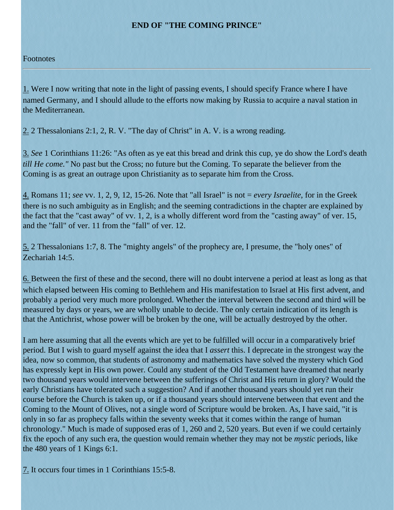### **END OF "THE COMING PRINCE"**

#### Footnotes

<span id="page-162-0"></span>[1.](#page-154-0) Were I now writing that note in the light of passing events, I should specify France where I have named Germany, and I should allude to the efforts now making by Russia to acquire a naval station in the Mediterranean.

<span id="page-162-1"></span>[2.](#page-154-1) 2 Thessalonians 2:1, 2, R. V. "The day of Christ" in A. V. is a wrong reading.

<span id="page-162-2"></span>[3.](#page-155-0) *See* 1 Corinthians 11:26: "As often as ye eat this bread and drink this cup, ye do show the Lord's death *till He come."* No past but the Cross; no future but the Coming. To separate the believer from the Coming is as great an outrage upon Christianity as to separate him from the Cross.

<span id="page-162-3"></span>[4.](#page-155-1) Romans 11; *see* vv. 1, 2, 9, 12, 15-26. Note that "all Israel" is not = *every Israelite,* for in the Greek there is no such ambiguity as in English; and the seeming contradictions in the chapter are explained by the fact that the "cast away" of vv. 1, 2, is a wholly different word from the "casting away" of ver. 15, and the "fall" of ver. 11 from the "fall" of ver. 12.

<span id="page-162-4"></span>[5.](#page-156-0) 2 Thessalonians 1:7, 8. The "mighty angels" of the prophecy are, I presume, the "holy ones" of Zechariah 14:5.

<span id="page-162-5"></span>[6.](#page-156-1) Between the first of these and the second, there will no doubt intervene a period at least as long as that which elapsed between His coming to Bethlehem and His manifestation to Israel at His first advent, and probably a period very much more prolonged. Whether the interval between the second and third will be measured by days or years, we are wholly unable to decide. The only certain indication of its length is that the Antichrist, whose power will be broken by the one, will be actually destroyed by the other.

I am here assuming that all the events which are yet to be fulfilled will occur in a comparatively brief period. But I wish to guard myself against the idea that I *assert* this. I deprecate in the strongest way the idea, now so common, that students of astronomy and mathematics have solved the mystery which God has expressly kept in His own power. Could any student of the Old Testament have dreamed that nearly two thousand years would intervene between the sufferings of Christ and His return in glory? Would the early Christians have tolerated such a suggestion? And if another thousand years should yet run their course before the Church is taken up, or if a thousand years should intervene between that event and the Coming to the Mount of Olives, not a single word of Scripture would be broken. As, I have said, "it is only in so far as prophecy falls within the seventy weeks that it comes within the range of human chronology." Much is made of supposed eras of 1, 260 and 2, 520 years. But even if we could certainly fix the epoch of any such era, the question would remain whether they may not be *mystic* periods, like the 480 years of 1 Kings 6:1.

<span id="page-162-6"></span>[7.](#page-156-2) It occurs four times in 1 Corinthians 15:5-8.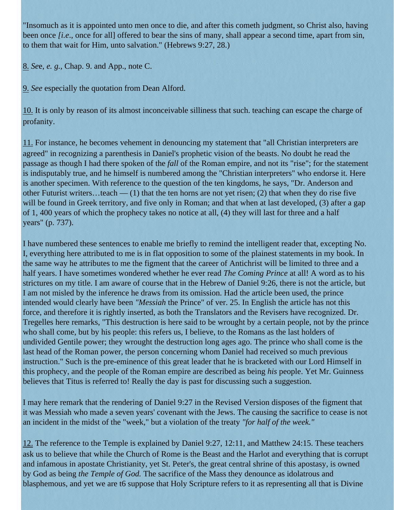"Insomuch as it is appointed unto men once to die, and after this cometh judgment, so Christ also, having been once *[i.e.*, once for all] offered to bear the sins of many, shall appear a second time, apart from sin, to them that wait for Him, unto salvation." (Hebrews 9:27, 28.)

<span id="page-163-0"></span>[8.](#page-157-0) *Se*e, *e. g.,* Chap. 9. and App., note C.

<span id="page-163-1"></span>[9.](#page-157-1) *See* especially the quotation from Dean Alford.

<span id="page-163-2"></span>[10.](#page-158-0) It is only by reason of its almost inconceivable silliness that such. teaching can escape the charge of profanity.

<span id="page-163-3"></span>[11.](#page-158-1) For instance, he becomes vehement in denouncing my statement that "all Christian interpreters are agreed" in recognizing a parenthesis in Daniel's prophetic vision of the beasts. No doubt he read the passage as though I had there spoken of the *fall* of the Roman empire, and not its "rise"; for the statement is indisputably true, and he himself is numbered among the "Christian interpreters" who endorse it. Here is another specimen. With reference to the question of the ten kingdoms, he says, "Dr. Anderson and other Futurist writers...teach  $-$  (1) that the ten horns are not yet risen; (2) that when they do rise five will be found in Greek territory, and five only in Roman; and that when at last developed, (3) after a gap of 1, 400 years of which the prophecy takes no notice at all, (4) they will last for three and a half years" (p. 737).

I have numbered these sentences to enable me briefly to remind the intelligent reader that, excepting No. I, everything here attributed to me is in flat opposition to some of the plainest statements in my book. In the same way he attributes to me the figment that the career of Antichrist will be limited to three and a half years. I have sometimes wondered whether he ever read *The Coming Prince* at all! A word as to his strictures on my title. I am aware of course that in the Hebrew of Daniel 9:26, there is not the article, but I am not misled by the inference he draws from its omission. Had the article been used, the prince intended would clearly have been *"Messiah* the Prince" of ver. 25. In English the article has not this force, and therefore it is rightly inserted, as both the Translators and the Revisers have recognized. Dr. Tregelles here remarks, "This destruction is here said to be wrought by a certain people, not by the prince who shall come, but by his people: this refers us, I believe, to the Romans as the last holders of undivided Gentile power; they wrought the destruction long ages ago. The prince who shall come is the last head of the Roman power, the person concerning whom Daniel had received so much previous instruction." Such is the pre-eminence of this great leader that he is bracketed with our Lord Himself in this prophecy, and the people of the Roman empire are described as being *his* people. Yet Mr. Guinness believes that Titus is referred to! Really the day is past for discussing such a suggestion.

I may here remark that the rendering of Daniel 9:27 in the Revised Version disposes of the figment that it was Messiah who made a seven years' covenant with the Jews. The causing the sacrifice to cease is not an incident in the midst of the "week," but a violation of the treaty *"for half of the week."*

<span id="page-163-4"></span>[12.](#page-161-0) The reference to the Temple is explained by Daniel 9:27, 12:11, and Matthew 24:15. These teachers ask us to believe that while the Church of Rome is the Beast and the Harlot and everything that is corrupt and infamous in apostate Christianity, yet St. Peter's, the great central shrine of this apostasy, is owned by God as being *the Temple of God.* The sacrifice of the Mass they denounce as idolatrous and blasphemous, and yet we are t6 suppose that Holy Scripture refers to it as representing all that is Divine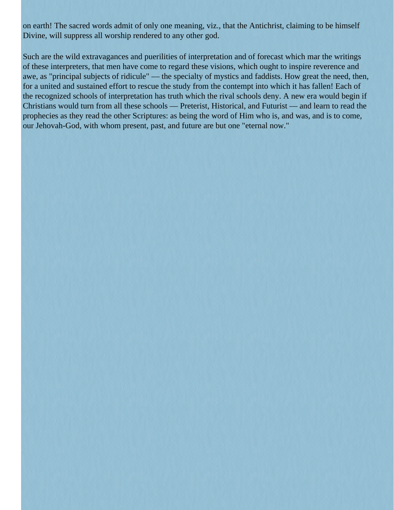on earth! The sacred words admit of only one meaning, viz., that the Antichrist, claiming to be himself Divine, will suppress all worship rendered to any other god.

Such are the wild extravagances and puerilities of interpretation and of forecast which mar the writings of these interpreters, that men have come to regard these visions, which ought to inspire reverence and awe, as "principal subjects of ridicule" — the specialty of mystics and faddists. How great the need, then, for a united and sustained effort to rescue the study from the contempt into which it has fallen! Each of the recognized schools of interpretation has truth which the rival schools deny. A new era would begin if Christians would turn from all these schools — Preterist, Historical, and Futurist — and learn to read the prophecies as they read the other Scriptures: as being the word of Him who is, and was, and is to come, our Jehovah-God, with whom present, past, and future are but one "eternal now."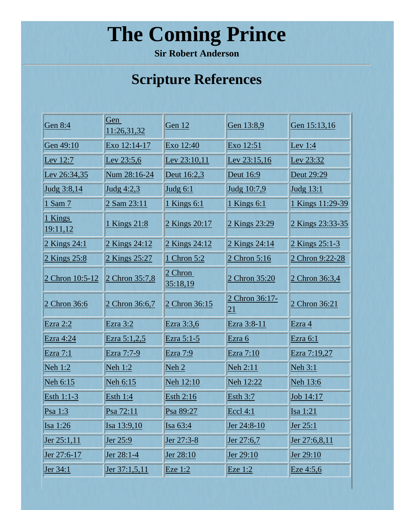# **The Coming Prince**

**Sir Robert Anderson**

### **Scripture References**

| Gen 8:4             | Gen<br>11:26,31,32 | Gen 12              | Gen 13:8,9           | Gen 15:13,16     |
|---------------------|--------------------|---------------------|----------------------|------------------|
| Gen 49:10           | Exo 12:14-17       | Exo 12:40           | Exo 12:51            | Lev 1:4          |
| Lev 12:7            | Lev $23:5,6$       | Lev 23:10,11        | Lev 23:15,16         | Lev 23:32        |
| Lev 26:34,35        | Num 28:16-24       | Deut 16:2,3         | Deut 16:9            | Deut 29:29       |
| Judg 3:8,14         | Judg 4:2,3         | Judg $6:1$          | Judg 10:7,9          | Judg 13:1        |
| 1 Sam 7             | 2 Sam 23:11        | 1 Kings 6:1         | 1 Kings 6:1          | 1 Kings 11:29-39 |
| 1 Kings<br>19:11,12 | 1 Kings 21:8       | 2 Kings 20:17       | 2 Kings 23:29        | 2 Kings 23:33-35 |
| 2 Kings 24:1        | 2 Kings 24:12      | 2 Kings 24:12       | 2 Kings 24:14        | 2 Kings 25:1-3   |
| 2 Kings 25:8        | 2 Kings 25:27      | 1 Chron 5:2         | 2 Chron 5:16         | 2 Chron 9:22-28  |
| 2 Chron 10:5-12     | 2 Chron 35:7,8     | 2 Chron<br>35:18,19 | 2 Chron 35:20        | 2 Chron 36:3,4   |
| 2 Chron 36:6        | 2 Chron 36:6,7     | 2 Chron 36:15       | 2 Chron 36:17-<br>21 | 2 Chron 36:21    |
| Ezra 2:2            | Ezra 3:2           | Ezra 3:3,6          | Ezra 3:8-11          | Ezra 4           |
| Ezra 4:24           | Ezra 5:1,2,5       | Ezra 5:1-5          | Ezra 6               | Ezra 6:1         |
| Ezra 7:1            | Ezra 7:7-9         | Ezra 7:9            | Ezra 7:10            | Ezra 7:19,27     |
| Neh 1:2             | Neh 1:2            | $Neh$ 2             | Neh 2:11             | Neh 3:1          |
| Neh 6:15            | Neh 6:15           | Neh 12:10           | Neh 12:22            | Neh 13:6         |
| Esth 1:1-3          | Esth 1:4           | Esth 2:16           | <b>Esth 3:7</b>      | Job 14:17        |
| Psa 1:3             | <u>Psa 72:11</u>   | Psa 89:27           | <u>Eccl 4:1</u>      | Isa 1:21         |
| <u>Isa 1:26</u>     | <u>Isa 13:9,10</u> | <u>Isa 63:4</u>     | Jer 24:8-10          | Jer 25:1         |
| Jer 25:1,11         | Jer 25:9           | Jer 27:3-8          | Jer 27:6,7           | Jer 27:6,8,11    |
| Jer 27:6-17         | Jer 28:1-4         | Jer 28:10           | Jer 29:10            | Jer 29:10        |
| Jer 34:1            | Jer 37:1,5,11      | Eze 1:2             | Eze 1:2              | Eze 4:5,6        |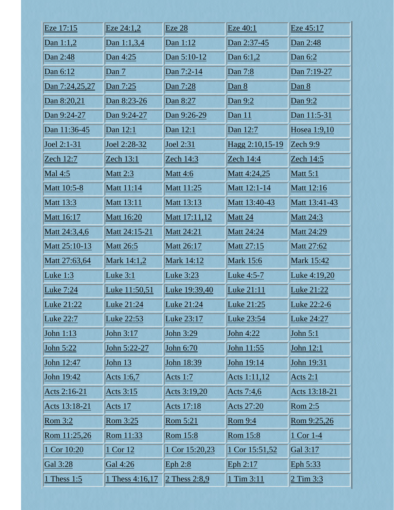| Eze 17:15        | Eze 24:1,2        | Eze 28            | Eze $40:1$        | Eze 45:17         |
|------------------|-------------------|-------------------|-------------------|-------------------|
| Dan 1:1,2        | Dan 1:1,3,4       | Dan 1:12          | Dan 2:37-45       | Dan 2:48          |
| Dan 2:48         | Dan 4:25          | Dan 5:10-12       | Dan 6:1,2         | Dan 6:2           |
| Dan 6:12         | Dan 7             | Dan 7:2-14        | Dan 7:8           | Dan 7:19-27       |
| Dan 7:24,25,27   | Dan 7:25          | Dan 7:28          | Dan 8             | Dan 8             |
| Dan 8:20,21      | Dan 8:23-26       | Dan 8:27          | Dan 9:2           | Dan 9:2           |
| Dan 9:24-27      | Dan 9:24-27       | Dan 9:26-29       | Dan 11            | Dan 11:5-31       |
| Dan 11:36-45     | Dan 12:1          | Dan 12:1          | Dan 12:7          | Hosea 1:9,10      |
| Joel 2:1-31      | Joel 2:28-32      | <b>Joel 2:31</b>  | Hagg 2:10,15-19   | Zech $9:9$        |
| Zech 12:7        | Zech 13:1         | Zech 14:3         | Zech 14:4         | Zech 14:5         |
| Mal 4:5          | <b>Matt 2:3</b>   | Matt $4:6$        | Matt 4:24,25      | <b>Matt 5:1</b>   |
| Matt 10:5-8      | Matt 11:14        | Matt 11:25        | Matt 12:1-14      | Matt 12:16        |
| <b>Matt 13:3</b> | Matt 13:11        | Matt 13:13        | Matt 13:40-43     | Matt 13:41-43     |
| Matt 16:17       | <b>Matt 16:20</b> | Matt 17:11,12     | Matt 24           | <b>Matt 24:3</b>  |
| Matt 24:3,4,6    | Matt 24:15-21     | <b>Matt 24:21</b> | <b>Matt 24:24</b> | <b>Matt 24:29</b> |
| Matt 25:10-13    | <b>Matt 26:5</b>  | <b>Matt 26:17</b> | Matt 27:15        | Matt 27:62        |
| Matt 27:63,64    | Mark 14:1,2       | Mark 14:12        | <b>Mark 15:6</b>  | <b>Mark 15:42</b> |
| Luke $1:3$       | Luke $3:1$        | Luke 3:23         | Luke 4:5-7        | Luke 4:19,20      |
| Luke 7:24        | Luke 11:50,51     | Luke 19:39,40     | Luke 21:11        | Luke 21:22        |
| Luke 21:22       | Luke 21:24        | Luke 21:24        | Luke 21:25        | Luke 22:2-6       |
| Luke 22:7        | Luke 22:53        | Luke 23:17        | Luke 23:54        | <b>Luke 24:27</b> |
| John 1:13        | John 3:17         | John 3:29         | John 4:22         | John 5:1          |
| John 5:22        | John 5:22-27      | John 6:70         | John 11:55        | John 12:1         |
| John 12:47       | <b>John 13</b>    | John 18:39        | John 19:14        | John 19:31        |
| John 19:42       | Acts 1:6,7        | <u>Acts 1:7</u>   | Acts 1:11,12      | Acts 2:1          |
| Acts 2:16-21     | Acts 3:15         | Acts 3:19,20      | Acts 7:4,6        | Acts 13:18-21     |
| Acts 13:18-21    | <u>Acts 17</u>    | <u>Acts 17:18</u> | <u>Acts 27:20</u> | <b>Rom 2:5</b>    |
| <b>Rom 3:2</b>   | Rom 3:25          | Rom 5:21          | Rom 9:4           | Rom 9:25,26       |
| Rom 11:25,26     | Rom 11:33         | Rom 15:8          | Rom 15:8          | <u>1 Cor 1-4</u>  |
| 1 Cor 10:20      | 1 Cor 12          | 1 Cor 15:20,23    | 1 Cor 15:51,52    | Gal 3:17          |
| Gal 3:28         | Gal 4:26          | Eph 2:8           | Eph $2:17$        | Eph 5:33          |
| 1 Thess 1:5      | Thess $4:16,17$   | 2 Thess 2:8,9     | 1 Tim 3:11        | 2 Tim 3:3         |